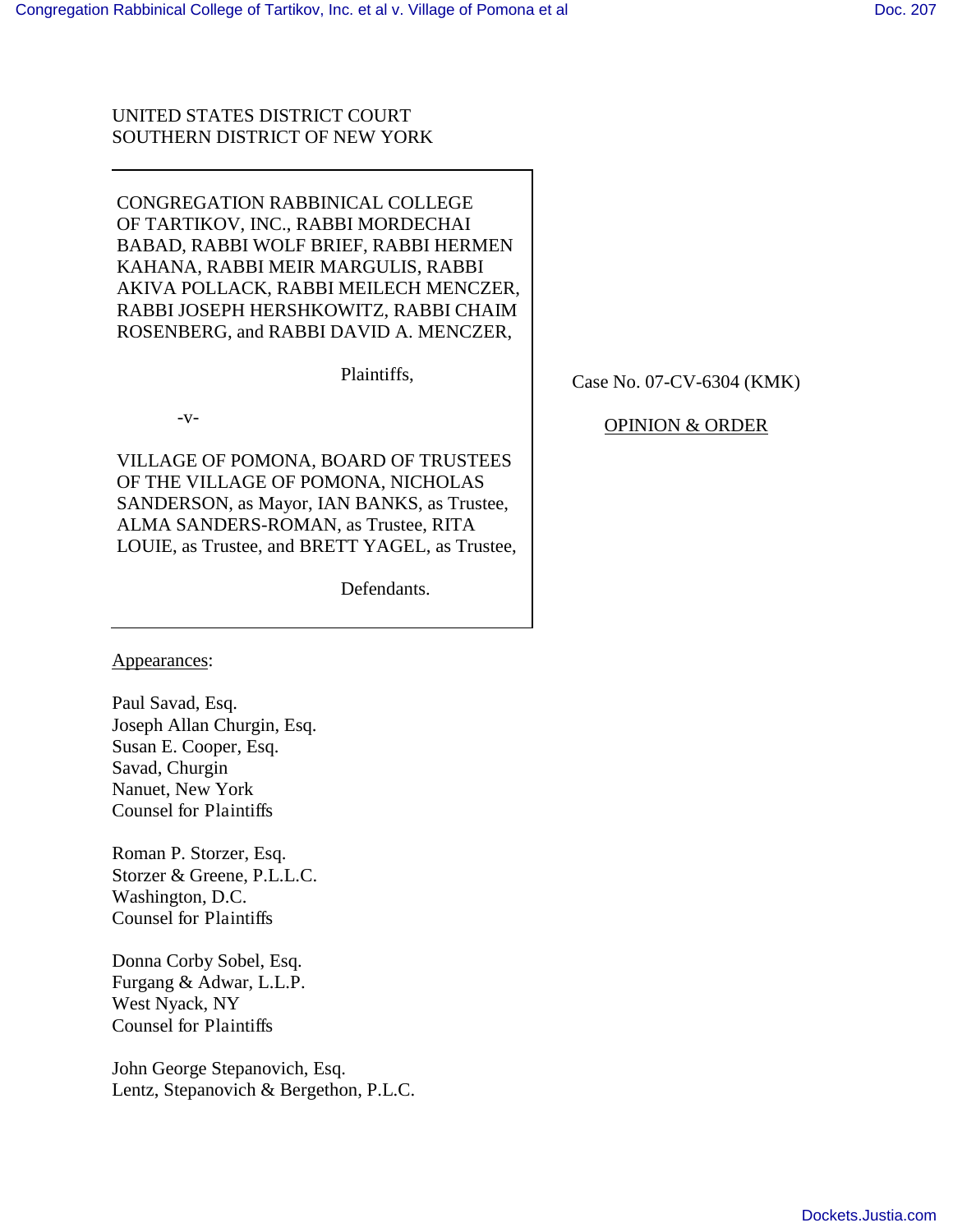# UNITED STATES DISTRICT COURT SOUTHERN DISTRICT OF NEW YORK

CONGREGATION RABBINICAL COLLEGE OF TARTIKOV, INC., RABBI MORDECHAI BABAD, RABBI WOLF BRIEF, RABBI HERMEN KAHANA, RABBI MEIR MARGULIS, RABBI AKIVA POLLACK, RABBI MEILECH MENCZER, RABBI JOSEPH HERSHKOWITZ, RABBI CHAIM ROSENBERG, and RABBI DAVID A. MENCZER,

Plaintiffs,

 $-V-$ 

VILLAGE OF POMONA, BOARD OF TRUSTEES OF THE VILLAGE OF POMONA, NICHOLAS SANDERSON, as Mayor, IAN BANKS, as Trustee, ALMA SANDERS-ROMAN, as Trustee, RITA LOUIE, as Trustee, and BRETT YAGEL, as Trustee,

Defendants.

Appearances:

Paul Savad, Esq. Joseph Allan Churgin, Esq. Susan E. Cooper, Esq. Savad, Churgin Nanuet, New York Counsel for Plaintiffs

Roman P. Storzer, Esq. Storzer & Greene, P.L.L.C. Washington, D.C. Counsel for Plaintiffs

Donna Corby Sobel, Esq. Furgang & Adwar, L.L.P. West Nyack, NY Counsel for Plaintiffs

John George Stepanovich, Esq. Lentz, Stepanovich & Bergethon, P.L.C. Case No. 07-CV-6304 (KMK)

# OPINION & ORDER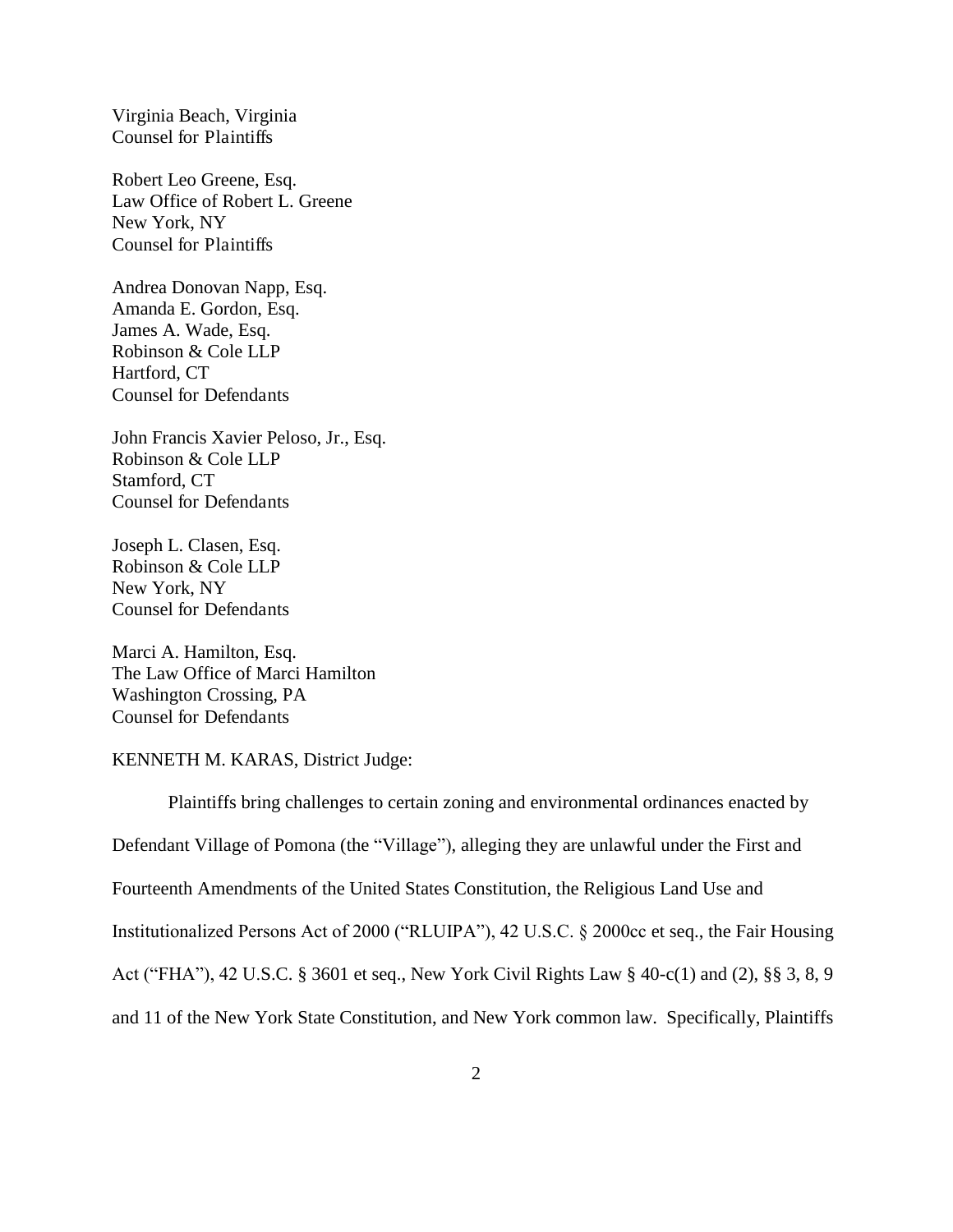Virginia Beach, Virginia Counsel for Plaintiffs

Robert Leo Greene, Esq. Law Office of Robert L. Greene New York, NY Counsel for Plaintiffs

Andrea Donovan Napp, Esq. Amanda E. Gordon, Esq. James A. Wade, Esq. Robinson & Cole LLP Hartford, CT Counsel for Defendants

John Francis Xavier Peloso, Jr., Esq. Robinson & Cole LLP Stamford, CT Counsel for Defendants

Joseph L. Clasen, Esq. Robinson & Cole LLP New York, NY Counsel for Defendants

Marci A. Hamilton, Esq. The Law Office of Marci Hamilton Washington Crossing, PA Counsel for Defendants

KENNETH M. KARAS, District Judge:

 Plaintiffs bring challenges to certain zoning and environmental ordinances enacted by Defendant Village of Pomona (the "Village"), alleging they are unlawful under the First and Fourteenth Amendments of the United States Constitution, the Religious Land Use and Institutionalized Persons Act of 2000 ("RLUIPA"), 42 U.S.C. § 2000cc et seq., the Fair Housing Act ("FHA"), 42 U.S.C. § 3601 et seq., New York Civil Rights Law § 40-c(1) and (2), §§ 3, 8, 9 and 11 of the New York State Constitution, and New York common law. Specifically, Plaintiffs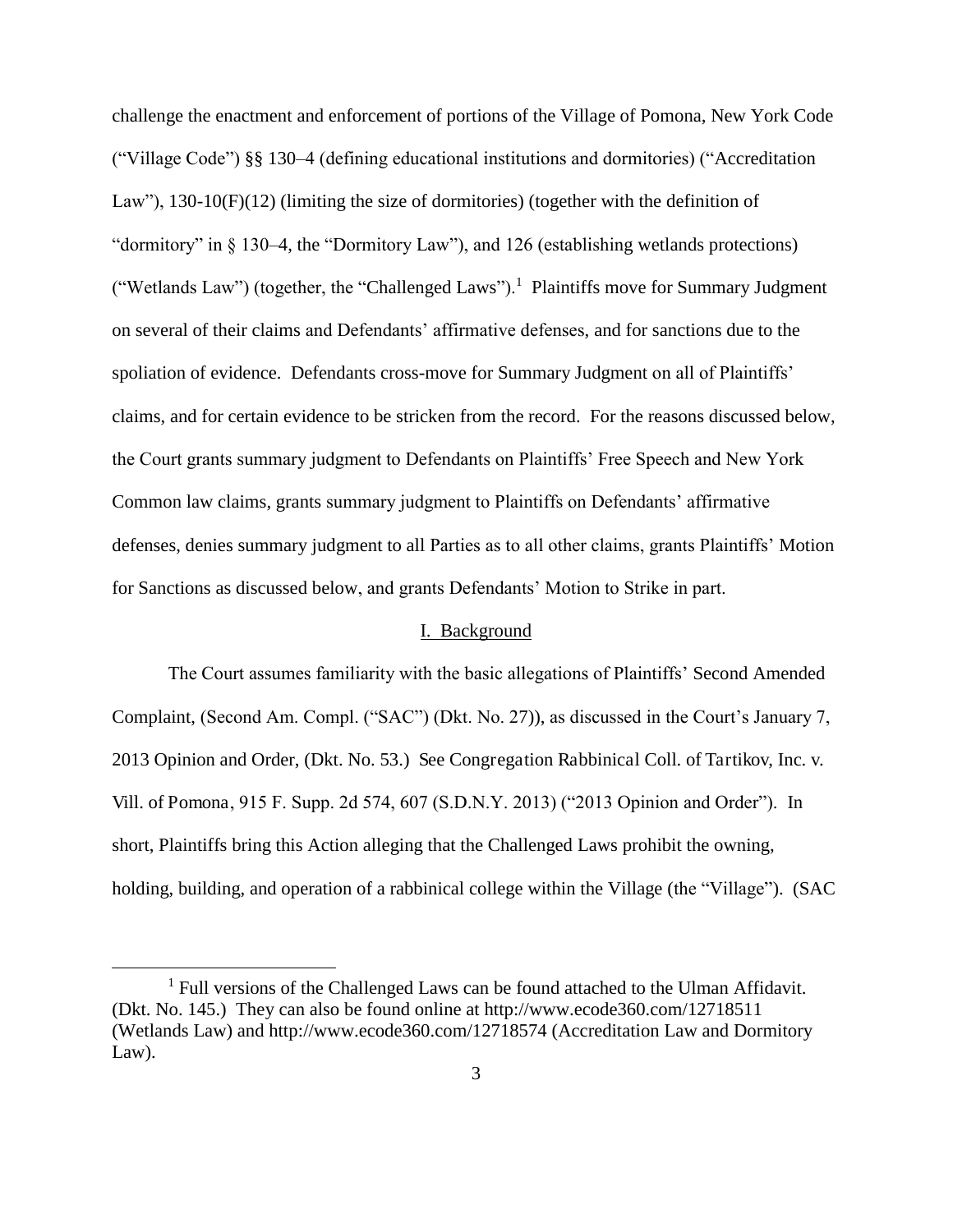challenge the enactment and enforcement of portions of the Village of Pomona, New York Code ("Village Code") §§ 130–4 (defining educational institutions and dormitories) ("Accreditation Law"), 130-10(F)(12) (limiting the size of dormitories) (together with the definition of "dormitory" in § 130–4, the "Dormitory Law"), and 126 (establishing wetlands protections) ("Wetlands Law") (together, the "Challenged Laws").<sup>1</sup> Plaintiffs move for Summary Judgment on several of their claims and Defendants' affirmative defenses, and for sanctions due to the spoliation of evidence. Defendants cross-move for Summary Judgment on all of Plaintiffs' claims, and for certain evidence to be stricken from the record. For the reasons discussed below, the Court grants summary judgment to Defendants on Plaintiffs' Free Speech and New York Common law claims, grants summary judgment to Plaintiffs on Defendants' affirmative defenses, denies summary judgment to all Parties as to all other claims, grants Plaintiffs' Motion for Sanctions as discussed below, and grants Defendants' Motion to Strike in part.

#### I. Background

The Court assumes familiarity with the basic allegations of Plaintiffs' Second Amended Complaint, (Second Am. Compl. ("SAC") (Dkt. No. 27)), as discussed in the Court's January 7, 2013 Opinion and Order, (Dkt. No. 53.) See Congregation Rabbinical Coll. of Tartikov, Inc. v. Vill. of Pomona, 915 F. Supp. 2d 574, 607 (S.D.N.Y. 2013) ("2013 Opinion and Order"). In short, Plaintiffs bring this Action alleging that the Challenged Laws prohibit the owning, holding, building, and operation of a rabbinical college within the Village (the "Village"). (SAC

<sup>&</sup>lt;sup>1</sup> Full versions of the Challenged Laws can be found attached to the Ulman Affidavit. (Dkt. No. 145.) They can also be found online at http://www.ecode360.com/12718511 (Wetlands Law) and http://www.ecode360.com/12718574 (Accreditation Law and Dormitory Law).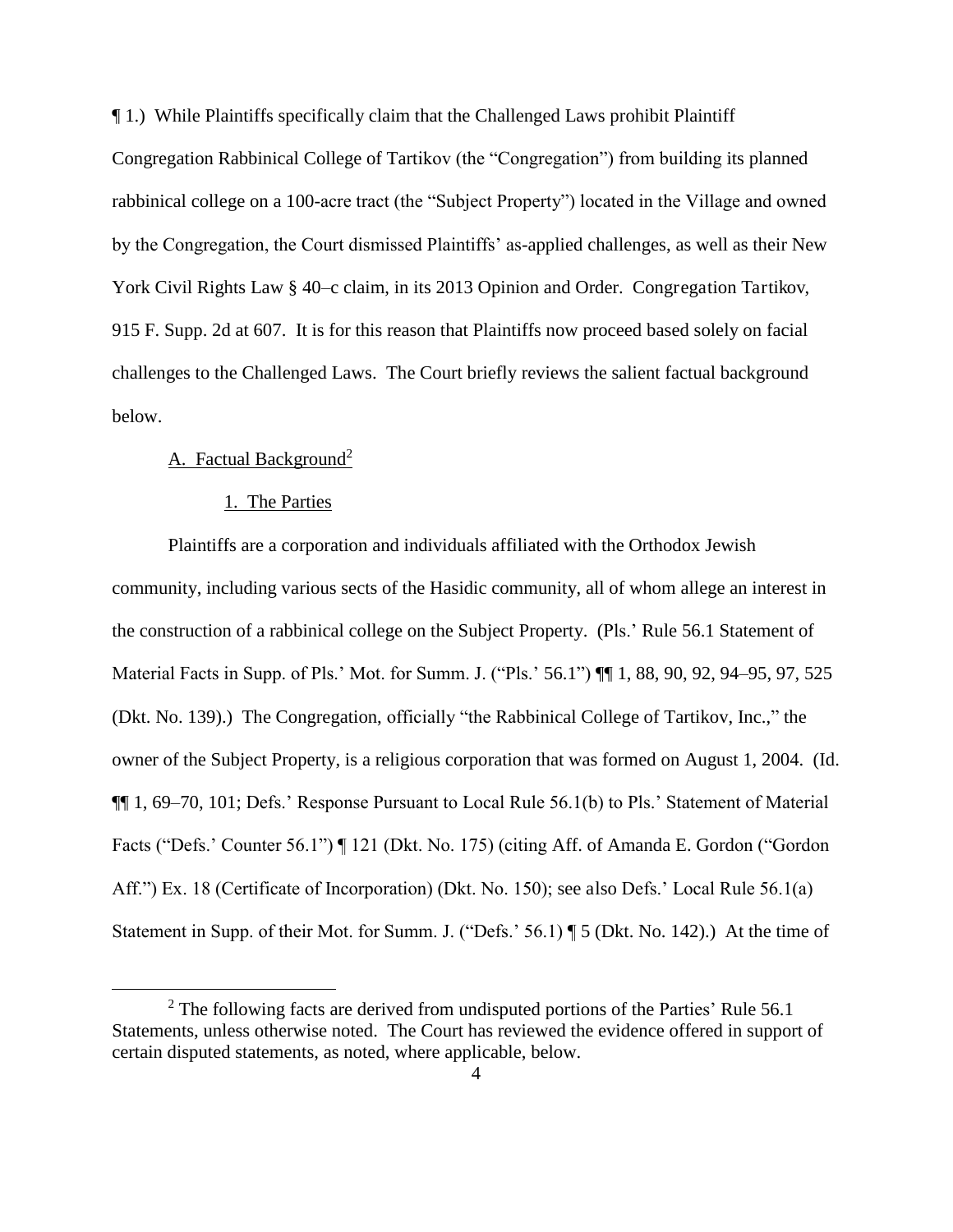¶ 1.) While Plaintiffs specifically claim that the Challenged Laws prohibit Plaintiff Congregation Rabbinical College of Tartikov (the "Congregation") from building its planned rabbinical college on a 100-acre tract (the "Subject Property") located in the Village and owned by the Congregation, the Court dismissed Plaintiffs' as-applied challenges, as well as their New York Civil Rights Law § 40–c claim, in its 2013 Opinion and Order. Congregation Tartikov, 915 F. Supp. 2d at 607. It is for this reason that Plaintiffs now proceed based solely on facial challenges to the Challenged Laws. The Court briefly reviews the salient factual background below.

## A. Factual Background<sup>2</sup>

 $\overline{a}$ 

#### 1. The Parties

 Plaintiffs are a corporation and individuals affiliated with the Orthodox Jewish community, including various sects of the Hasidic community, all of whom allege an interest in the construction of a rabbinical college on the Subject Property. (Pls.' Rule 56.1 Statement of Material Facts in Supp. of Pls.' Mot. for Summ. J. ("Pls.' 56.1")  $\P$  1, 88, 90, 92, 94–95, 97, 525 (Dkt. No. 139).) The Congregation, officially "the Rabbinical College of Tartikov, Inc.," the owner of the Subject Property, is a religious corporation that was formed on August 1, 2004. (Id. ¶¶ 1, 69–70, 101; Defs.' Response Pursuant to Local Rule 56.1(b) to Pls.' Statement of Material Facts ("Defs.' Counter 56.1") ¶ 121 (Dkt. No. 175) (citing Aff. of Amanda E. Gordon ("Gordon Aff.") Ex. 18 (Certificate of Incorporation) (Dkt. No. 150); see also Defs.' Local Rule 56.1(a) Statement in Supp. of their Mot. for Summ. J. ("Defs.' 56.1) ¶ 5 (Dkt. No. 142).) At the time of

 $2$  The following facts are derived from undisputed portions of the Parties' Rule 56.1 Statements, unless otherwise noted. The Court has reviewed the evidence offered in support of certain disputed statements, as noted, where applicable, below.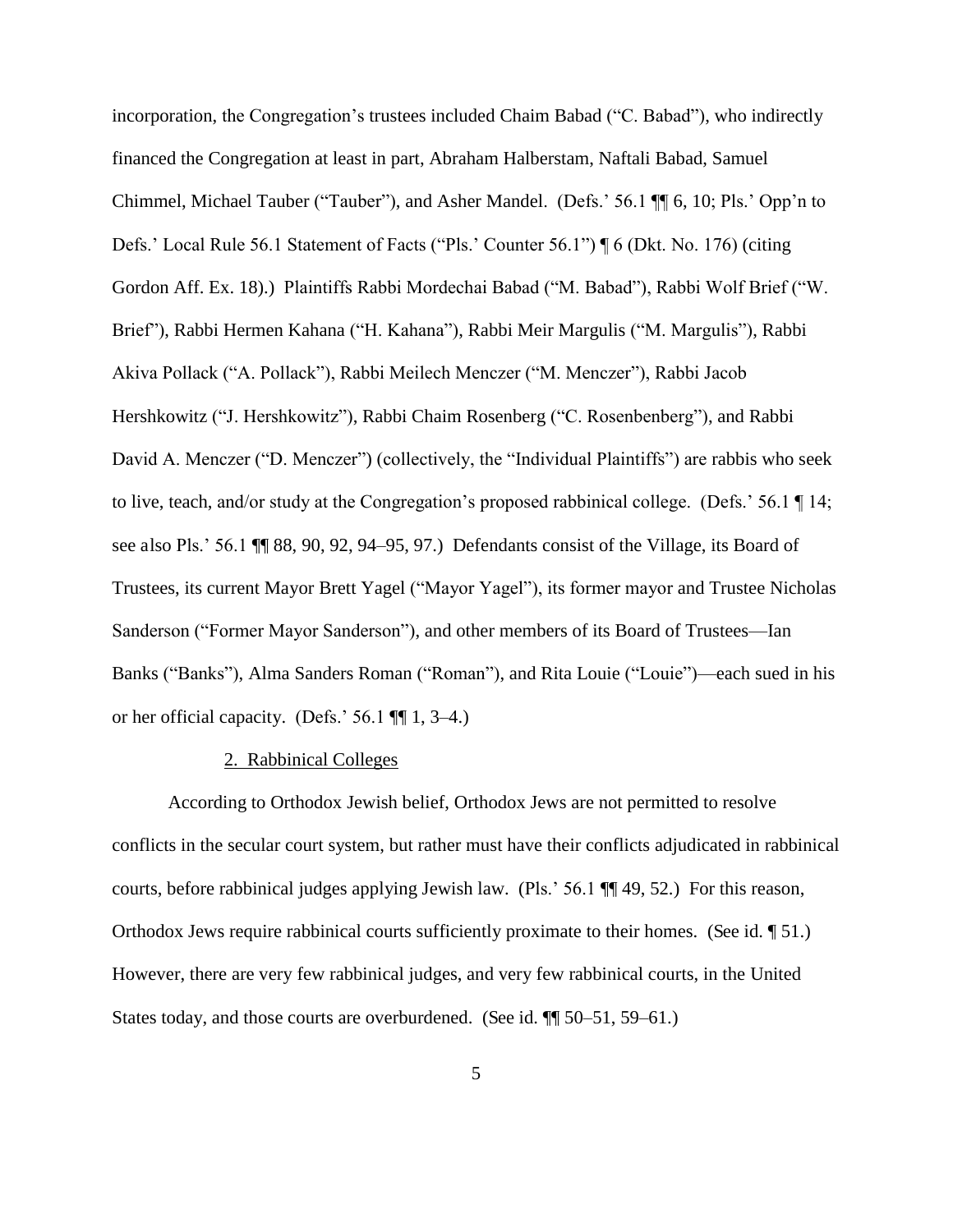incorporation, the Congregation's trustees included Chaim Babad ("C. Babad"), who indirectly financed the Congregation at least in part, Abraham Halberstam, Naftali Babad, Samuel Chimmel, Michael Tauber ("Tauber"), and Asher Mandel. (Defs.' 56.1 ¶¶ 6, 10; Pls.' Opp'n to Defs.' Local Rule 56.1 Statement of Facts ("Pls.' Counter 56.1") ¶ 6 (Dkt. No. 176) (citing Gordon Aff. Ex. 18).) Plaintiffs Rabbi Mordechai Babad ("M. Babad"), Rabbi Wolf Brief ("W. Brief"), Rabbi Hermen Kahana ("H. Kahana"), Rabbi Meir Margulis ("M. Margulis"), Rabbi Akiva Pollack ("A. Pollack"), Rabbi Meilech Menczer ("M. Menczer"), Rabbi Jacob Hershkowitz ("J. Hershkowitz"), Rabbi Chaim Rosenberg ("C. Rosenbenberg"), and Rabbi David A. Menczer ("D. Menczer") (collectively, the "Individual Plaintiffs") are rabbis who seek to live, teach, and/or study at the Congregation's proposed rabbinical college. (Defs.' 56.1 ¶ 14; see also Pls.' 56.1 ¶¶ 88, 90, 92, 94–95, 97.) Defendants consist of the Village, its Board of Trustees, its current Mayor Brett Yagel ("Mayor Yagel"), its former mayor and Trustee Nicholas Sanderson ("Former Mayor Sanderson"), and other members of its Board of Trustees—Ian Banks ("Banks"), Alma Sanders Roman ("Roman"), and Rita Louie ("Louie")—each sued in his or her official capacity. (Defs.'  $56.1$  ¶[ 1, 3–4.)

#### 2. Rabbinical Colleges

 According to Orthodox Jewish belief, Orthodox Jews are not permitted to resolve conflicts in the secular court system, but rather must have their conflicts adjudicated in rabbinical courts, before rabbinical judges applying Jewish law. (Pls.' 56.1 ¶¶ 49, 52.) For this reason, Orthodox Jews require rabbinical courts sufficiently proximate to their homes. (See id. ¶ 51.) However, there are very few rabbinical judges, and very few rabbinical courts, in the United States today, and those courts are overburdened. (See id.  $\P$  50–51, 59–61.)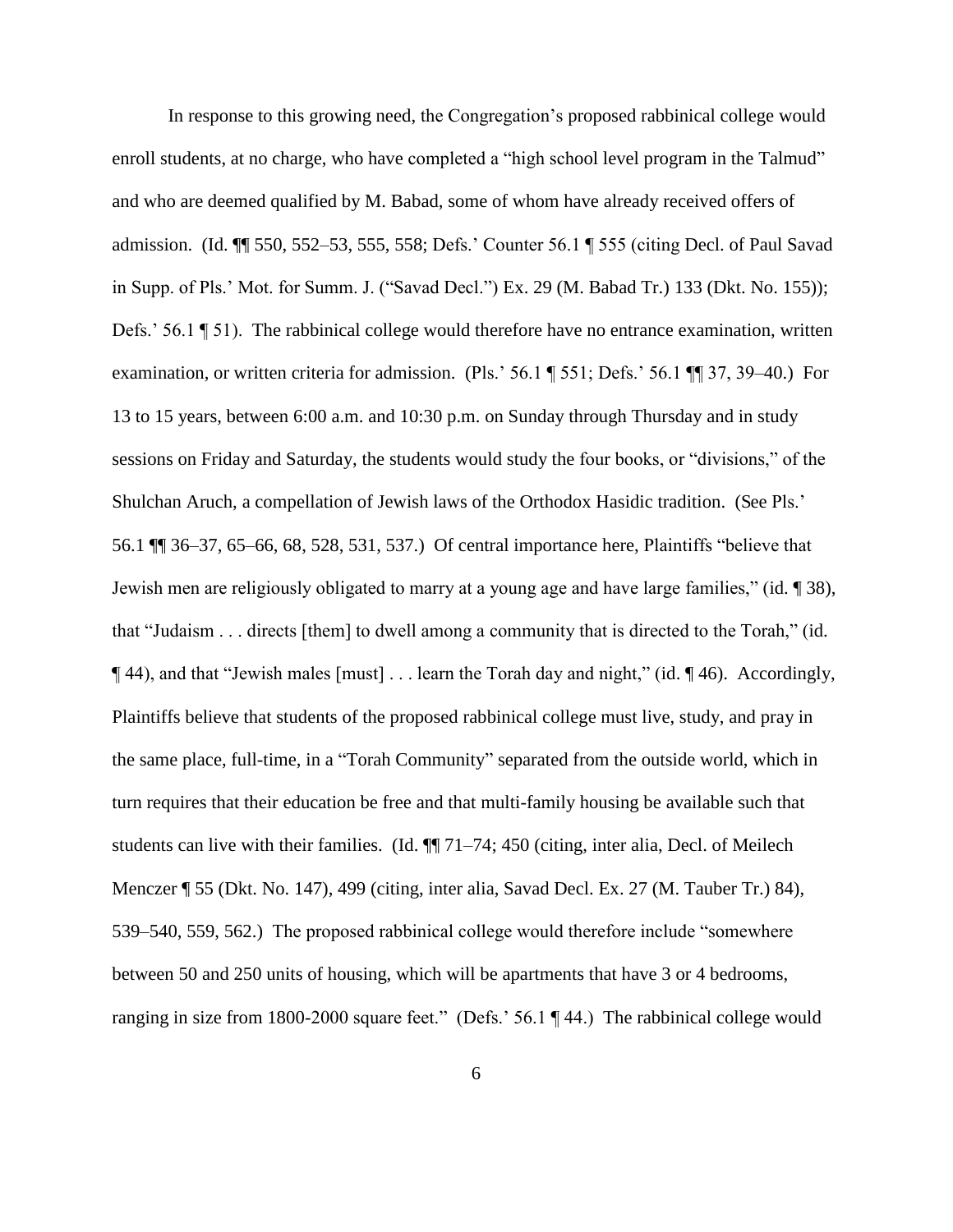In response to this growing need, the Congregation's proposed rabbinical college would enroll students, at no charge, who have completed a "high school level program in the Talmud" and who are deemed qualified by M. Babad, some of whom have already received offers of admission. (Id. ¶¶ 550, 552–53, 555, 558; Defs.' Counter 56.1 ¶ 555 (citing Decl. of Paul Savad in Supp. of Pls.' Mot. for Summ. J. ("Savad Decl.") Ex. 29 (M. Babad Tr.) 133 (Dkt. No. 155)); Defs.' 56.1 ¶ 51). The rabbinical college would therefore have no entrance examination, written examination, or written criteria for admission. (Pls.' 56.1 ¶ 551; Defs.' 56.1 ¶¶ 37, 39–40.) For 13 to 15 years, between 6:00 a.m. and 10:30 p.m. on Sunday through Thursday and in study sessions on Friday and Saturday, the students would study the four books, or "divisions," of the Shulchan Aruch, a compellation of Jewish laws of the Orthodox Hasidic tradition. (See Pls.' 56.1 ¶¶ 36–37, 65–66, 68, 528, 531, 537.) Of central importance here, Plaintiffs "believe that Jewish men are religiously obligated to marry at a young age and have large families," (id. ¶ 38), that "Judaism . . . directs [them] to dwell among a community that is directed to the Torah," (id. ¶ 44), and that "Jewish males [must] . . . learn the Torah day and night," (id. ¶ 46). Accordingly, Plaintiffs believe that students of the proposed rabbinical college must live, study, and pray in the same place, full-time, in a "Torah Community" separated from the outside world, which in turn requires that their education be free and that multi-family housing be available such that students can live with their families. (Id. ¶¶ 71–74; 450 (citing, inter alia, Decl. of Meilech Menczer ¶ 55 (Dkt. No. 147), 499 (citing, inter alia, Savad Decl. Ex. 27 (M. Tauber Tr.) 84), 539–540, 559, 562.) The proposed rabbinical college would therefore include "somewhere between 50 and 250 units of housing, which will be apartments that have 3 or 4 bedrooms, ranging in size from 1800-2000 square feet." (Defs.' 56.1 ¶ 44.) The rabbinical college would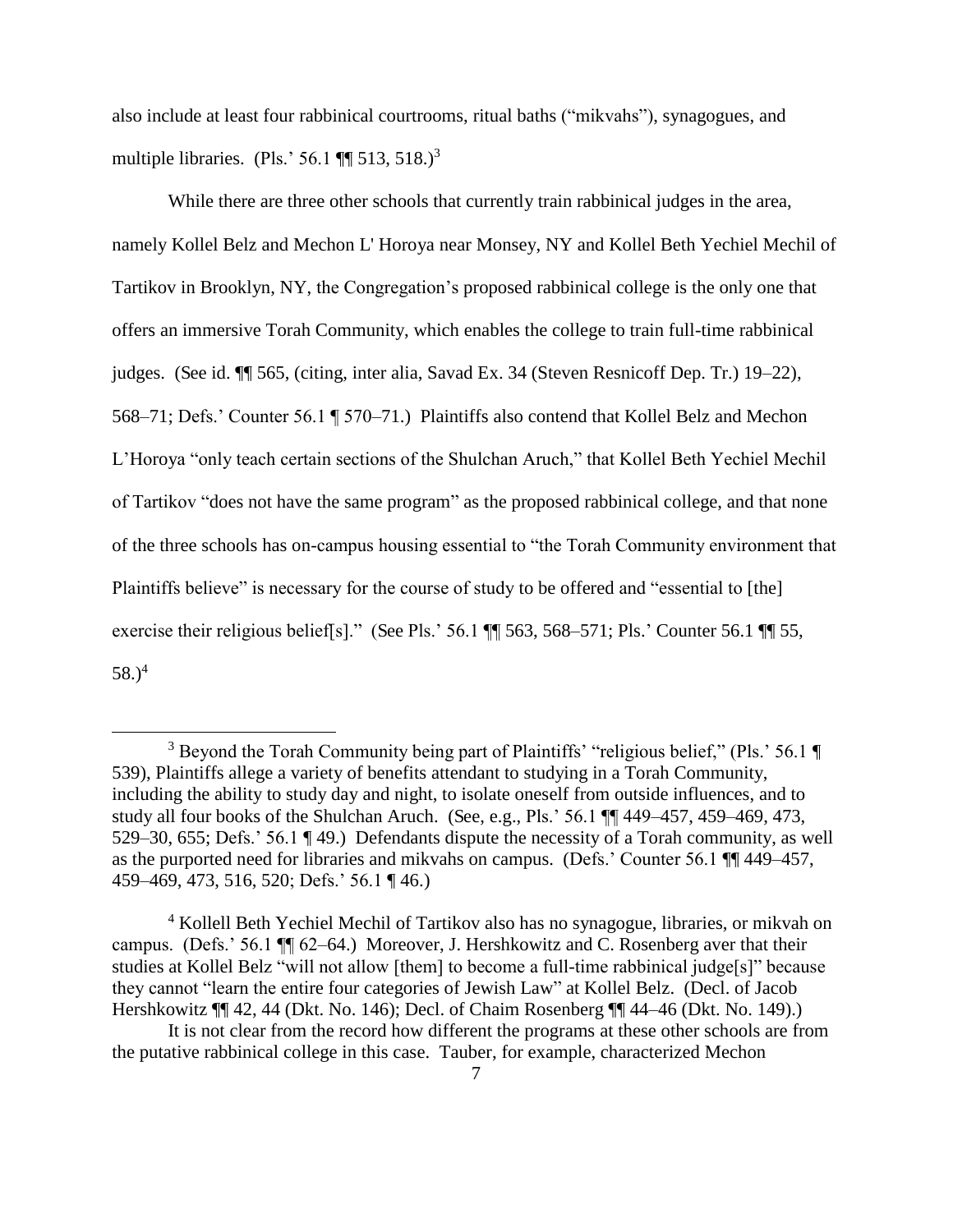also include at least four rabbinical courtrooms, ritual baths ("mikvahs"), synagogues, and multiple libraries. (Pls.' 56.1  $\P$  513, 518.)<sup>3</sup>

While there are three other schools that currently train rabbinical judges in the area, namely Kollel Belz and Mechon L' Horoya near Monsey, NY and Kollel Beth Yechiel Mechil of Tartikov in Brooklyn, NY, the Congregation's proposed rabbinical college is the only one that offers an immersive Torah Community, which enables the college to train full-time rabbinical judges. (See id. ¶¶ 565, (citing, inter alia, Savad Ex. 34 (Steven Resnicoff Dep. Tr.) 19–22), 568–71; Defs.' Counter 56.1 ¶ 570–71.) Plaintiffs also contend that Kollel Belz and Mechon L'Horoya "only teach certain sections of the Shulchan Aruch," that Kollel Beth Yechiel Mechil of Tartikov "does not have the same program" as the proposed rabbinical college, and that none of the three schools has on-campus housing essential to "the Torah Community environment that Plaintiffs believe" is necessary for the course of study to be offered and "essential to [the] exercise their religious belief[s]." (See Pls.' 56.1 ¶¶ 563, 568–571; Pls.' Counter 56.1 ¶¶ 55, 58.) $^{4}$ 

 $\overline{a}$ 

<sup>4</sup> Kollell Beth Yechiel Mechil of Tartikov also has no synagogue, libraries, or mikvah on campus. (Defs.' 56.1 ¶¶ 62–64.) Moreover, J. Hershkowitz and C. Rosenberg aver that their studies at Kollel Belz "will not allow [them] to become a full-time rabbinical judge[s]" because they cannot "learn the entire four categories of Jewish Law" at Kollel Belz. (Decl. of Jacob Hershkowitz ¶¶ 42, 44 (Dkt. No. 146); Decl. of Chaim Rosenberg ¶¶ 44–46 (Dkt. No. 149).)

<sup>&</sup>lt;sup>3</sup> Beyond the Torah Community being part of Plaintiffs' "religious belief," (Pls.' 56.1 ¶ 539), Plaintiffs allege a variety of benefits attendant to studying in a Torah Community, including the ability to study day and night, to isolate oneself from outside influences, and to study all four books of the Shulchan Aruch. (See, e.g., Pls.' 56.1 ¶¶ 449–457, 459–469, 473, 529–30, 655; Defs.' 56.1 ¶ 49.) Defendants dispute the necessity of a Torah community, as well as the purported need for libraries and mikvahs on campus. (Defs.' Counter 56.1 ¶¶ 449–457, 459–469, 473, 516, 520; Defs.' 56.1 ¶ 46.)

It is not clear from the record how different the programs at these other schools are from the putative rabbinical college in this case. Tauber, for example, characterized Mechon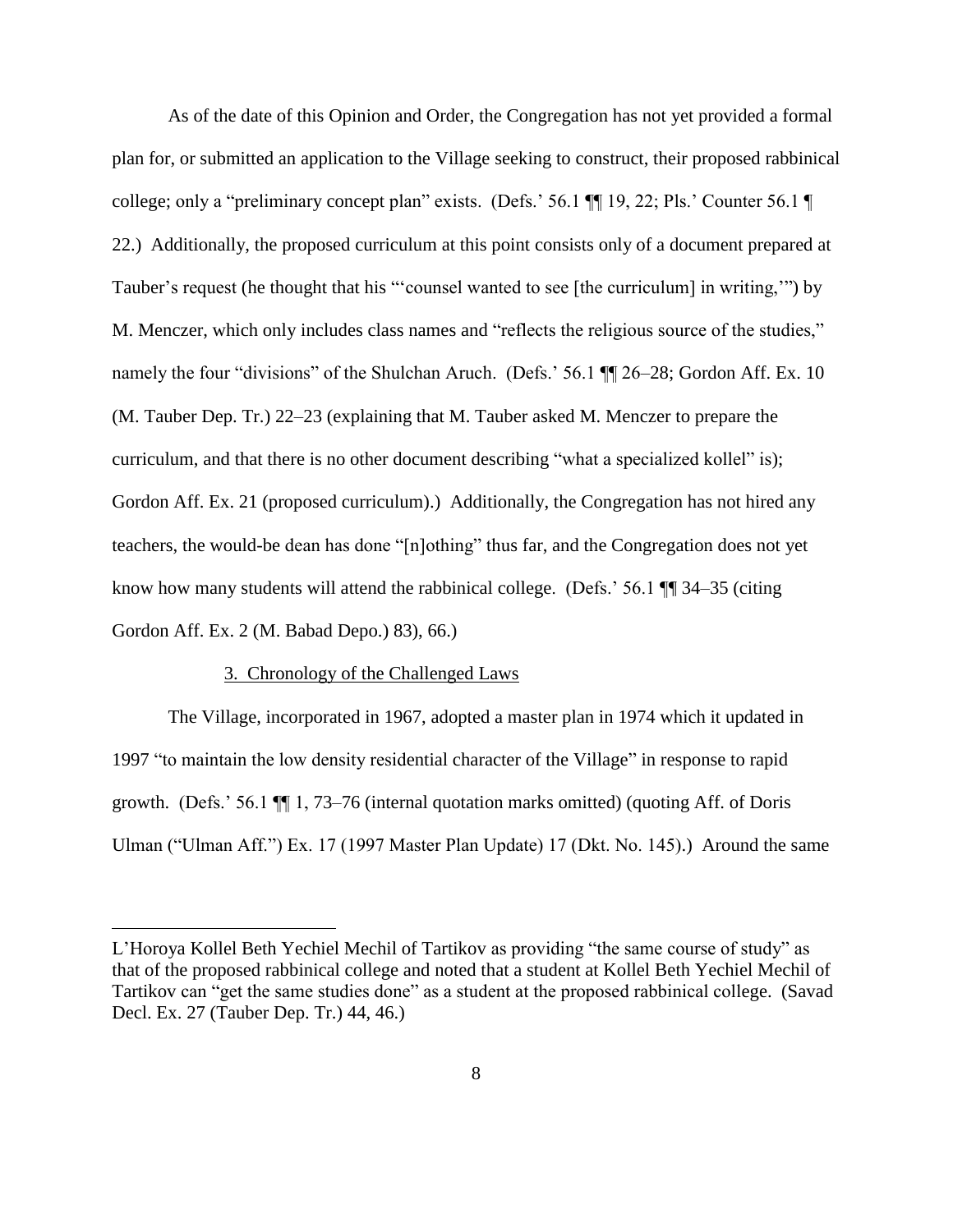As of the date of this Opinion and Order, the Congregation has not yet provided a formal plan for, or submitted an application to the Village seeking to construct, their proposed rabbinical college; only a "preliminary concept plan" exists. (Defs.' 56.1 ¶¶ 19, 22; Pls.' Counter 56.1 ¶ 22.) Additionally, the proposed curriculum at this point consists only of a document prepared at Tauber's request (he thought that his "'counsel wanted to see [the curriculum] in writing,'") by M. Menczer, which only includes class names and "reflects the religious source of the studies," namely the four "divisions" of the Shulchan Aruch. (Defs.' 56.1 ¶ 26–28; Gordon Aff. Ex. 10 (M. Tauber Dep. Tr.) 22–23 (explaining that M. Tauber asked M. Menczer to prepare the curriculum, and that there is no other document describing "what a specialized kollel" is); Gordon Aff. Ex. 21 (proposed curriculum).) Additionally, the Congregation has not hired any teachers, the would-be dean has done "[n]othing" thus far, and the Congregation does not yet know how many students will attend the rabbinical college. (Defs.' 56.1  $\P$  34–35 (citing Gordon Aff. Ex. 2 (M. Babad Depo.) 83), 66.)

## 3. Chronology of the Challenged Laws

 $\overline{a}$ 

 The Village, incorporated in 1967, adopted a master plan in 1974 which it updated in 1997 "to maintain the low density residential character of the Village" in response to rapid growth. (Defs.' 56.1 ¶¶ 1, 73–76 (internal quotation marks omitted) (quoting Aff. of Doris Ulman ("Ulman Aff.") Ex. 17 (1997 Master Plan Update) 17 (Dkt. No. 145).) Around the same

L'Horoya Kollel Beth Yechiel Mechil of Tartikov as providing "the same course of study" as that of the proposed rabbinical college and noted that a student at Kollel Beth Yechiel Mechil of Tartikov can "get the same studies done" as a student at the proposed rabbinical college. (Savad Decl. Ex. 27 (Tauber Dep. Tr.) 44, 46.)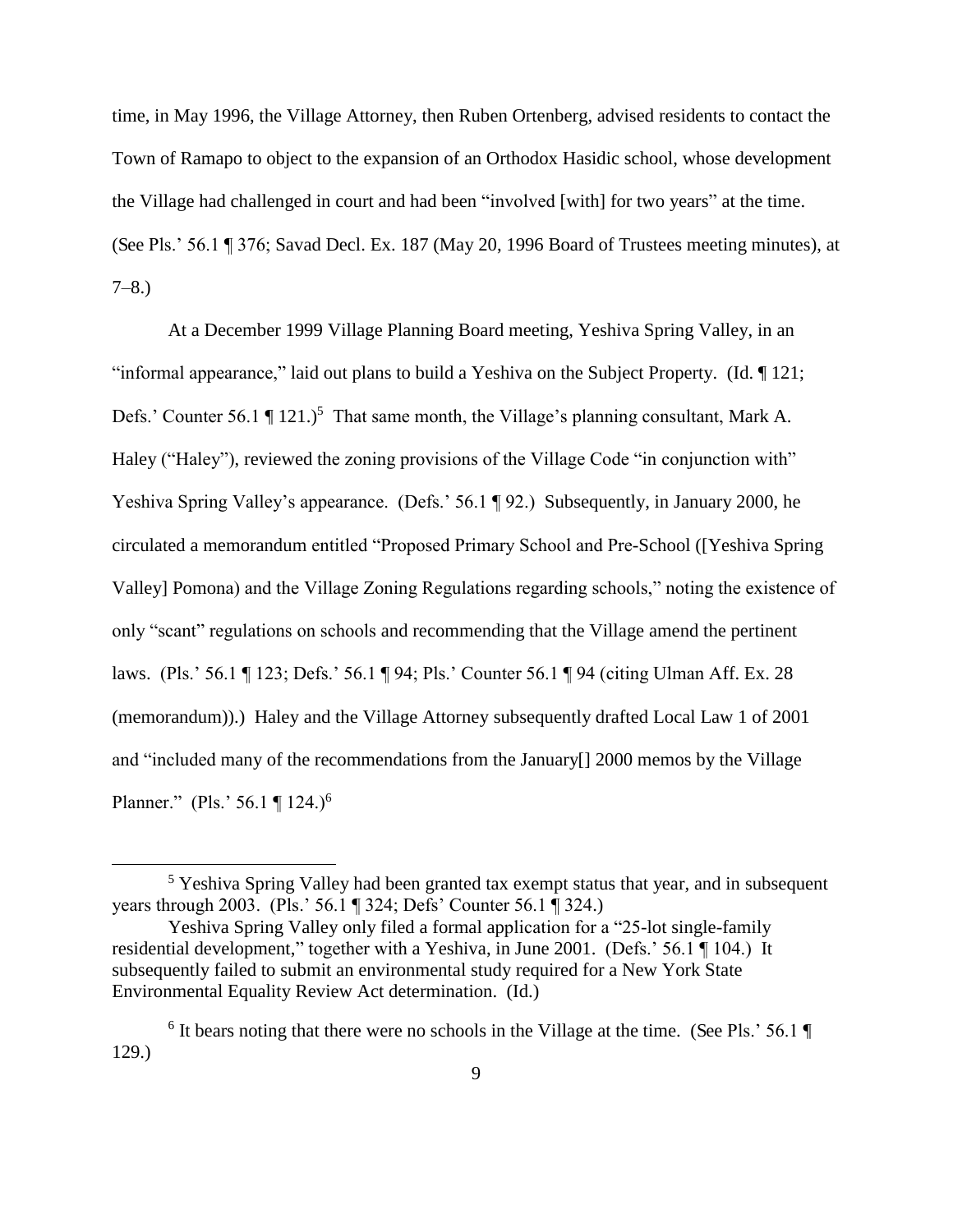time, in May 1996, the Village Attorney, then Ruben Ortenberg, advised residents to contact the Town of Ramapo to object to the expansion of an Orthodox Hasidic school, whose development the Village had challenged in court and had been "involved [with] for two years" at the time. (See Pls.' 56.1 ¶ 376; Savad Decl. Ex. 187 (May 20, 1996 Board of Trustees meeting minutes), at  $7-8.$ 

At a December 1999 Village Planning Board meeting, Yeshiva Spring Valley, in an "informal appearance," laid out plans to build a Yeshiva on the Subject Property. (Id. ¶ 121; Defs.' Counter 56.1  $\P$  121.)<sup>5</sup> That same month, the Village's planning consultant, Mark A. Haley ("Haley"), reviewed the zoning provisions of the Village Code "in conjunction with" Yeshiva Spring Valley's appearance. (Defs.' 56.1 ¶ 92.) Subsequently, in January 2000, he circulated a memorandum entitled "Proposed Primary School and Pre-School ([Yeshiva Spring Valley] Pomona) and the Village Zoning Regulations regarding schools," noting the existence of only "scant" regulations on schools and recommending that the Village amend the pertinent laws. (Pls.' 56.1 ¶ 123; Defs.' 56.1 ¶ 94; Pls.' Counter 56.1 ¶ 94 (citing Ulman Aff. Ex. 28 (memorandum)).) Haley and the Village Attorney subsequently drafted Local Law 1 of 2001 and "included many of the recommendations from the January[] 2000 memos by the Village Planner." (Pls.' 56.1 ¶ 124.)<sup>6</sup>

<sup>&</sup>lt;sup>5</sup> Yeshiva Spring Valley had been granted tax exempt status that year, and in subsequent years through 2003. (Pls.' 56.1 ¶ 324; Defs' Counter 56.1 ¶ 324.)

Yeshiva Spring Valley only filed a formal application for a "25-lot single-family residential development," together with a Yeshiva, in June 2001. (Defs.' 56.1 ¶ 104.) It subsequently failed to submit an environmental study required for a New York State Environmental Equality Review Act determination. (Id.)

<sup>&</sup>lt;sup>6</sup> It bears noting that there were no schools in the Village at the time. (See Pls.' 56.1  $\P$ 129.)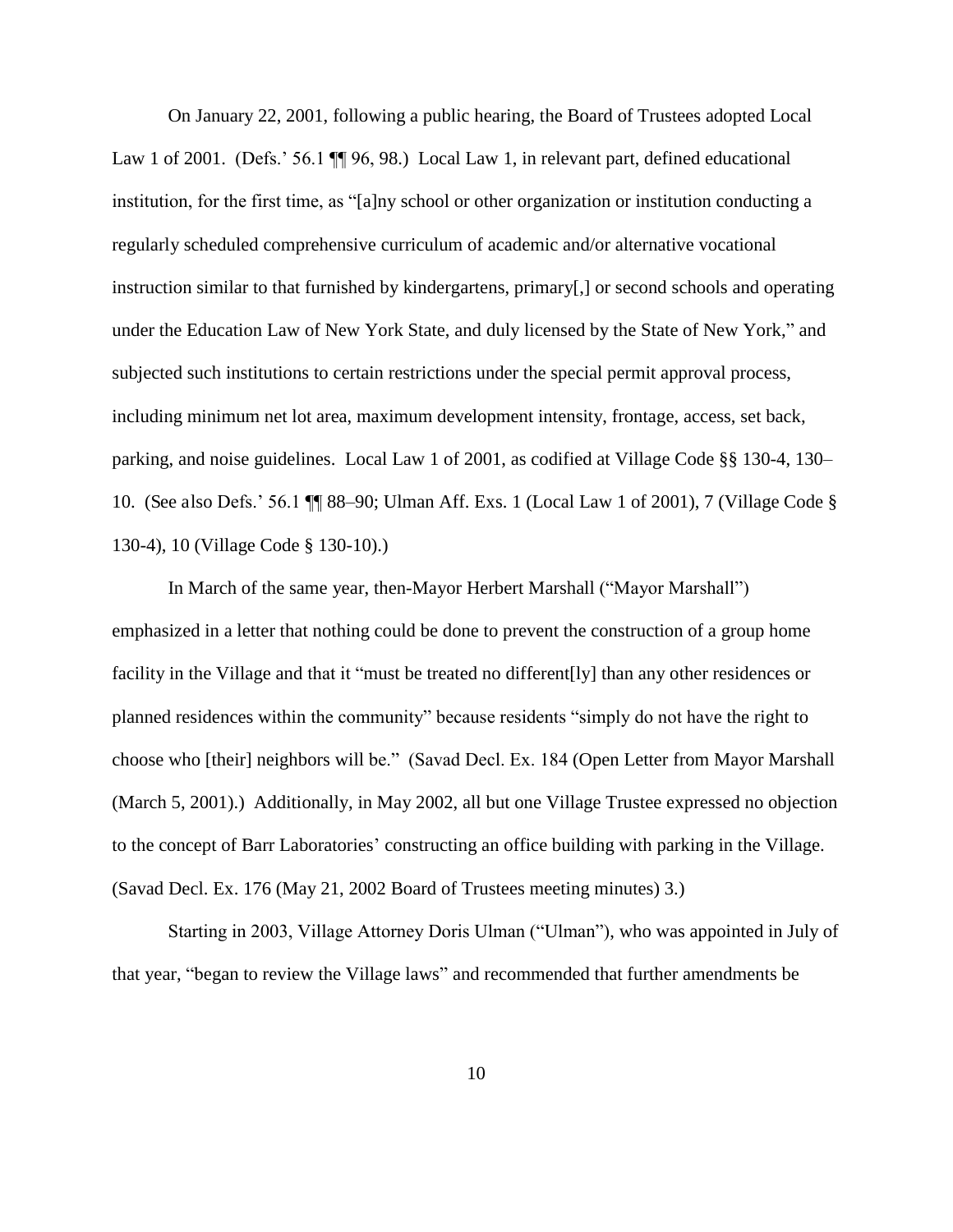On January 22, 2001, following a public hearing, the Board of Trustees adopted Local Law 1 of 2001. (Defs.' 56.1  $\P$  96, 98.) Local Law 1, in relevant part, defined educational institution, for the first time, as "[a]ny school or other organization or institution conducting a regularly scheduled comprehensive curriculum of academic and/or alternative vocational instruction similar to that furnished by kindergartens, primary[,] or second schools and operating under the Education Law of New York State, and duly licensed by the State of New York," and subjected such institutions to certain restrictions under the special permit approval process, including minimum net lot area, maximum development intensity, frontage, access, set back, parking, and noise guidelines. Local Law 1 of 2001, as codified at Village Code §§ 130-4, 130– 10. (See also Defs.' 56.1 ¶¶ 88–90; Ulman Aff. Exs. 1 (Local Law 1 of 2001), 7 (Village Code § 130-4), 10 (Village Code § 130-10).)

In March of the same year, then-Mayor Herbert Marshall ("Mayor Marshall") emphasized in a letter that nothing could be done to prevent the construction of a group home facility in the Village and that it "must be treated no different[ly] than any other residences or planned residences within the community" because residents "simply do not have the right to choose who [their] neighbors will be." (Savad Decl. Ex. 184 (Open Letter from Mayor Marshall (March 5, 2001).) Additionally, in May 2002, all but one Village Trustee expressed no objection to the concept of Barr Laboratories' constructing an office building with parking in the Village. (Savad Decl. Ex. 176 (May 21, 2002 Board of Trustees meeting minutes) 3.)

Starting in 2003, Village Attorney Doris Ulman ("Ulman"), who was appointed in July of that year, "began to review the Village laws" and recommended that further amendments be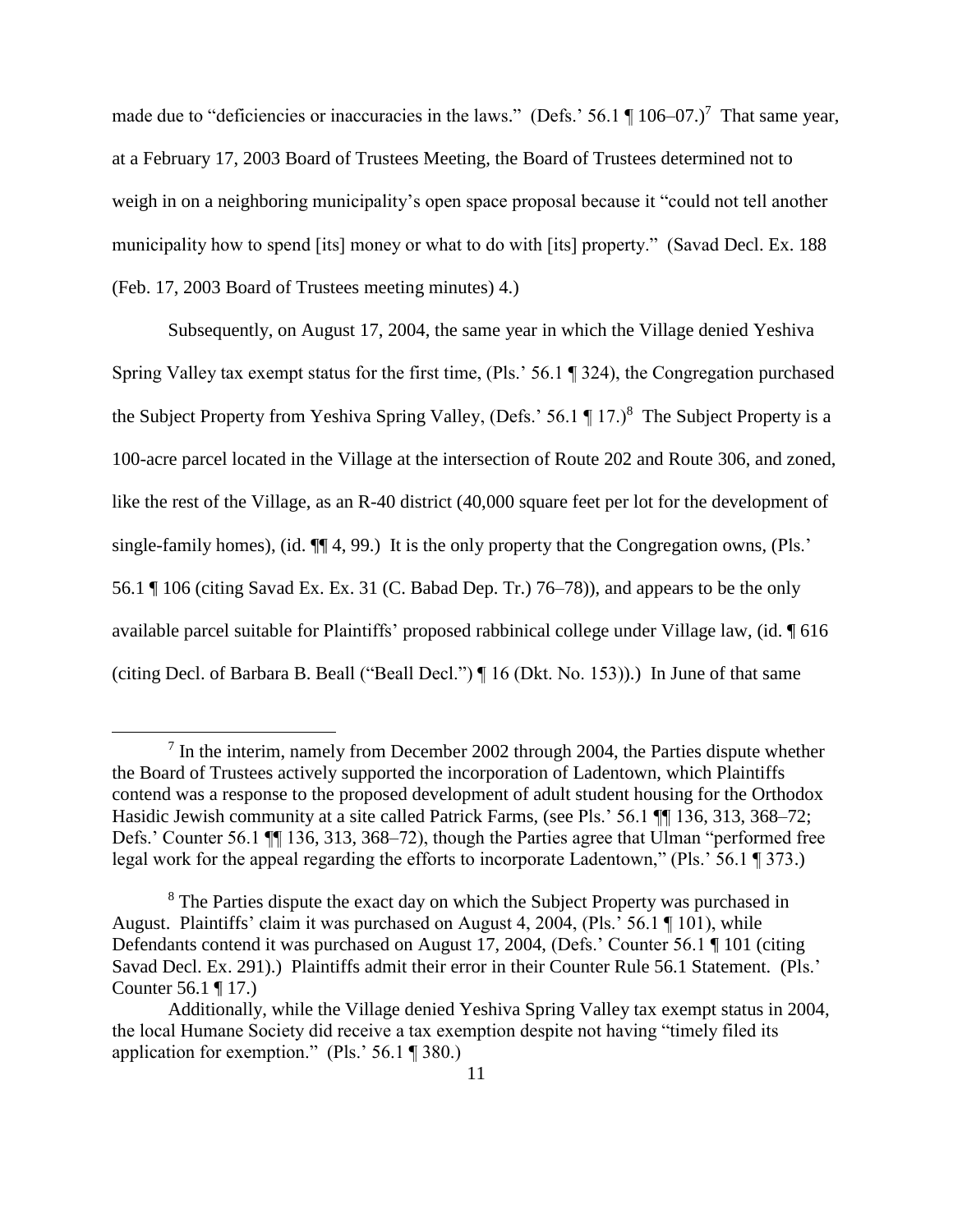made due to "deficiencies or inaccuracies in the laws." (Defs.' 56.1  $\parallel$  106–07.)<sup>7</sup> That same year, at a February 17, 2003 Board of Trustees Meeting, the Board of Trustees determined not to weigh in on a neighboring municipality's open space proposal because it "could not tell another municipality how to spend [its] money or what to do with [its] property." (Savad Decl. Ex. 188 (Feb. 17, 2003 Board of Trustees meeting minutes) 4.)

Subsequently, on August 17, 2004, the same year in which the Village denied Yeshiva Spring Valley tax exempt status for the first time, (Pls.' 56.1 ¶ 324), the Congregation purchased the Subject Property from Yeshiva Spring Valley, (Defs.'  $56.1 \text{ T}$  17.)<sup>8</sup> The Subject Property is a 100-acre parcel located in the Village at the intersection of Route 202 and Route 306, and zoned, like the rest of the Village, as an R-40 district (40,000 square feet per lot for the development of single-family homes), (id. ¶¶ 4, 99.) It is the only property that the Congregation owns, (Pls.' 56.1 ¶ 106 (citing Savad Ex. Ex. 31 (C. Babad Dep. Tr.) 76–78)), and appears to be the only available parcel suitable for Plaintiffs' proposed rabbinical college under Village law, (id. ¶ 616 (citing Decl. of Barbara B. Beall ("Beall Decl.") ¶ 16 (Dkt. No. 153)).) In June of that same

 $<sup>7</sup>$  In the interim, namely from December 2002 through 2004, the Parties dispute whether</sup> the Board of Trustees actively supported the incorporation of Ladentown, which Plaintiffs contend was a response to the proposed development of adult student housing for the Orthodox Hasidic Jewish community at a site called Patrick Farms, (see Pls.' 56.1 ¶¶ 136, 313, 368–72; Defs.' Counter 56.1 ¶¶ 136, 313, 368–72), though the Parties agree that Ulman "performed free legal work for the appeal regarding the efforts to incorporate Ladentown," (Pls.' 56.1 ¶ 373.)

<sup>&</sup>lt;sup>8</sup> The Parties dispute the exact day on which the Subject Property was purchased in August. Plaintiffs' claim it was purchased on August 4, 2004, (Pls.' 56.1 ¶ 101), while Defendants contend it was purchased on August 17, 2004, (Defs.' Counter 56.1 ¶ 101 (citing Savad Decl. Ex. 291).) Plaintiffs admit their error in their Counter Rule 56.1 Statement. (Pls.' Counter 56.1 ¶ 17.)

Additionally, while the Village denied Yeshiva Spring Valley tax exempt status in 2004, the local Humane Society did receive a tax exemption despite not having "timely filed its application for exemption." (Pls.' 56.1 ¶ 380.)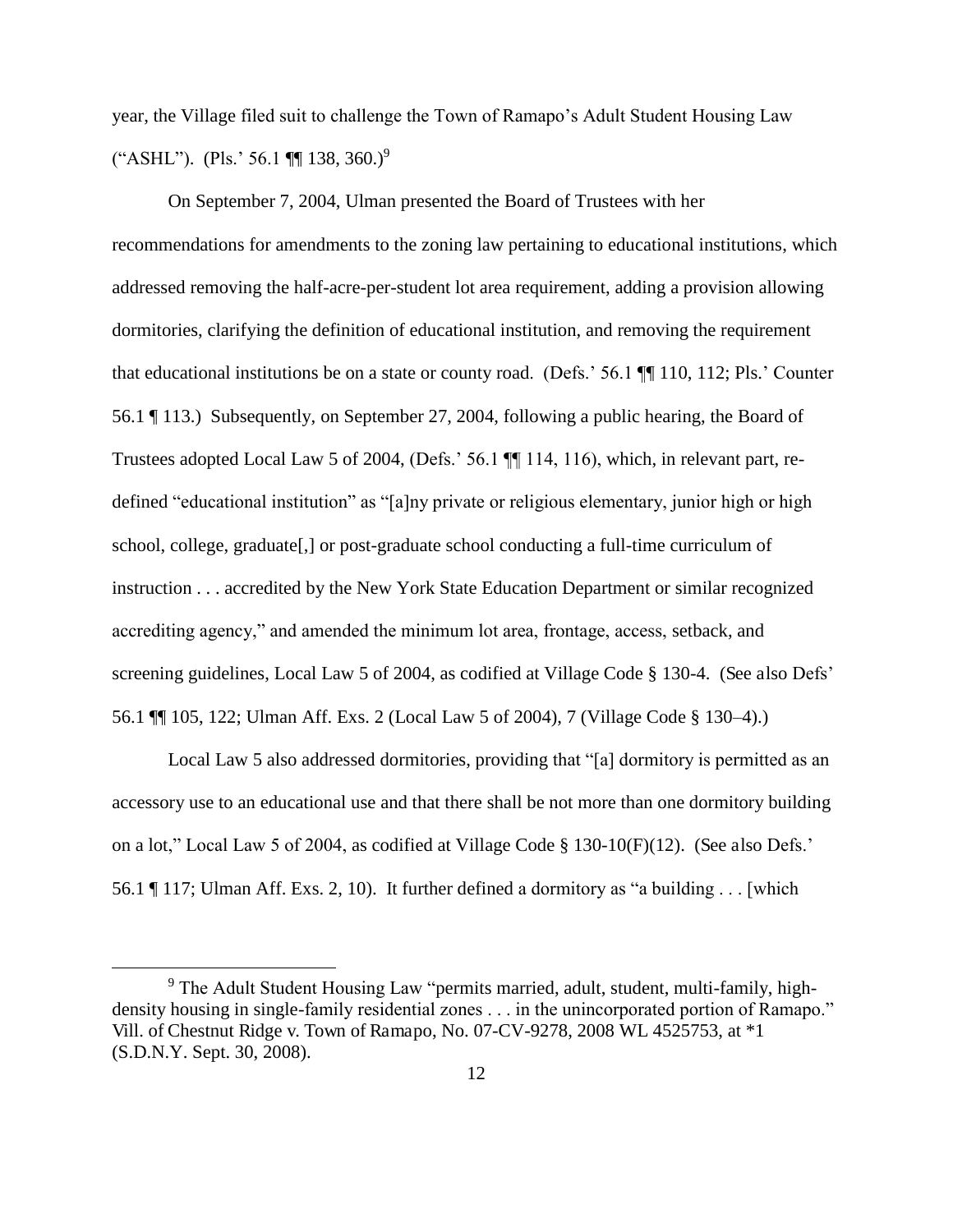year, the Village filed suit to challenge the Town of Ramapo's Adult Student Housing Law ("ASHL"). (Pls.' 56.1  $\P$  138, 360.)<sup>9</sup>

On September 7, 2004, Ulman presented the Board of Trustees with her recommendations for amendments to the zoning law pertaining to educational institutions, which addressed removing the half-acre-per-student lot area requirement, adding a provision allowing dormitories, clarifying the definition of educational institution, and removing the requirement that educational institutions be on a state or county road. (Defs.' 56.1 ¶¶ 110, 112; Pls.' Counter 56.1 ¶ 113.) Subsequently, on September 27, 2004, following a public hearing, the Board of Trustees adopted Local Law 5 of 2004, (Defs.' 56.1 ¶¶ 114, 116), which, in relevant part, redefined "educational institution" as "[a]ny private or religious elementary, junior high or high school, college, graduate[,] or post-graduate school conducting a full-time curriculum of instruction . . . accredited by the New York State Education Department or similar recognized accrediting agency," and amended the minimum lot area, frontage, access, setback, and screening guidelines, Local Law 5 of 2004, as codified at Village Code § 130-4. (See also Defs' 56.1 ¶¶ 105, 122; Ulman Aff. Exs. 2 (Local Law 5 of 2004), 7 (Village Code § 130–4).)

Local Law 5 also addressed dormitories, providing that "[a] dormitory is permitted as an accessory use to an educational use and that there shall be not more than one dormitory building on a lot," Local Law 5 of 2004, as codified at Village Code § 130-10(F)(12). (See also Defs.' 56.1 ¶ 117; Ulman Aff. Exs. 2, 10). It further defined a dormitory as "a building . . . [which

<sup>&</sup>lt;sup>9</sup> The Adult Student Housing Law "permits married, adult, student, multi-family, highdensity housing in single-family residential zones . . . in the unincorporated portion of Ramapo." Vill. of Chestnut Ridge v. Town of Ramapo, No. 07-CV-9278, 2008 WL 4525753, at \*1 (S.D.N.Y. Sept. 30, 2008).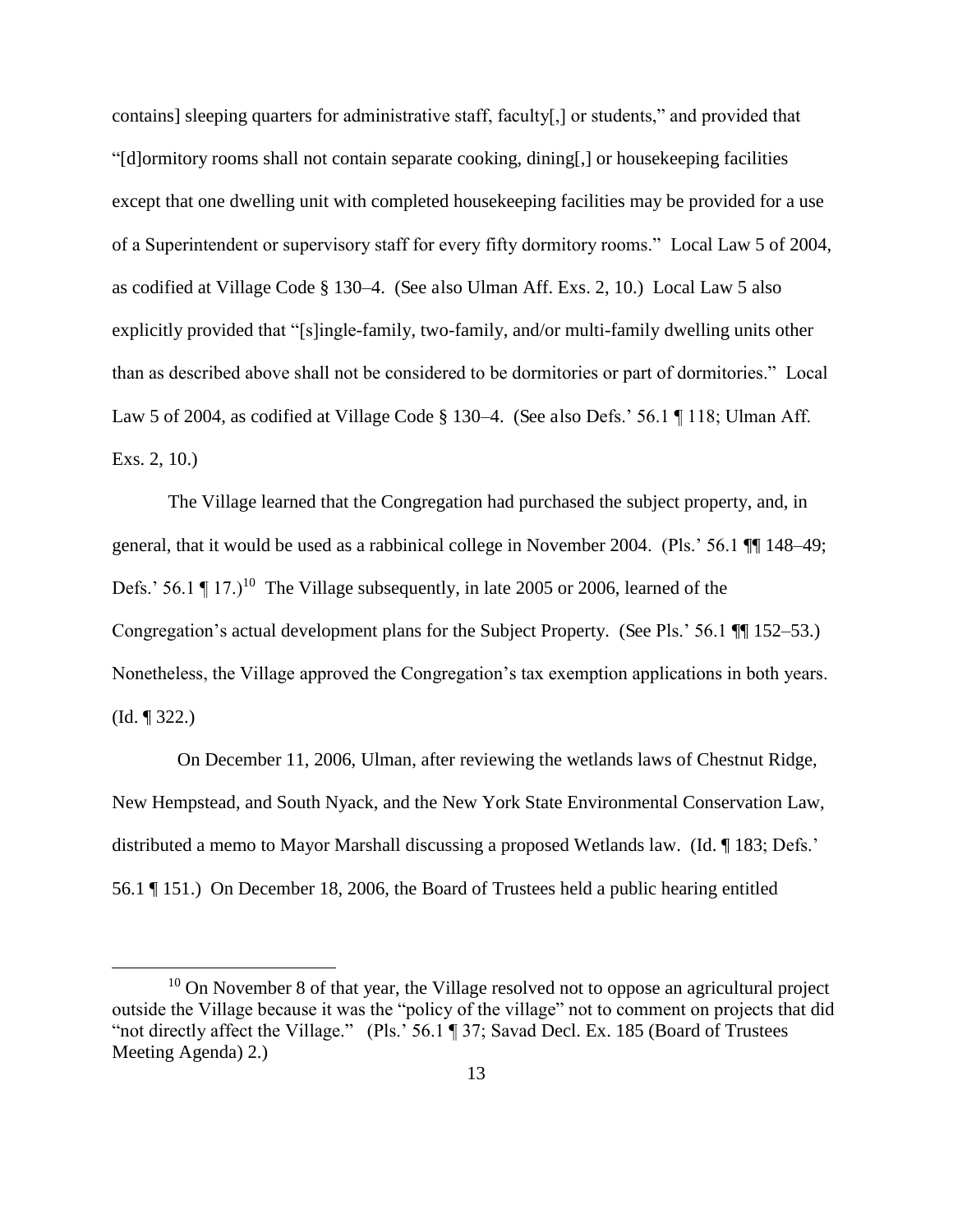contains] sleeping quarters for administrative staff, faculty[,] or students," and provided that "[d]ormitory rooms shall not contain separate cooking, dining[,] or housekeeping facilities except that one dwelling unit with completed housekeeping facilities may be provided for a use of a Superintendent or supervisory staff for every fifty dormitory rooms." Local Law 5 of 2004, as codified at Village Code § 130–4. (See also Ulman Aff. Exs. 2, 10.) Local Law 5 also explicitly provided that "[s]ingle-family, two-family, and/or multi-family dwelling units other than as described above shall not be considered to be dormitories or part of dormitories." Local Law 5 of 2004, as codified at Village Code § 130–4. (See also Defs.' 56.1 ¶ 118; Ulman Aff. Exs. 2, 10.)

The Village learned that the Congregation had purchased the subject property, and, in general, that it would be used as a rabbinical college in November 2004. (Pls.' 56.1 ¶¶ 148–49; Defs.' 56.1  $\P$  17.)<sup>10</sup> The Village subsequently, in late 2005 or 2006, learned of the Congregation's actual development plans for the Subject Property. (See Pls.' 56.1 ¶¶ 152–53.) Nonetheless, the Village approved the Congregation's tax exemption applications in both years. (Id. ¶ 322.)

 On December 11, 2006, Ulman, after reviewing the wetlands laws of Chestnut Ridge, New Hempstead, and South Nyack, and the New York State Environmental Conservation Law, distributed a memo to Mayor Marshall discussing a proposed Wetlands law. (Id. ¶ 183; Defs.' 56.1 ¶ 151.) On December 18, 2006, the Board of Trustees held a public hearing entitled

 $10$  On November 8 of that year, the Village resolved not to oppose an agricultural project outside the Village because it was the "policy of the village" not to comment on projects that did "not directly affect the Village." (Pls.' 56.1 ¶ 37; Savad Decl. Ex. 185 (Board of Trustees Meeting Agenda) 2.)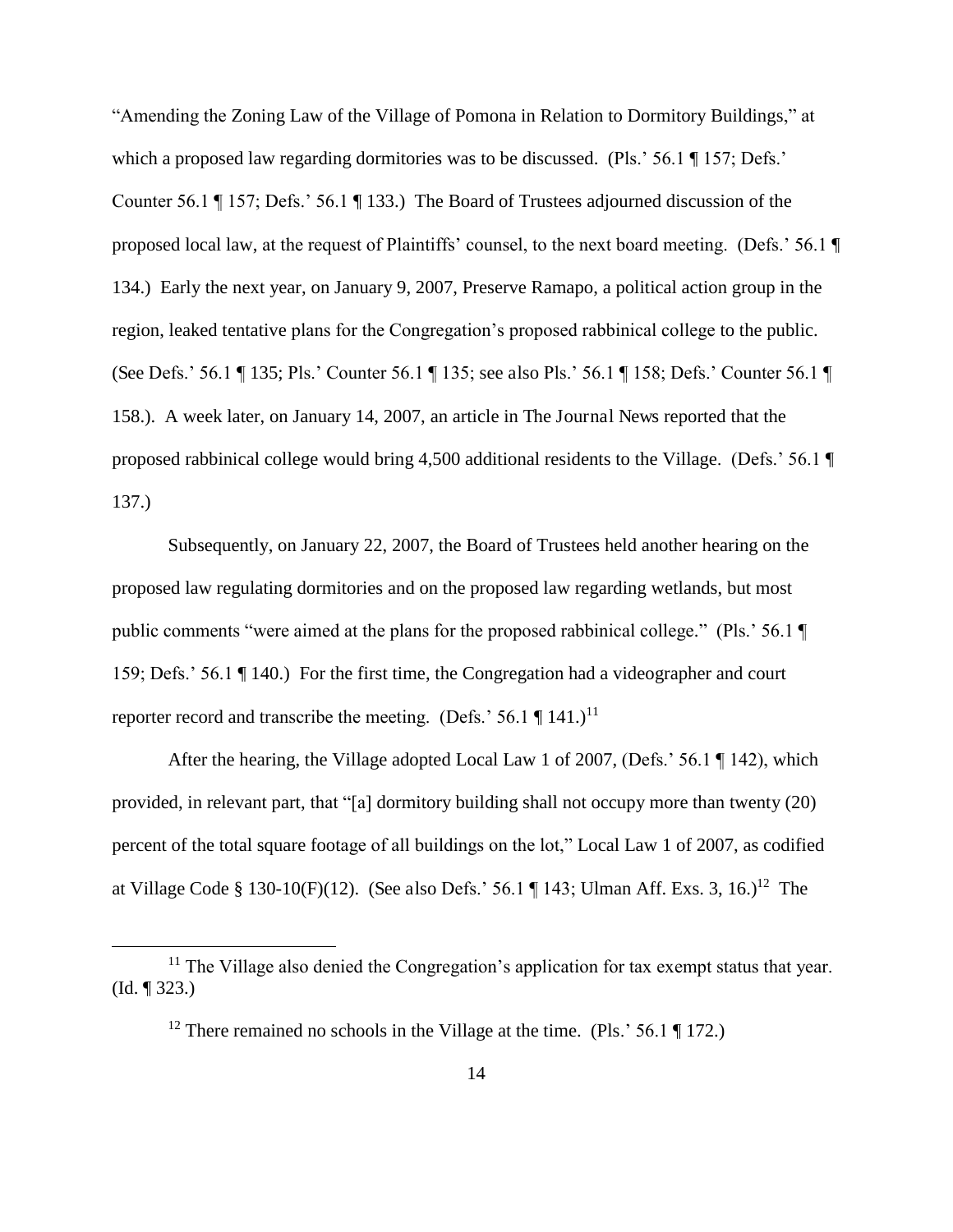"Amending the Zoning Law of the Village of Pomona in Relation to Dormitory Buildings," at which a proposed law regarding dormitories was to be discussed. (Pls.' 56.1 ¶ 157; Defs.' Counter 56.1 ¶ 157; Defs.' 56.1 ¶ 133.) The Board of Trustees adjourned discussion of the proposed local law, at the request of Plaintiffs' counsel, to the next board meeting. (Defs.' 56.1 ¶ 134.) Early the next year, on January 9, 2007, Preserve Ramapo, a political action group in the region, leaked tentative plans for the Congregation's proposed rabbinical college to the public. (See Defs.' 56.1 ¶ 135; Pls.' Counter 56.1 ¶ 135; see also Pls.' 56.1 ¶ 158; Defs.' Counter 56.1 ¶ 158.). A week later, on January 14, 2007, an article in The Journal News reported that the proposed rabbinical college would bring 4,500 additional residents to the Village. (Defs.' 56.1 ¶ 137.)

Subsequently, on January 22, 2007, the Board of Trustees held another hearing on the proposed law regulating dormitories and on the proposed law regarding wetlands, but most public comments "were aimed at the plans for the proposed rabbinical college." (Pls.' 56.1 ¶ 159; Defs.' 56.1 ¶ 140.) For the first time, the Congregation had a videographer and court reporter record and transcribe the meeting. (Defs.' 56.1  $\P$  141.)<sup>11</sup>

After the hearing, the Village adopted Local Law 1 of 2007, (Defs.' 56.1 ¶ 142), which provided, in relevant part, that "[a] dormitory building shall not occupy more than twenty (20) percent of the total square footage of all buildings on the lot," Local Law 1 of 2007, as codified at Village Code § 130-10(F)(12). (See also Defs.' 56.1 ¶ 143; Ulman Aff. Exs. 3, 16.)<sup>12</sup> The

<sup>&</sup>lt;sup>11</sup> The Village also denied the Congregation's application for tax exempt status that year. (Id. ¶ 323.)

<sup>&</sup>lt;sup>12</sup> There remained no schools in the Village at the time. (Pls.' 56.1  $\P$  172.)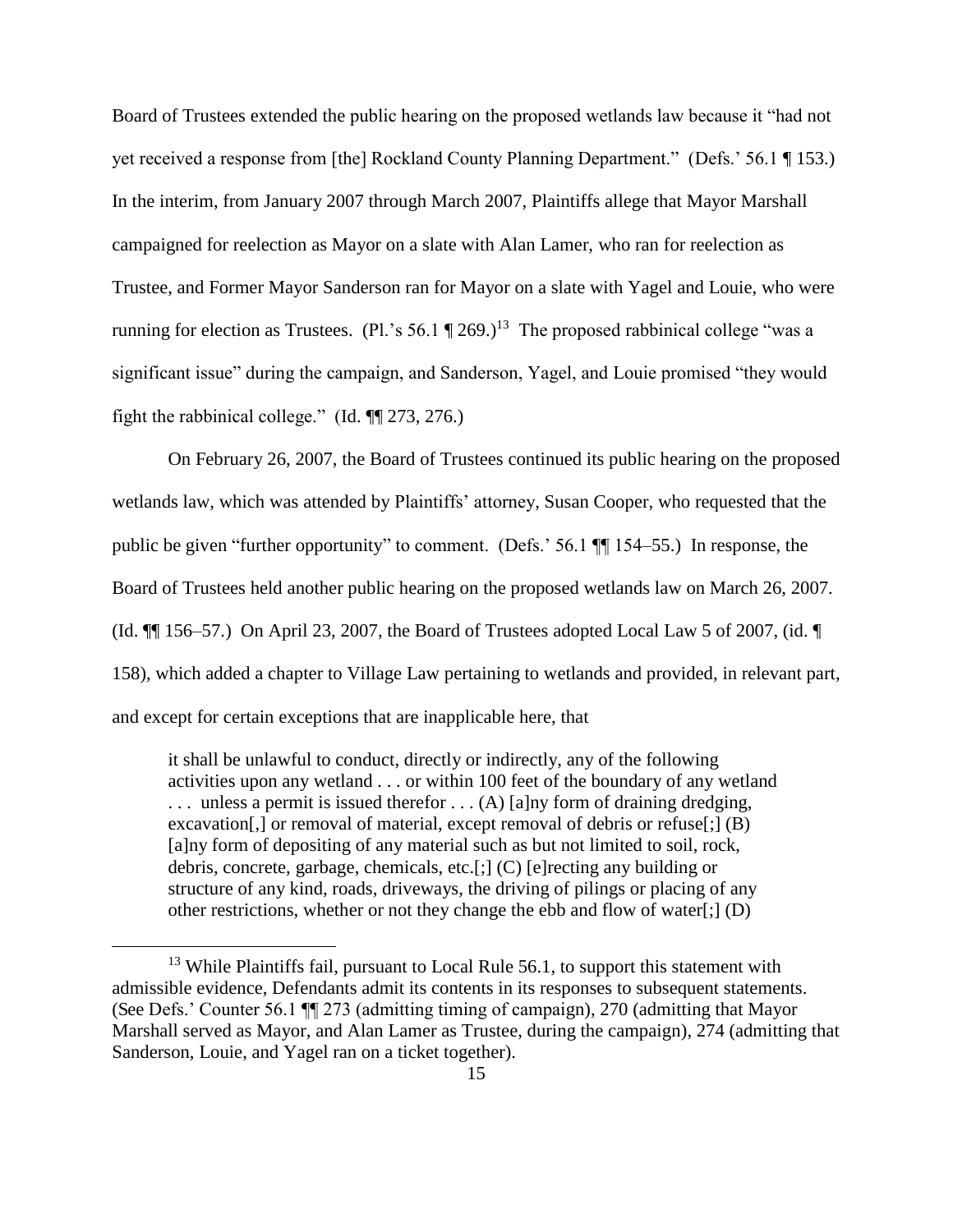Board of Trustees extended the public hearing on the proposed wetlands law because it "had not yet received a response from [the] Rockland County Planning Department." (Defs.' 56.1 ¶ 153.) In the interim, from January 2007 through March 2007, Plaintiffs allege that Mayor Marshall campaigned for reelection as Mayor on a slate with Alan Lamer, who ran for reelection as Trustee, and Former Mayor Sanderson ran for Mayor on a slate with Yagel and Louie, who were running for election as Trustees. (Pl.'s 56.1  $\P$  269.)<sup>13</sup> The proposed rabbinical college "was a significant issue" during the campaign, and Sanderson, Yagel, and Louie promised "they would fight the rabbinical college." (Id. ¶¶ 273, 276.)

On February 26, 2007, the Board of Trustees continued its public hearing on the proposed wetlands law, which was attended by Plaintiffs' attorney, Susan Cooper, who requested that the public be given "further opportunity" to comment. (Defs.' 56.1 ¶¶ 154–55.) In response, the Board of Trustees held another public hearing on the proposed wetlands law on March 26, 2007. (Id. ¶¶ 156–57.) On April 23, 2007, the Board of Trustees adopted Local Law 5 of 2007, (id. ¶ 158), which added a chapter to Village Law pertaining to wetlands and provided, in relevant part, and except for certain exceptions that are inapplicable here, that

it shall be unlawful to conduct, directly or indirectly, any of the following activities upon any wetland . . . or within 100 feet of the boundary of any wetland  $\ldots$  unless a permit is issued therefor  $\ldots$  (A) [a]ny form of draining dredging, excavation[,] or removal of material, except removal of debris or refuse[;] (B) [a]ny form of depositing of any material such as but not limited to soil, rock, debris, concrete, garbage, chemicals, etc.[;] (C) [e]recting any building or structure of any kind, roads, driveways, the driving of pilings or placing of any other restrictions, whether or not they change the ebb and flow of water[;] (D)

<sup>&</sup>lt;sup>13</sup> While Plaintiffs fail, pursuant to Local Rule 56.1, to support this statement with admissible evidence, Defendants admit its contents in its responses to subsequent statements. (See Defs.' Counter 56.1 ¶¶ 273 (admitting timing of campaign), 270 (admitting that Mayor Marshall served as Mayor, and Alan Lamer as Trustee, during the campaign), 274 (admitting that Sanderson, Louie, and Yagel ran on a ticket together).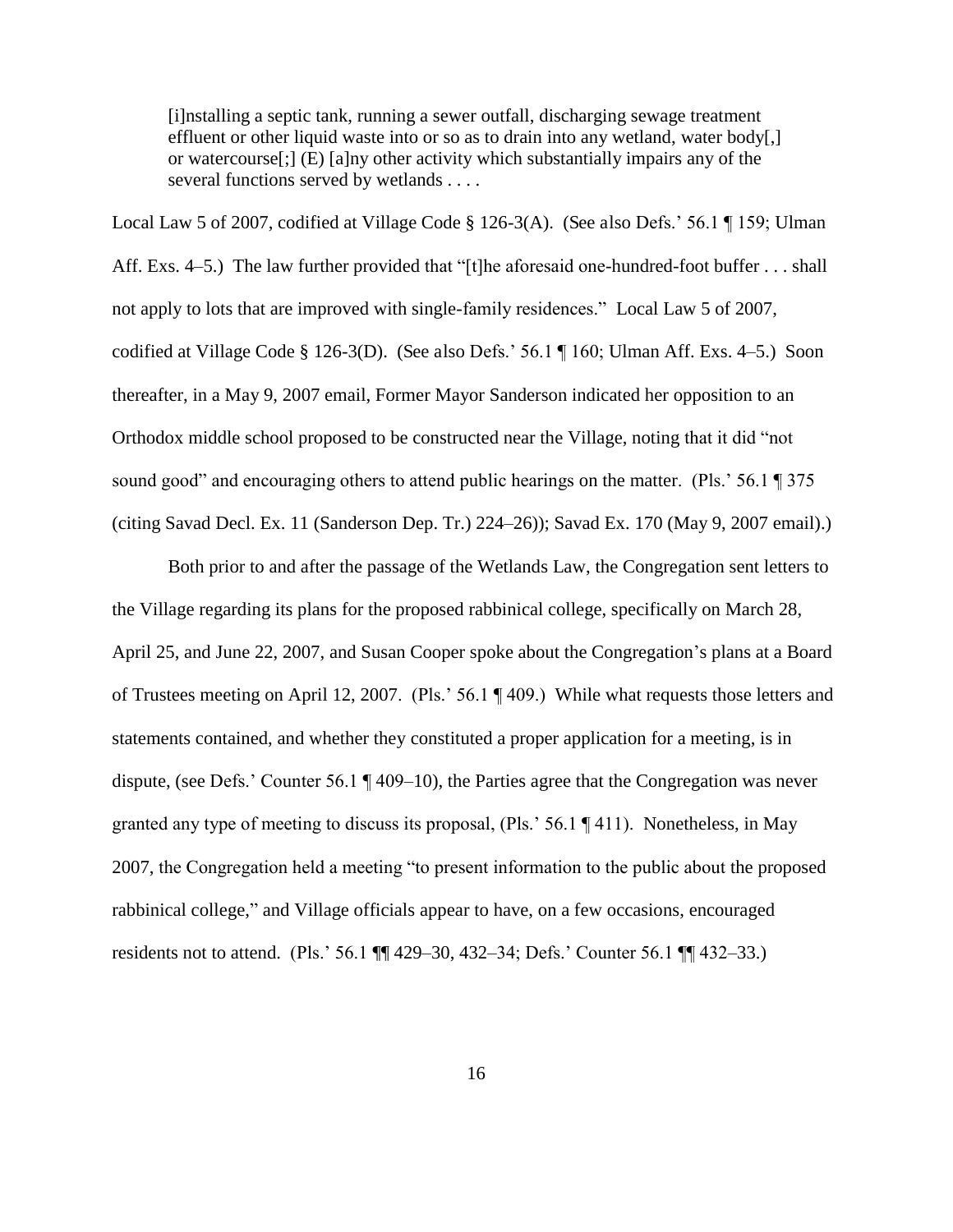[i]nstalling a septic tank, running a sewer outfall, discharging sewage treatment effluent or other liquid waste into or so as to drain into any wetland, water body[,] or watercourse[;] (E) [a]ny other activity which substantially impairs any of the several functions served by wetlands . . . .

Local Law 5 of 2007, codified at Village Code § 126-3(A). (See also Defs.' 56.1 ¶ 159; Ulman Aff. Exs. 4–5.) The law further provided that "[t]he aforesaid one-hundred-foot buffer . . . shall not apply to lots that are improved with single-family residences." Local Law 5 of 2007, codified at Village Code § 126-3(D). (See also Defs.' 56.1 ¶ 160; Ulman Aff. Exs. 4–5.) Soon thereafter, in a May 9, 2007 email, Former Mayor Sanderson indicated her opposition to an Orthodox middle school proposed to be constructed near the Village, noting that it did "not sound good" and encouraging others to attend public hearings on the matter. (Pls.' 56.1 ¶ 375 (citing Savad Decl. Ex. 11 (Sanderson Dep. Tr.) 224–26)); Savad Ex. 170 (May 9, 2007 email).)

Both prior to and after the passage of the Wetlands Law, the Congregation sent letters to the Village regarding its plans for the proposed rabbinical college, specifically on March 28, April 25, and June 22, 2007, and Susan Cooper spoke about the Congregation's plans at a Board of Trustees meeting on April 12, 2007. (Pls.' 56.1 ¶ 409.) While what requests those letters and statements contained, and whether they constituted a proper application for a meeting, is in dispute, (see Defs.' Counter 56.1 ¶ 409–10), the Parties agree that the Congregation was never granted any type of meeting to discuss its proposal, (Pls.' 56.1 ¶ 411). Nonetheless, in May 2007, the Congregation held a meeting "to present information to the public about the proposed rabbinical college," and Village officials appear to have, on a few occasions, encouraged residents not to attend. (Pls.' 56.1 ¶¶ 429–30, 432–34; Defs.' Counter 56.1 ¶¶ 432–33.)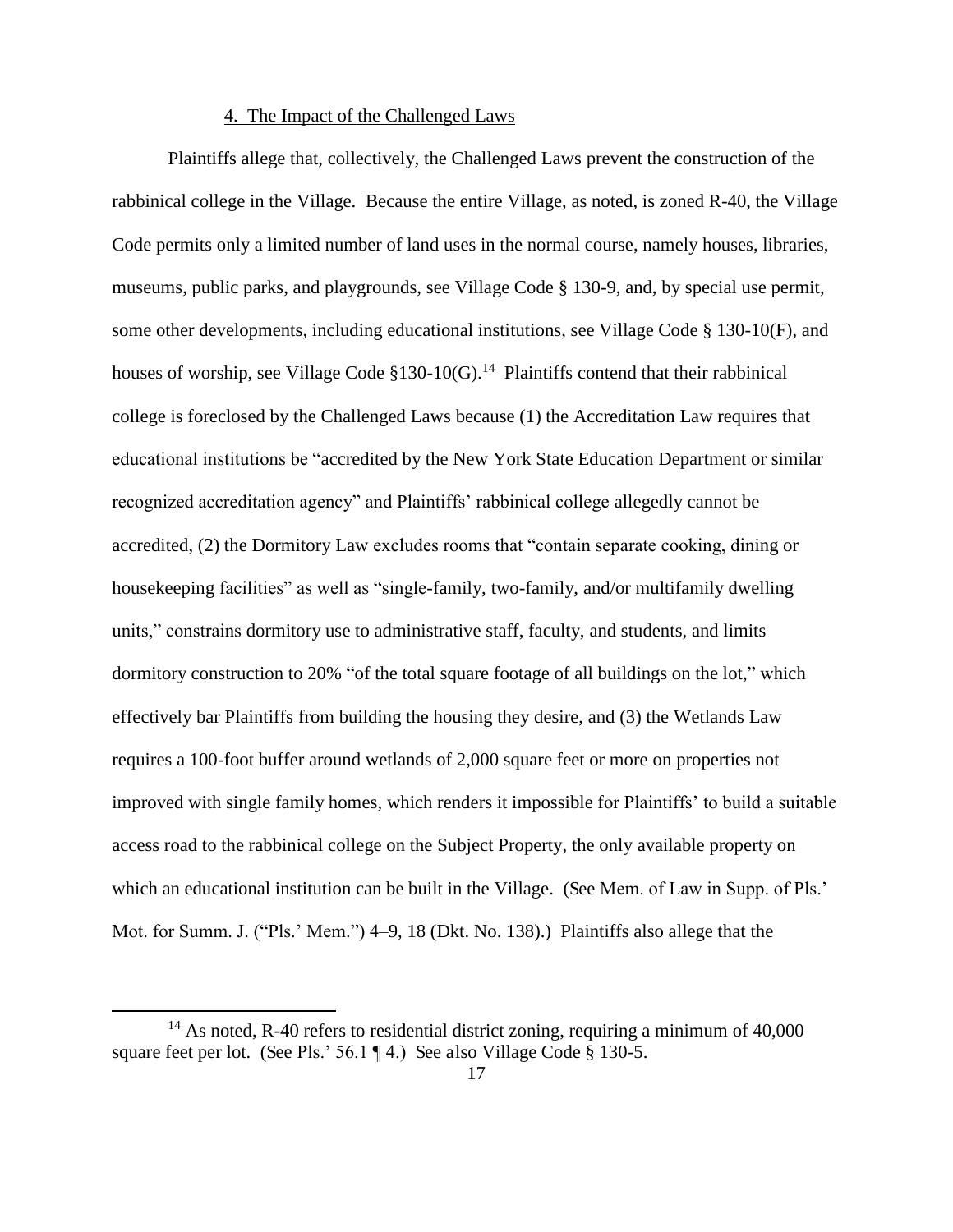# 4. The Impact of the Challenged Laws

Plaintiffs allege that, collectively, the Challenged Laws prevent the construction of the rabbinical college in the Village. Because the entire Village, as noted, is zoned R-40, the Village Code permits only a limited number of land uses in the normal course, namely houses, libraries, museums, public parks, and playgrounds, see Village Code § 130-9, and, by special use permit, some other developments, including educational institutions, see Village Code § 130-10(F), and houses of worship, see Village Code §130-10(G).<sup>14</sup> Plaintiffs contend that their rabbinical college is foreclosed by the Challenged Laws because (1) the Accreditation Law requires that educational institutions be "accredited by the New York State Education Department or similar recognized accreditation agency" and Plaintiffs' rabbinical college allegedly cannot be accredited, (2) the Dormitory Law excludes rooms that "contain separate cooking, dining or housekeeping facilities" as well as "single-family, two-family, and/or multifamily dwelling units," constrains dormitory use to administrative staff, faculty, and students, and limits dormitory construction to 20% "of the total square footage of all buildings on the lot," which effectively bar Plaintiffs from building the housing they desire, and (3) the Wetlands Law requires a 100-foot buffer around wetlands of 2,000 square feet or more on properties not improved with single family homes, which renders it impossible for Plaintiffs' to build a suitable access road to the rabbinical college on the Subject Property, the only available property on which an educational institution can be built in the Village. (See Mem. of Law in Supp. of Pls.' Mot. for Summ. J. ("Pls.' Mem.") 4–9, 18 (Dkt. No. 138).) Plaintiffs also allege that the

<sup>&</sup>lt;sup>14</sup> As noted, R-40 refers to residential district zoning, requiring a minimum of  $40,000$ square feet per lot. (See Pls.' 56.1 ¶ 4.) See also Village Code § 130-5.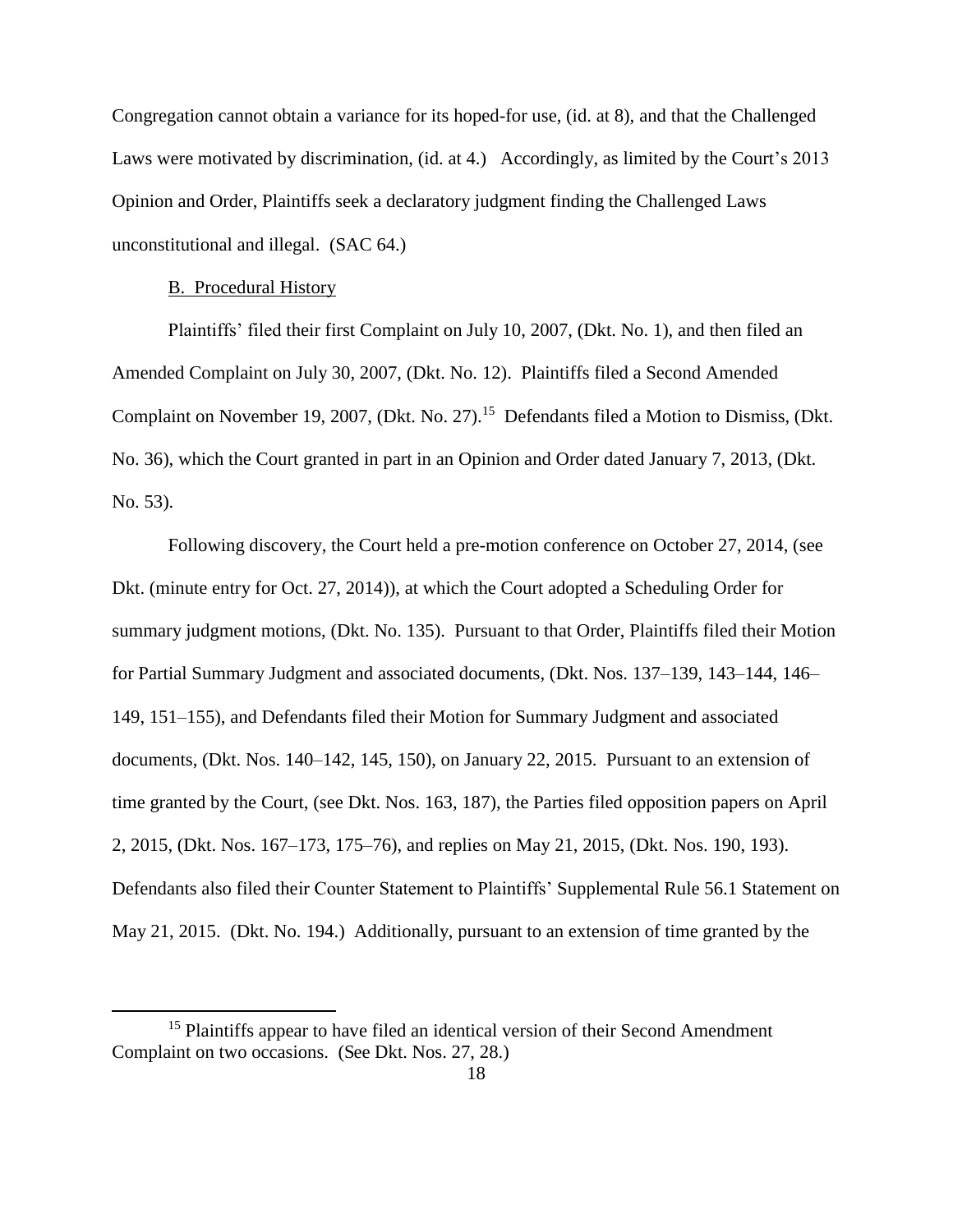Congregation cannot obtain a variance for its hoped-for use, (id. at 8), and that the Challenged Laws were motivated by discrimination, (id. at 4.) Accordingly, as limited by the Court's 2013 Opinion and Order, Plaintiffs seek a declaratory judgment finding the Challenged Laws unconstitutional and illegal. (SAC 64.)

### B. Procedural History

 $\overline{a}$ 

Plaintiffs' filed their first Complaint on July 10, 2007, (Dkt. No. 1), and then filed an Amended Complaint on July 30, 2007, (Dkt. No. 12). Plaintiffs filed a Second Amended Complaint on November 19, 2007, (Dkt. No. 27).<sup>15</sup> Defendants filed a Motion to Dismiss, (Dkt. No. 36), which the Court granted in part in an Opinion and Order dated January 7, 2013, (Dkt. No. 53).

 Following discovery, the Court held a pre-motion conference on October 27, 2014, (see Dkt. (minute entry for Oct. 27, 2014)), at which the Court adopted a Scheduling Order for summary judgment motions, (Dkt. No. 135). Pursuant to that Order, Plaintiffs filed their Motion for Partial Summary Judgment and associated documents, (Dkt. Nos. 137–139, 143–144, 146– 149, 151–155), and Defendants filed their Motion for Summary Judgment and associated documents, (Dkt. Nos. 140–142, 145, 150), on January 22, 2015. Pursuant to an extension of time granted by the Court, (see Dkt. Nos. 163, 187), the Parties filed opposition papers on April 2, 2015, (Dkt. Nos. 167–173, 175–76), and replies on May 21, 2015, (Dkt. Nos. 190, 193). Defendants also filed their Counter Statement to Plaintiffs' Supplemental Rule 56.1 Statement on May 21, 2015. (Dkt. No. 194.) Additionally, pursuant to an extension of time granted by the

<sup>&</sup>lt;sup>15</sup> Plaintiffs appear to have filed an identical version of their Second Amendment Complaint on two occasions. (See Dkt. Nos. 27, 28.)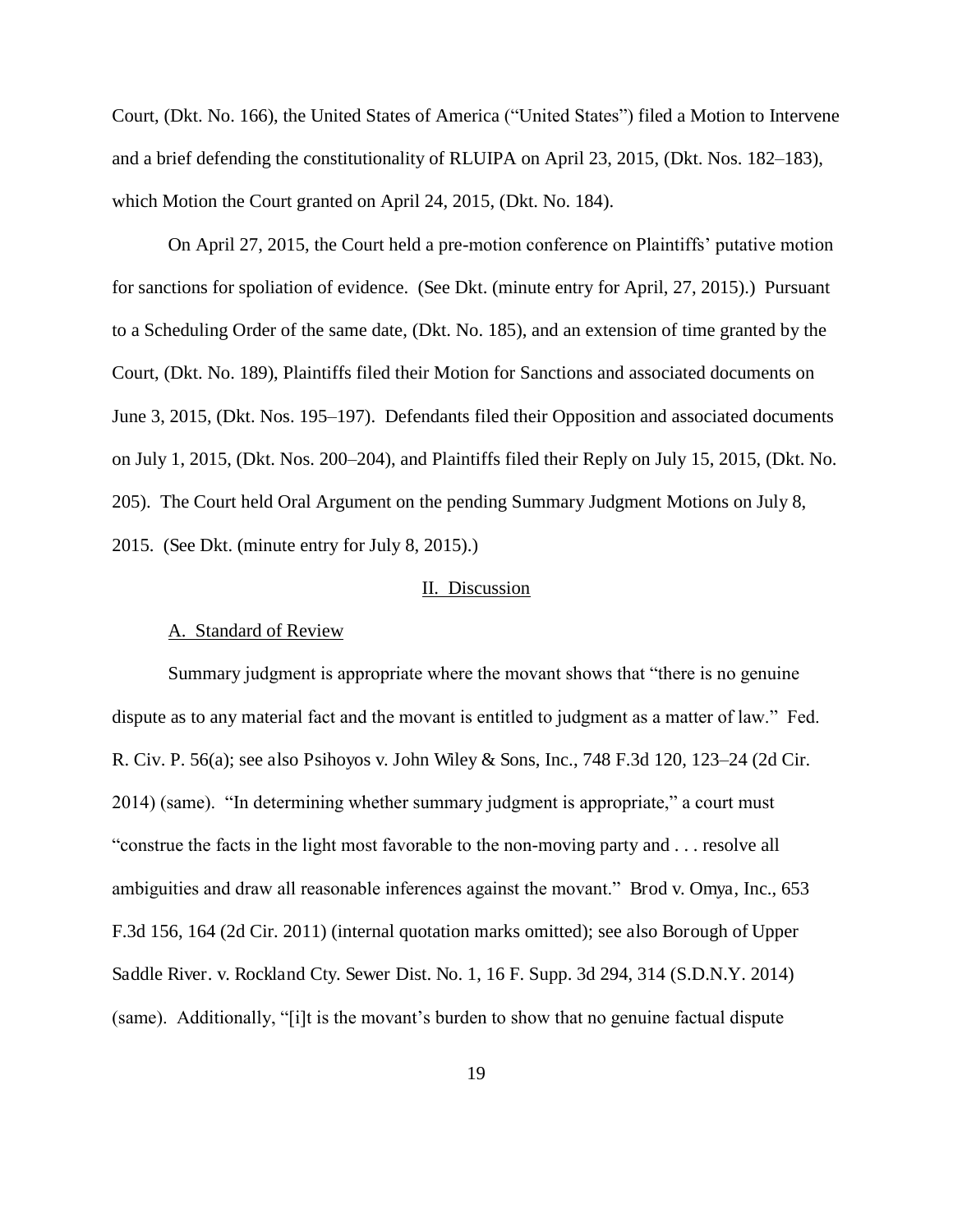Court, (Dkt. No. 166), the United States of America ("United States") filed a Motion to Intervene and a brief defending the constitutionality of RLUIPA on April 23, 2015, (Dkt. Nos. 182–183), which Motion the Court granted on April 24, 2015, (Dkt. No. 184).

 On April 27, 2015, the Court held a pre-motion conference on Plaintiffs' putative motion for sanctions for spoliation of evidence. (See Dkt. (minute entry for April, 27, 2015).) Pursuant to a Scheduling Order of the same date, (Dkt. No. 185), and an extension of time granted by the Court, (Dkt. No. 189), Plaintiffs filed their Motion for Sanctions and associated documents on June 3, 2015, (Dkt. Nos. 195–197). Defendants filed their Opposition and associated documents on July 1, 2015, (Dkt. Nos. 200–204), and Plaintiffs filed their Reply on July 15, 2015, (Dkt. No. 205). The Court held Oral Argument on the pending Summary Judgment Motions on July 8, 2015. (See Dkt. (minute entry for July 8, 2015).)

#### II. Discussion

#### A. Standard of Review

Summary judgment is appropriate where the movant shows that "there is no genuine dispute as to any material fact and the movant is entitled to judgment as a matter of law." Fed. R. Civ. P. 56(a); see also Psihoyos v. John Wiley & Sons, Inc., 748 F.3d 120, 123–24 (2d Cir. 2014) (same). "In determining whether summary judgment is appropriate," a court must "construe the facts in the light most favorable to the non-moving party and . . . resolve all ambiguities and draw all reasonable inferences against the movant." Brod v. Omya, Inc., 653 F.3d 156, 164 (2d Cir. 2011) (internal quotation marks omitted); see also Borough of Upper Saddle River. v. Rockland Cty. Sewer Dist. No. 1, 16 F. Supp. 3d 294, 314 (S.D.N.Y. 2014) (same). Additionally, "[i]t is the movant's burden to show that no genuine factual dispute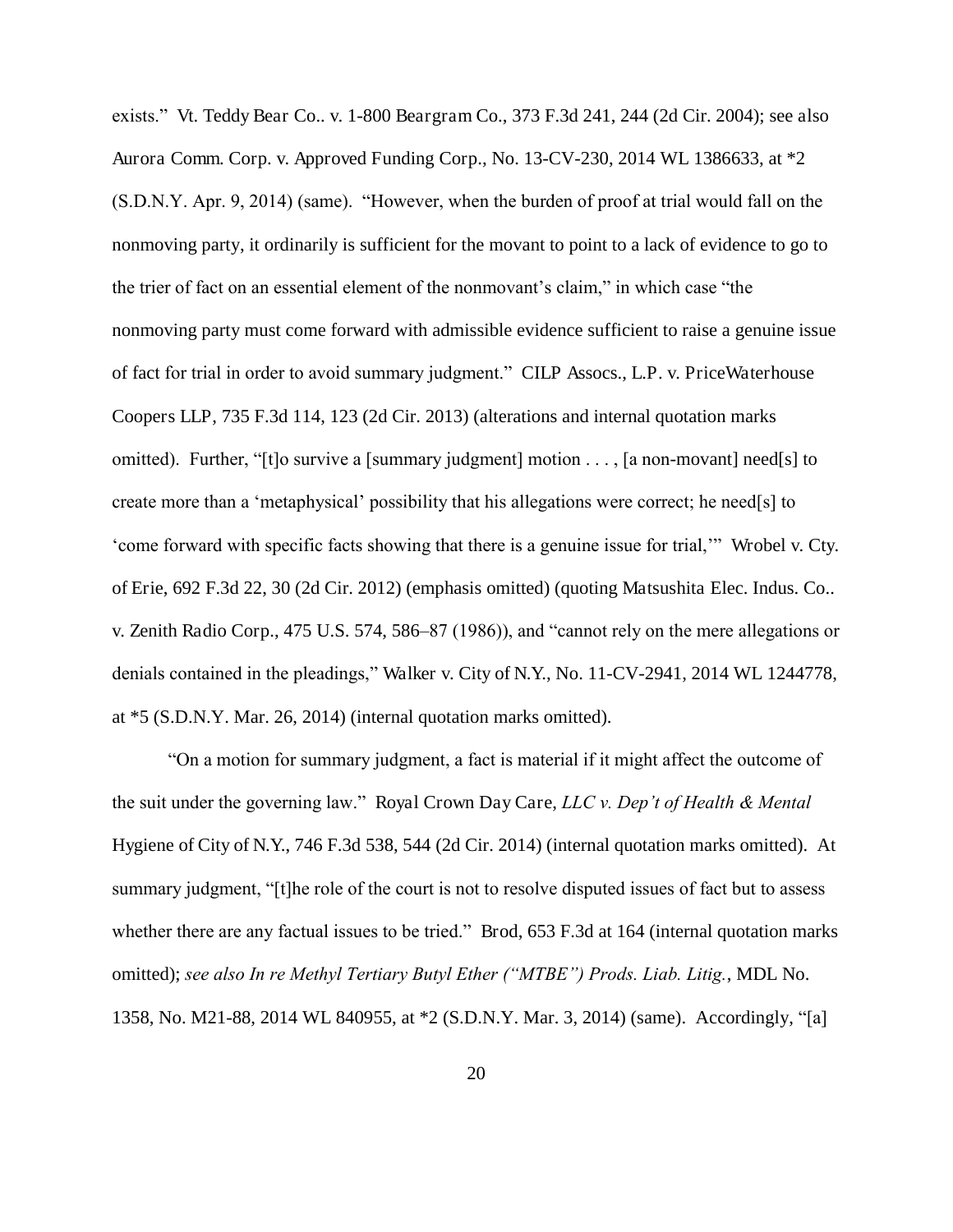exists." Vt. Teddy Bear Co.. v. 1-800 Beargram Co., 373 F.3d 241, 244 (2d Cir. 2004); see also Aurora Comm. Corp. v. Approved Funding Corp., No. 13-CV-230, 2014 WL 1386633, at \*2 (S.D.N.Y. Apr. 9, 2014) (same). "However, when the burden of proof at trial would fall on the nonmoving party, it ordinarily is sufficient for the movant to point to a lack of evidence to go to the trier of fact on an essential element of the nonmovant's claim," in which case "the nonmoving party must come forward with admissible evidence sufficient to raise a genuine issue of fact for trial in order to avoid summary judgment." CILP Assocs., L.P. v. PriceWaterhouse Coopers LLP, 735 F.3d 114, 123 (2d Cir. 2013) (alterations and internal quotation marks omitted). Further, "[t]o survive a [summary judgment] motion . . . , [a non-movant] need[s] to create more than a 'metaphysical' possibility that his allegations were correct; he need[s] to 'come forward with specific facts showing that there is a genuine issue for trial,'" Wrobel v. Cty. of Erie, 692 F.3d 22, 30 (2d Cir. 2012) (emphasis omitted) (quoting Matsushita Elec. Indus. Co.. v. Zenith Radio Corp., 475 U.S. 574, 586–87 (1986)), and "cannot rely on the mere allegations or denials contained in the pleadings," Walker v. City of N.Y., No. 11-CV-2941, 2014 WL 1244778, at \*5 (S.D.N.Y. Mar. 26, 2014) (internal quotation marks omitted).

"On a motion for summary judgment, a fact is material if it might affect the outcome of the suit under the governing law." Royal Crown Day Care, *LLC v. Dep't of Health & Mental*  Hygiene of City of N.Y., 746 F.3d 538, 544 (2d Cir. 2014) (internal quotation marks omitted). At summary judgment, "[t]he role of the court is not to resolve disputed issues of fact but to assess whether there are any factual issues to be tried." Brod, 653 F.3d at 164 (internal quotation marks omitted); *see also In re Methyl Tertiary Butyl Ether ("MTBE") Prods. Liab. Litig.*, MDL No. 1358, No. M21-88, 2014 WL 840955, at \*2 (S.D.N.Y. Mar. 3, 2014) (same). Accordingly, "[a]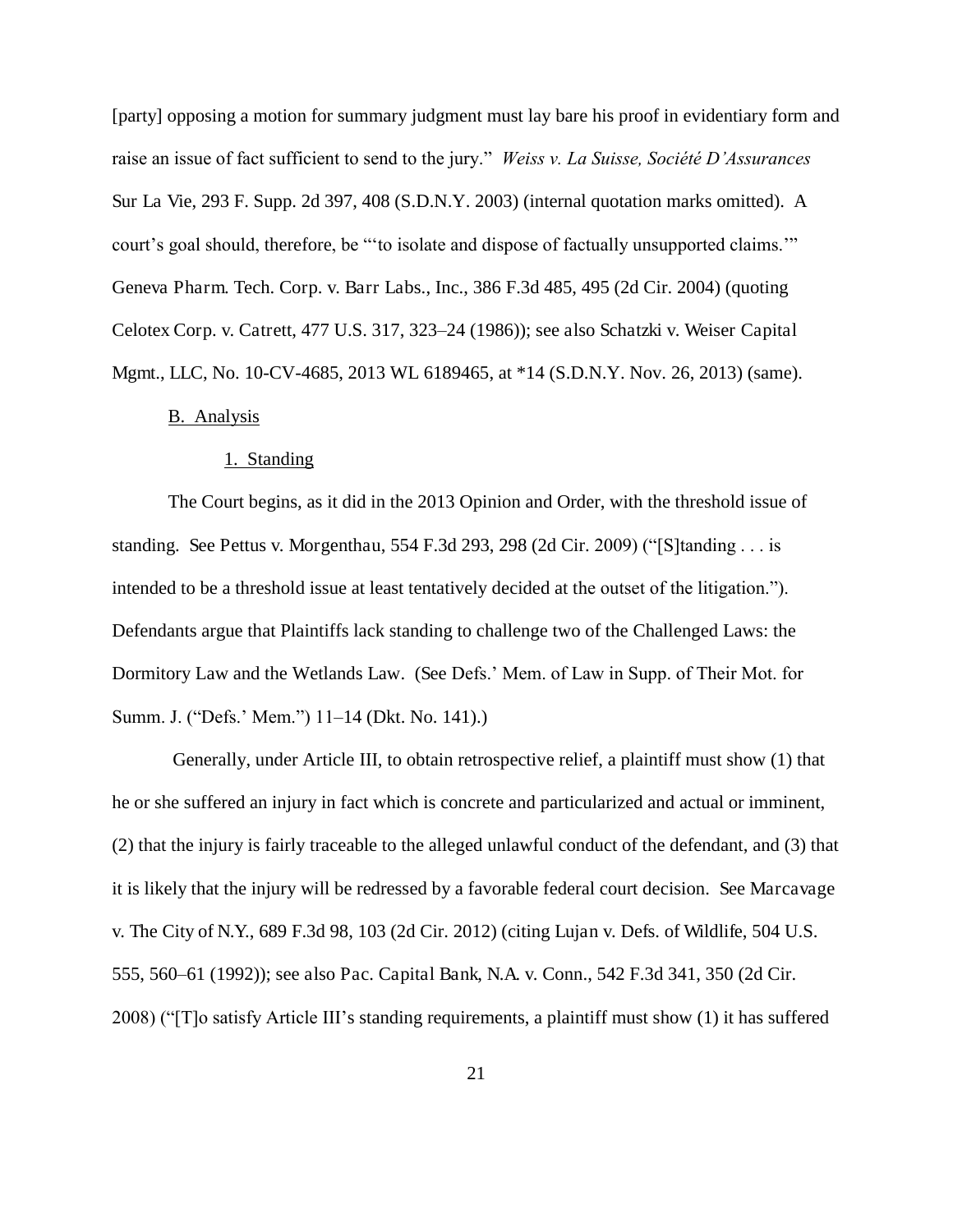[party] opposing a motion for summary judgment must lay bare his proof in evidentiary form and raise an issue of fact sufficient to send to the jury." *Weiss v. La Suisse, Société D'Assurances*  Sur La Vie, 293 F. Supp. 2d 397, 408 (S.D.N.Y. 2003) (internal quotation marks omitted). A court's goal should, therefore, be "'to isolate and dispose of factually unsupported claims.'" Geneva Pharm. Tech. Corp. v. Barr Labs., Inc., 386 F.3d 485, 495 (2d Cir. 2004) (quoting Celotex Corp. v. Catrett, 477 U.S. 317, 323–24 (1986)); see also Schatzki v. Weiser Capital Mgmt., LLC, No. 10-CV-4685, 2013 WL 6189465, at \*14 (S.D.N.Y. Nov. 26, 2013) (same).

# B. Analysis

#### 1. Standing

The Court begins, as it did in the 2013 Opinion and Order, with the threshold issue of standing. See Pettus v. Morgenthau, 554 F.3d 293, 298 (2d Cir. 2009) ("[S]tanding . . . is intended to be a threshold issue at least tentatively decided at the outset of the litigation."). Defendants argue that Plaintiffs lack standing to challenge two of the Challenged Laws: the Dormitory Law and the Wetlands Law. (See Defs.' Mem. of Law in Supp. of Their Mot. for Summ. J. ("Defs.' Mem.") 11–14 (Dkt. No. 141).)

 Generally, under Article III, to obtain retrospective relief, a plaintiff must show (1) that he or she suffered an injury in fact which is concrete and particularized and actual or imminent, (2) that the injury is fairly traceable to the alleged unlawful conduct of the defendant, and (3) that it is likely that the injury will be redressed by a favorable federal court decision. See Marcavage v. The City of N.Y., 689 F.3d 98, 103 (2d Cir. 2012) (citing Lujan v. Defs. of Wildlife, 504 U.S. 555, 560–61 (1992)); see also Pac. Capital Bank, N.A. v. Conn., 542 F.3d 341, 350 (2d Cir. 2008) ("[T]o satisfy Article III's standing requirements, a plaintiff must show (1) it has suffered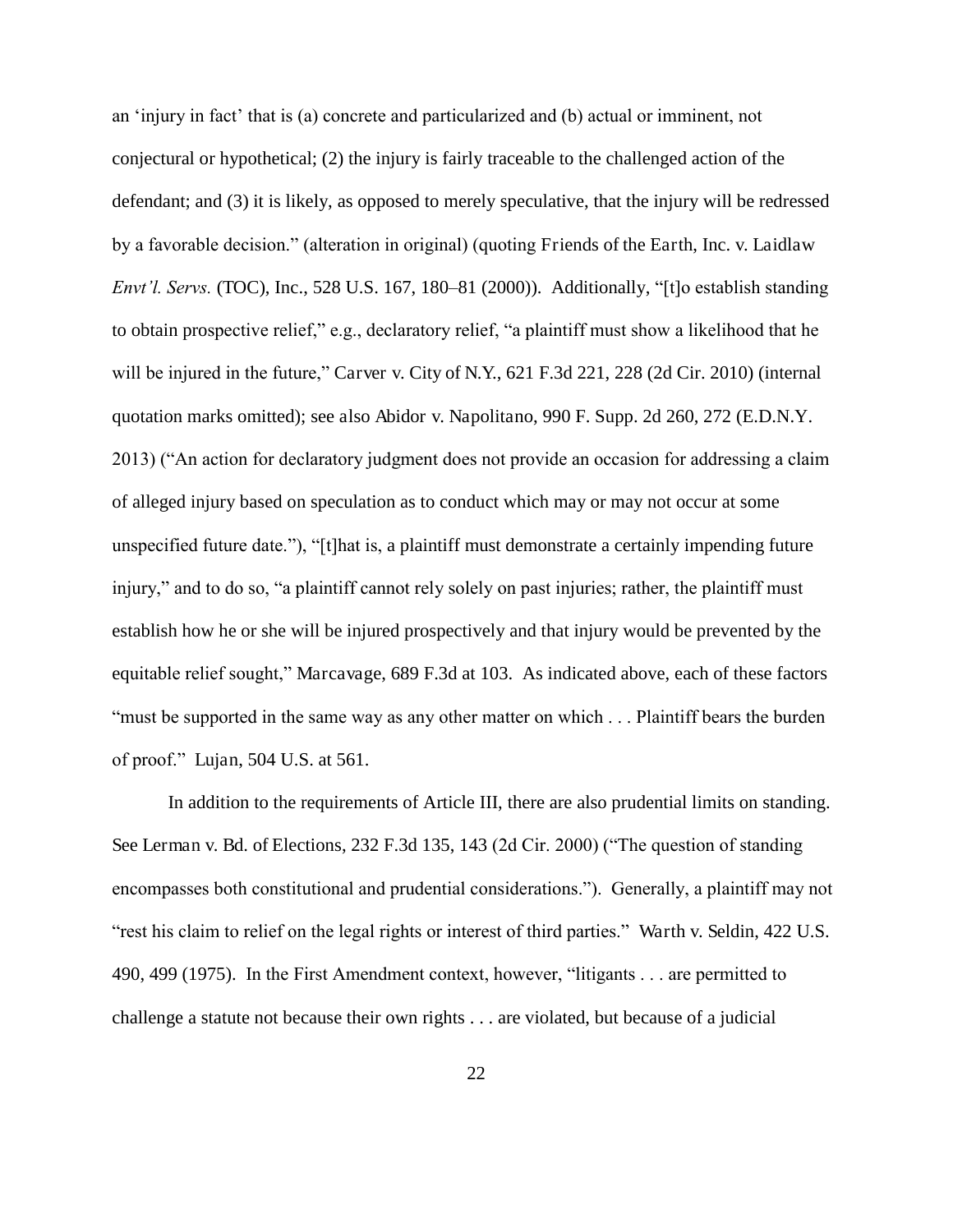an 'injury in fact' that is (a) concrete and particularized and (b) actual or imminent, not conjectural or hypothetical; (2) the injury is fairly traceable to the challenged action of the defendant; and (3) it is likely, as opposed to merely speculative, that the injury will be redressed by a favorable decision." (alteration in original) (quoting Friends of the Earth, Inc. v. Laidlaw *Envt'l. Servs.* (TOC), Inc., 528 U.S. 167, 180–81 (2000)). Additionally, "[t]o establish standing to obtain prospective relief," e.g., declaratory relief, "a plaintiff must show a likelihood that he will be injured in the future," Carver v. City of N.Y., 621 F.3d 221, 228 (2d Cir. 2010) (internal quotation marks omitted); see also Abidor v. Napolitano, 990 F. Supp. 2d 260, 272 (E.D.N.Y. 2013) ("An action for declaratory judgment does not provide an occasion for addressing a claim of alleged injury based on speculation as to conduct which may or may not occur at some unspecified future date."), "[t]hat is, a plaintiff must demonstrate a certainly impending future injury," and to do so, "a plaintiff cannot rely solely on past injuries; rather, the plaintiff must establish how he or she will be injured prospectively and that injury would be prevented by the equitable relief sought," Marcavage, 689 F.3d at 103. As indicated above, each of these factors "must be supported in the same way as any other matter on which . . . Plaintiff bears the burden of proof." Lujan, 504 U.S. at 561.

In addition to the requirements of Article III, there are also prudential limits on standing. See Lerman v. Bd. of Elections, 232 F.3d 135, 143 (2d Cir. 2000) ("The question of standing encompasses both constitutional and prudential considerations."). Generally, a plaintiff may not "rest his claim to relief on the legal rights or interest of third parties." Warth v. Seldin, 422 U.S. 490, 499 (1975). In the First Amendment context, however, "litigants . . . are permitted to challenge a statute not because their own rights . . . are violated, but because of a judicial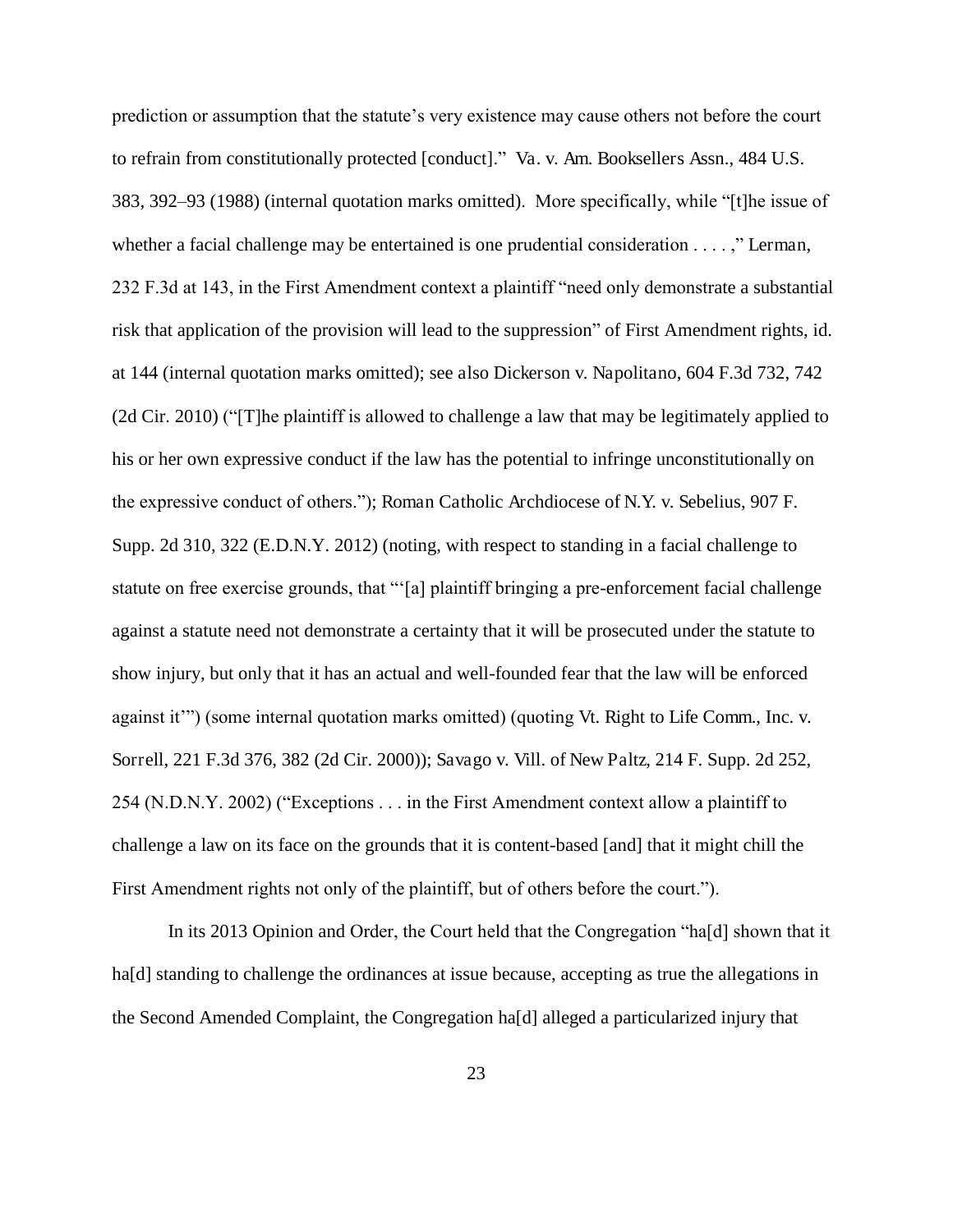prediction or assumption that the statute's very existence may cause others not before the court to refrain from constitutionally protected [conduct]." Va. v. Am. Booksellers Assn., 484 U.S. 383, 392–93 (1988) (internal quotation marks omitted). More specifically, while "[t]he issue of whether a facial challenge may be entertained is one prudential consideration . . . . ," Lerman, 232 F.3d at 143, in the First Amendment context a plaintiff "need only demonstrate a substantial risk that application of the provision will lead to the suppression" of First Amendment rights, id. at 144 (internal quotation marks omitted); see also Dickerson v. Napolitano, 604 F.3d 732, 742 (2d Cir. 2010) ("[T]he plaintiff is allowed to challenge a law that may be legitimately applied to his or her own expressive conduct if the law has the potential to infringe unconstitutionally on the expressive conduct of others."); Roman Catholic Archdiocese of N.Y. v. Sebelius, 907 F. Supp. 2d 310, 322 (E.D.N.Y. 2012) (noting, with respect to standing in a facial challenge to statute on free exercise grounds, that "'[a] plaintiff bringing a pre-enforcement facial challenge against a statute need not demonstrate a certainty that it will be prosecuted under the statute to show injury, but only that it has an actual and well-founded fear that the law will be enforced against it'") (some internal quotation marks omitted) (quoting Vt. Right to Life Comm., Inc. v. Sorrell, 221 F.3d 376, 382 (2d Cir. 2000)); Savago v. Vill. of New Paltz, 214 F. Supp. 2d 252, 254 (N.D.N.Y. 2002) ("Exceptions . . . in the First Amendment context allow a plaintiff to challenge a law on its face on the grounds that it is content-based [and] that it might chill the First Amendment rights not only of the plaintiff, but of others before the court.").

In its 2013 Opinion and Order, the Court held that the Congregation "ha[d] shown that it ha<sup>[d]</sup> standing to challenge the ordinances at issue because, accepting as true the allegations in the Second Amended Complaint, the Congregation ha[d] alleged a particularized injury that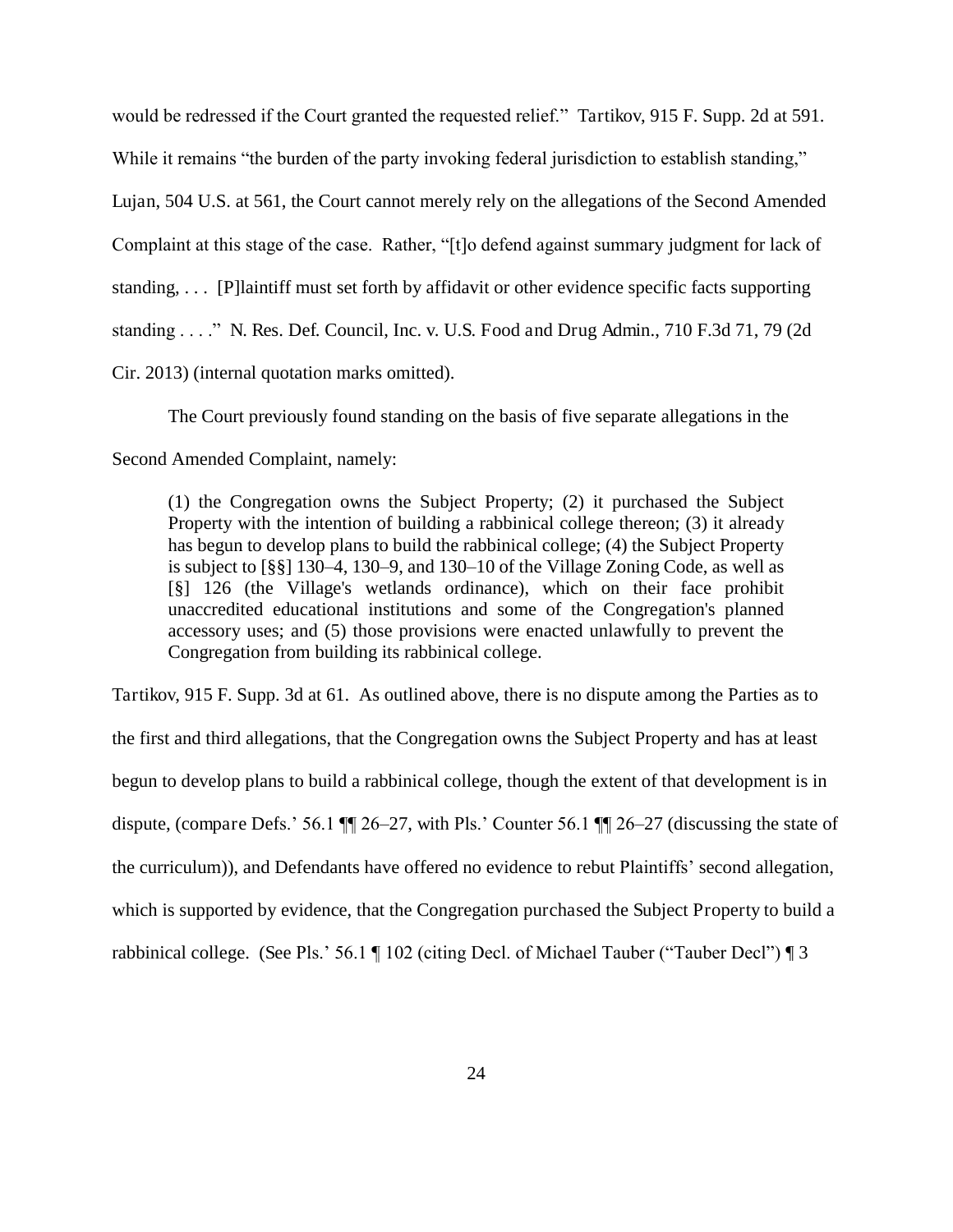would be redressed if the Court granted the requested relief." Tartikov, 915 F. Supp. 2d at 591.

While it remains "the burden of the party invoking federal jurisdiction to establish standing,"

Lujan, 504 U.S. at 561, the Court cannot merely rely on the allegations of the Second Amended

Complaint at this stage of the case. Rather, "[t]o defend against summary judgment for lack of

standing, . . . [P]laintiff must set forth by affidavit or other evidence specific facts supporting

standing . . . ." N. Res. Def. Council, Inc. v. U.S. Food and Drug Admin., 710 F.3d 71, 79 (2d

Cir. 2013) (internal quotation marks omitted).

The Court previously found standing on the basis of five separate allegations in the

Second Amended Complaint, namely:

(1) the Congregation owns the Subject Property; (2) it purchased the Subject Property with the intention of building a rabbinical college thereon; (3) it already has begun to develop plans to build the rabbinical college; (4) the Subject Property is subject to [§§] 130–4, 130–9, and 130–10 of the Village Zoning Code, as well as [§] 126 (the Village's wetlands ordinance), which on their face prohibit unaccredited educational institutions and some of the Congregation's planned accessory uses; and (5) those provisions were enacted unlawfully to prevent the Congregation from building its rabbinical college.

Tartikov, 915 F. Supp. 3d at 61. As outlined above, there is no dispute among the Parties as to the first and third allegations, that the Congregation owns the Subject Property and has at least begun to develop plans to build a rabbinical college, though the extent of that development is in dispute, (compare Defs.' 56.1 ¶¶ 26–27, with Pls.' Counter 56.1 ¶¶ 26–27 (discussing the state of the curriculum)), and Defendants have offered no evidence to rebut Plaintiffs' second allegation, which is supported by evidence, that the Congregation purchased the Subject Property to build a rabbinical college. (See Pls.' 56.1 ¶ 102 (citing Decl. of Michael Tauber ("Tauber Decl") ¶ 3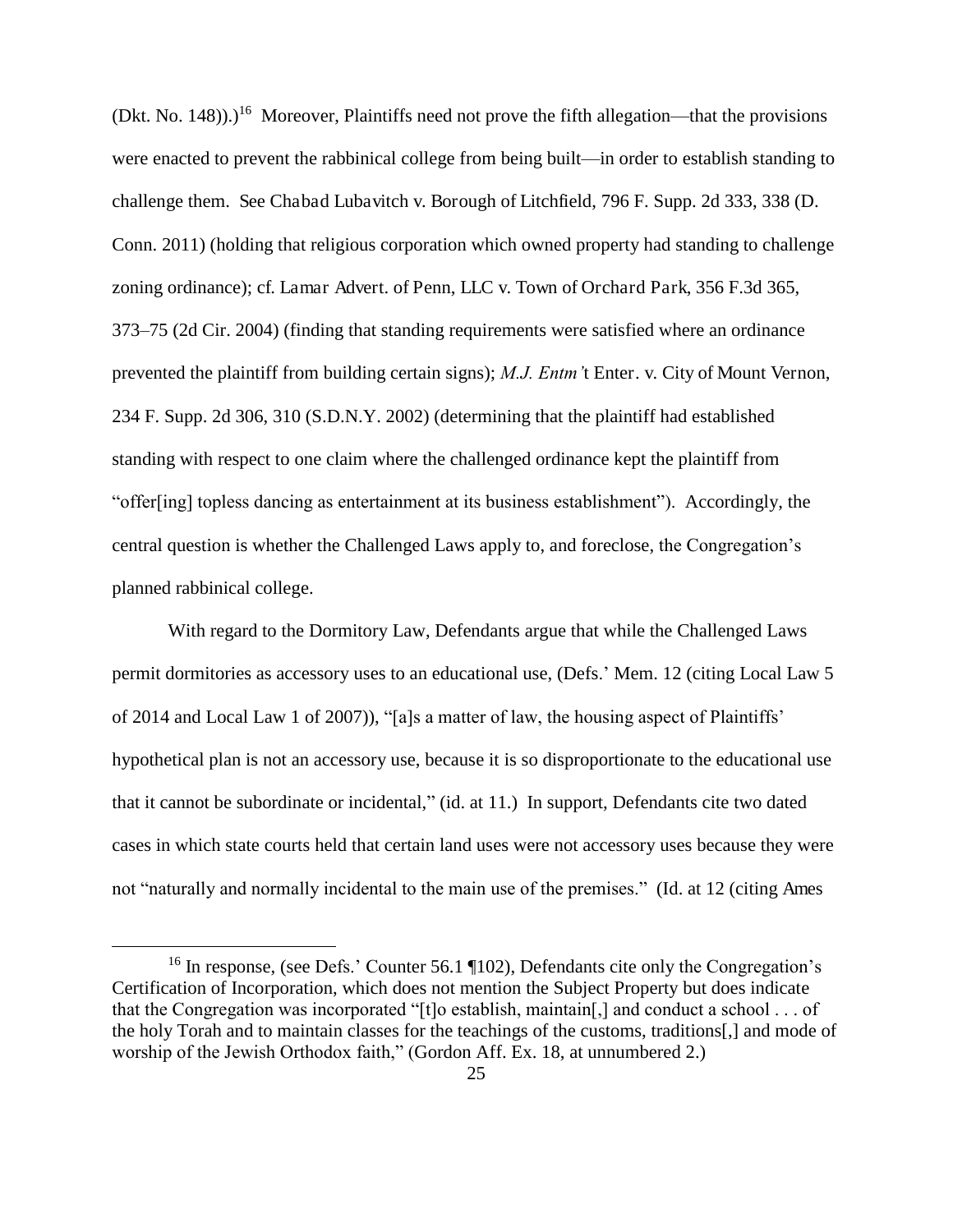$(Dkt, No. 148))$ .<sup>16</sup> Moreover, Plaintiffs need not prove the fifth allegation—that the provisions were enacted to prevent the rabbinical college from being built—in order to establish standing to challenge them. See Chabad Lubavitch v. Borough of Litchfield, 796 F. Supp. 2d 333, 338 (D. Conn. 2011) (holding that religious corporation which owned property had standing to challenge zoning ordinance); cf. Lamar Advert. of Penn, LLC v. Town of Orchard Park, 356 F.3d 365, 373–75 (2d Cir. 2004) (finding that standing requirements were satisfied where an ordinance prevented the plaintiff from building certain signs); *M.J. Entm'*t Enter. v. City of Mount Vernon, 234 F. Supp. 2d 306, 310 (S.D.N.Y. 2002) (determining that the plaintiff had established standing with respect to one claim where the challenged ordinance kept the plaintiff from "offer[ing] topless dancing as entertainment at its business establishment"). Accordingly, the central question is whether the Challenged Laws apply to, and foreclose, the Congregation's planned rabbinical college.

With regard to the Dormitory Law, Defendants argue that while the Challenged Laws permit dormitories as accessory uses to an educational use, (Defs.' Mem. 12 (citing Local Law 5 of 2014 and Local Law 1 of 2007)), "[a]s a matter of law, the housing aspect of Plaintiffs' hypothetical plan is not an accessory use, because it is so disproportionate to the educational use that it cannot be subordinate or incidental," (id. at 11.) In support, Defendants cite two dated cases in which state courts held that certain land uses were not accessory uses because they were not "naturally and normally incidental to the main use of the premises." (Id. at 12 (citing Ames

<sup>&</sup>lt;sup>16</sup> In response, (see Defs.' Counter 56.1 ¶102), Defendants cite only the Congregation's Certification of Incorporation, which does not mention the Subject Property but does indicate that the Congregation was incorporated "[t]o establish, maintain[,] and conduct a school . . . of the holy Torah and to maintain classes for the teachings of the customs, traditions[,] and mode of worship of the Jewish Orthodox faith," (Gordon Aff. Ex. 18, at unnumbered 2.)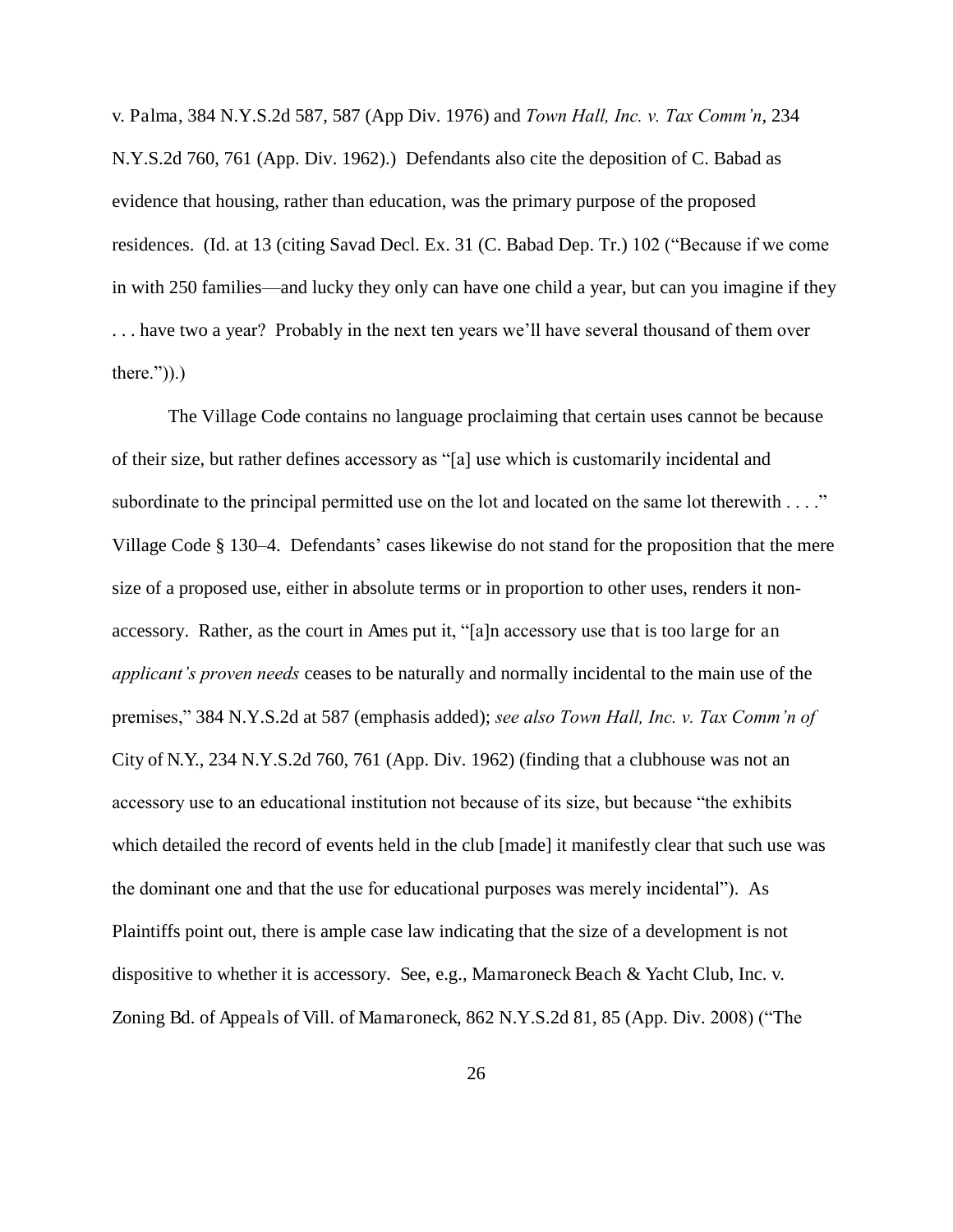v. Palma, 384 N.Y.S.2d 587, 587 (App Div. 1976) and *Town Hall, Inc. v. Tax Comm'n*, 234 N.Y.S.2d 760, 761 (App. Div. 1962).) Defendants also cite the deposition of C. Babad as evidence that housing, rather than education, was the primary purpose of the proposed residences. (Id. at 13 (citing Savad Decl. Ex. 31 (C. Babad Dep. Tr.) 102 ("Because if we come in with 250 families—and lucky they only can have one child a year, but can you imagine if they . . . have two a year? Probably in the next ten years we'll have several thousand of them over there.")).)

The Village Code contains no language proclaiming that certain uses cannot be because of their size, but rather defines accessory as "[a] use which is customarily incidental and subordinate to the principal permitted use on the lot and located on the same lot therewith . . . ." Village Code § 130–4. Defendants' cases likewise do not stand for the proposition that the mere size of a proposed use, either in absolute terms or in proportion to other uses, renders it nonaccessory. Rather, as the court in Ames put it, "[a]n accessory use that is too large for an *applicant's proven needs* ceases to be naturally and normally incidental to the main use of the premises," 384 N.Y.S.2d at 587 (emphasis added); *see also Town Hall, Inc. v. Tax Comm'n of*  City of N.Y., 234 N.Y.S.2d 760, 761 (App. Div. 1962) (finding that a clubhouse was not an accessory use to an educational institution not because of its size, but because "the exhibits which detailed the record of events held in the club [made] it manifestly clear that such use was the dominant one and that the use for educational purposes was merely incidental"). As Plaintiffs point out, there is ample case law indicating that the size of a development is not dispositive to whether it is accessory. See, e.g., Mamaroneck Beach & Yacht Club, Inc. v. Zoning Bd. of Appeals of Vill. of Mamaroneck, 862 N.Y.S.2d 81, 85 (App. Div. 2008) ("The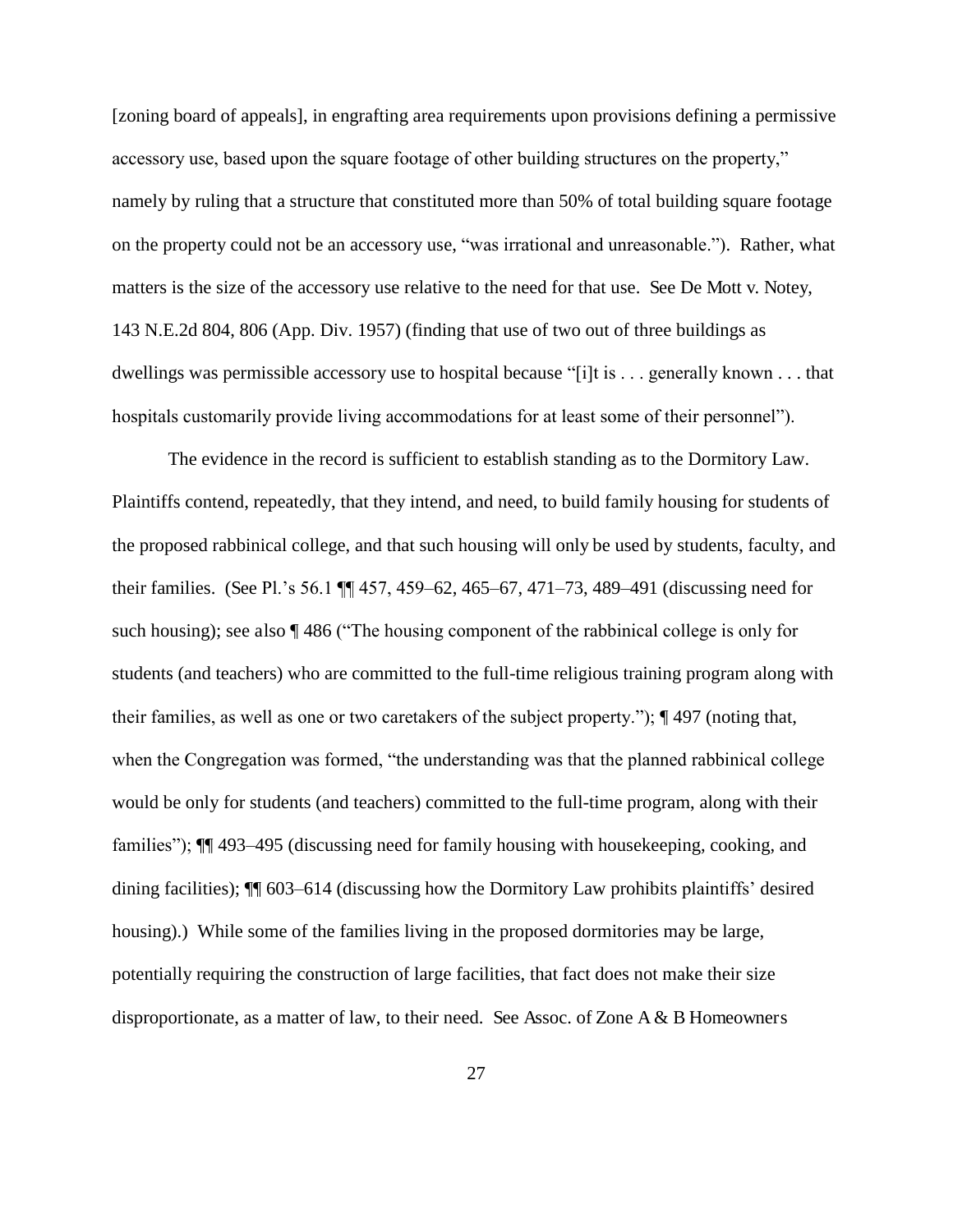[zoning board of appeals], in engrafting area requirements upon provisions defining a permissive accessory use, based upon the square footage of other building structures on the property," namely by ruling that a structure that constituted more than 50% of total building square footage on the property could not be an accessory use, "was irrational and unreasonable."). Rather, what matters is the size of the accessory use relative to the need for that use. See De Mott v. Notey, 143 N.E.2d 804, 806 (App. Div. 1957) (finding that use of two out of three buildings as dwellings was permissible accessory use to hospital because "[i]t is . . . generally known . . . that hospitals customarily provide living accommodations for at least some of their personnel").

The evidence in the record is sufficient to establish standing as to the Dormitory Law. Plaintiffs contend, repeatedly, that they intend, and need, to build family housing for students of the proposed rabbinical college, and that such housing will only be used by students, faculty, and their families. (See Pl.'s 56.1 ¶¶ 457, 459–62, 465–67, 471–73, 489–491 (discussing need for such housing); see also ¶ 486 ("The housing component of the rabbinical college is only for students (and teachers) who are committed to the full-time religious training program along with their families, as well as one or two caretakers of the subject property."); ¶ 497 (noting that, when the Congregation was formed, "the understanding was that the planned rabbinical college would be only for students (and teachers) committed to the full-time program, along with their families"); ¶¶ 493–495 (discussing need for family housing with housekeeping, cooking, and dining facilities); ¶¶ 603–614 (discussing how the Dormitory Law prohibits plaintiffs' desired housing).) While some of the families living in the proposed dormitories may be large, potentially requiring the construction of large facilities, that fact does not make their size disproportionate, as a matter of law, to their need. See Assoc. of Zone  $A \& B$  Homeowners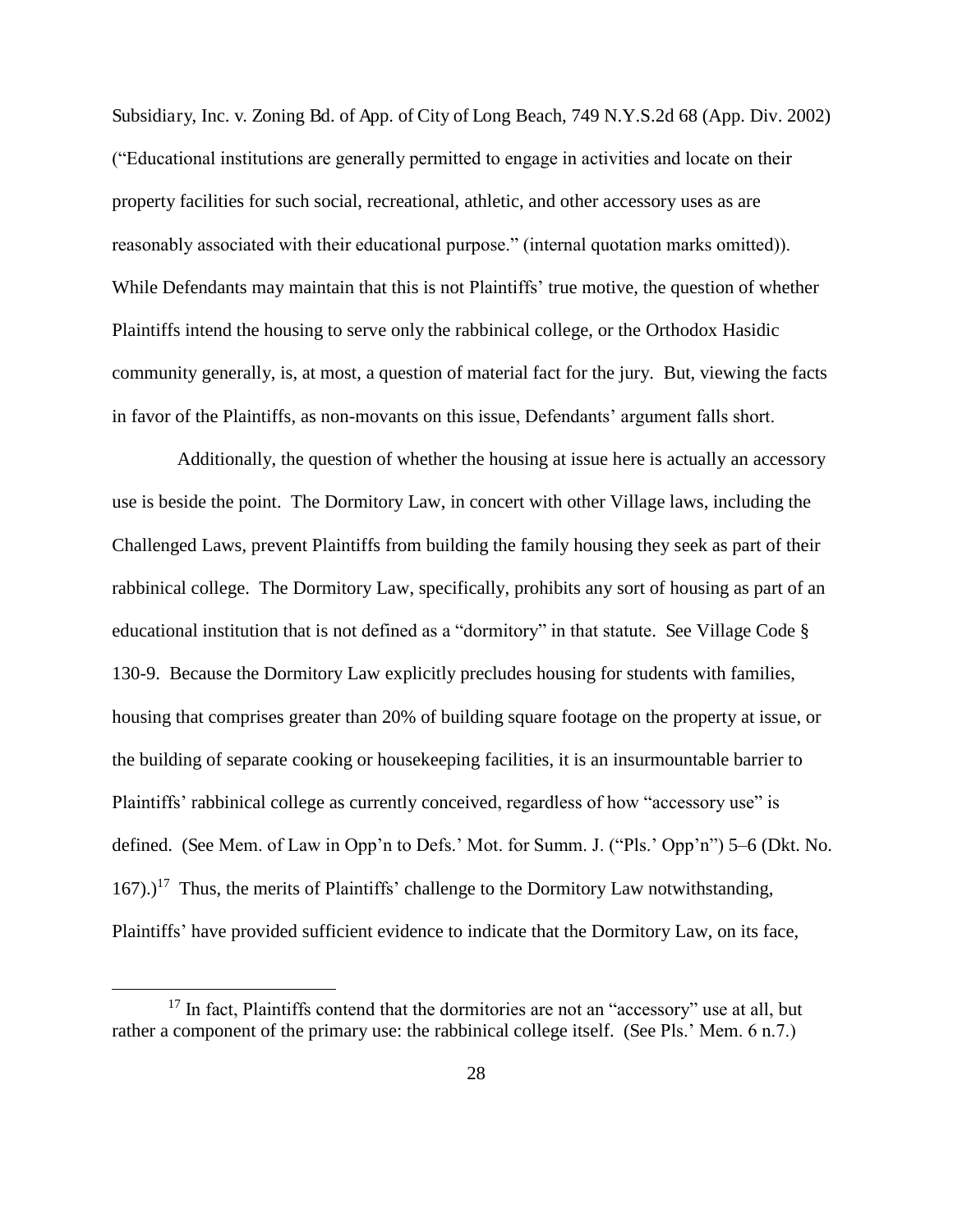Subsidiary, Inc. v. Zoning Bd. of App. of City of Long Beach, 749 N.Y.S.2d 68 (App. Div. 2002) ("Educational institutions are generally permitted to engage in activities and locate on their property facilities for such social, recreational, athletic, and other accessory uses as are reasonably associated with their educational purpose." (internal quotation marks omitted)). While Defendants may maintain that this is not Plaintiffs' true motive, the question of whether Plaintiffs intend the housing to serve only the rabbinical college, or the Orthodox Hasidic community generally, is, at most, a question of material fact for the jury. But, viewing the facts in favor of the Plaintiffs, as non-movants on this issue, Defendants' argument falls short.

 Additionally, the question of whether the housing at issue here is actually an accessory use is beside the point. The Dormitory Law, in concert with other Village laws, including the Challenged Laws, prevent Plaintiffs from building the family housing they seek as part of their rabbinical college. The Dormitory Law, specifically, prohibits any sort of housing as part of an educational institution that is not defined as a "dormitory" in that statute. See Village Code § 130-9. Because the Dormitory Law explicitly precludes housing for students with families, housing that comprises greater than 20% of building square footage on the property at issue, or the building of separate cooking or housekeeping facilities, it is an insurmountable barrier to Plaintiffs' rabbinical college as currently conceived, regardless of how "accessory use" is defined. (See Mem. of Law in Opp'n to Defs.' Mot. for Summ. J. ("Pls.' Opp'n") 5–6 (Dkt. No.  $167)$ .)<sup>17</sup> Thus, the merits of Plaintiffs' challenge to the Dormitory Law notwithstanding, Plaintiffs' have provided sufficient evidence to indicate that the Dormitory Law, on its face,

 $17$  In fact, Plaintiffs contend that the dormitories are not an "accessory" use at all, but rather a component of the primary use: the rabbinical college itself. (See Pls.' Mem. 6 n.7.)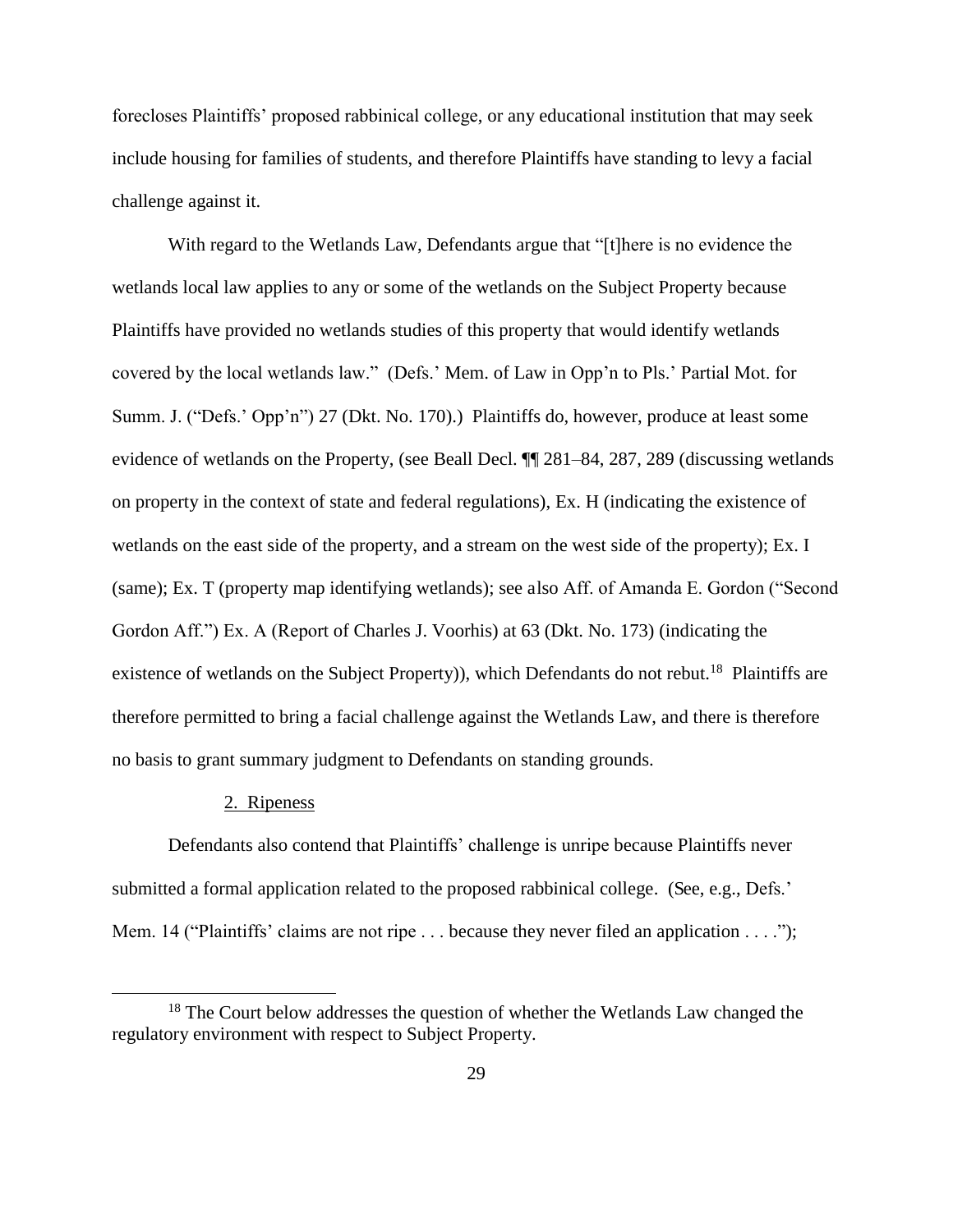forecloses Plaintiffs' proposed rabbinical college, or any educational institution that may seek include housing for families of students, and therefore Plaintiffs have standing to levy a facial challenge against it.

With regard to the Wetlands Law, Defendants argue that "[t]here is no evidence the wetlands local law applies to any or some of the wetlands on the Subject Property because Plaintiffs have provided no wetlands studies of this property that would identify wetlands covered by the local wetlands law." (Defs.' Mem. of Law in Opp'n to Pls.' Partial Mot. for Summ. J. ("Defs.' Opp'n") 27 (Dkt. No. 170).) Plaintiffs do, however, produce at least some evidence of wetlands on the Property, (see Beall Decl. ¶¶ 281–84, 287, 289 (discussing wetlands on property in the context of state and federal regulations), Ex. H (indicating the existence of wetlands on the east side of the property, and a stream on the west side of the property); Ex. I (same); Ex. T (property map identifying wetlands); see also Aff. of Amanda E. Gordon ("Second Gordon Aff.") Ex. A (Report of Charles J. Voorhis) at 63 (Dkt. No. 173) (indicating the existence of wetlands on the Subject Property)), which Defendants do not rebut.<sup>18</sup> Plaintiffs are therefore permitted to bring a facial challenge against the Wetlands Law, and there is therefore no basis to grant summary judgment to Defendants on standing grounds.

### 2. Ripeness

 $\overline{a}$ 

Defendants also contend that Plaintiffs' challenge is unripe because Plaintiffs never submitted a formal application related to the proposed rabbinical college. (See, e.g., Defs.' Mem. 14 ("Plaintiffs' claims are not ripe . . . because they never filed an application . . . .");

 $18$  The Court below addresses the question of whether the Wetlands Law changed the regulatory environment with respect to Subject Property.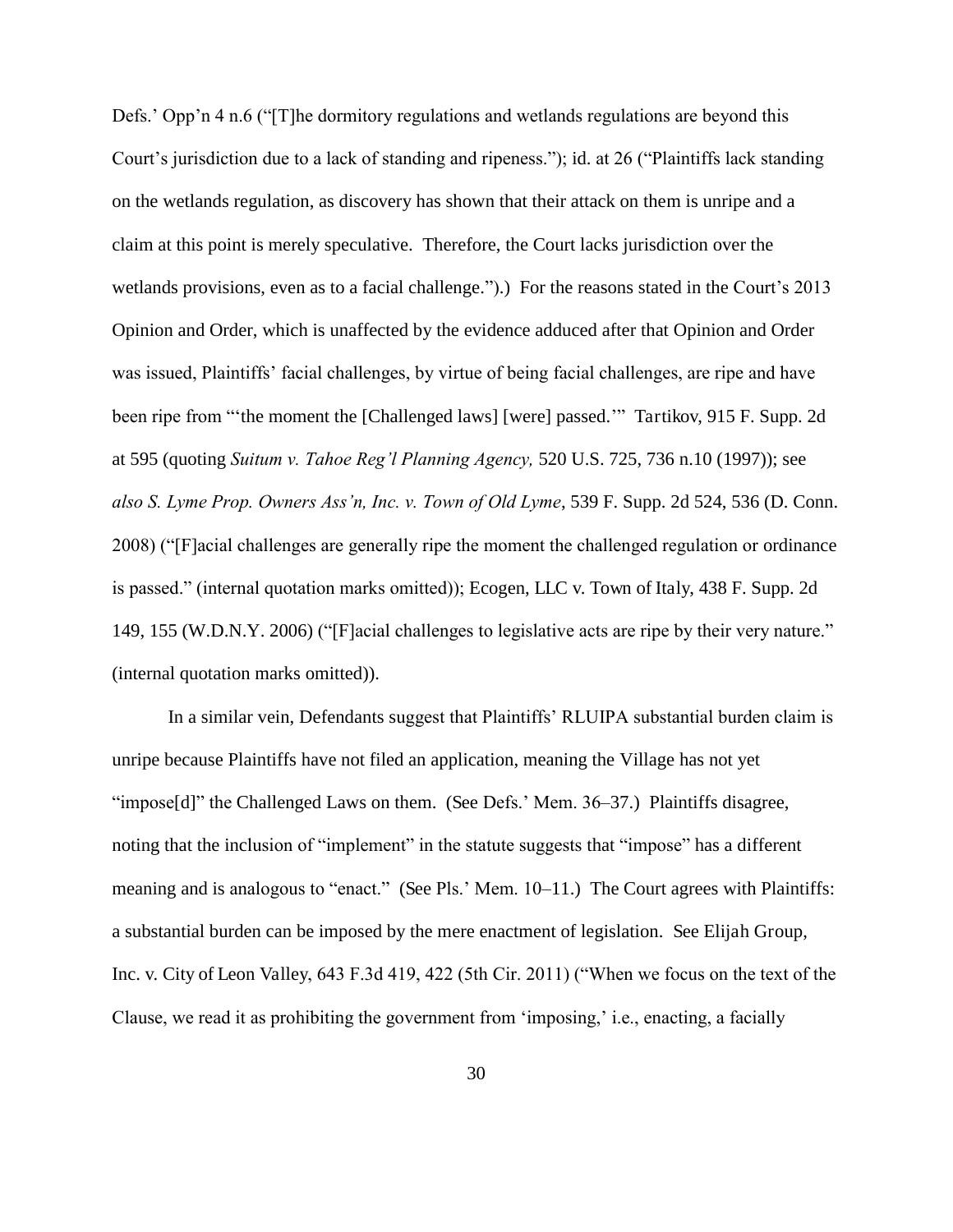Defs.' Opp'n 4 n.6 ("The dormitory regulations and wetlands regulations are beyond this Court's jurisdiction due to a lack of standing and ripeness."); id. at 26 ("Plaintiffs lack standing on the wetlands regulation, as discovery has shown that their attack on them is unripe and a claim at this point is merely speculative. Therefore, the Court lacks jurisdiction over the wetlands provisions, even as to a facial challenge.").) For the reasons stated in the Court's 2013 Opinion and Order, which is unaffected by the evidence adduced after that Opinion and Order was issued, Plaintiffs' facial challenges, by virtue of being facial challenges, are ripe and have been ripe from "'the moment the [Challenged laws] [were] passed.'" Tartikov, 915 F. Supp. 2d at 595 (quoting *Suitum v. Tahoe Reg'l Planning Agency,* 520 U.S. 725, 736 n.10 (1997)); see *also S. Lyme Prop. Owners Ass'n, Inc. v. Town of Old Lyme*, 539 F. Supp. 2d 524, 536 (D. Conn. 2008) ("[F]acial challenges are generally ripe the moment the challenged regulation or ordinance is passed." (internal quotation marks omitted)); Ecogen, LLC v. Town of Italy, 438 F. Supp. 2d 149, 155 (W.D.N.Y. 2006) ("[F]acial challenges to legislative acts are ripe by their very nature." (internal quotation marks omitted)).

In a similar vein, Defendants suggest that Plaintiffs' RLUIPA substantial burden claim is unripe because Plaintiffs have not filed an application, meaning the Village has not yet "impose[d]" the Challenged Laws on them. (See Defs.' Mem. 36–37.) Plaintiffs disagree, noting that the inclusion of "implement" in the statute suggests that "impose" has a different meaning and is analogous to "enact." (See Pls.' Mem. 10–11.) The Court agrees with Plaintiffs: a substantial burden can be imposed by the mere enactment of legislation. See Elijah Group, Inc. v. City of Leon Valley, 643 F.3d 419, 422 (5th Cir. 2011) ("When we focus on the text of the Clause, we read it as prohibiting the government from 'imposing,' i.e., enacting, a facially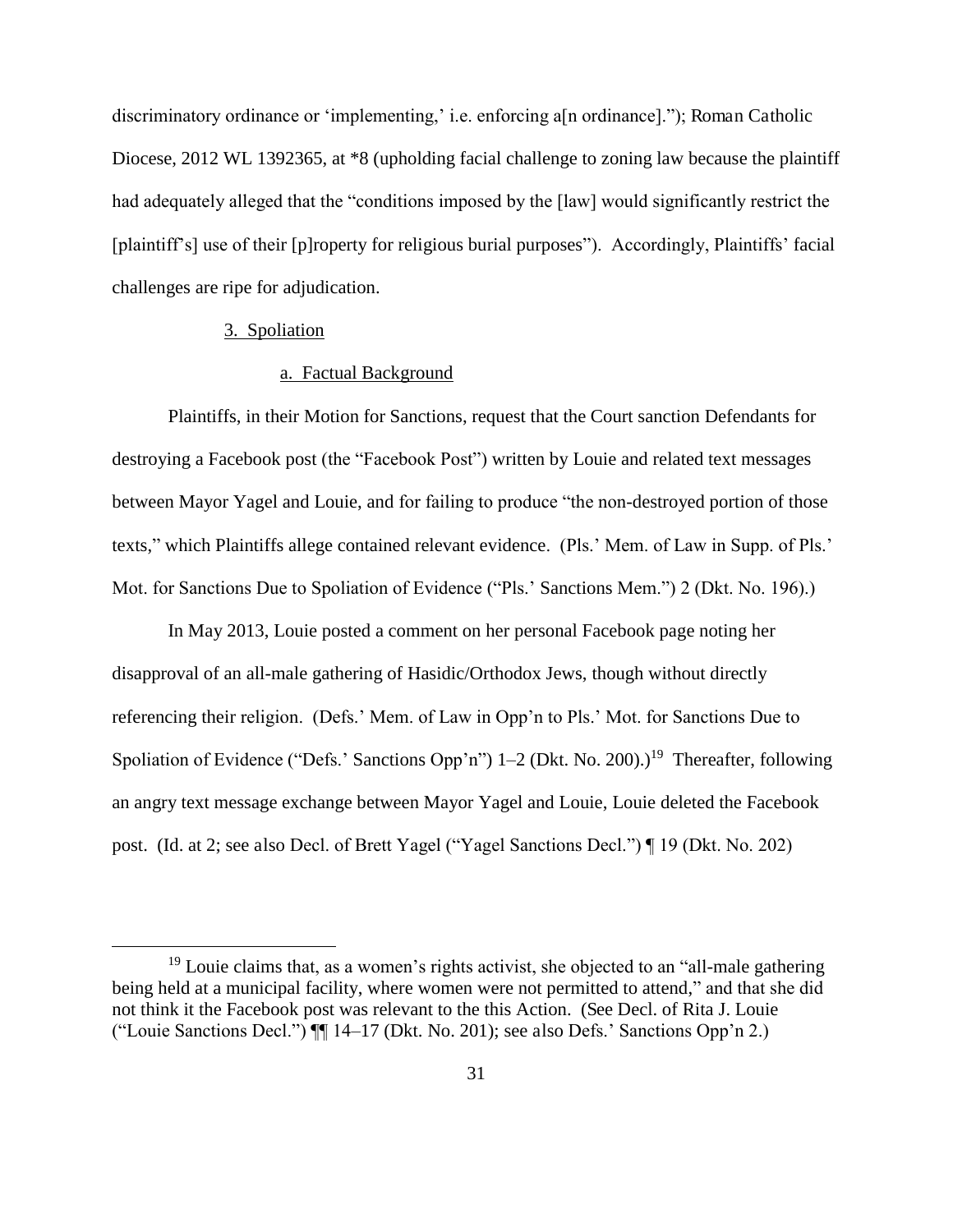discriminatory ordinance or 'implementing,' i.e. enforcing a[n ordinance]."); Roman Catholic Diocese, 2012 WL 1392365, at \*8 (upholding facial challenge to zoning law because the plaintiff had adequately alleged that the "conditions imposed by the [law] would significantly restrict the [plaintiff's] use of their [p]roperty for religious burial purposes"). Accordingly, Plaintiffs' facial challenges are ripe for adjudication.

# 3. Spoliation

 $\overline{a}$ 

# a. Factual Background

Plaintiffs, in their Motion for Sanctions, request that the Court sanction Defendants for destroying a Facebook post (the "Facebook Post") written by Louie and related text messages between Mayor Yagel and Louie, and for failing to produce "the non-destroyed portion of those texts," which Plaintiffs allege contained relevant evidence. (Pls.' Mem. of Law in Supp. of Pls.' Mot. for Sanctions Due to Spoliation of Evidence ("Pls.' Sanctions Mem.") 2 (Dkt. No. 196).)

In May 2013, Louie posted a comment on her personal Facebook page noting her disapproval of an all-male gathering of Hasidic/Orthodox Jews, though without directly referencing their religion. (Defs.' Mem. of Law in Opp'n to Pls.' Mot. for Sanctions Due to Spoliation of Evidence ("Defs.' Sanctions Opp'n")  $1-2$  (Dkt. No. 200).)<sup>19</sup> Thereafter, following an angry text message exchange between Mayor Yagel and Louie, Louie deleted the Facebook post. (Id. at 2; see also Decl. of Brett Yagel ("Yagel Sanctions Decl.") ¶ 19 (Dkt. No. 202)

<sup>&</sup>lt;sup>19</sup> Louie claims that, as a women's rights activist, she objected to an "all-male gathering" being held at a municipal facility, where women were not permitted to attend," and that she did not think it the Facebook post was relevant to the this Action. (See Decl. of Rita J. Louie ("Louie Sanctions Decl.") ¶¶ 14–17 (Dkt. No. 201); see also Defs.' Sanctions Opp'n 2.)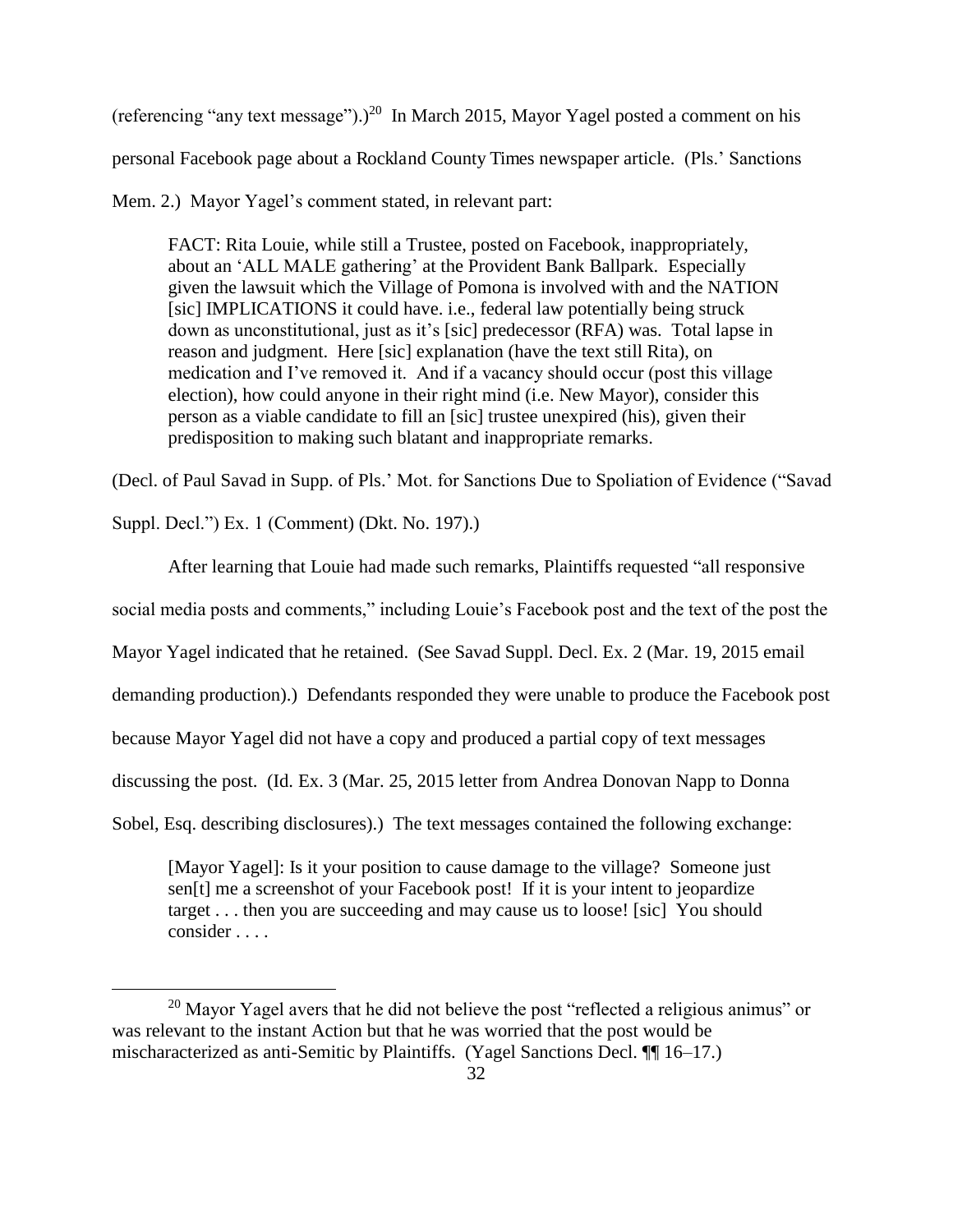(referencing "any text message").)<sup>20</sup> In March 2015, Mayor Yagel posted a comment on his personal Facebook page about a Rockland County Times newspaper article. (Pls.' Sanctions

Mem. 2.) Mayor Yagel's comment stated, in relevant part:

FACT: Rita Louie, while still a Trustee, posted on Facebook, inappropriately, about an 'ALL MALE gathering' at the Provident Bank Ballpark. Especially given the lawsuit which the Village of Pomona is involved with and the NATION [sic] IMPLICATIONS it could have. i.e., federal law potentially being struck down as unconstitutional, just as it's [sic] predecessor (RFA) was. Total lapse in reason and judgment. Here [sic] explanation (have the text still Rita), on medication and I've removed it. And if a vacancy should occur (post this village election), how could anyone in their right mind (i.e. New Mayor), consider this person as a viable candidate to fill an [sic] trustee unexpired (his), given their predisposition to making such blatant and inappropriate remarks.

(Decl. of Paul Savad in Supp. of Pls.' Mot. for Sanctions Due to Spoliation of Evidence ("Savad

Suppl. Decl.") Ex. 1 (Comment) (Dkt. No. 197).)

 $\overline{a}$ 

After learning that Louie had made such remarks, Plaintiffs requested "all responsive

social media posts and comments," including Louie's Facebook post and the text of the post the

Mayor Yagel indicated that he retained. (See Savad Suppl. Decl. Ex. 2 (Mar. 19, 2015 email

demanding production).) Defendants responded they were unable to produce the Facebook post

because Mayor Yagel did not have a copy and produced a partial copy of text messages

discussing the post. (Id. Ex. 3 (Mar. 25, 2015 letter from Andrea Donovan Napp to Donna

Sobel, Esq. describing disclosures).) The text messages contained the following exchange:

[Mayor Yagel]: Is it your position to cause damage to the village? Someone just sen[t] me a screenshot of your Facebook post! If it is your intent to jeopardize target . . . then you are succeeding and may cause us to loose! [sic] You should consider . . . .

<sup>&</sup>lt;sup>20</sup> Mayor Yagel avers that he did not believe the post "reflected a religious animus" or was relevant to the instant Action but that he was worried that the post would be mischaracterized as anti-Semitic by Plaintiffs. (Yagel Sanctions Decl. ¶¶ 16–17.)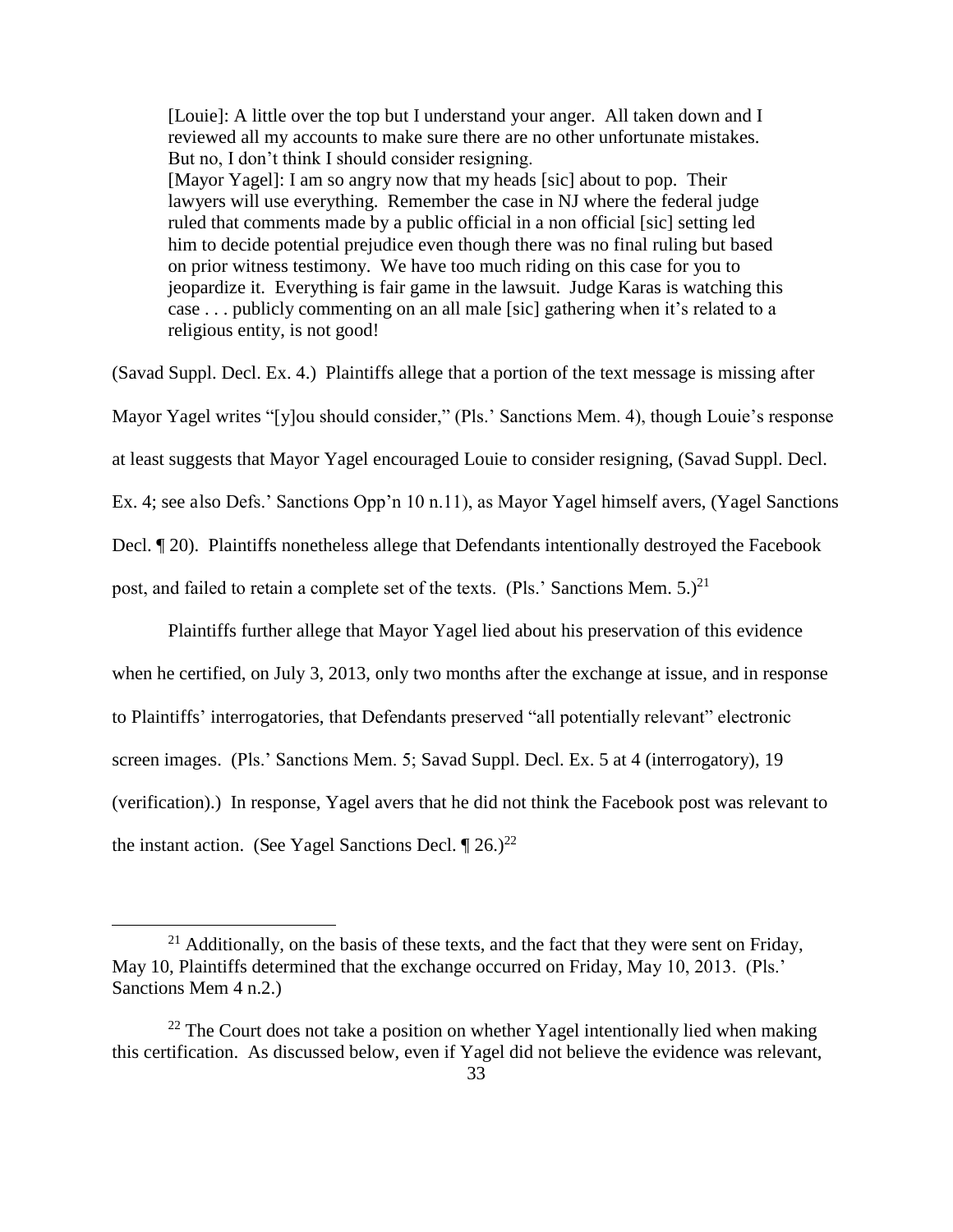[Louie]: A little over the top but I understand your anger. All taken down and I reviewed all my accounts to make sure there are no other unfortunate mistakes. But no, I don't think I should consider resigning. [Mayor Yagel]: I am so angry now that my heads [sic] about to pop. Their lawyers will use everything. Remember the case in NJ where the federal judge ruled that comments made by a public official in a non official [sic] setting led him to decide potential prejudice even though there was no final ruling but based on prior witness testimony. We have too much riding on this case for you to jeopardize it. Everything is fair game in the lawsuit. Judge Karas is watching this case . . . publicly commenting on an all male [sic] gathering when it's related to a religious entity, is not good!

(Savad Suppl. Decl. Ex. 4.) Plaintiffs allege that a portion of the text message is missing after Mayor Yagel writes "[y]ou should consider," (Pls.' Sanctions Mem. 4), though Louie's response at least suggests that Mayor Yagel encouraged Louie to consider resigning, (Savad Suppl. Decl. Ex. 4; see also Defs.' Sanctions Opp'n 10 n.11), as Mayor Yagel himself avers, (Yagel Sanctions Decl. ¶ 20). Plaintiffs nonetheless allege that Defendants intentionally destroyed the Facebook post, and failed to retain a complete set of the texts. (Pls.' Sanctions Mem.  $5.2^{21}$ )

 Plaintiffs further allege that Mayor Yagel lied about his preservation of this evidence when he certified, on July 3, 2013, only two months after the exchange at issue, and in response to Plaintiffs' interrogatories, that Defendants preserved "all potentially relevant" electronic screen images. (Pls.' Sanctions Mem. 5; Savad Suppl. Decl. Ex. 5 at 4 (interrogatory), 19 (verification).) In response, Yagel avers that he did not think the Facebook post was relevant to the instant action. (See Yagel Sanctions Decl.  $\sqrt{26}$ .)<sup>22</sup>

 $21$  Additionally, on the basis of these texts, and the fact that they were sent on Friday, May 10, Plaintiffs determined that the exchange occurred on Friday, May 10, 2013. (Pls.' Sanctions Mem 4 n.2.)

 $22$  The Court does not take a position on whether Yagel intentionally lied when making this certification. As discussed below, even if Yagel did not believe the evidence was relevant,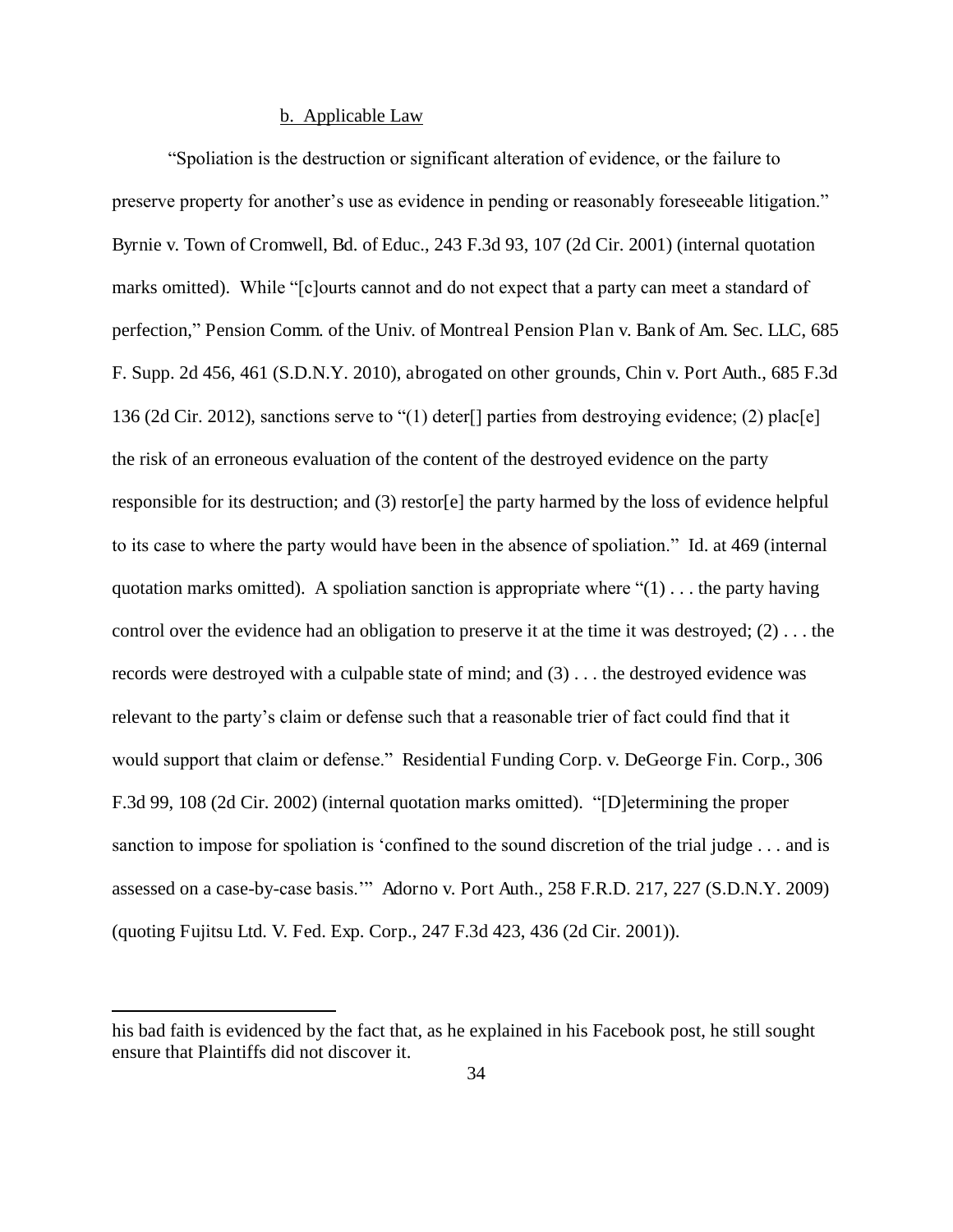# b. Applicable Law

"Spoliation is the destruction or significant alteration of evidence, or the failure to preserve property for another's use as evidence in pending or reasonably foreseeable litigation." Byrnie v. Town of Cromwell, Bd. of Educ., 243 F.3d 93, 107 (2d Cir. 2001) (internal quotation marks omitted). While "[c]ourts cannot and do not expect that a party can meet a standard of perfection," Pension Comm. of the Univ. of Montreal Pension Plan v. Bank of Am. Sec. LLC, 685 F. Supp. 2d 456, 461 (S.D.N.Y. 2010), abrogated on other grounds, Chin v. Port Auth., 685 F.3d 136 (2d Cir. 2012), sanctions serve to "(1) deter[] parties from destroying evidence; (2) plac[e] the risk of an erroneous evaluation of the content of the destroyed evidence on the party responsible for its destruction; and (3) restor[e] the party harmed by the loss of evidence helpful to its case to where the party would have been in the absence of spoliation." Id. at 469 (internal quotation marks omitted). A spoliation sanction is appropriate where " $(1)$ ... the party having control over the evidence had an obligation to preserve it at the time it was destroyed; (2) . . . the records were destroyed with a culpable state of mind; and (3) . . . the destroyed evidence was relevant to the party's claim or defense such that a reasonable trier of fact could find that it would support that claim or defense." Residential Funding Corp. v. DeGeorge Fin. Corp., 306 F.3d 99, 108 (2d Cir. 2002) (internal quotation marks omitted). "[D]etermining the proper sanction to impose for spoliation is 'confined to the sound discretion of the trial judge . . . and is assessed on a case-by-case basis.'" Adorno v. Port Auth., 258 F.R.D. 217, 227 (S.D.N.Y. 2009) (quoting Fujitsu Ltd. V. Fed. Exp. Corp., 247 F.3d 423, 436 (2d Cir. 2001)).

his bad faith is evidenced by the fact that, as he explained in his Facebook post, he still sought ensure that Plaintiffs did not discover it.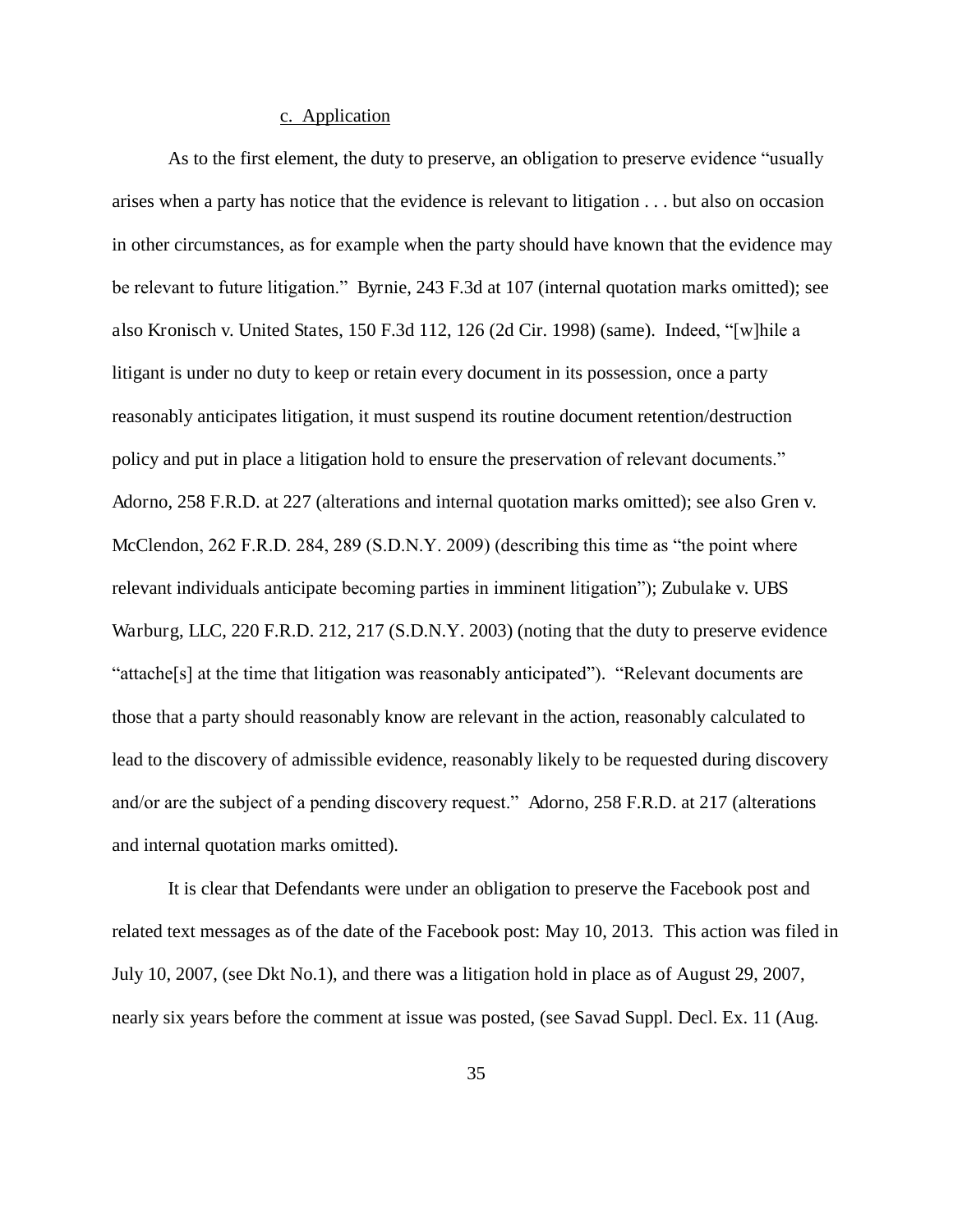### c. Application

As to the first element, the duty to preserve, an obligation to preserve evidence "usually arises when a party has notice that the evidence is relevant to litigation . . . but also on occasion in other circumstances, as for example when the party should have known that the evidence may be relevant to future litigation." Byrnie, 243 F.3d at 107 (internal quotation marks omitted); see also Kronisch v. United States, 150 F.3d 112, 126 (2d Cir. 1998) (same). Indeed, "[w]hile a litigant is under no duty to keep or retain every document in its possession, once a party reasonably anticipates litigation, it must suspend its routine document retention/destruction policy and put in place a litigation hold to ensure the preservation of relevant documents." Adorno, 258 F.R.D. at 227 (alterations and internal quotation marks omitted); see also Gren v. McClendon, 262 F.R.D. 284, 289 (S.D.N.Y. 2009) (describing this time as "the point where relevant individuals anticipate becoming parties in imminent litigation"); Zubulake v. UBS Warburg, LLC, 220 F.R.D. 212, 217 (S.D.N.Y. 2003) (noting that the duty to preserve evidence "attache[s] at the time that litigation was reasonably anticipated"). "Relevant documents are those that a party should reasonably know are relevant in the action, reasonably calculated to lead to the discovery of admissible evidence, reasonably likely to be requested during discovery and/or are the subject of a pending discovery request." Adorno, 258 F.R.D. at 217 (alterations and internal quotation marks omitted).

It is clear that Defendants were under an obligation to preserve the Facebook post and related text messages as of the date of the Facebook post: May 10, 2013. This action was filed in July 10, 2007, (see Dkt No.1), and there was a litigation hold in place as of August 29, 2007, nearly six years before the comment at issue was posted, (see Savad Suppl. Decl. Ex. 11 (Aug.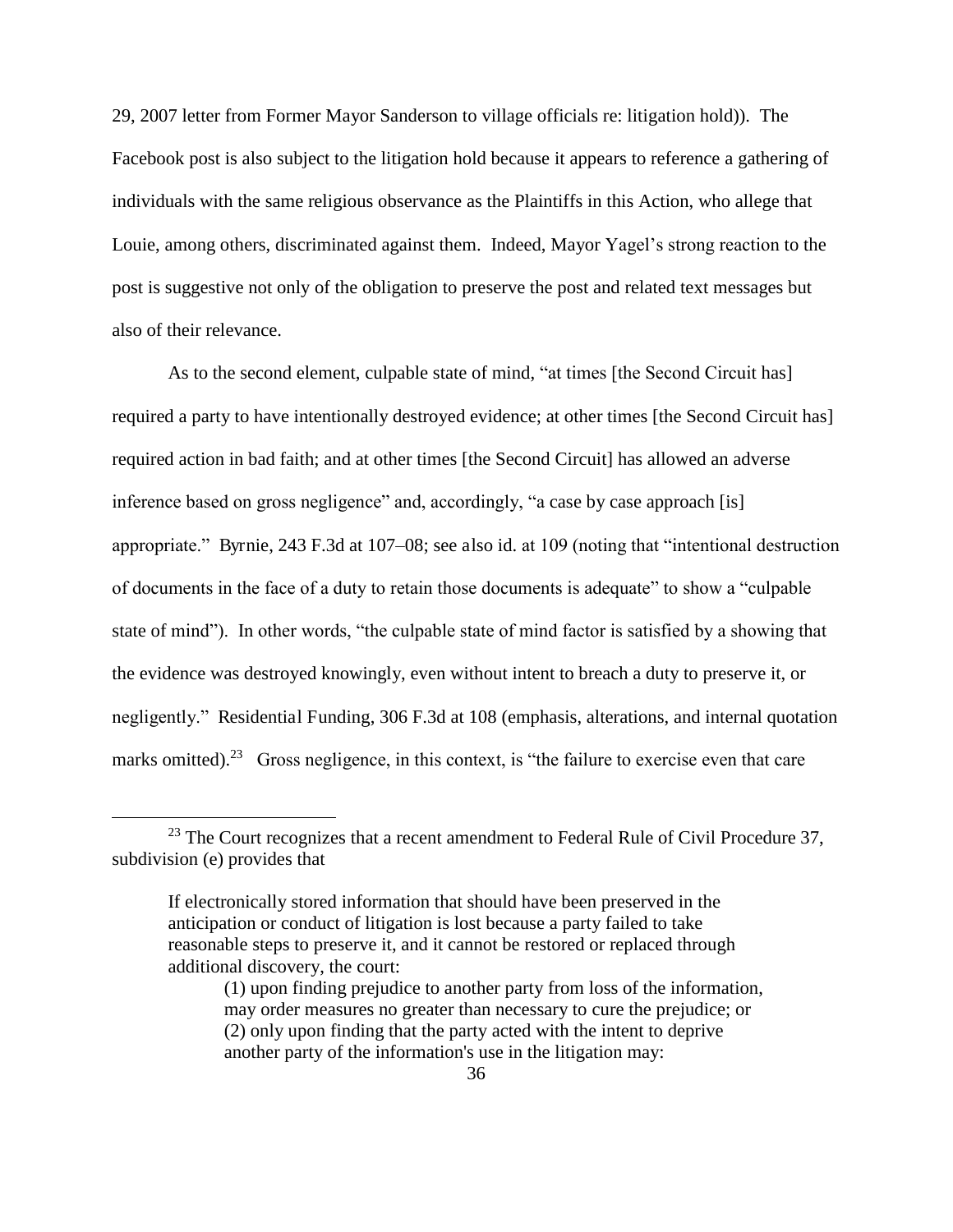29, 2007 letter from Former Mayor Sanderson to village officials re: litigation hold)). The Facebook post is also subject to the litigation hold because it appears to reference a gathering of individuals with the same religious observance as the Plaintiffs in this Action, who allege that Louie, among others, discriminated against them. Indeed, Mayor Yagel's strong reaction to the post is suggestive not only of the obligation to preserve the post and related text messages but also of their relevance.

As to the second element, culpable state of mind, "at times [the Second Circuit has] required a party to have intentionally destroyed evidence; at other times [the Second Circuit has] required action in bad faith; and at other times [the Second Circuit] has allowed an adverse inference based on gross negligence" and, accordingly, "a case by case approach [is] appropriate." Byrnie, 243 F.3d at 107–08; see also id. at 109 (noting that "intentional destruction of documents in the face of a duty to retain those documents is adequate" to show a "culpable state of mind"). In other words, "the culpable state of mind factor is satisfied by a showing that the evidence was destroyed knowingly, even without intent to breach a duty to preserve it, or negligently." Residential Funding, 306 F.3d at 108 (emphasis, alterations, and internal quotation marks omitted).<sup>23</sup> Gross negligence, in this context, is "the failure to exercise even that care

 $23$  The Court recognizes that a recent amendment to Federal Rule of Civil Procedure 37, subdivision (e) provides that

If electronically stored information that should have been preserved in the anticipation or conduct of litigation is lost because a party failed to take reasonable steps to preserve it, and it cannot be restored or replaced through additional discovery, the court:

<sup>(1)</sup> upon finding prejudice to another party from loss of the information, may order measures no greater than necessary to cure the prejudice; or (2) only upon finding that the party acted with the intent to deprive another party of the information's use in the litigation may: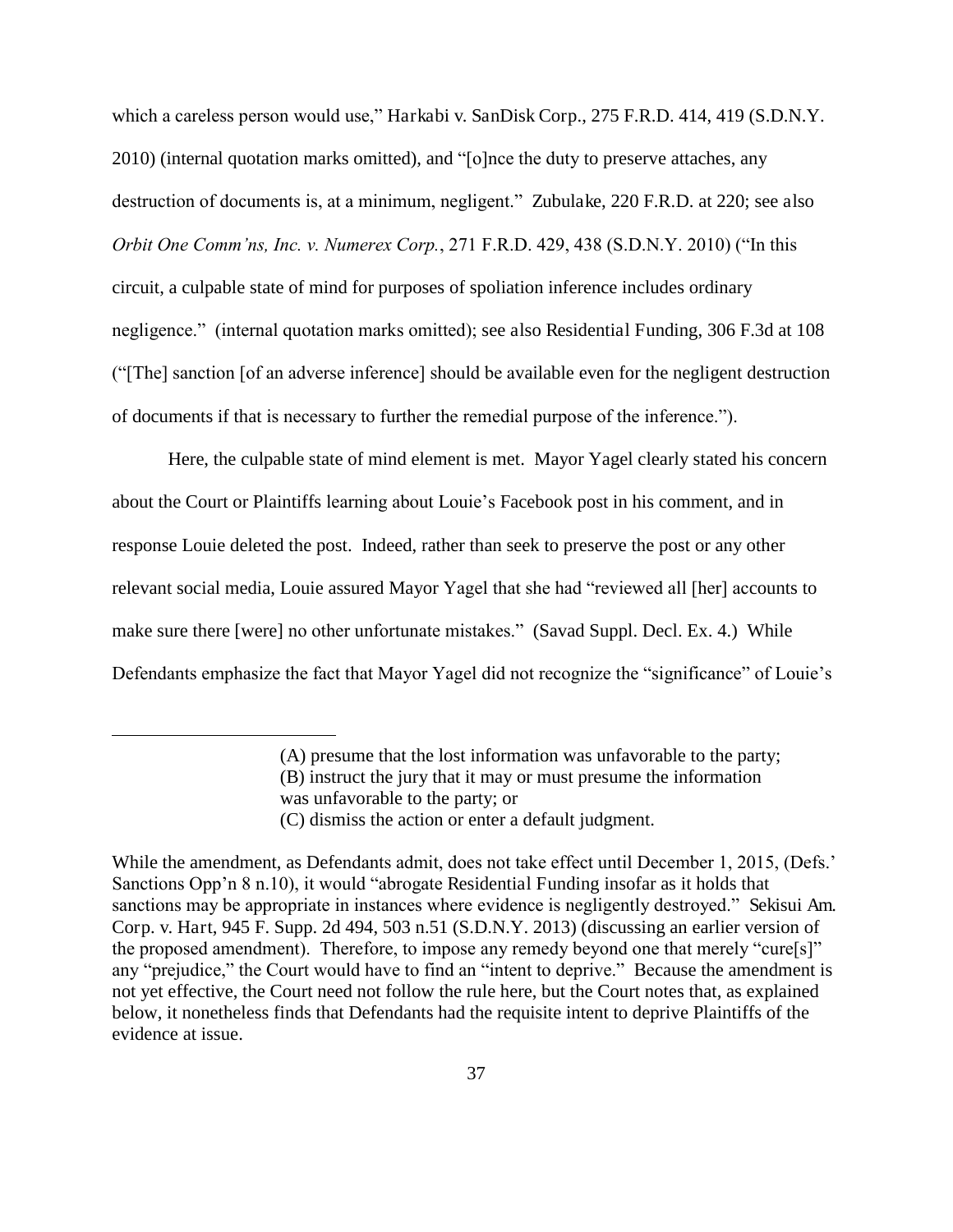which a careless person would use," Harkabi v. SanDisk Corp., 275 F.R.D. 414, 419 (S.D.N.Y. 2010) (internal quotation marks omitted), and "[o]nce the duty to preserve attaches, any destruction of documents is, at a minimum, negligent." Zubulake, 220 F.R.D. at 220; see also *Orbit One Comm'ns, Inc. v. Numerex Corp.*, 271 F.R.D. 429, 438 (S.D.N.Y. 2010) ("In this circuit, a culpable state of mind for purposes of spoliation inference includes ordinary negligence." (internal quotation marks omitted); see also Residential Funding, 306 F.3d at 108 ("[The] sanction [of an adverse inference] should be available even for the negligent destruction of documents if that is necessary to further the remedial purpose of the inference.").

Here, the culpable state of mind element is met. Mayor Yagel clearly stated his concern about the Court or Plaintiffs learning about Louie's Facebook post in his comment, and in response Louie deleted the post. Indeed, rather than seek to preserve the post or any other relevant social media, Louie assured Mayor Yagel that she had "reviewed all [her] accounts to make sure there [were] no other unfortunate mistakes." (Savad Suppl. Decl. Ex. 4.) While Defendants emphasize the fact that Mayor Yagel did not recognize the "significance" of Louie's

<sup>(</sup>A) presume that the lost information was unfavorable to the party; (B) instruct the jury that it may or must presume the information was unfavorable to the party; or

<sup>(</sup>C) dismiss the action or enter a default judgment.

While the amendment, as Defendants admit, does not take effect until December 1, 2015, (Defs.' Sanctions Opp'n 8 n.10), it would "abrogate Residential Funding insofar as it holds that sanctions may be appropriate in instances where evidence is negligently destroyed." Sekisui Am. Corp. v. Hart, 945 F. Supp. 2d 494, 503 n.51 (S.D.N.Y. 2013) (discussing an earlier version of the proposed amendment). Therefore, to impose any remedy beyond one that merely "cure[s]" any "prejudice," the Court would have to find an "intent to deprive." Because the amendment is not yet effective, the Court need not follow the rule here, but the Court notes that, as explained below, it nonetheless finds that Defendants had the requisite intent to deprive Plaintiffs of the evidence at issue.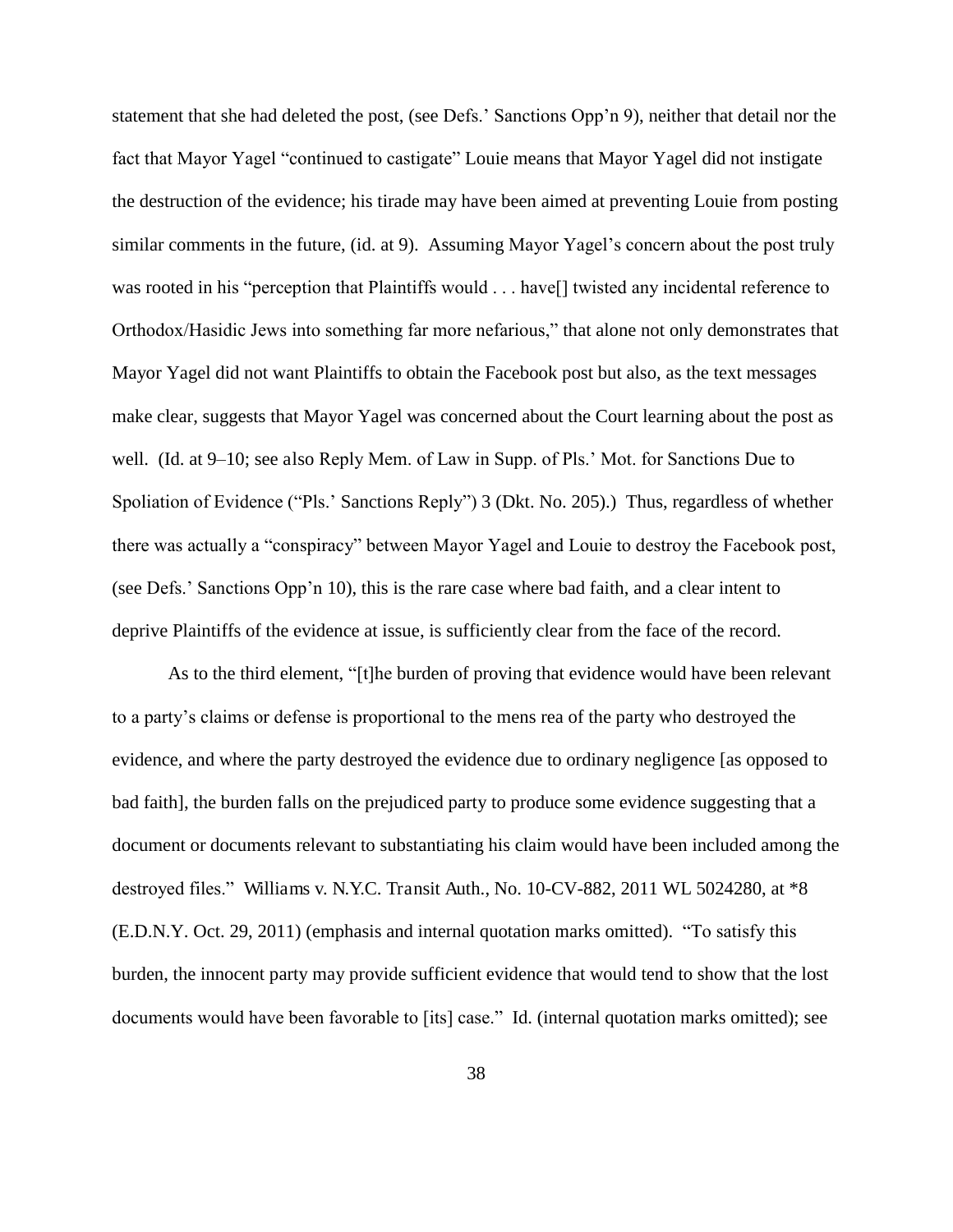statement that she had deleted the post, (see Defs.' Sanctions Opp'n 9), neither that detail nor the fact that Mayor Yagel "continued to castigate" Louie means that Mayor Yagel did not instigate the destruction of the evidence; his tirade may have been aimed at preventing Louie from posting similar comments in the future, (id. at 9). Assuming Mayor Yagel's concern about the post truly was rooted in his "perception that Plaintiffs would . . . have neglected any incidental reference to Orthodox/Hasidic Jews into something far more nefarious," that alone not only demonstrates that Mayor Yagel did not want Plaintiffs to obtain the Facebook post but also, as the text messages make clear, suggests that Mayor Yagel was concerned about the Court learning about the post as well. (Id. at 9–10; see also Reply Mem. of Law in Supp. of Pls.' Mot. for Sanctions Due to Spoliation of Evidence ("Pls.' Sanctions Reply") 3 (Dkt. No. 205).) Thus, regardless of whether there was actually a "conspiracy" between Mayor Yagel and Louie to destroy the Facebook post, (see Defs.' Sanctions Opp'n 10), this is the rare case where bad faith, and a clear intent to deprive Plaintiffs of the evidence at issue, is sufficiently clear from the face of the record.

As to the third element, "[t]he burden of proving that evidence would have been relevant to a party's claims or defense is proportional to the mens rea of the party who destroyed the evidence, and where the party destroyed the evidence due to ordinary negligence [as opposed to bad faith], the burden falls on the prejudiced party to produce some evidence suggesting that a document or documents relevant to substantiating his claim would have been included among the destroyed files." Williams v. N.Y.C. Transit Auth., No. 10-CV-882, 2011 WL 5024280, at \*8 (E.D.N.Y. Oct. 29, 2011) (emphasis and internal quotation marks omitted). "To satisfy this burden, the innocent party may provide sufficient evidence that would tend to show that the lost documents would have been favorable to [its] case." Id. (internal quotation marks omitted); see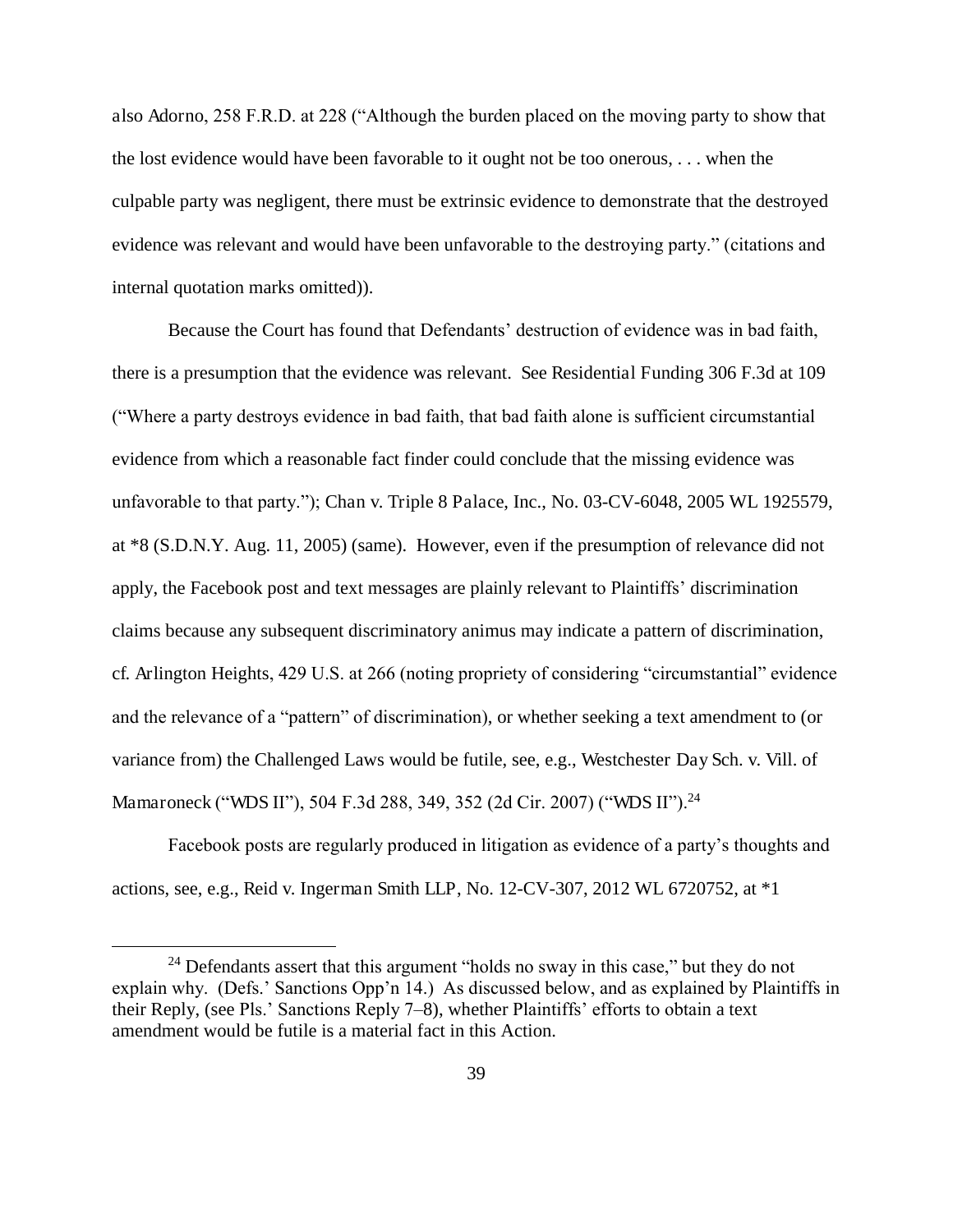also Adorno, 258 F.R.D. at 228 ("Although the burden placed on the moving party to show that the lost evidence would have been favorable to it ought not be too onerous, . . . when the culpable party was negligent, there must be extrinsic evidence to demonstrate that the destroyed evidence was relevant and would have been unfavorable to the destroying party." (citations and internal quotation marks omitted)).

Because the Court has found that Defendants' destruction of evidence was in bad faith, there is a presumption that the evidence was relevant. See Residential Funding 306 F.3d at 109 ("Where a party destroys evidence in bad faith, that bad faith alone is sufficient circumstantial evidence from which a reasonable fact finder could conclude that the missing evidence was unfavorable to that party."); Chan v. Triple 8 Palace, Inc., No. 03-CV-6048, 2005 WL 1925579, at \*8 (S.D.N.Y. Aug. 11, 2005) (same). However, even if the presumption of relevance did not apply, the Facebook post and text messages are plainly relevant to Plaintiffs' discrimination claims because any subsequent discriminatory animus may indicate a pattern of discrimination, cf. Arlington Heights, 429 U.S. at 266 (noting propriety of considering "circumstantial" evidence and the relevance of a "pattern" of discrimination), or whether seeking a text amendment to (or variance from) the Challenged Laws would be futile, see, e.g., Westchester Day Sch. v. Vill. of Mamaroneck ("WDS II"), 504 F.3d 288, 349, 352 (2d Cir. 2007) ("WDS II").<sup>24</sup>

Facebook posts are regularly produced in litigation as evidence of a party's thoughts and actions, see, e.g., Reid v. Ingerman Smith LLP, No. 12-CV-307, 2012 WL 6720752, at \*1

 $24$  Defendants assert that this argument "holds no sway in this case," but they do not explain why. (Defs.' Sanctions Opp'n 14.) As discussed below, and as explained by Plaintiffs in their Reply, (see Pls.' Sanctions Reply 7–8), whether Plaintiffs' efforts to obtain a text amendment would be futile is a material fact in this Action.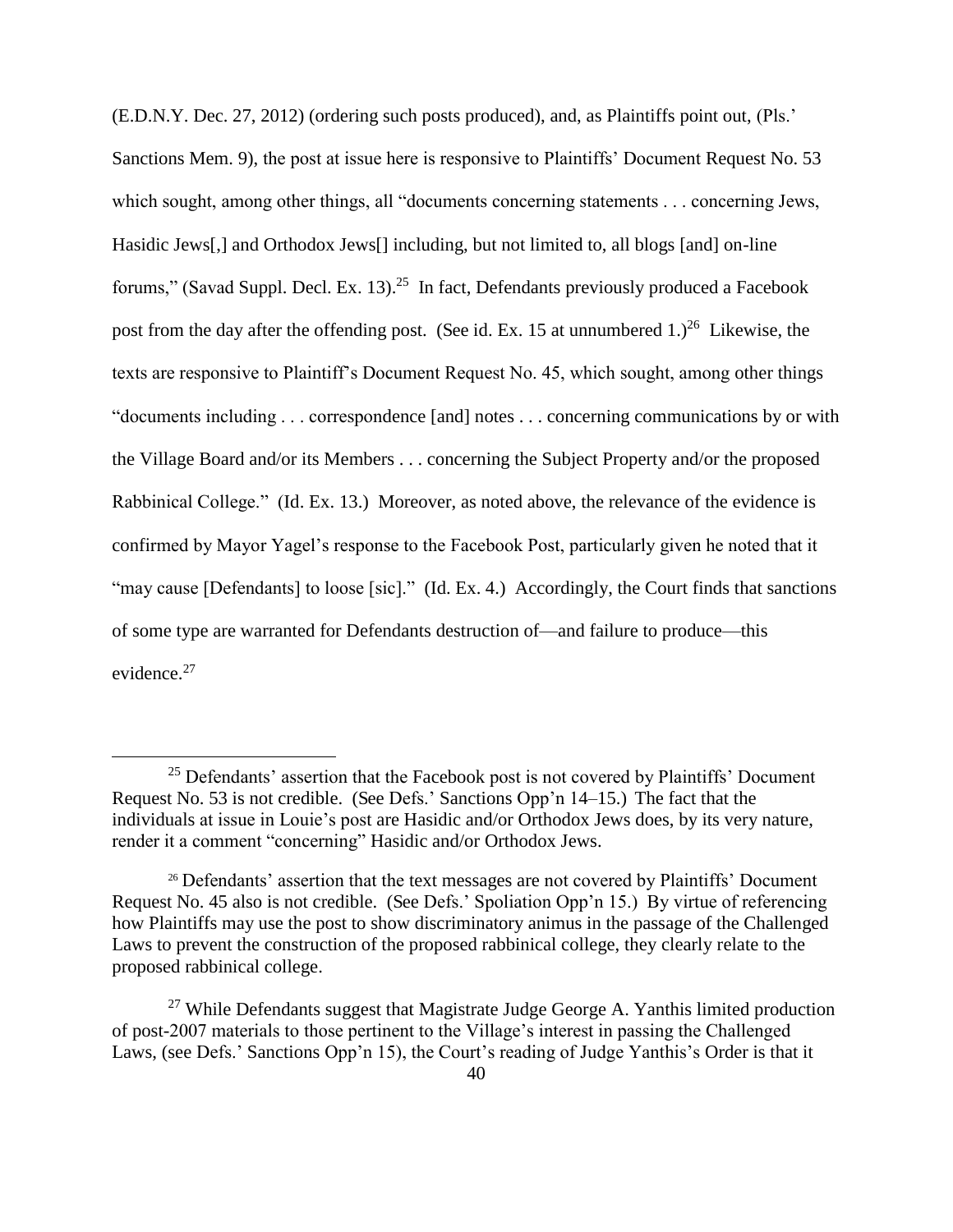(E.D.N.Y. Dec. 27, 2012) (ordering such posts produced), and, as Plaintiffs point out, (Pls.' Sanctions Mem. 9), the post at issue here is responsive to Plaintiffs' Document Request No. 53 which sought, among other things, all "documents concerning statements . . . concerning Jews, Hasidic Jews[,] and Orthodox Jews[] including, but not limited to, all blogs [and] on-line forums," (Savad Suppl. Decl. Ex. 13).<sup>25</sup> In fact, Defendants previously produced a Facebook post from the day after the offending post. (See id. Ex. 15 at unnumbered 1.)<sup>26</sup> Likewise, the texts are responsive to Plaintiff's Document Request No. 45, which sought, among other things "documents including . . . correspondence [and] notes . . . concerning communications by or with the Village Board and/or its Members . . . concerning the Subject Property and/or the proposed Rabbinical College." (Id. Ex. 13.) Moreover, as noted above, the relevance of the evidence is confirmed by Mayor Yagel's response to the Facebook Post, particularly given he noted that it "may cause [Defendants] to loose [sic]." (Id. Ex. 4.) Accordingly, the Court finds that sanctions of some type are warranted for Defendants destruction of—and failure to produce—this evidence.<sup>27</sup>

<sup>&</sup>lt;sup>25</sup> Defendants' assertion that the Facebook post is not covered by Plaintiffs' Document Request No. 53 is not credible. (See Defs.' Sanctions Opp'n 14–15.) The fact that the individuals at issue in Louie's post are Hasidic and/or Orthodox Jews does, by its very nature, render it a comment "concerning" Hasidic and/or Orthodox Jews.

<sup>&</sup>lt;sup>26</sup> Defendants' assertion that the text messages are not covered by Plaintiffs' Document Request No. 45 also is not credible. (See Defs.' Spoliation Opp'n 15.) By virtue of referencing how Plaintiffs may use the post to show discriminatory animus in the passage of the Challenged Laws to prevent the construction of the proposed rabbinical college, they clearly relate to the proposed rabbinical college.

 $27$  While Defendants suggest that Magistrate Judge George A. Yanthis limited production of post-2007 materials to those pertinent to the Village's interest in passing the Challenged Laws, (see Defs.' Sanctions Opp'n 15), the Court's reading of Judge Yanthis's Order is that it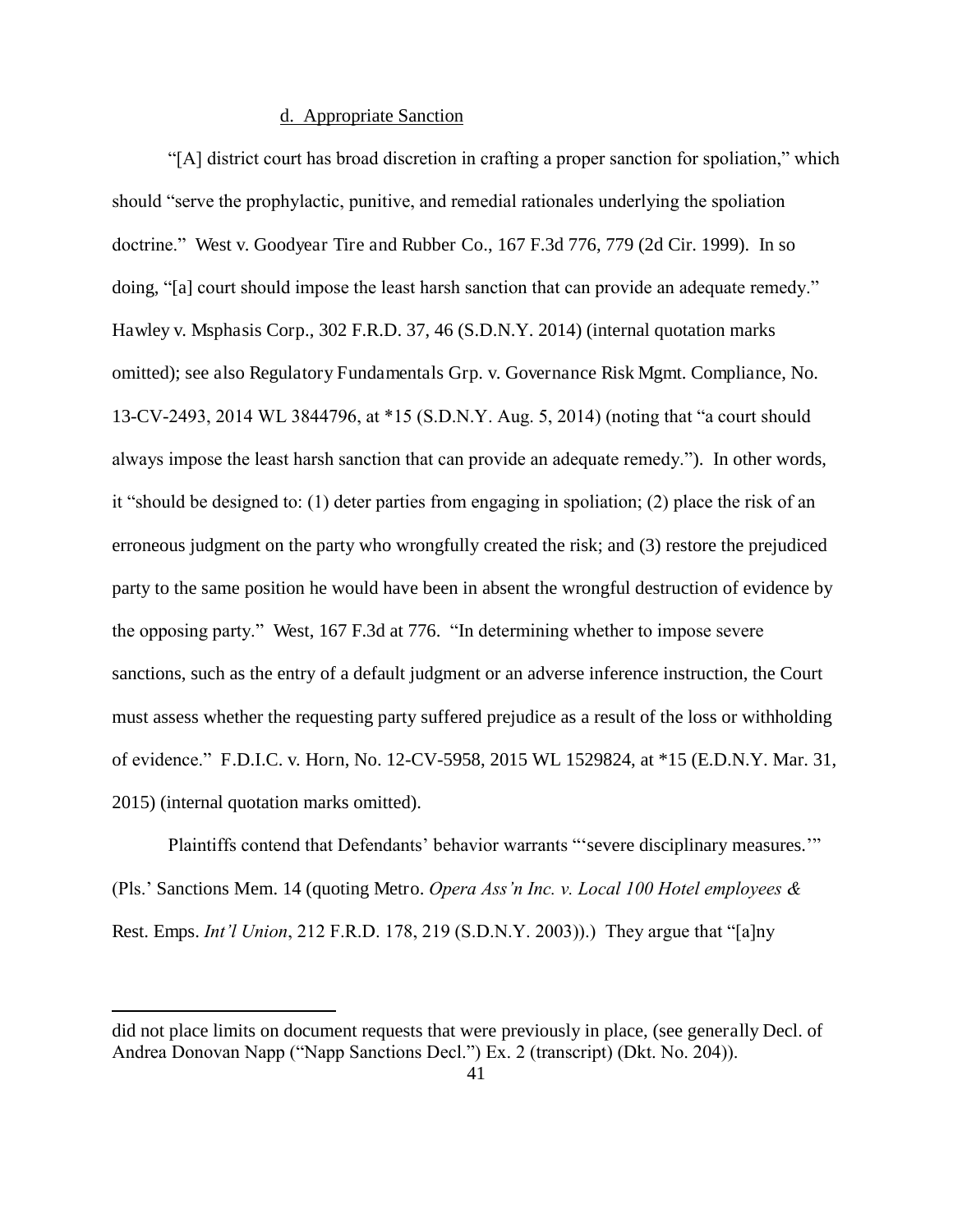## d. Appropriate Sanction

"[A] district court has broad discretion in crafting a proper sanction for spoliation," which should "serve the prophylactic, punitive, and remedial rationales underlying the spoliation doctrine." West v. Goodyear Tire and Rubber Co., 167 F.3d 776, 779 (2d Cir. 1999). In so doing, "[a] court should impose the least harsh sanction that can provide an adequate remedy." Hawley v. Msphasis Corp., 302 F.R.D. 37, 46 (S.D.N.Y. 2014) (internal quotation marks omitted); see also Regulatory Fundamentals Grp. v. Governance Risk Mgmt. Compliance, No. 13-CV-2493, 2014 WL 3844796, at \*15 (S.D.N.Y. Aug. 5, 2014) (noting that "a court should always impose the least harsh sanction that can provide an adequate remedy."). In other words, it "should be designed to: (1) deter parties from engaging in spoliation; (2) place the risk of an erroneous judgment on the party who wrongfully created the risk; and (3) restore the prejudiced party to the same position he would have been in absent the wrongful destruction of evidence by the opposing party." West, 167 F.3d at 776. "In determining whether to impose severe sanctions, such as the entry of a default judgment or an adverse inference instruction, the Court must assess whether the requesting party suffered prejudice as a result of the loss or withholding of evidence." F.D.I.C. v. Horn, No. 12-CV-5958, 2015 WL 1529824, at \*15 (E.D.N.Y. Mar. 31, 2015) (internal quotation marks omitted).

Plaintiffs contend that Defendants' behavior warrants "'severe disciplinary measures.'" (Pls.' Sanctions Mem. 14 (quoting Metro. *Opera Ass'n Inc. v. Local 100 Hotel employees &*  Rest. Emps. *Int'l Union*, 212 F.R.D. 178, 219 (S.D.N.Y. 2003)).) They argue that "[a]ny

did not place limits on document requests that were previously in place, (see generally Decl. of Andrea Donovan Napp ("Napp Sanctions Decl.") Ex. 2 (transcript) (Dkt. No. 204)).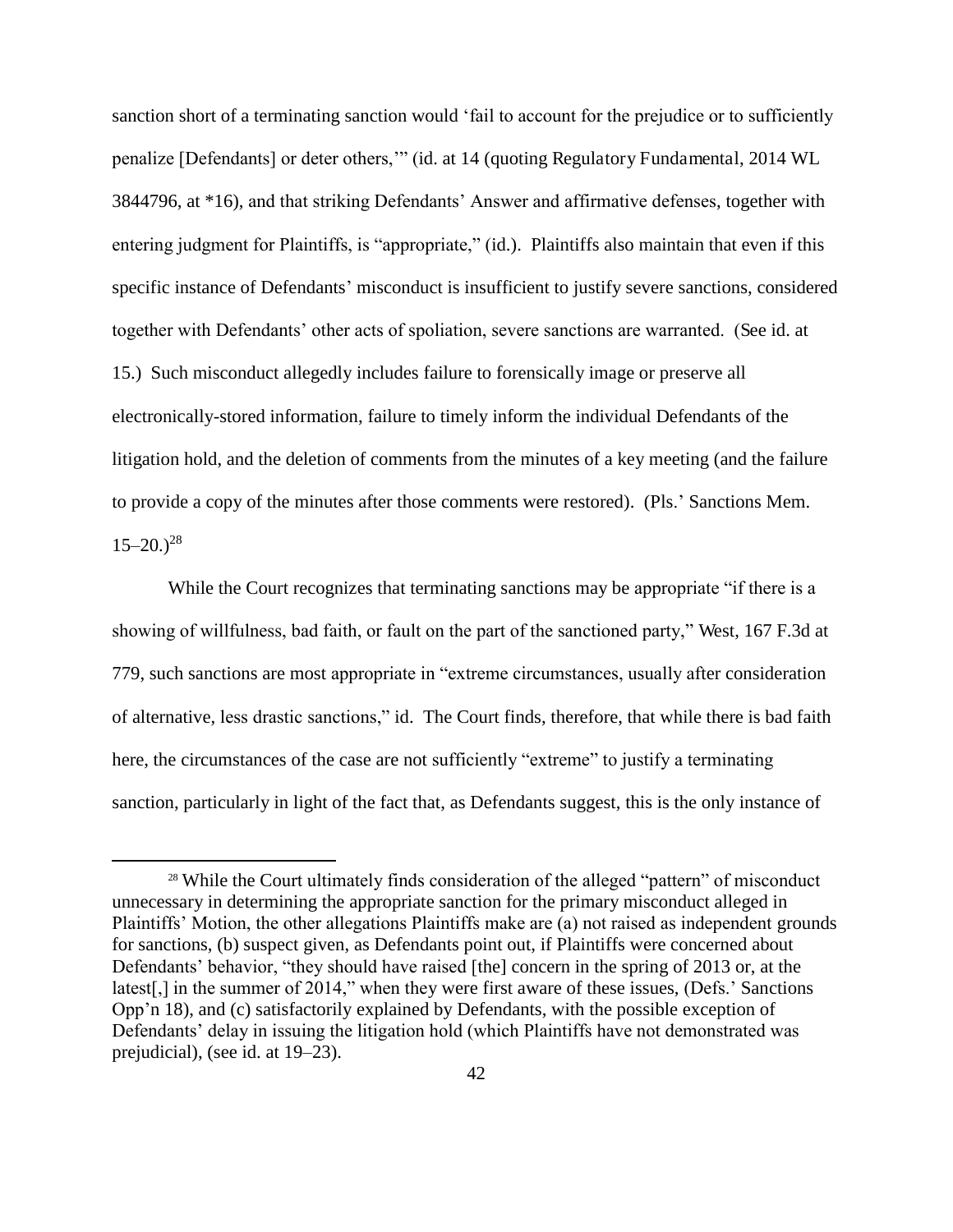sanction short of a terminating sanction would 'fail to account for the prejudice or to sufficiently penalize [Defendants] or deter others,'" (id. at 14 (quoting Regulatory Fundamental, 2014 WL 3844796, at \*16), and that striking Defendants' Answer and affirmative defenses, together with entering judgment for Plaintiffs, is "appropriate," (id.). Plaintiffs also maintain that even if this specific instance of Defendants' misconduct is insufficient to justify severe sanctions, considered together with Defendants' other acts of spoliation, severe sanctions are warranted. (See id. at 15.) Such misconduct allegedly includes failure to forensically image or preserve all electronically-stored information, failure to timely inform the individual Defendants of the litigation hold, and the deletion of comments from the minutes of a key meeting (and the failure to provide a copy of the minutes after those comments were restored). (Pls.' Sanctions Mem.  $15-20.$ )<sup>28</sup>

While the Court recognizes that terminating sanctions may be appropriate "if there is a showing of willfulness, bad faith, or fault on the part of the sanctioned party," West, 167 F.3d at 779, such sanctions are most appropriate in "extreme circumstances, usually after consideration of alternative, less drastic sanctions," id. The Court finds, therefore, that while there is bad faith here, the circumstances of the case are not sufficiently "extreme" to justify a terminating sanction, particularly in light of the fact that, as Defendants suggest, this is the only instance of

<sup>&</sup>lt;sup>28</sup> While the Court ultimately finds consideration of the alleged "pattern" of misconduct unnecessary in determining the appropriate sanction for the primary misconduct alleged in Plaintiffs' Motion, the other allegations Plaintiffs make are (a) not raised as independent grounds for sanctions, (b) suspect given, as Defendants point out, if Plaintiffs were concerned about Defendants' behavior, "they should have raised [the] concern in the spring of 2013 or, at the latest[,] in the summer of 2014," when they were first aware of these issues, (Defs.' Sanctions Opp'n 18), and (c) satisfactorily explained by Defendants, with the possible exception of Defendants' delay in issuing the litigation hold (which Plaintiffs have not demonstrated was prejudicial), (see id. at 19–23).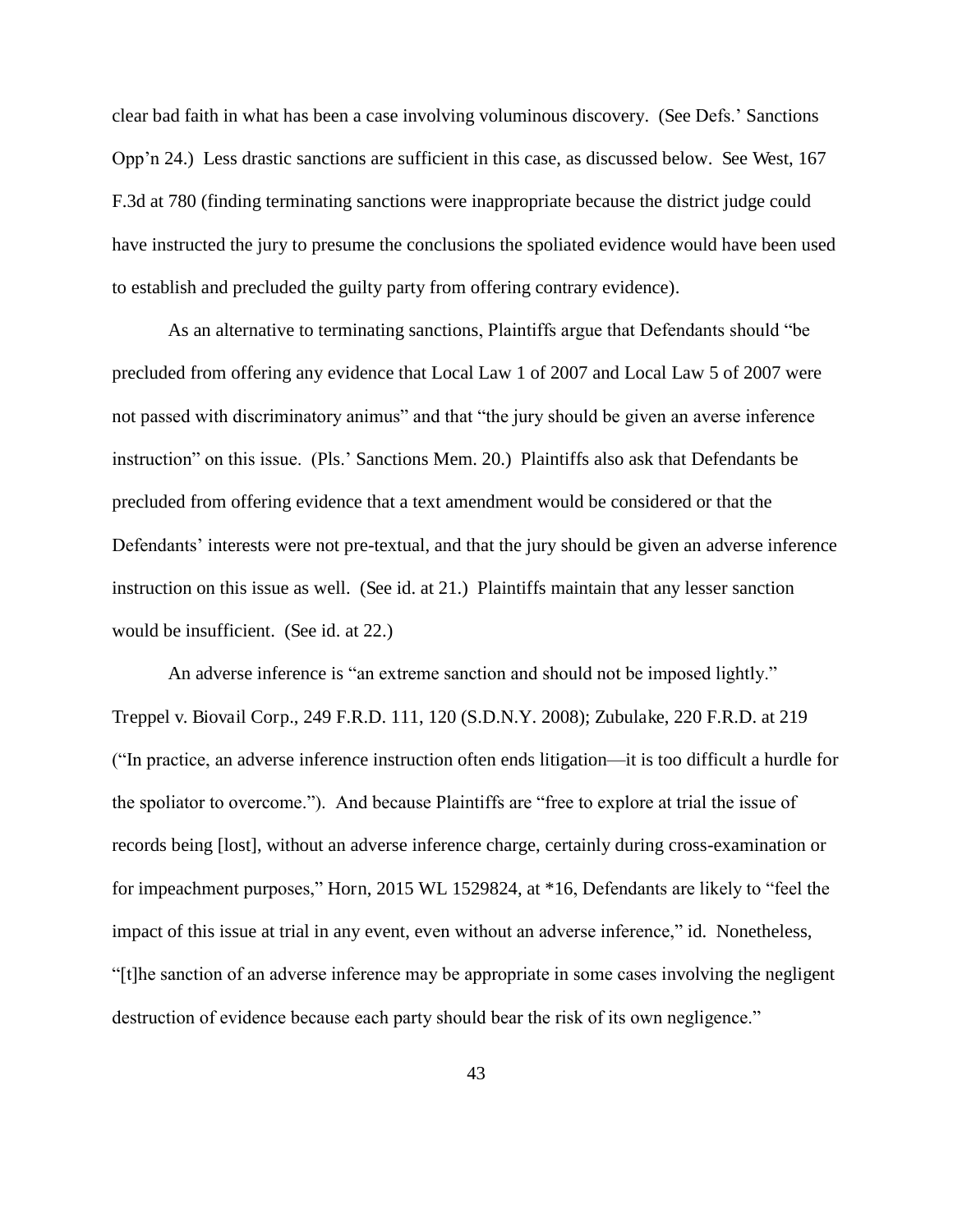clear bad faith in what has been a case involving voluminous discovery. (See Defs.' Sanctions Opp'n 24.) Less drastic sanctions are sufficient in this case, as discussed below. See West, 167 F.3d at 780 (finding terminating sanctions were inappropriate because the district judge could have instructed the jury to presume the conclusions the spoliated evidence would have been used to establish and precluded the guilty party from offering contrary evidence).

As an alternative to terminating sanctions, Plaintiffs argue that Defendants should "be precluded from offering any evidence that Local Law 1 of 2007 and Local Law 5 of 2007 were not passed with discriminatory animus" and that "the jury should be given an averse inference instruction" on this issue. (Pls.' Sanctions Mem. 20.) Plaintiffs also ask that Defendants be precluded from offering evidence that a text amendment would be considered or that the Defendants' interests were not pre-textual, and that the jury should be given an adverse inference instruction on this issue as well. (See id. at 21.) Plaintiffs maintain that any lesser sanction would be insufficient. (See id. at 22.)

An adverse inference is "an extreme sanction and should not be imposed lightly." Treppel v. Biovail Corp., 249 F.R.D. 111, 120 (S.D.N.Y. 2008); Zubulake, 220 F.R.D. at 219 ("In practice, an adverse inference instruction often ends litigation—it is too difficult a hurdle for the spoliator to overcome."). And because Plaintiffs are "free to explore at trial the issue of records being [lost], without an adverse inference charge, certainly during cross-examination or for impeachment purposes," Horn, 2015 WL 1529824, at \*16, Defendants are likely to "feel the impact of this issue at trial in any event, even without an adverse inference," id. Nonetheless, "[t]he sanction of an adverse inference may be appropriate in some cases involving the negligent destruction of evidence because each party should bear the risk of its own negligence."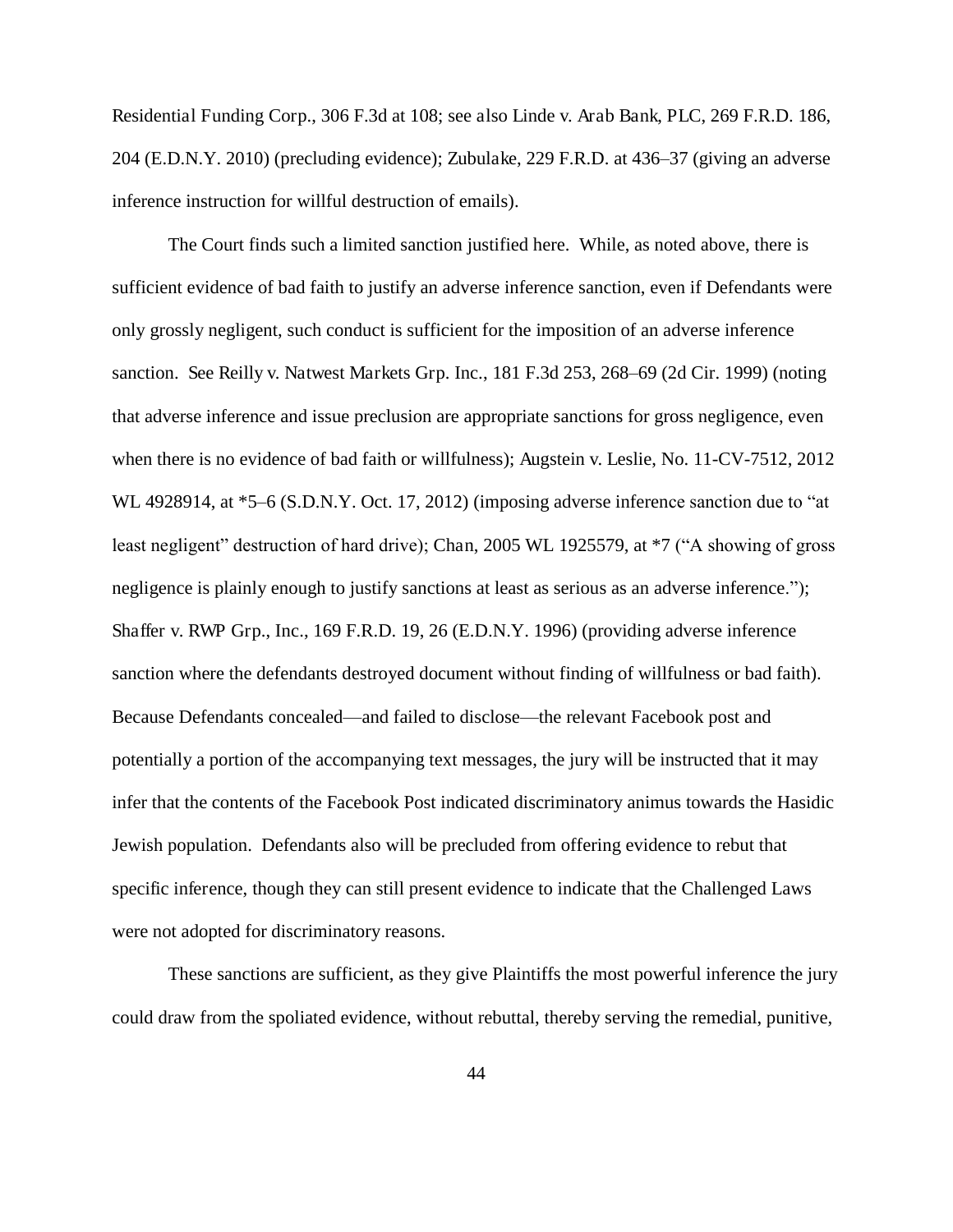Residential Funding Corp., 306 F.3d at 108; see also Linde v. Arab Bank, PLC, 269 F.R.D. 186, 204 (E.D.N.Y. 2010) (precluding evidence); Zubulake, 229 F.R.D. at 436–37 (giving an adverse inference instruction for willful destruction of emails).

The Court finds such a limited sanction justified here. While, as noted above, there is sufficient evidence of bad faith to justify an adverse inference sanction, even if Defendants were only grossly negligent, such conduct is sufficient for the imposition of an adverse inference sanction. See Reilly v. Natwest Markets Grp. Inc., 181 F.3d 253, 268–69 (2d Cir. 1999) (noting that adverse inference and issue preclusion are appropriate sanctions for gross negligence, even when there is no evidence of bad faith or willfulness); Augstein v. Leslie, No. 11-CV-7512, 2012 WL 4928914, at  $*5-6$  (S.D.N.Y. Oct. 17, 2012) (imposing adverse inference sanction due to "at least negligent" destruction of hard drive); Chan, 2005 WL 1925579, at  $*7$  ("A showing of gross negligence is plainly enough to justify sanctions at least as serious as an adverse inference."); Shaffer v. RWP Grp., Inc., 169 F.R.D. 19, 26 (E.D.N.Y. 1996) (providing adverse inference sanction where the defendants destroyed document without finding of willfulness or bad faith). Because Defendants concealed—and failed to disclose—the relevant Facebook post and potentially a portion of the accompanying text messages, the jury will be instructed that it may infer that the contents of the Facebook Post indicated discriminatory animus towards the Hasidic Jewish population. Defendants also will be precluded from offering evidence to rebut that specific inference, though they can still present evidence to indicate that the Challenged Laws were not adopted for discriminatory reasons.

These sanctions are sufficient, as they give Plaintiffs the most powerful inference the jury could draw from the spoliated evidence, without rebuttal, thereby serving the remedial, punitive,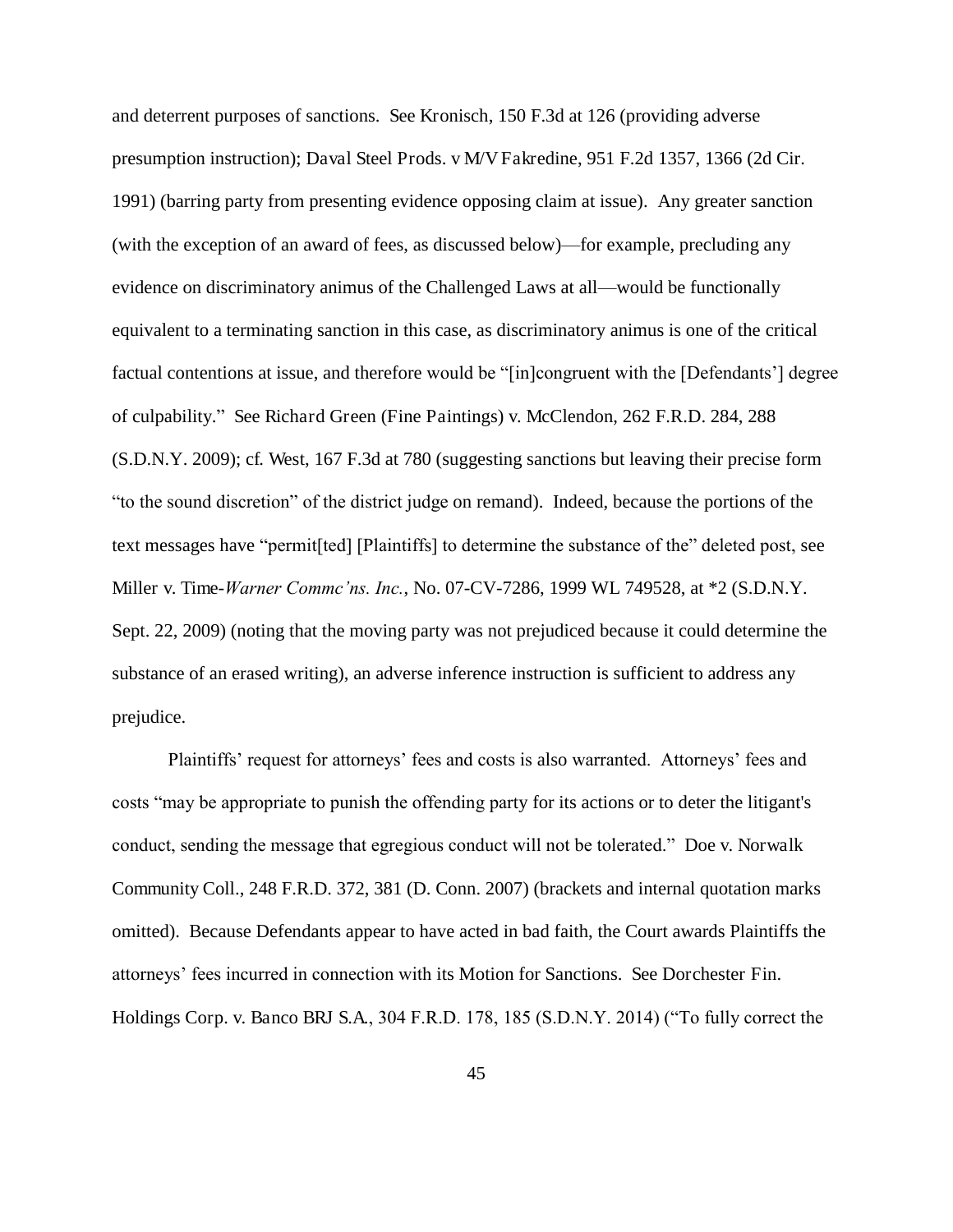and deterrent purposes of sanctions. See Kronisch, 150 F.3d at 126 (providing adverse presumption instruction); Daval Steel Prods. v M/V Fakredine, 951 F.2d 1357, 1366 (2d Cir. 1991) (barring party from presenting evidence opposing claim at issue). Any greater sanction (with the exception of an award of fees, as discussed below)—for example, precluding any evidence on discriminatory animus of the Challenged Laws at all—would be functionally equivalent to a terminating sanction in this case, as discriminatory animus is one of the critical factual contentions at issue, and therefore would be "[in]congruent with the [Defendants'] degree of culpability." See Richard Green (Fine Paintings) v. McClendon, 262 F.R.D. 284, 288 (S.D.N.Y. 2009); cf. West, 167 F.3d at 780 (suggesting sanctions but leaving their precise form "to the sound discretion" of the district judge on remand). Indeed, because the portions of the text messages have "permit[ted] [Plaintiffs] to determine the substance of the" deleted post, see Miller v. Time-*Warner Commc'ns. Inc.*, No. 07-CV-7286, 1999 WL 749528, at \*2 (S.D.N.Y. Sept. 22, 2009) (noting that the moving party was not prejudiced because it could determine the substance of an erased writing), an adverse inference instruction is sufficient to address any prejudice.

Plaintiffs' request for attorneys' fees and costs is also warranted. Attorneys' fees and costs "may be appropriate to punish the offending party for its actions or to deter the litigant's conduct, sending the message that egregious conduct will not be tolerated." Doe v. Norwalk Community Coll., 248 F.R.D. 372, 381 (D. Conn. 2007) (brackets and internal quotation marks omitted). Because Defendants appear to have acted in bad faith, the Court awards Plaintiffs the attorneys' fees incurred in connection with its Motion for Sanctions. See Dorchester Fin. Holdings Corp. v. Banco BRJ S.A., 304 F.R.D. 178, 185 (S.D.N.Y. 2014) ("To fully correct the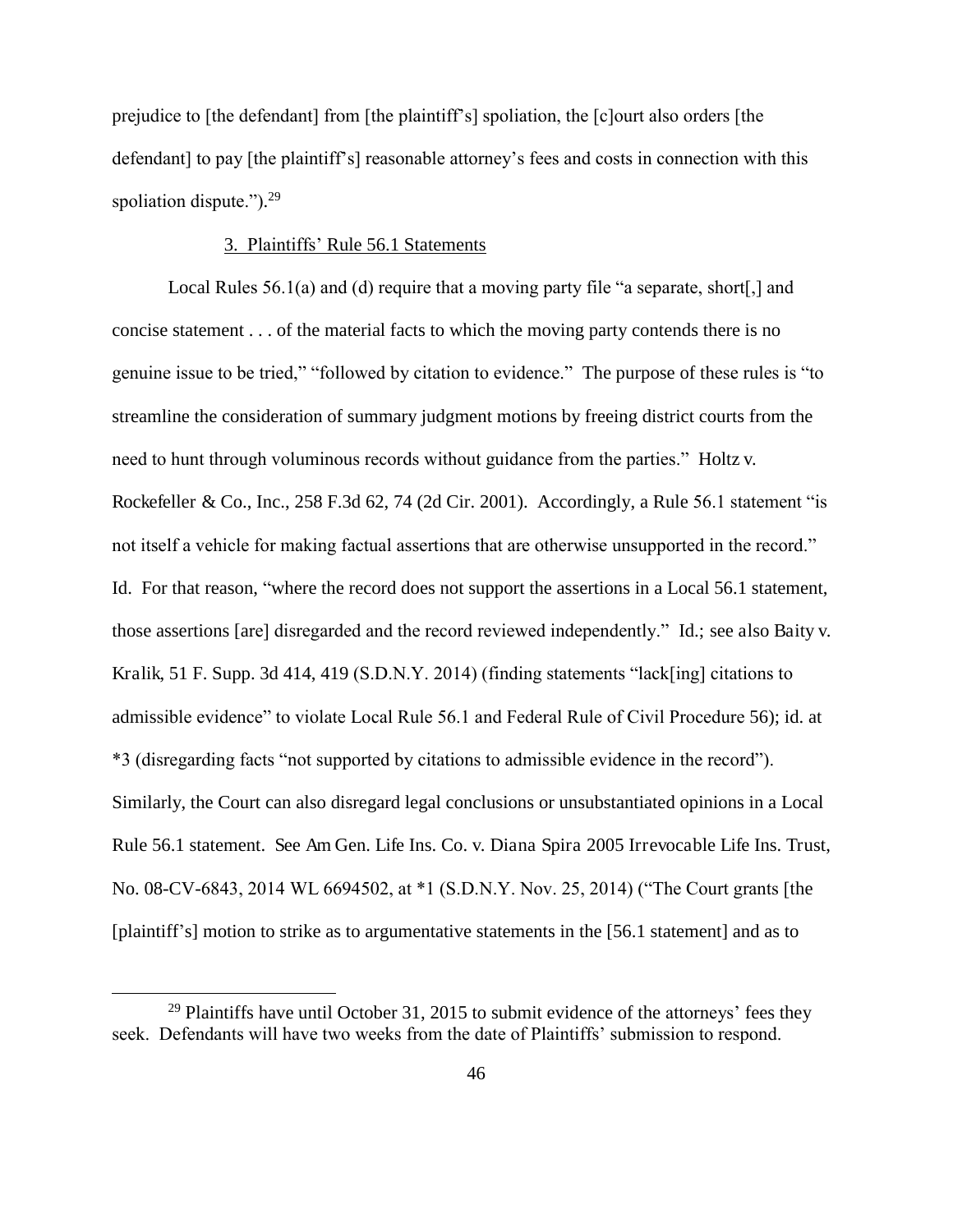prejudice to [the defendant] from [the plaintiff's] spoliation, the [c]ourt also orders [the defendant] to pay [the plaintiff's] reasonable attorney's fees and costs in connection with this spoliation dispute.").<sup>29</sup>

### 3. Plaintiffs' Rule 56.1 Statements

Local Rules 56.1(a) and (d) require that a moving party file "a separate, short. and concise statement . . . of the material facts to which the moving party contends there is no genuine issue to be tried," "followed by citation to evidence." The purpose of these rules is "to streamline the consideration of summary judgment motions by freeing district courts from the need to hunt through voluminous records without guidance from the parties." Holtz v. Rockefeller & Co., Inc., 258 F.3d 62, 74 (2d Cir. 2001). Accordingly, a Rule 56.1 statement "is not itself a vehicle for making factual assertions that are otherwise unsupported in the record." Id. For that reason, "where the record does not support the assertions in a Local 56.1 statement, those assertions [are] disregarded and the record reviewed independently." Id.; see also Baity v. Kralik, 51 F. Supp. 3d 414, 419 (S.D.N.Y. 2014) (finding statements "lack[ing] citations to admissible evidence" to violate Local Rule 56.1 and Federal Rule of Civil Procedure 56); id. at \*3 (disregarding facts "not supported by citations to admissible evidence in the record"). Similarly, the Court can also disregard legal conclusions or unsubstantiated opinions in a Local Rule 56.1 statement. See Am Gen. Life Ins. Co. v. Diana Spira 2005 Irrevocable Life Ins. Trust, No. 08-CV-6843, 2014 WL 6694502, at \*1 (S.D.N.Y. Nov. 25, 2014) ("The Court grants [the [plaintiff's] motion to strike as to argumentative statements in the [56.1 statement] and as to

 $29$  Plaintiffs have until October 31, 2015 to submit evidence of the attorneys' fees they seek. Defendants will have two weeks from the date of Plaintiffs' submission to respond.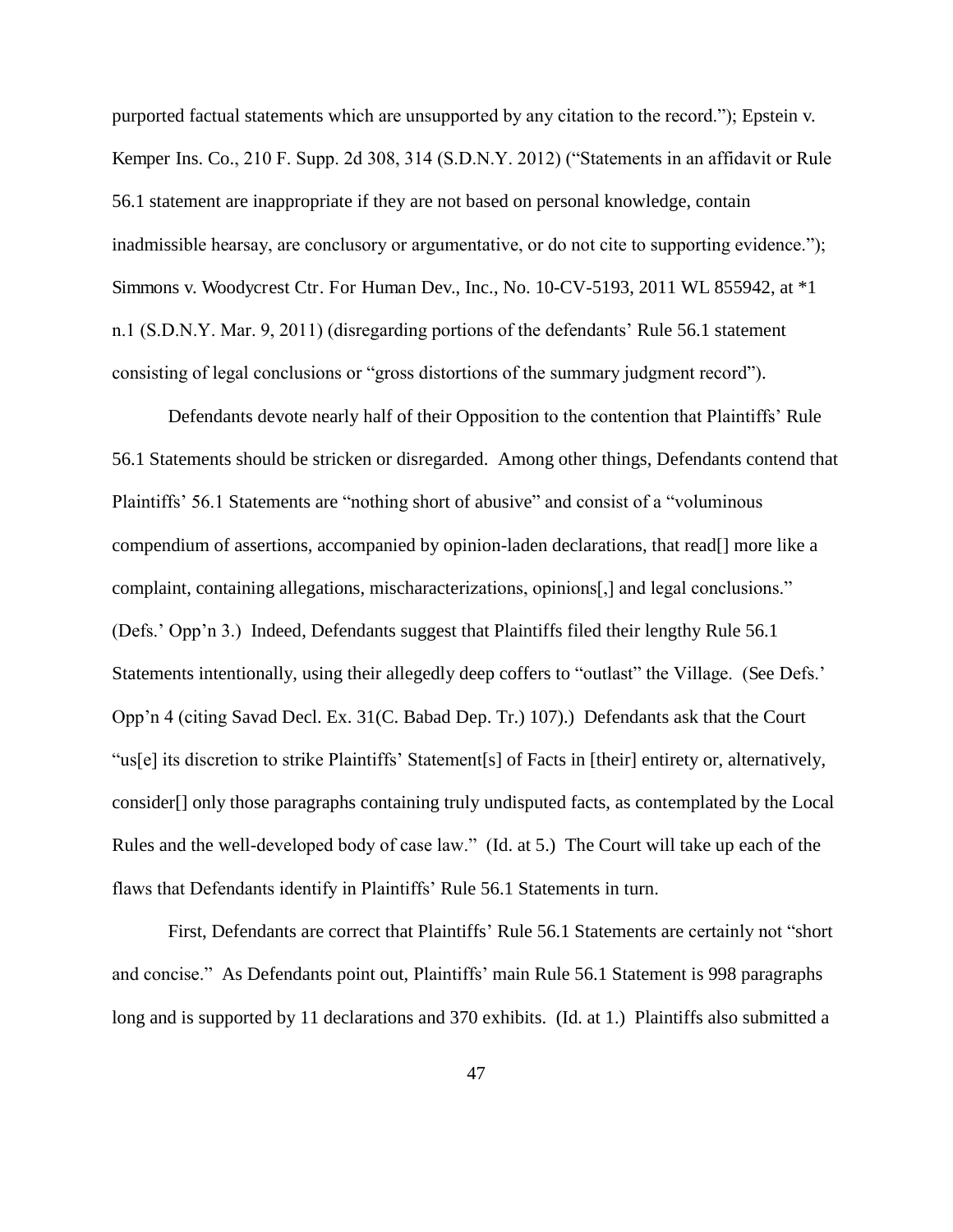purported factual statements which are unsupported by any citation to the record."); Epstein v. Kemper Ins. Co., 210 F. Supp. 2d 308, 314 (S.D.N.Y. 2012) ("Statements in an affidavit or Rule 56.1 statement are inappropriate if they are not based on personal knowledge, contain inadmissible hearsay, are conclusory or argumentative, or do not cite to supporting evidence."); Simmons v. Woodycrest Ctr. For Human Dev., Inc., No. 10-CV-5193, 2011 WL 855942, at \*1 n.1 (S.D.N.Y. Mar. 9, 2011) (disregarding portions of the defendants' Rule 56.1 statement consisting of legal conclusions or "gross distortions of the summary judgment record").

 Defendants devote nearly half of their Opposition to the contention that Plaintiffs' Rule 56.1 Statements should be stricken or disregarded. Among other things, Defendants contend that Plaintiffs' 56.1 Statements are "nothing short of abusive" and consist of a "voluminous compendium of assertions, accompanied by opinion-laden declarations, that read[] more like a complaint, containing allegations, mischaracterizations, opinions[,] and legal conclusions." (Defs.' Opp'n 3.) Indeed, Defendants suggest that Plaintiffs filed their lengthy Rule 56.1 Statements intentionally, using their allegedly deep coffers to "outlast" the Village. (See Defs.' Opp'n 4 (citing Savad Decl. Ex. 31(C. Babad Dep. Tr.) 107).) Defendants ask that the Court "us[e] its discretion to strike Plaintiffs' Statement[s] of Facts in [their] entirety or, alternatively, consider[] only those paragraphs containing truly undisputed facts, as contemplated by the Local Rules and the well-developed body of case law." (Id. at 5.) The Court will take up each of the flaws that Defendants identify in Plaintiffs' Rule 56.1 Statements in turn.

 First, Defendants are correct that Plaintiffs' Rule 56.1 Statements are certainly not "short and concise." As Defendants point out, Plaintiffs' main Rule 56.1 Statement is 998 paragraphs long and is supported by 11 declarations and 370 exhibits. (Id. at 1.) Plaintiffs also submitted a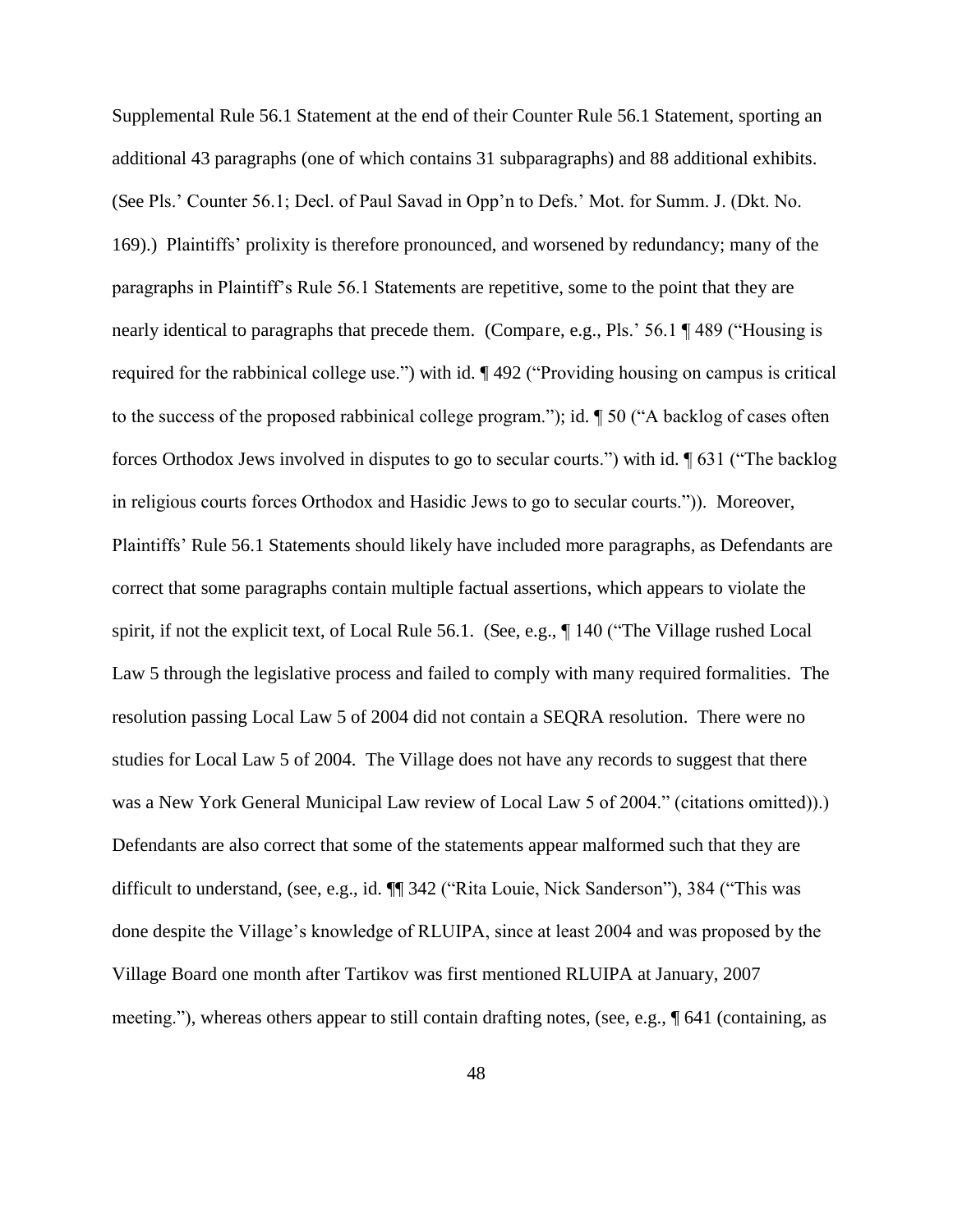Supplemental Rule 56.1 Statement at the end of their Counter Rule 56.1 Statement, sporting an additional 43 paragraphs (one of which contains 31 subparagraphs) and 88 additional exhibits. (See Pls.' Counter 56.1; Decl. of Paul Savad in Opp'n to Defs.' Mot. for Summ. J. (Dkt. No. 169).) Plaintiffs' prolixity is therefore pronounced, and worsened by redundancy; many of the paragraphs in Plaintiff's Rule 56.1 Statements are repetitive, some to the point that they are nearly identical to paragraphs that precede them. (Compare, e.g., Pls.' 56.1 ¶ 489 ("Housing is required for the rabbinical college use.") with id. ¶ 492 ("Providing housing on campus is critical to the success of the proposed rabbinical college program."); id. ¶ 50 ("A backlog of cases often forces Orthodox Jews involved in disputes to go to secular courts.") with id. ¶ 631 ("The backlog in religious courts forces Orthodox and Hasidic Jews to go to secular courts.")). Moreover, Plaintiffs' Rule 56.1 Statements should likely have included more paragraphs, as Defendants are correct that some paragraphs contain multiple factual assertions, which appears to violate the spirit, if not the explicit text, of Local Rule 56.1. (See, e.g., ¶ 140 ("The Village rushed Local Law 5 through the legislative process and failed to comply with many required formalities. The resolution passing Local Law 5 of 2004 did not contain a SEQRA resolution. There were no studies for Local Law 5 of 2004. The Village does not have any records to suggest that there was a New York General Municipal Law review of Local Law 5 of 2004." (citations omitted)).) Defendants are also correct that some of the statements appear malformed such that they are difficult to understand, (see, e.g., id. ¶¶ 342 ("Rita Louie, Nick Sanderson"), 384 ("This was done despite the Village's knowledge of RLUIPA, since at least 2004 and was proposed by the Village Board one month after Tartikov was first mentioned RLUIPA at January, 2007 meeting."), whereas others appear to still contain drafting notes, (see, e.g., ¶ 641 (containing, as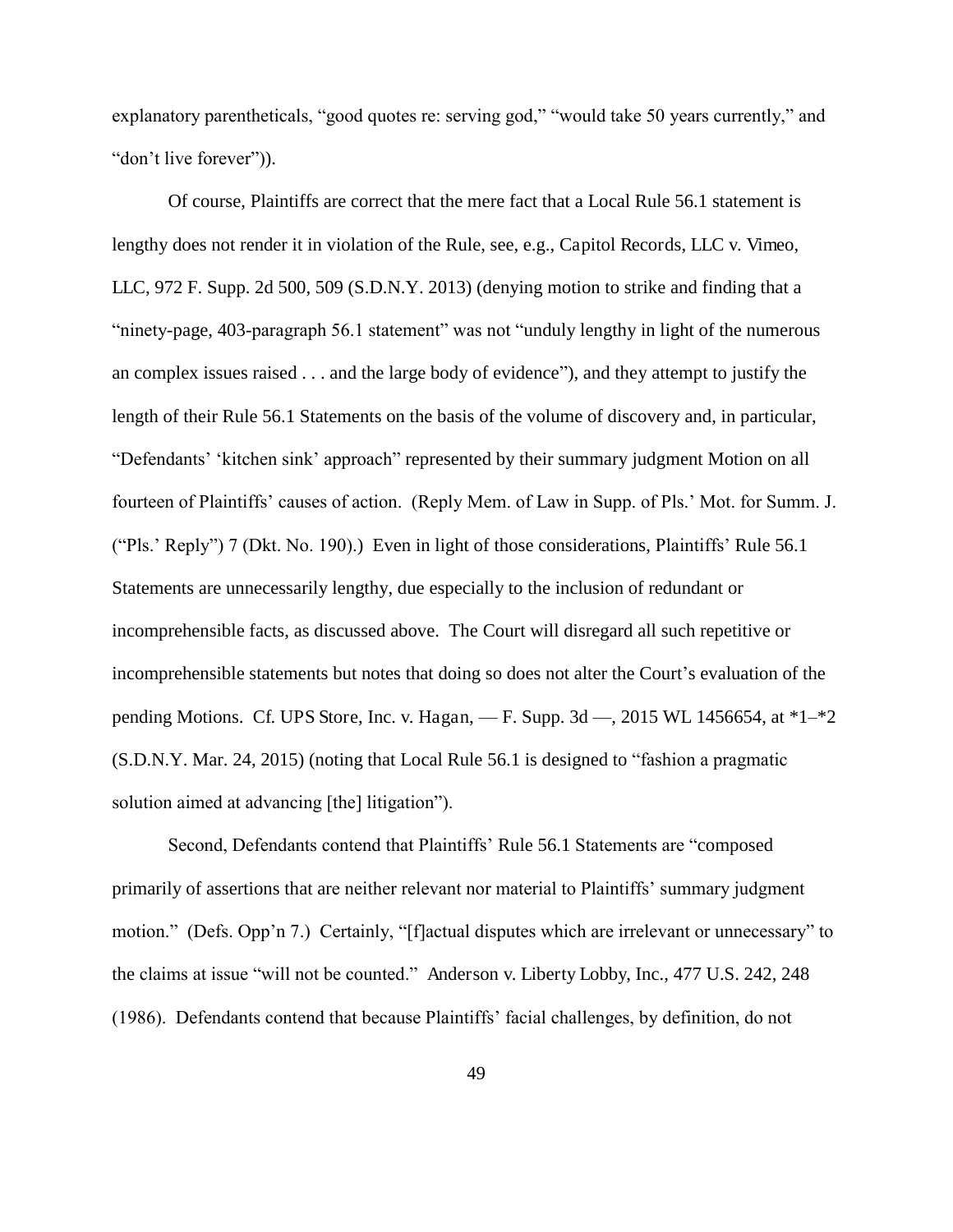explanatory parentheticals, "good quotes re: serving god," "would take 50 years currently," and "don't live forever")).

Of course, Plaintiffs are correct that the mere fact that a Local Rule 56.1 statement is lengthy does not render it in violation of the Rule, see, e.g., Capitol Records, LLC v. Vimeo, LLC, 972 F. Supp. 2d 500, 509 (S.D.N.Y. 2013) (denying motion to strike and finding that a "ninety-page, 403-paragraph 56.1 statement" was not "unduly lengthy in light of the numerous an complex issues raised . . . and the large body of evidence"), and they attempt to justify the length of their Rule 56.1 Statements on the basis of the volume of discovery and, in particular, "Defendants' 'kitchen sink' approach" represented by their summary judgment Motion on all fourteen of Plaintiffs' causes of action. (Reply Mem. of Law in Supp. of Pls.' Mot. for Summ. J. ("Pls.' Reply") 7 (Dkt. No. 190).) Even in light of those considerations, Plaintiffs' Rule 56.1 Statements are unnecessarily lengthy, due especially to the inclusion of redundant or incomprehensible facts, as discussed above. The Court will disregard all such repetitive or incomprehensible statements but notes that doing so does not alter the Court's evaluation of the pending Motions. Cf. UPS Store, Inc. v. Hagan, — F. Supp. 3d —, 2015 WL 1456654, at \*1–\*2 (S.D.N.Y. Mar. 24, 2015) (noting that Local Rule 56.1 is designed to "fashion a pragmatic solution aimed at advancing [the] litigation").

Second, Defendants contend that Plaintiffs' Rule 56.1 Statements are "composed primarily of assertions that are neither relevant nor material to Plaintiffs' summary judgment motion." (Defs. Opp'n 7.) Certainly, "[f]actual disputes which are irrelevant or unnecessary" to the claims at issue "will not be counted." Anderson v. Liberty Lobby, Inc., 477 U.S. 242, 248 (1986). Defendants contend that because Plaintiffs' facial challenges, by definition, do not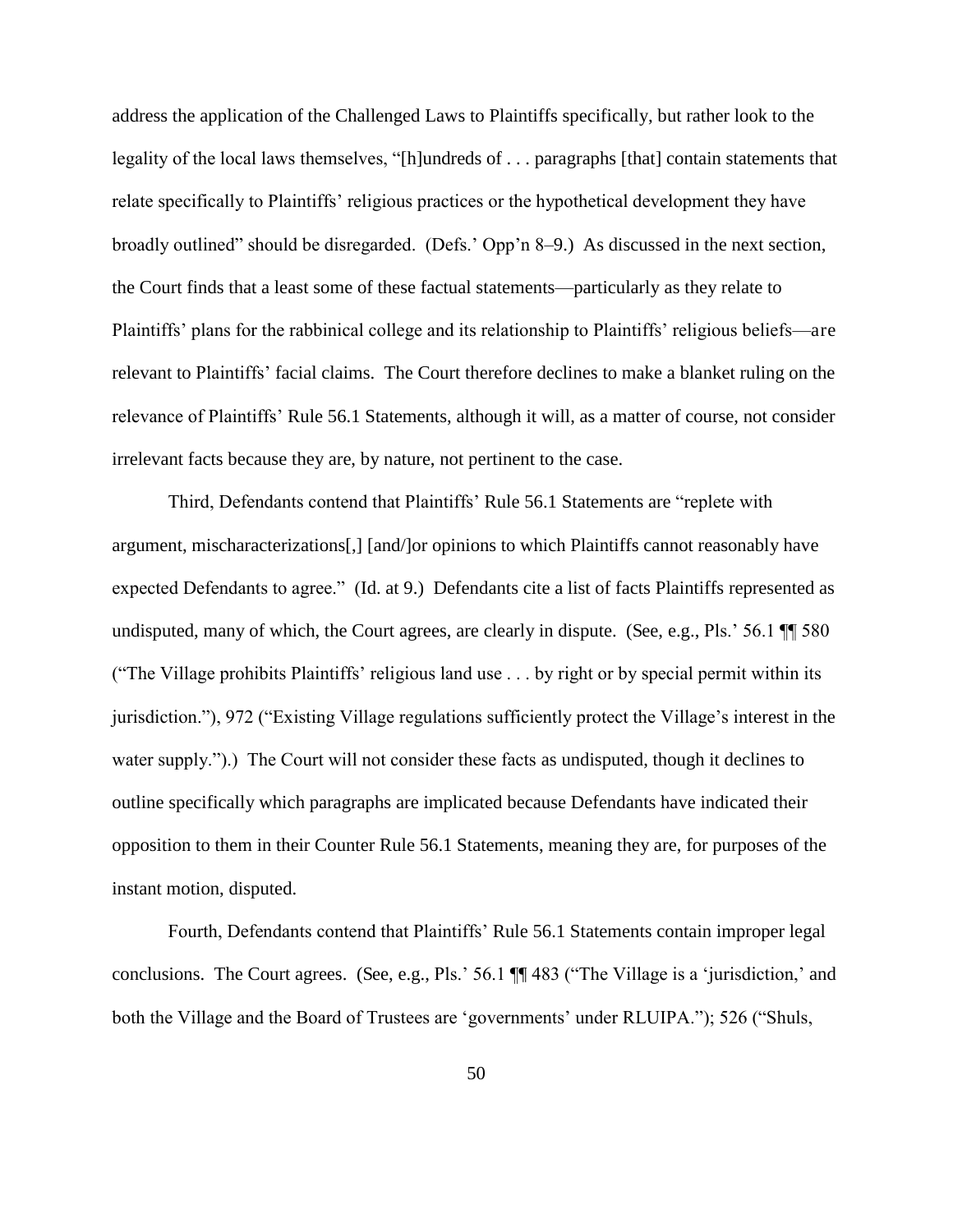address the application of the Challenged Laws to Plaintiffs specifically, but rather look to the legality of the local laws themselves, "[h]undreds of . . . paragraphs [that] contain statements that relate specifically to Plaintiffs' religious practices or the hypothetical development they have broadly outlined" should be disregarded. (Defs.' Opp'n 8–9.) As discussed in the next section, the Court finds that a least some of these factual statements—particularly as they relate to Plaintiffs' plans for the rabbinical college and its relationship to Plaintiffs' religious beliefs—are relevant to Plaintiffs' facial claims. The Court therefore declines to make a blanket ruling on the relevance of Plaintiffs' Rule 56.1 Statements, although it will, as a matter of course, not consider irrelevant facts because they are, by nature, not pertinent to the case.

Third, Defendants contend that Plaintiffs' Rule 56.1 Statements are "replete with argument, mischaracterizations[,] [and/]or opinions to which Plaintiffs cannot reasonably have expected Defendants to agree." (Id. at 9.) Defendants cite a list of facts Plaintiffs represented as undisputed, many of which, the Court agrees, are clearly in dispute. (See, e.g., Pls.' 56.1  $\P$  580 ("The Village prohibits Plaintiffs' religious land use . . . by right or by special permit within its jurisdiction."), 972 ("Existing Village regulations sufficiently protect the Village's interest in the water supply.").) The Court will not consider these facts as undisputed, though it declines to outline specifically which paragraphs are implicated because Defendants have indicated their opposition to them in their Counter Rule 56.1 Statements, meaning they are, for purposes of the instant motion, disputed.

Fourth, Defendants contend that Plaintiffs' Rule 56.1 Statements contain improper legal conclusions. The Court agrees. (See, e.g., Pls.' 56.1 ¶¶ 483 ("The Village is a 'jurisdiction,' and both the Village and the Board of Trustees are 'governments' under RLUIPA."); 526 ("Shuls,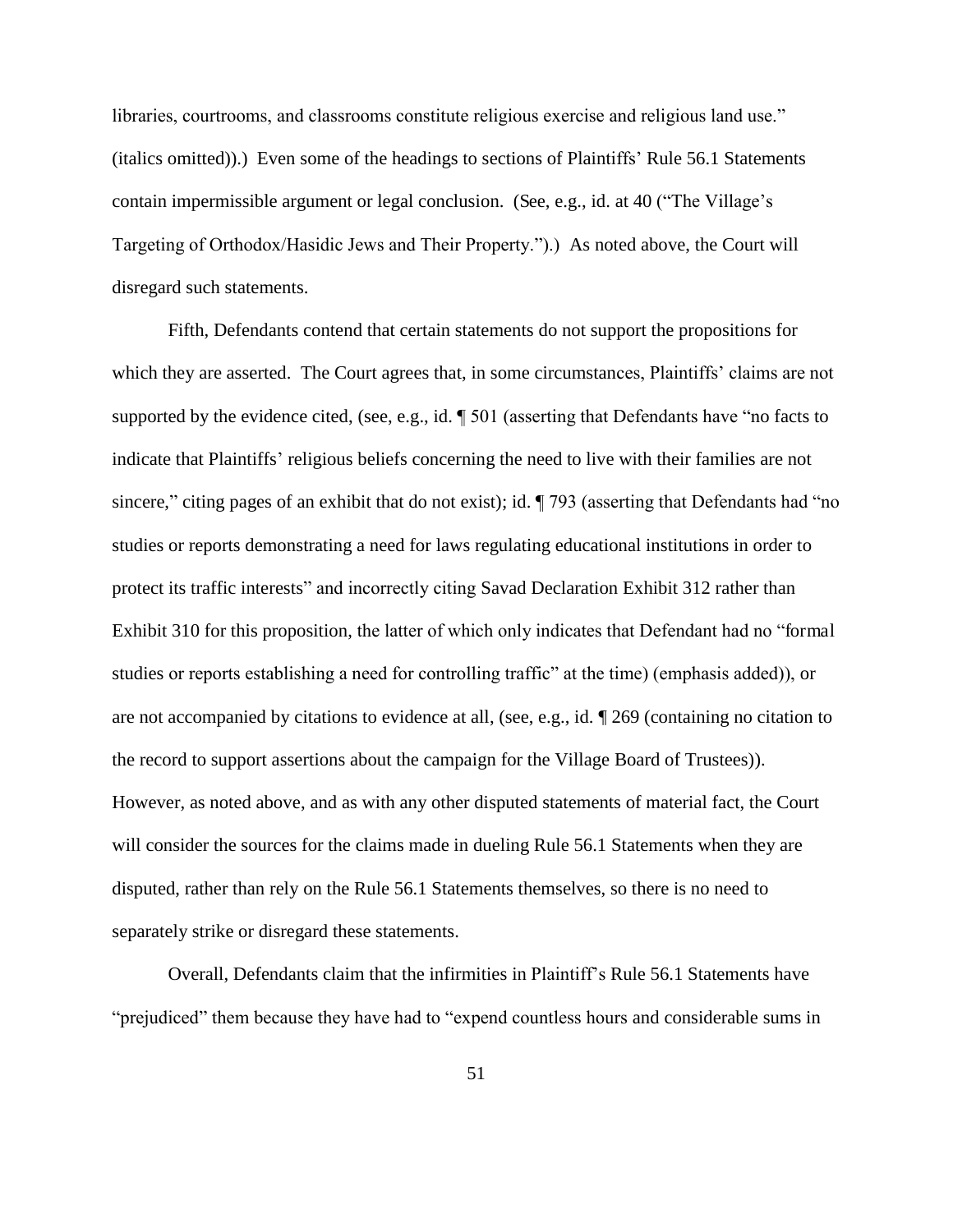libraries, courtrooms, and classrooms constitute religious exercise and religious land use." (italics omitted)).) Even some of the headings to sections of Plaintiffs' Rule 56.1 Statements contain impermissible argument or legal conclusion. (See, e.g., id. at 40 ("The Village's Targeting of Orthodox/Hasidic Jews and Their Property.").) As noted above, the Court will disregard such statements.

 Fifth, Defendants contend that certain statements do not support the propositions for which they are asserted. The Court agrees that, in some circumstances, Plaintiffs' claims are not supported by the evidence cited, (see, e.g., id. ¶ 501 (asserting that Defendants have "no facts to indicate that Plaintiffs' religious beliefs concerning the need to live with their families are not sincere," citing pages of an exhibit that do not exist); id. ¶ 793 (asserting that Defendants had "no studies or reports demonstrating a need for laws regulating educational institutions in order to protect its traffic interests" and incorrectly citing Savad Declaration Exhibit 312 rather than Exhibit 310 for this proposition, the latter of which only indicates that Defendant had no "formal studies or reports establishing a need for controlling traffic" at the time) (emphasis added)), or are not accompanied by citations to evidence at all, (see, e.g., id. ¶ 269 (containing no citation to the record to support assertions about the campaign for the Village Board of Trustees)). However, as noted above, and as with any other disputed statements of material fact, the Court will consider the sources for the claims made in dueling Rule 56.1 Statements when they are disputed, rather than rely on the Rule 56.1 Statements themselves, so there is no need to separately strike or disregard these statements.

 Overall, Defendants claim that the infirmities in Plaintiff's Rule 56.1 Statements have "prejudiced" them because they have had to "expend countless hours and considerable sums in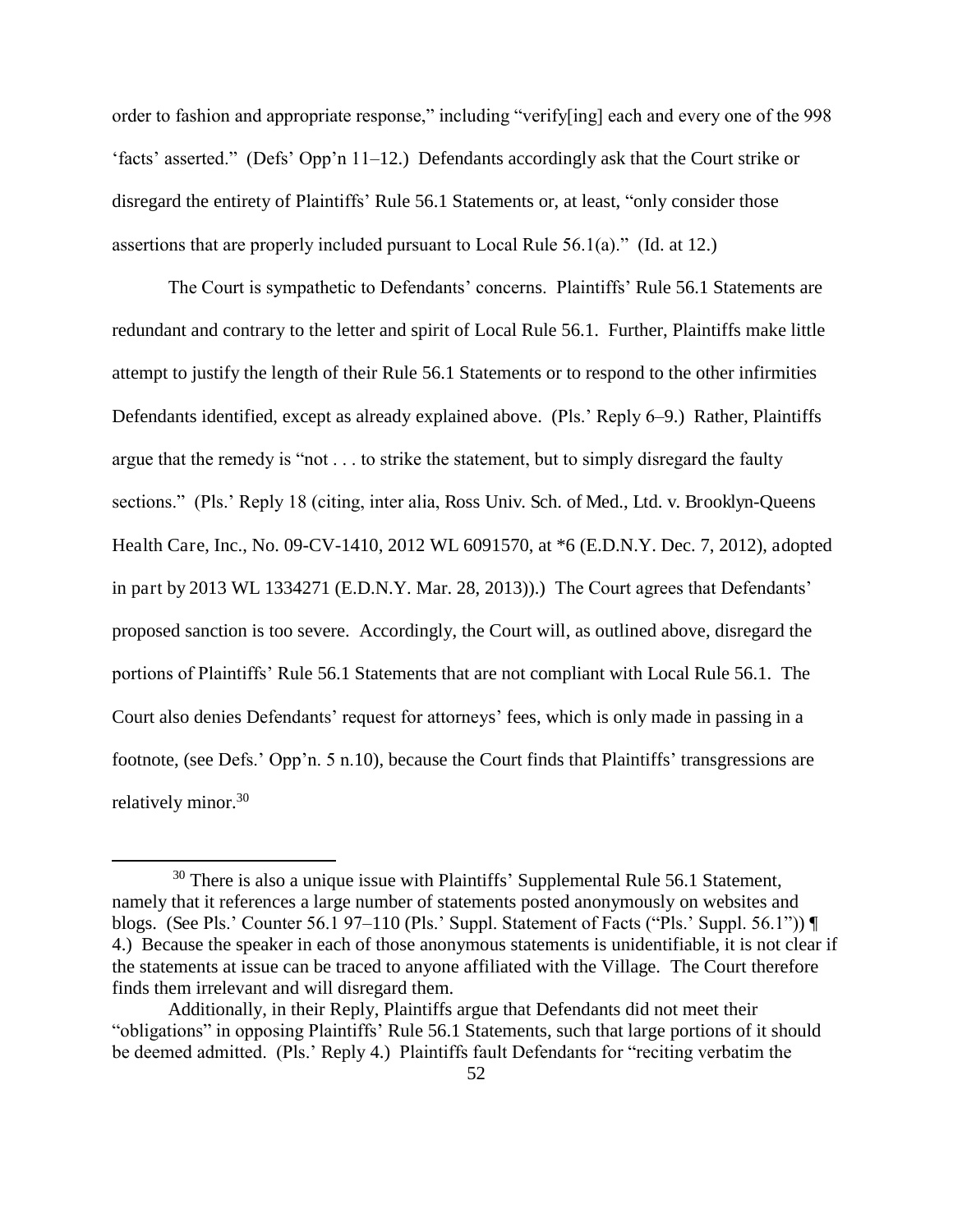order to fashion and appropriate response," including "verify[ing] each and every one of the 998 'facts' asserted." (Defs' Opp'n 11–12.) Defendants accordingly ask that the Court strike or disregard the entirety of Plaintiffs' Rule 56.1 Statements or, at least, "only consider those assertions that are properly included pursuant to Local Rule 56.1(a)." (Id. at 12.)

The Court is sympathetic to Defendants' concerns. Plaintiffs' Rule 56.1 Statements are redundant and contrary to the letter and spirit of Local Rule 56.1. Further, Plaintiffs make little attempt to justify the length of their Rule 56.1 Statements or to respond to the other infirmities Defendants identified, except as already explained above. (Pls.' Reply 6–9.) Rather, Plaintiffs argue that the remedy is "not . . . to strike the statement, but to simply disregard the faulty sections." (Pls.' Reply 18 (citing, inter alia, Ross Univ. Sch. of Med., Ltd. v. Brooklyn-Queens Health Care, Inc., No. 09-CV-1410, 2012 WL 6091570, at \*6 (E.D.N.Y. Dec. 7, 2012), adopted in part by 2013 WL 1334271 (E.D.N.Y. Mar. 28, 2013)).) The Court agrees that Defendants' proposed sanction is too severe. Accordingly, the Court will, as outlined above, disregard the portions of Plaintiffs' Rule 56.1 Statements that are not compliant with Local Rule 56.1. The Court also denies Defendants' request for attorneys' fees, which is only made in passing in a footnote, (see Defs.' Opp'n. 5 n.10), because the Court finds that Plaintiffs' transgressions are relatively minor.<sup>30</sup>

<sup>&</sup>lt;sup>30</sup> There is also a unique issue with Plaintiffs' Supplemental Rule 56.1 Statement, namely that it references a large number of statements posted anonymously on websites and blogs. (See Pls.' Counter 56.1 97–110 (Pls.' Suppl. Statement of Facts ("Pls.' Suppl. 56.1")) ¶ 4.) Because the speaker in each of those anonymous statements is unidentifiable, it is not clear if the statements at issue can be traced to anyone affiliated with the Village. The Court therefore finds them irrelevant and will disregard them.

Additionally, in their Reply, Plaintiffs argue that Defendants did not meet their "obligations" in opposing Plaintiffs' Rule 56.1 Statements, such that large portions of it should be deemed admitted. (Pls.' Reply 4.) Plaintiffs fault Defendants for "reciting verbatim the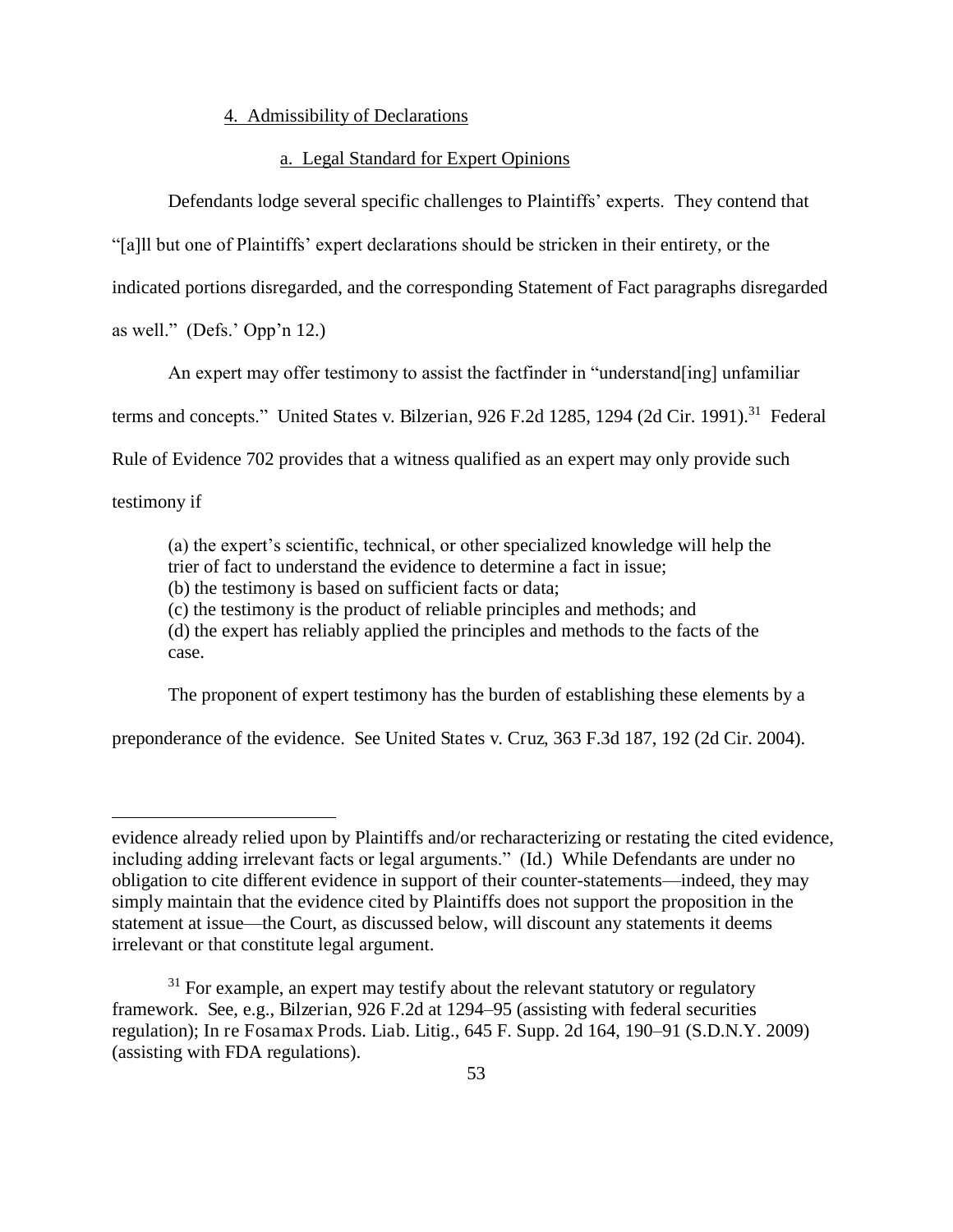## 4. Admissibility of Declarations

## a. Legal Standard for Expert Opinions

Defendants lodge several specific challenges to Plaintiffs' experts. They contend that "[a]ll but one of Plaintiffs' expert declarations should be stricken in their entirety, or the

indicated portions disregarded, and the corresponding Statement of Fact paragraphs disregarded

as well." (Defs.' Opp'n 12.)

An expert may offer testimony to assist the factfinder in "understand[ing] unfamiliar

terms and concepts." United States v. Bilzerian, 926 F.2d 1285, 1294 (2d Cir. 1991).<sup>31</sup> Federal

Rule of Evidence 702 provides that a witness qualified as an expert may only provide such

testimony if

 $\overline{a}$ 

(a) the expert's scientific, technical, or other specialized knowledge will help the trier of fact to understand the evidence to determine a fact in issue; (b) the testimony is based on sufficient facts or data;

(c) the testimony is the product of reliable principles and methods; and

(d) the expert has reliably applied the principles and methods to the facts of the case.

The proponent of expert testimony has the burden of establishing these elements by a

preponderance of the evidence. See United States v. Cruz, 363 F.3d 187, 192 (2d Cir. 2004).

evidence already relied upon by Plaintiffs and/or recharacterizing or restating the cited evidence, including adding irrelevant facts or legal arguments." (Id.) While Defendants are under no obligation to cite different evidence in support of their counter-statements—indeed, they may simply maintain that the evidence cited by Plaintiffs does not support the proposition in the statement at issue—the Court, as discussed below, will discount any statements it deems irrelevant or that constitute legal argument.

 $31$  For example, an expert may testify about the relevant statutory or regulatory framework. See, e.g., Bilzerian, 926 F.2d at 1294–95 (assisting with federal securities regulation); In re Fosamax Prods. Liab. Litig., 645 F. Supp. 2d 164, 190–91 (S.D.N.Y. 2009) (assisting with FDA regulations).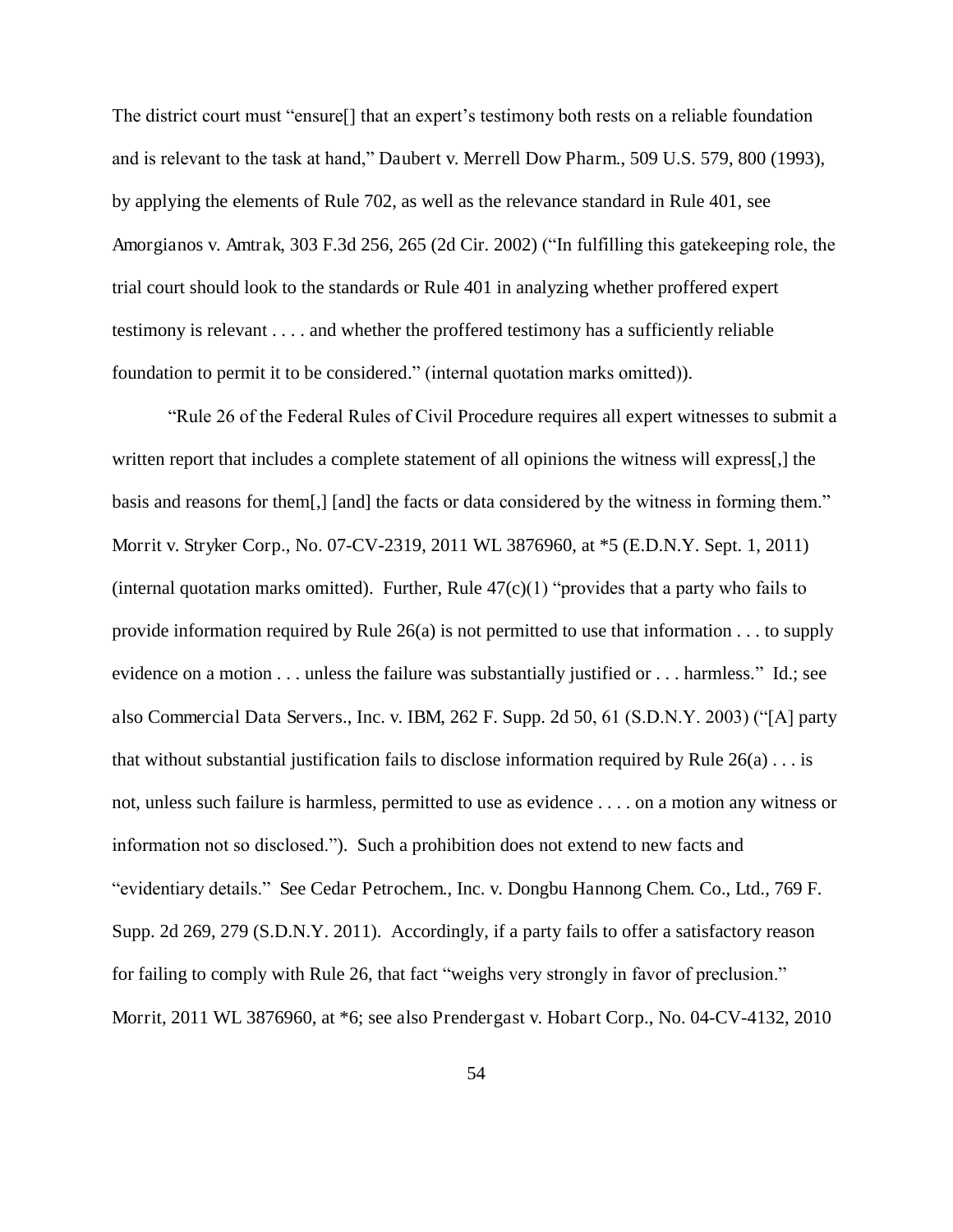The district court must "ensure[] that an expert's testimony both rests on a reliable foundation and is relevant to the task at hand," Daubert v. Merrell Dow Pharm., 509 U.S. 579, 800 (1993), by applying the elements of Rule 702, as well as the relevance standard in Rule 401, see Amorgianos v. Amtrak, 303 F.3d 256, 265 (2d Cir. 2002) ("In fulfilling this gatekeeping role, the trial court should look to the standards or Rule 401 in analyzing whether proffered expert testimony is relevant . . . . and whether the proffered testimony has a sufficiently reliable foundation to permit it to be considered." (internal quotation marks omitted)).

"Rule 26 of the Federal Rules of Civil Procedure requires all expert witnesses to submit a written report that includes a complete statement of all opinions the witness will express[,] the basis and reasons for them[,] [and] the facts or data considered by the witness in forming them." Morrit v. Stryker Corp., No. 07-CV-2319, 2011 WL 3876960, at \*5 (E.D.N.Y. Sept. 1, 2011) (internal quotation marks omitted). Further, Rule  $47(c)(1)$  "provides that a party who fails to provide information required by Rule  $26(a)$  is not permitted to use that information . . . to supply evidence on a motion . . . unless the failure was substantially justified or . . . harmless." Id.; see also Commercial Data Servers., Inc. v. IBM, 262 F. Supp. 2d 50, 61 (S.D.N.Y. 2003) ("[A] party that without substantial justification fails to disclose information required by Rule  $26(a) \ldots$  is not, unless such failure is harmless, permitted to use as evidence . . . . on a motion any witness or information not so disclosed."). Such a prohibition does not extend to new facts and "evidentiary details." See Cedar Petrochem., Inc. v. Dongbu Hannong Chem. Co., Ltd., 769 F. Supp. 2d 269, 279 (S.D.N.Y. 2011). Accordingly, if a party fails to offer a satisfactory reason for failing to comply with Rule 26, that fact "weighs very strongly in favor of preclusion." Morrit, 2011 WL 3876960, at \*6; see also Prendergast v. Hobart Corp., No. 04-CV-4132, 2010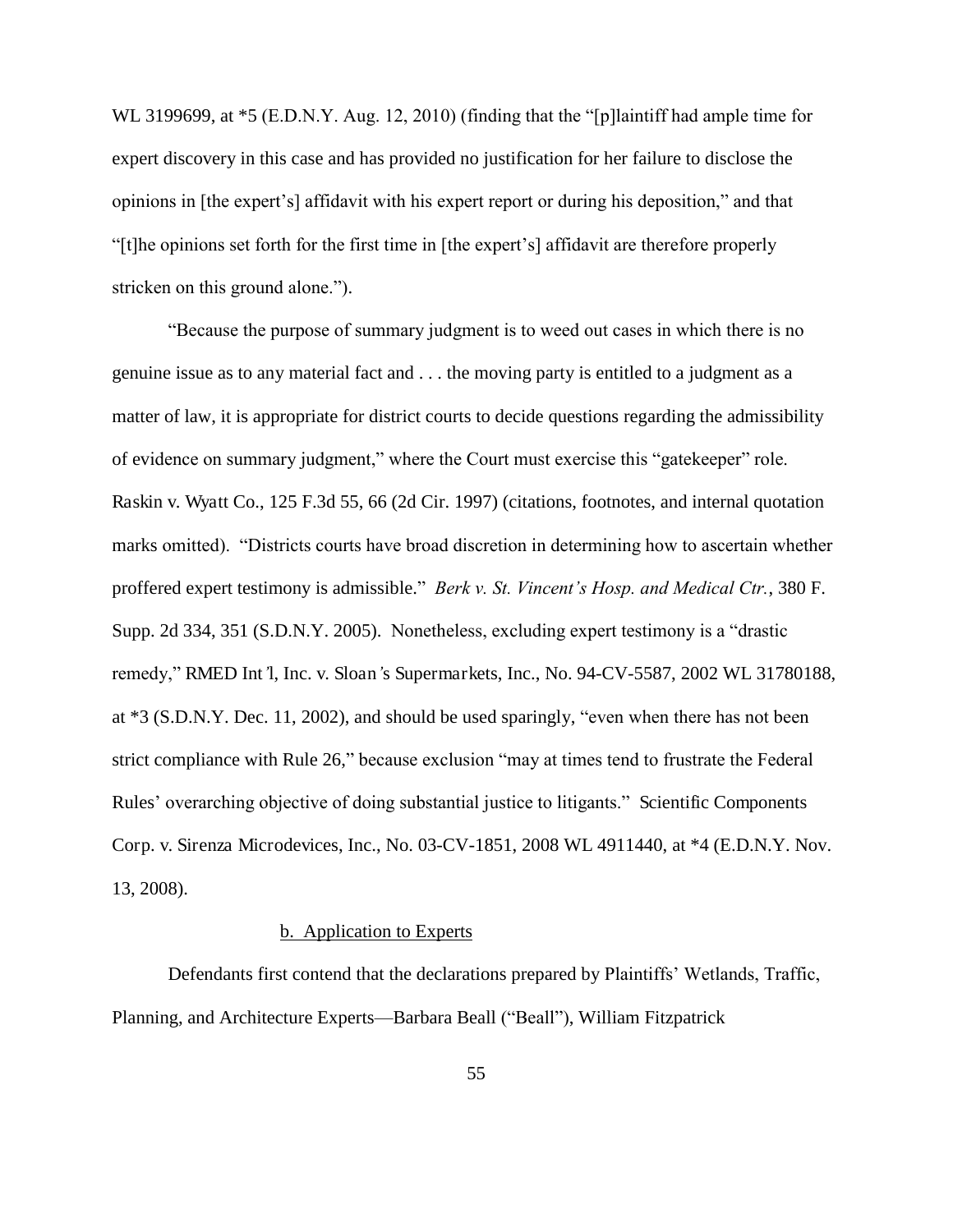WL 3199699, at  $*5$  (E.D.N.Y. Aug. 12, 2010) (finding that the "[p]laintiff had ample time for expert discovery in this case and has provided no justification for her failure to disclose the opinions in [the expert's] affidavit with his expert report or during his deposition," and that "[t]he opinions set forth for the first time in [the expert's] affidavit are therefore properly stricken on this ground alone.").

"Because the purpose of summary judgment is to weed out cases in which there is no genuine issue as to any material fact and . . . the moving party is entitled to a judgment as a matter of law, it is appropriate for district courts to decide questions regarding the admissibility of evidence on summary judgment," where the Court must exercise this "gatekeeper" role. Raskin v. Wyatt Co., 125 F.3d 55, 66 (2d Cir. 1997) (citations, footnotes, and internal quotation marks omitted). "Districts courts have broad discretion in determining how to ascertain whether proffered expert testimony is admissible." *Berk v. St. Vincent's Hosp. and Medical Ctr.*, 380 F. Supp. 2d 334, 351 (S.D.N.Y. 2005). Nonetheless, excluding expert testimony is a "drastic remedy," RMED Int*'*l, Inc. v. Sloan*'*s Supermarkets, Inc., No. 94-CV-5587, 2002 WL 31780188, at \*3 (S.D.N.Y. Dec. 11, 2002), and should be used sparingly, "even when there has not been strict compliance with Rule 26," because exclusion "may at times tend to frustrate the Federal Rules' overarching objective of doing substantial justice to litigants." Scientific Components Corp. v. Sirenza Microdevices, Inc., No. 03-CV-1851, 2008 WL 4911440, at \*4 (E.D.N.Y. Nov. 13, 2008).

# b. Application to Experts

 Defendants first contend that the declarations prepared by Plaintiffs' Wetlands, Traffic, Planning, and Architecture Experts—Barbara Beall ("Beall"), William Fitzpatrick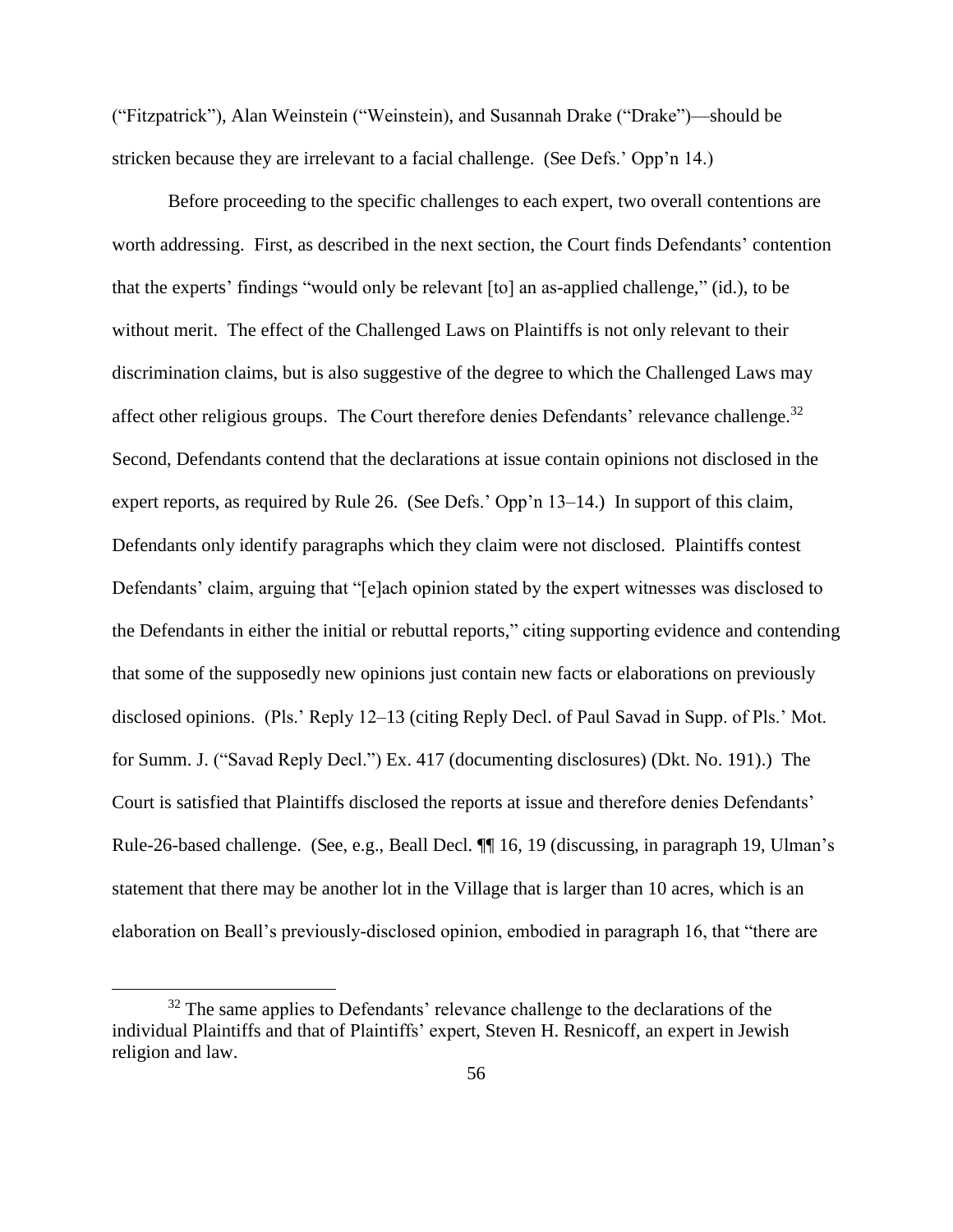("Fitzpatrick"), Alan Weinstein ("Weinstein), and Susannah Drake ("Drake")—should be stricken because they are irrelevant to a facial challenge. (See Defs.' Opp'n 14.)

Before proceeding to the specific challenges to each expert, two overall contentions are worth addressing. First, as described in the next section, the Court finds Defendants' contention that the experts' findings "would only be relevant [to] an as-applied challenge," (id.), to be without merit. The effect of the Challenged Laws on Plaintiffs is not only relevant to their discrimination claims, but is also suggestive of the degree to which the Challenged Laws may affect other religious groups. The Court therefore denies Defendants' relevance challenge.<sup>32</sup> Second, Defendants contend that the declarations at issue contain opinions not disclosed in the expert reports, as required by Rule 26. (See Defs.' Opp'n 13–14.) In support of this claim, Defendants only identify paragraphs which they claim were not disclosed. Plaintiffs contest Defendants' claim, arguing that "[e]ach opinion stated by the expert witnesses was disclosed to the Defendants in either the initial or rebuttal reports," citing supporting evidence and contending that some of the supposedly new opinions just contain new facts or elaborations on previously disclosed opinions. (Pls.' Reply 12–13 (citing Reply Decl. of Paul Savad in Supp. of Pls.' Mot. for Summ. J. ("Savad Reply Decl.") Ex. 417 (documenting disclosures) (Dkt. No. 191).) The Court is satisfied that Plaintiffs disclosed the reports at issue and therefore denies Defendants' Rule-26-based challenge. (See, e.g., Beall Decl. ¶¶ 16, 19 (discussing, in paragraph 19, Ulman's statement that there may be another lot in the Village that is larger than 10 acres, which is an elaboration on Beall's previously-disclosed opinion, embodied in paragraph 16, that "there are

 $32$  The same applies to Defendants' relevance challenge to the declarations of the individual Plaintiffs and that of Plaintiffs' expert, Steven H. Resnicoff, an expert in Jewish religion and law.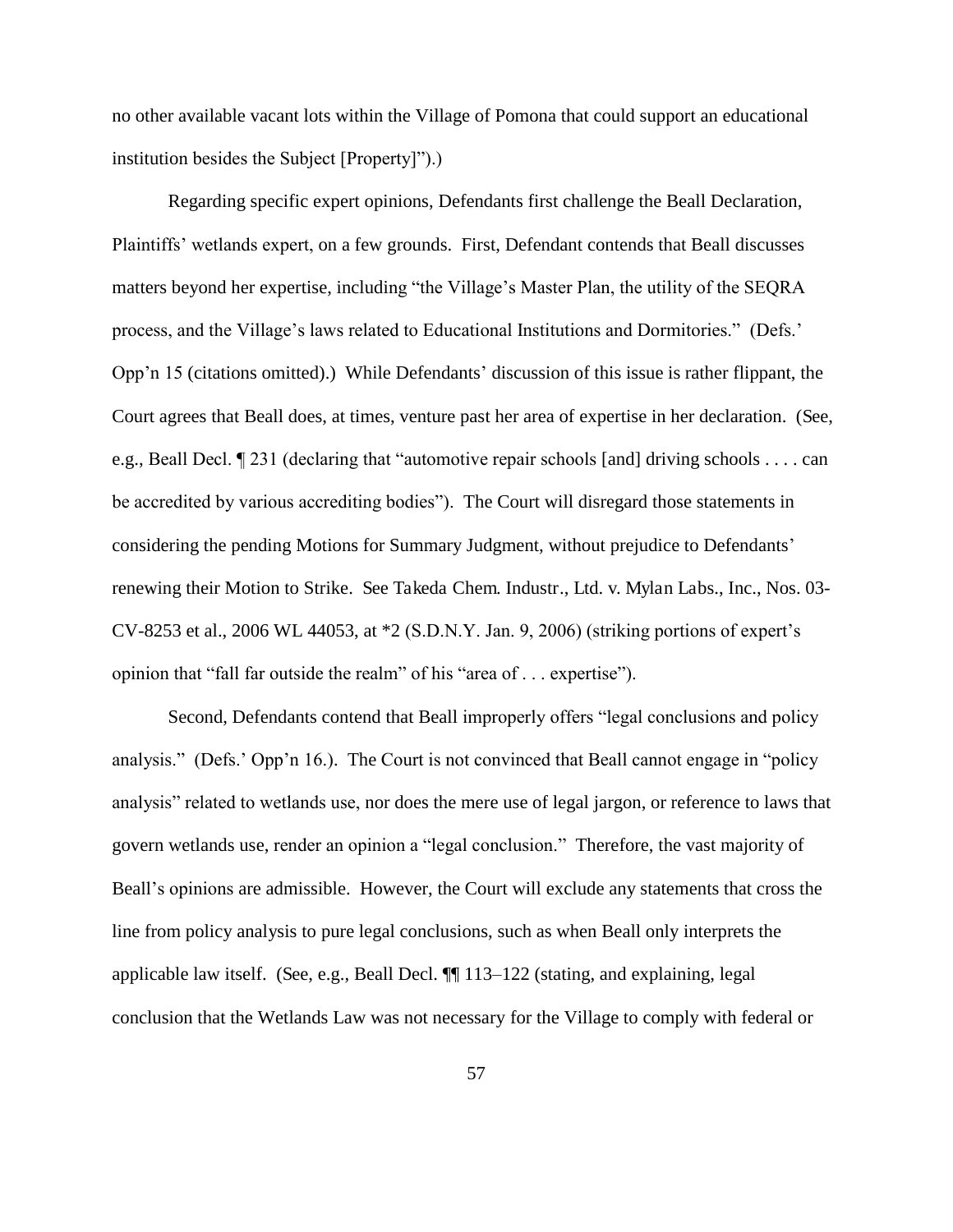no other available vacant lots within the Village of Pomona that could support an educational institution besides the Subject [Property]").)

 Regarding specific expert opinions, Defendants first challenge the Beall Declaration, Plaintiffs' wetlands expert, on a few grounds. First, Defendant contends that Beall discusses matters beyond her expertise, including "the Village's Master Plan, the utility of the SEQRA process, and the Village's laws related to Educational Institutions and Dormitories." (Defs.' Opp'n 15 (citations omitted).) While Defendants' discussion of this issue is rather flippant, the Court agrees that Beall does, at times, venture past her area of expertise in her declaration. (See, e.g., Beall Decl. ¶ 231 (declaring that "automotive repair schools [and] driving schools . . . . can be accredited by various accrediting bodies"). The Court will disregard those statements in considering the pending Motions for Summary Judgment, without prejudice to Defendants' renewing their Motion to Strike. See Takeda Chem. Industr., Ltd. v. Mylan Labs., Inc., Nos. 03- CV-8253 et al., 2006 WL 44053, at \*2 (S.D.N.Y. Jan. 9, 2006) (striking portions of expert's opinion that "fall far outside the realm" of his "area of . . . expertise").

Second, Defendants contend that Beall improperly offers "legal conclusions and policy analysis." (Defs.' Opp'n 16.). The Court is not convinced that Beall cannot engage in "policy analysis" related to wetlands use, nor does the mere use of legal jargon, or reference to laws that govern wetlands use, render an opinion a "legal conclusion." Therefore, the vast majority of Beall's opinions are admissible. However, the Court will exclude any statements that cross the line from policy analysis to pure legal conclusions, such as when Beall only interprets the applicable law itself. (See, e.g., Beall Decl. ¶¶ 113–122 (stating, and explaining, legal conclusion that the Wetlands Law was not necessary for the Village to comply with federal or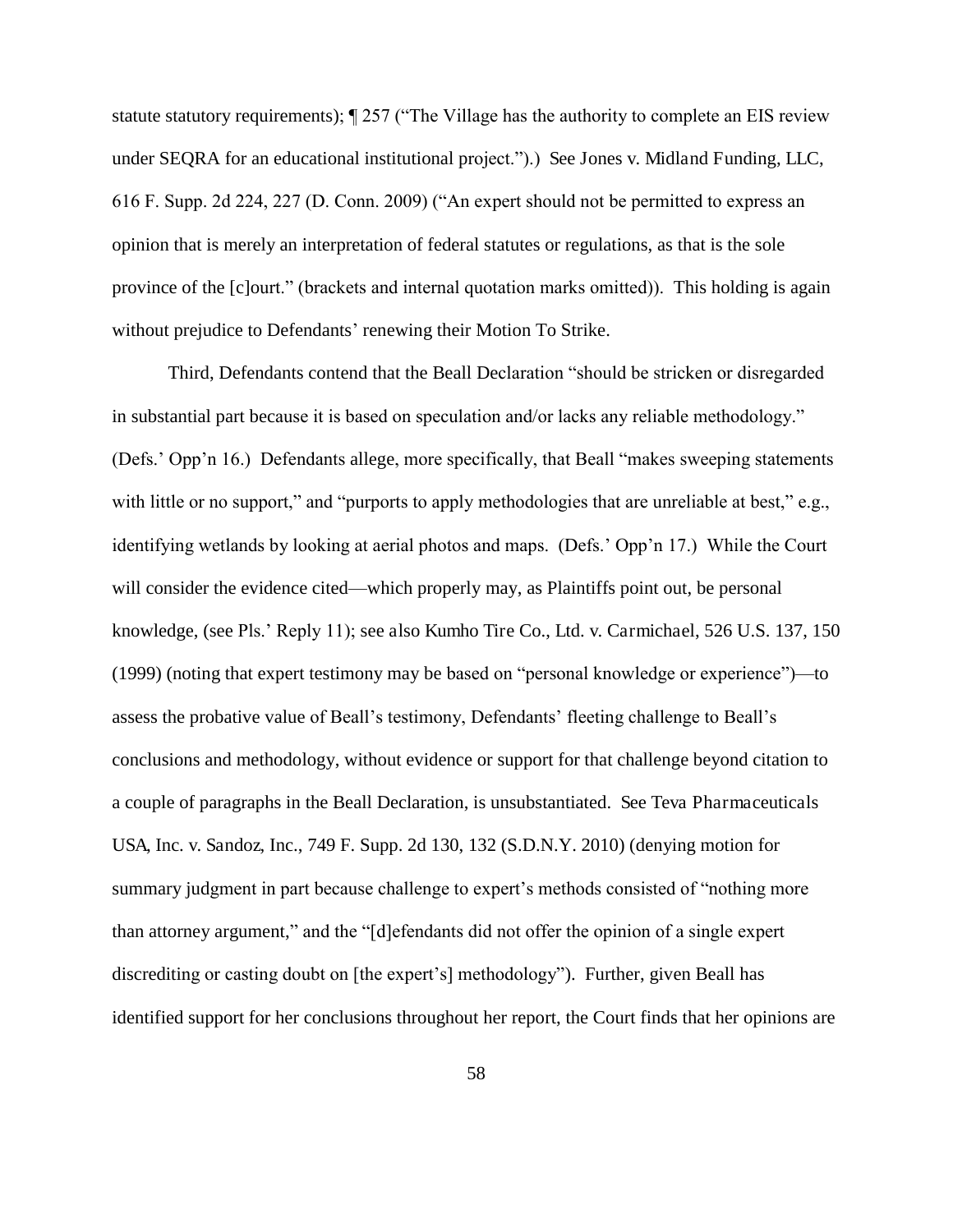statute statutory requirements); ¶ 257 ("The Village has the authority to complete an EIS review under SEQRA for an educational institutional project.").) See Jones v. Midland Funding, LLC, 616 F. Supp. 2d 224, 227 (D. Conn. 2009) ("An expert should not be permitted to express an opinion that is merely an interpretation of federal statutes or regulations, as that is the sole province of the [c]ourt." (brackets and internal quotation marks omitted)). This holding is again without prejudice to Defendants' renewing their Motion To Strike.

Third, Defendants contend that the Beall Declaration "should be stricken or disregarded in substantial part because it is based on speculation and/or lacks any reliable methodology." (Defs.' Opp'n 16.) Defendants allege, more specifically, that Beall "makes sweeping statements with little or no support," and "purports to apply methodologies that are unreliable at best," e.g., identifying wetlands by looking at aerial photos and maps. (Defs.' Opp'n 17.) While the Court will consider the evidence cited—which properly may, as Plaintiffs point out, be personal knowledge, (see Pls.' Reply 11); see also Kumho Tire Co., Ltd. v. Carmichael, 526 U.S. 137, 150 (1999) (noting that expert testimony may be based on "personal knowledge or experience")—to assess the probative value of Beall's testimony, Defendants' fleeting challenge to Beall's conclusions and methodology, without evidence or support for that challenge beyond citation to a couple of paragraphs in the Beall Declaration, is unsubstantiated. See Teva Pharmaceuticals USA, Inc. v. Sandoz, Inc., 749 F. Supp. 2d 130, 132 (S.D.N.Y. 2010) (denying motion for summary judgment in part because challenge to expert's methods consisted of "nothing more than attorney argument," and the "[d]efendants did not offer the opinion of a single expert discrediting or casting doubt on [the expert's] methodology"). Further, given Beall has identified support for her conclusions throughout her report, the Court finds that her opinions are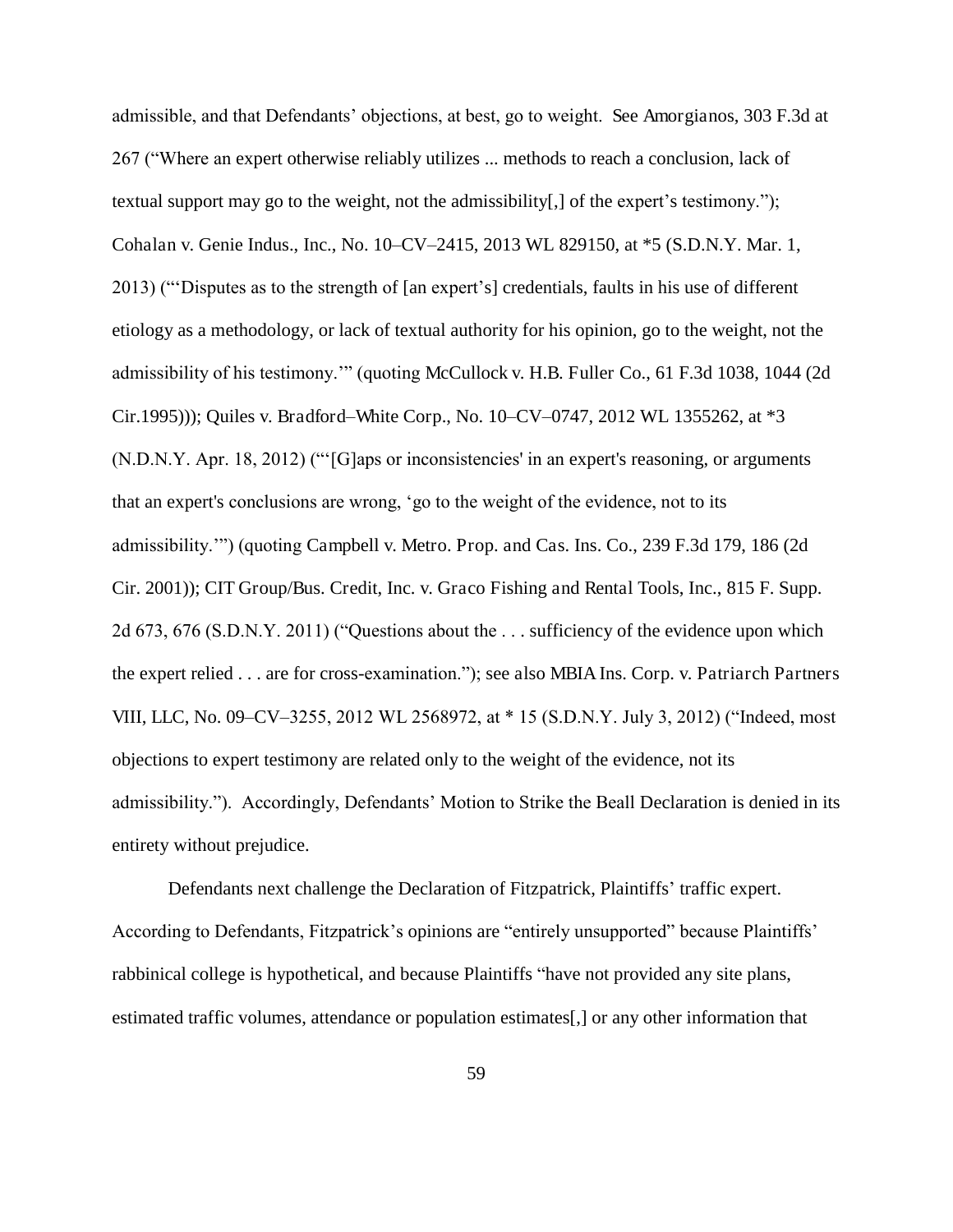admissible, and that Defendants' objections, at best, go to weight. See Amorgianos, 303 F.3d at 267 ("Where an expert otherwise reliably utilizes ... methods to reach a conclusion, lack of textual support may go to the weight, not the admissibility[,] of the expert's testimony."); Cohalan v. Genie Indus., Inc., No. 10–CV–2415, 2013 WL 829150, at \*5 (S.D.N.Y. Mar. 1, 2013) ("'Disputes as to the strength of [an expert's] credentials, faults in his use of different etiology as a methodology, or lack of textual authority for his opinion, go to the weight, not the admissibility of his testimony.'" (quoting McCullock v. H.B. Fuller Co., 61 F.3d 1038, 1044 (2d Cir.1995))); Quiles v. Bradford*–*White Corp., No. 10–CV–0747, 2012 WL 1355262, at \*3 (N.D.N.Y. Apr. 18, 2012) ("'[G]aps or inconsistencies' in an expert's reasoning, or arguments that an expert's conclusions are wrong, 'go to the weight of the evidence, not to its admissibility.'") (quoting Campbell v. Metro. Prop. and Cas. Ins. Co., 239 F.3d 179, 186 (2d Cir. 2001)); CIT Group/Bus. Credit, Inc. v. Graco Fishing and Rental Tools, Inc., 815 F. Supp. 2d 673, 676 (S.D.N.Y. 2011) ("Questions about the . . . sufficiency of the evidence upon which the expert relied . . . are for cross-examination."); see also MBIA Ins. Corp. v. Patriarch Partners VIII, LLC, No. 09–CV–3255, 2012 WL 2568972, at \* 15 (S.D.N.Y. July 3, 2012) ("Indeed, most objections to expert testimony are related only to the weight of the evidence, not its admissibility."). Accordingly, Defendants' Motion to Strike the Beall Declaration is denied in its entirety without prejudice.

 Defendants next challenge the Declaration of Fitzpatrick, Plaintiffs' traffic expert. According to Defendants, Fitzpatrick's opinions are "entirely unsupported" because Plaintiffs' rabbinical college is hypothetical, and because Plaintiffs "have not provided any site plans, estimated traffic volumes, attendance or population estimates[,] or any other information that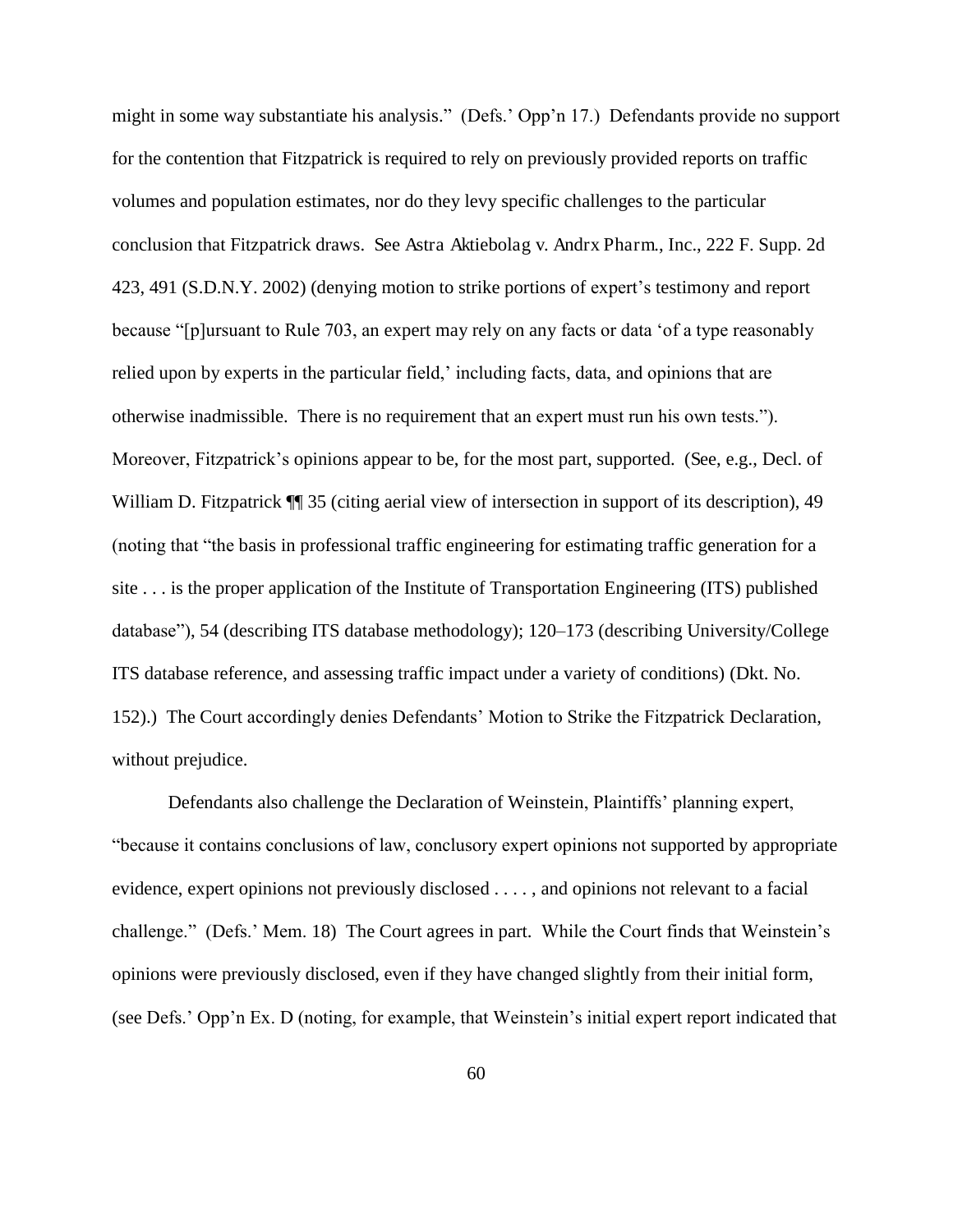might in some way substantiate his analysis." (Defs.' Opp'n 17.) Defendants provide no support for the contention that Fitzpatrick is required to rely on previously provided reports on traffic volumes and population estimates, nor do they levy specific challenges to the particular conclusion that Fitzpatrick draws. See Astra Aktiebolag v. Andrx Pharm., Inc., 222 F. Supp. 2d 423, 491 (S.D.N.Y. 2002) (denying motion to strike portions of expert's testimony and report because "[p]ursuant to Rule 703, an expert may rely on any facts or data 'of a type reasonably relied upon by experts in the particular field,' including facts, data, and opinions that are otherwise inadmissible. There is no requirement that an expert must run his own tests."). Moreover, Fitzpatrick's opinions appear to be, for the most part, supported. (See, e.g., Decl. of William D. Fitzpatrick  $\P$  35 (citing aerial view of intersection in support of its description), 49 (noting that "the basis in professional traffic engineering for estimating traffic generation for a site . . . is the proper application of the Institute of Transportation Engineering (ITS) published database"), 54 (describing ITS database methodology); 120–173 (describing University/College ITS database reference, and assessing traffic impact under a variety of conditions) (Dkt. No. 152).) The Court accordingly denies Defendants' Motion to Strike the Fitzpatrick Declaration, without prejudice.

 Defendants also challenge the Declaration of Weinstein, Plaintiffs' planning expert, "because it contains conclusions of law, conclusory expert opinions not supported by appropriate evidence, expert opinions not previously disclosed . . . . , and opinions not relevant to a facial challenge." (Defs.' Mem. 18) The Court agrees in part. While the Court finds that Weinstein's opinions were previously disclosed, even if they have changed slightly from their initial form, (see Defs.' Opp'n Ex. D (noting, for example, that Weinstein's initial expert report indicated that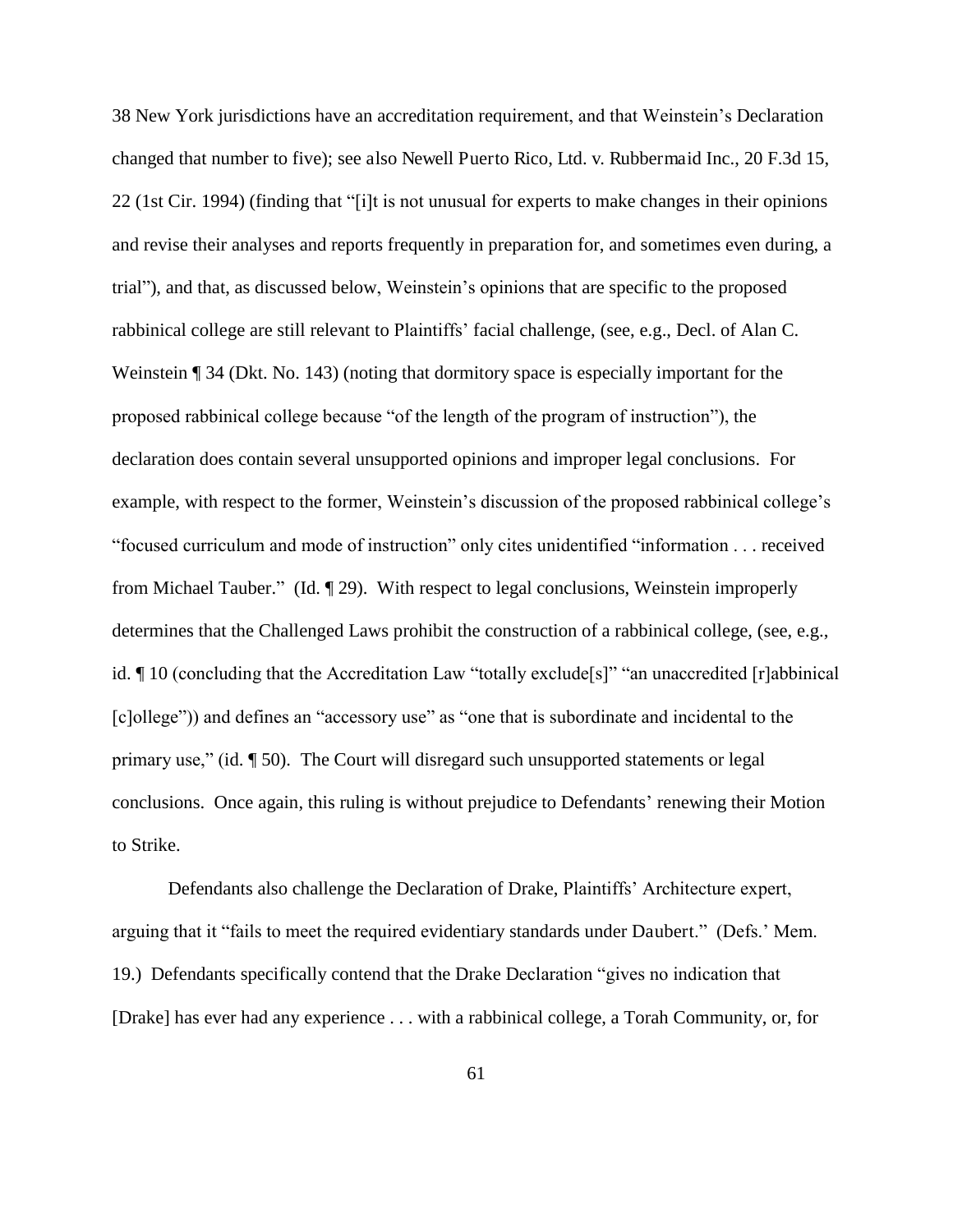38 New York jurisdictions have an accreditation requirement, and that Weinstein's Declaration changed that number to five); see also Newell Puerto Rico, Ltd. v. Rubbermaid Inc., 20 F.3d 15, 22 (1st Cir. 1994) (finding that "[i]t is not unusual for experts to make changes in their opinions and revise their analyses and reports frequently in preparation for, and sometimes even during, a trial"), and that, as discussed below, Weinstein's opinions that are specific to the proposed rabbinical college are still relevant to Plaintiffs' facial challenge, (see, e.g., Decl. of Alan C. Weinstein ¶ 34 (Dkt. No. 143) (noting that dormitory space is especially important for the proposed rabbinical college because "of the length of the program of instruction"), the declaration does contain several unsupported opinions and improper legal conclusions. For example, with respect to the former, Weinstein's discussion of the proposed rabbinical college's "focused curriculum and mode of instruction" only cites unidentified "information . . . received from Michael Tauber." (Id. ¶ 29). With respect to legal conclusions, Weinstein improperly determines that the Challenged Laws prohibit the construction of a rabbinical college, (see, e.g., id. ¶ 10 (concluding that the Accreditation Law "totally exclude[s]" "an unaccredited [r]abbinical [c]ollege")) and defines an "accessory use" as "one that is subordinate and incidental to the primary use," (id. ¶ 50). The Court will disregard such unsupported statements or legal conclusions. Once again, this ruling is without prejudice to Defendants' renewing their Motion to Strike.

 Defendants also challenge the Declaration of Drake, Plaintiffs' Architecture expert, arguing that it "fails to meet the required evidentiary standards under Daubert." (Defs.' Mem. 19.) Defendants specifically contend that the Drake Declaration "gives no indication that [Drake] has ever had any experience . . . with a rabbinical college, a Torah Community, or, for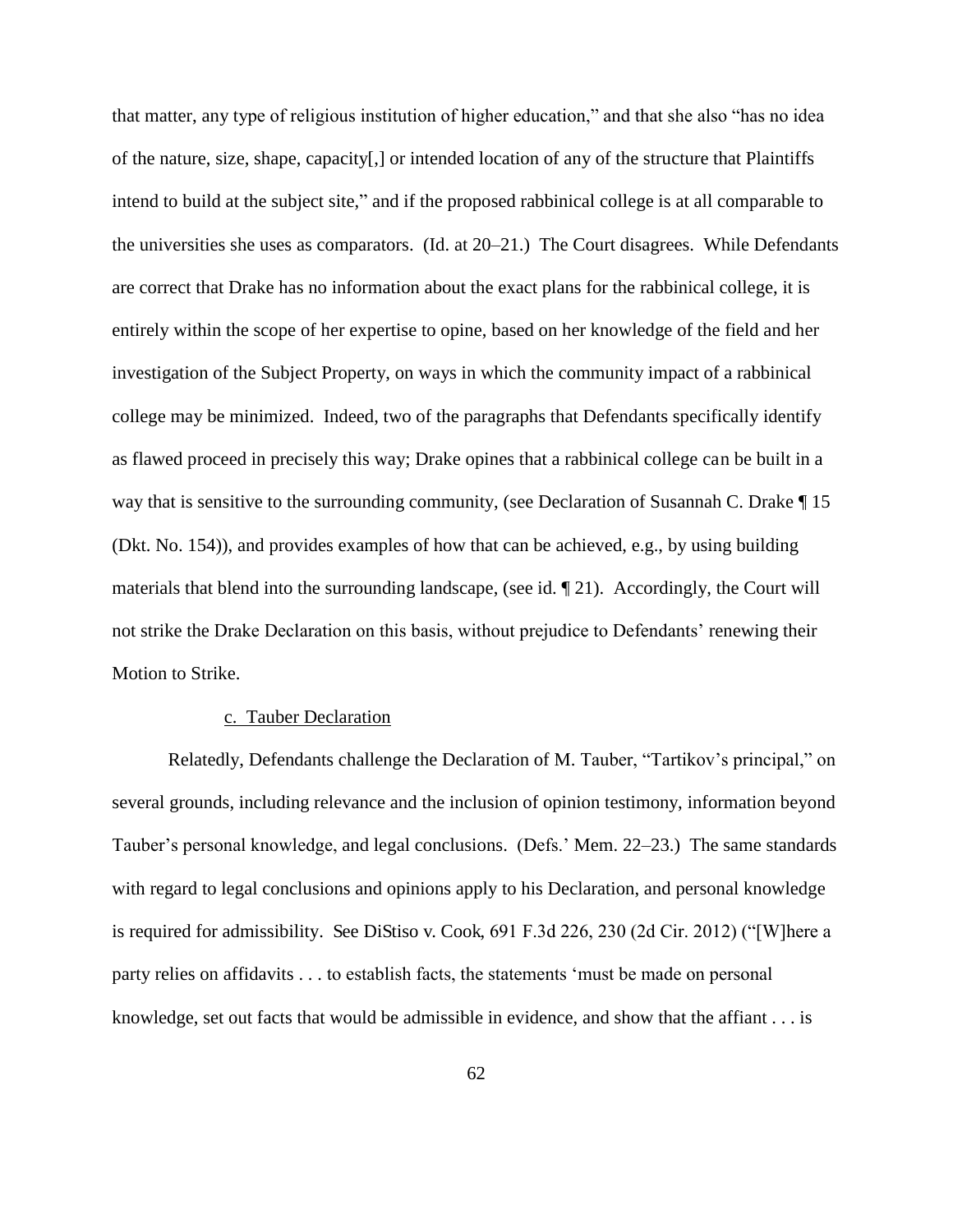that matter, any type of religious institution of higher education," and that she also "has no idea of the nature, size, shape, capacity[,] or intended location of any of the structure that Plaintiffs intend to build at the subject site," and if the proposed rabbinical college is at all comparable to the universities she uses as comparators. (Id. at 20–21.) The Court disagrees. While Defendants are correct that Drake has no information about the exact plans for the rabbinical college, it is entirely within the scope of her expertise to opine, based on her knowledge of the field and her investigation of the Subject Property, on ways in which the community impact of a rabbinical college may be minimized. Indeed, two of the paragraphs that Defendants specifically identify as flawed proceed in precisely this way; Drake opines that a rabbinical college can be built in a way that is sensitive to the surrounding community, (see Declaration of Susannah C. Drake ¶ 15 (Dkt. No. 154)), and provides examples of how that can be achieved, e.g., by using building materials that blend into the surrounding landscape, (see id. ¶ 21). Accordingly, the Court will not strike the Drake Declaration on this basis, without prejudice to Defendants' renewing their Motion to Strike.

### c. Tauber Declaration

Relatedly, Defendants challenge the Declaration of M. Tauber, "Tartikov's principal," on several grounds, including relevance and the inclusion of opinion testimony, information beyond Tauber's personal knowledge, and legal conclusions. (Defs.' Mem. 22–23.) The same standards with regard to legal conclusions and opinions apply to his Declaration, and personal knowledge is required for admissibility. See DiStiso v. Cook, 691 F.3d 226, 230 (2d Cir. 2012) ("[W]here a party relies on affidavits . . . to establish facts, the statements 'must be made on personal knowledge, set out facts that would be admissible in evidence, and show that the affiant . . . is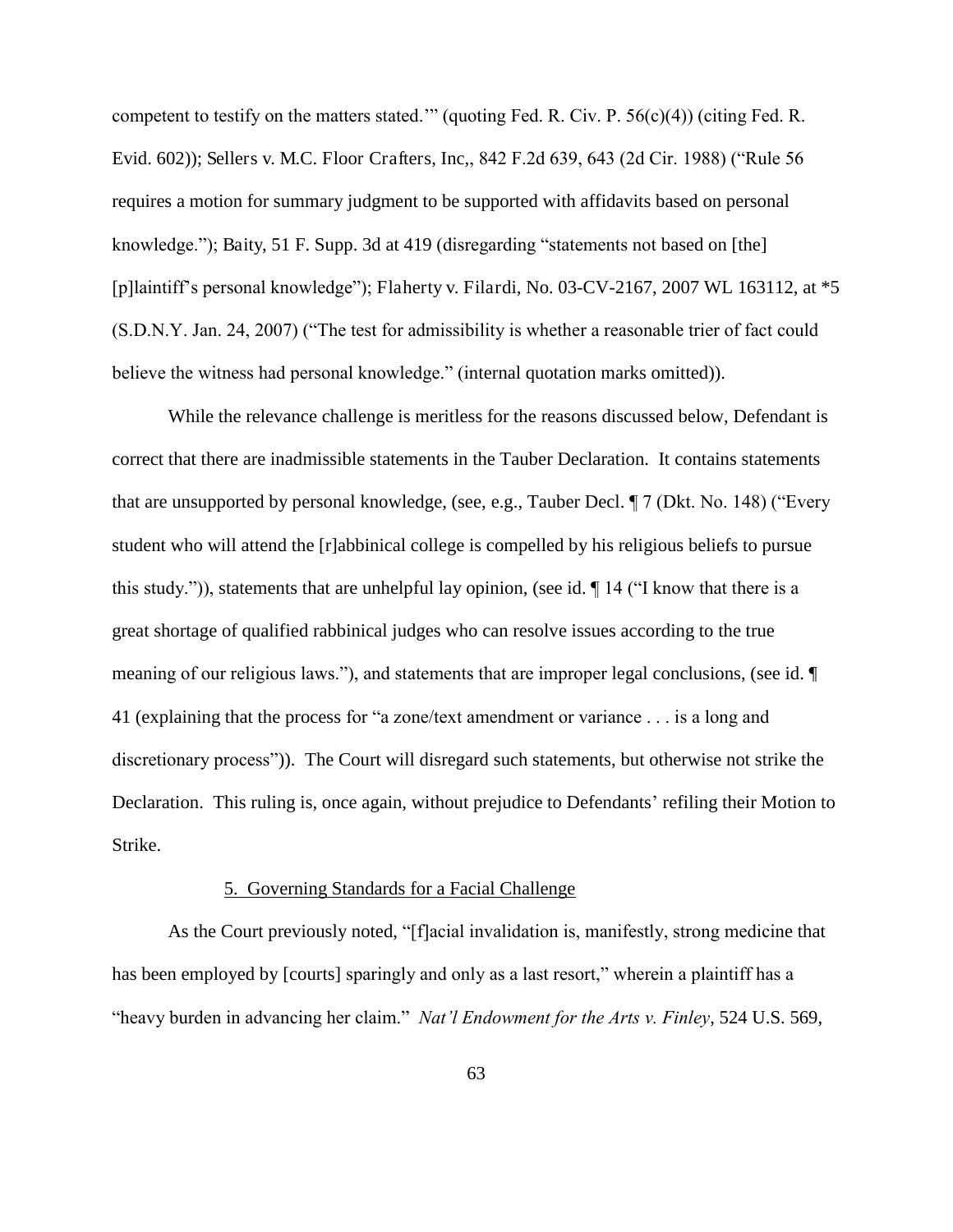competent to testify on the matters stated.'" (quoting Fed. R. Civ. P. 56(c)(4)) (citing Fed. R. Evid. 602)); Sellers v. M.C. Floor Crafters, Inc,, 842 F.2d 639, 643 (2d Cir. 1988) ("Rule 56 requires a motion for summary judgment to be supported with affidavits based on personal knowledge."); Baity, 51 F. Supp. 3d at 419 (disregarding "statements not based on [the] [p]laintiff's personal knowledge"); Flaherty v. Filardi, No. 03-CV-2167, 2007 WL 163112, at \*5 (S.D.N.Y. Jan. 24, 2007) ("The test for admissibility is whether a reasonable trier of fact could believe the witness had personal knowledge." (internal quotation marks omitted)).

While the relevance challenge is meritless for the reasons discussed below, Defendant is correct that there are inadmissible statements in the Tauber Declaration. It contains statements that are unsupported by personal knowledge, (see, e.g., Tauber Decl. ¶ 7 (Dkt. No. 148) ("Every student who will attend the [r]abbinical college is compelled by his religious beliefs to pursue this study.")), statements that are unhelpful lay opinion, (see id.  $\P$  14 ("I know that there is a great shortage of qualified rabbinical judges who can resolve issues according to the true meaning of our religious laws."), and statements that are improper legal conclusions, (see id. ¶ 41 (explaining that the process for "a zone/text amendment or variance . . . is a long and discretionary process")). The Court will disregard such statements, but otherwise not strike the Declaration. This ruling is, once again, without prejudice to Defendants' refiling their Motion to Strike.

## 5. Governing Standards for a Facial Challenge

As the Court previously noted, "[f]acial invalidation is, manifestly, strong medicine that has been employed by [courts] sparingly and only as a last resort," wherein a plaintiff has a "heavy burden in advancing her claim." *Nat'l Endowment for the Arts v. Finley*, 524 U.S. 569,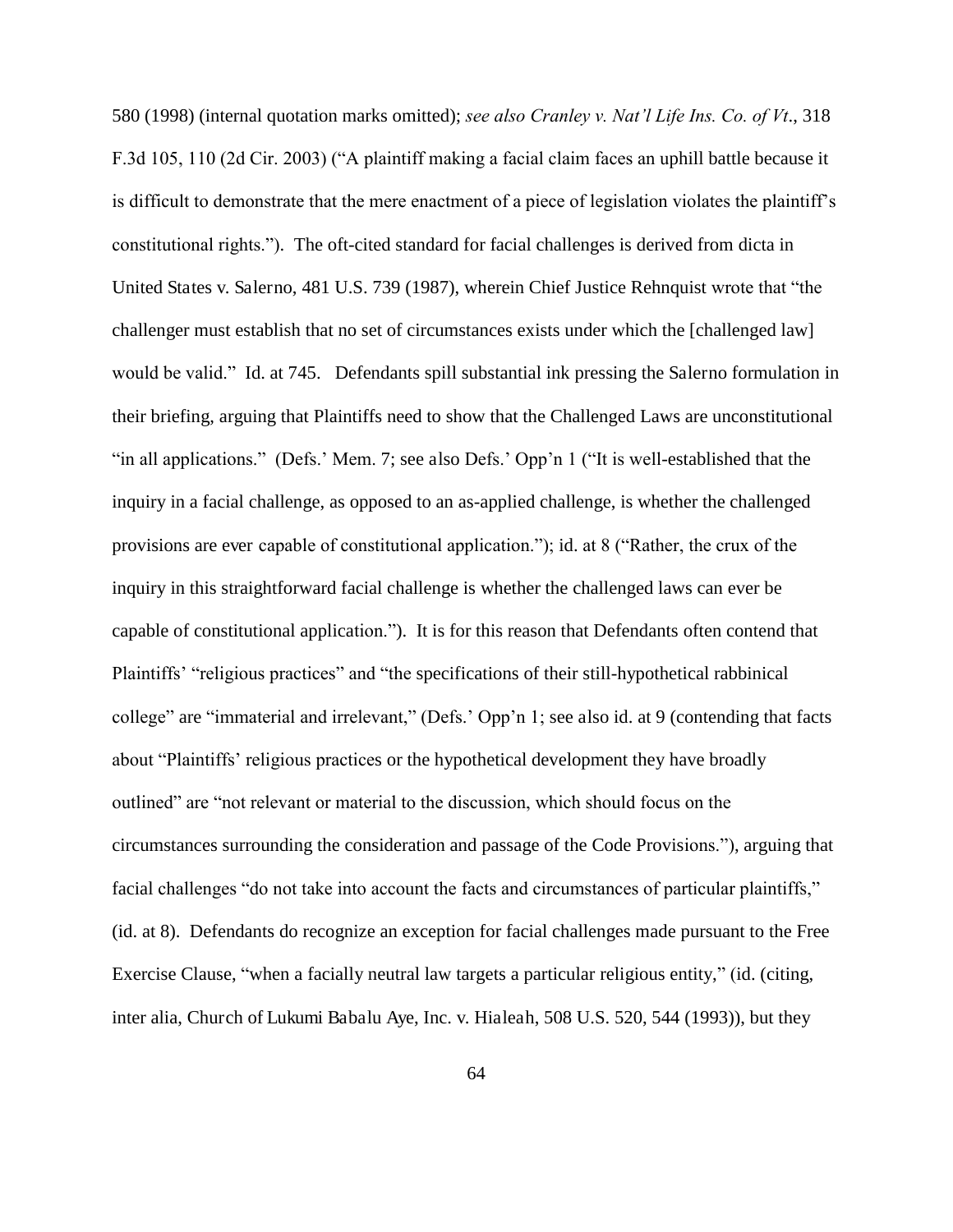580 (1998) (internal quotation marks omitted); *see also Cranley v. Nat'l Life Ins. Co. of Vt*., 318 F.3d 105, 110 (2d Cir. 2003) ("A plaintiff making a facial claim faces an uphill battle because it is difficult to demonstrate that the mere enactment of a piece of legislation violates the plaintiff's constitutional rights."). The oft-cited standard for facial challenges is derived from dicta in United States v. Salerno, 481 U.S. 739 (1987), wherein Chief Justice Rehnquist wrote that "the challenger must establish that no set of circumstances exists under which the [challenged law] would be valid." Id. at 745. Defendants spill substantial ink pressing the Salerno formulation in their briefing, arguing that Plaintiffs need to show that the Challenged Laws are unconstitutional "in all applications." (Defs.' Mem. 7; see also Defs.' Opp'n 1 ("It is well-established that the inquiry in a facial challenge, as opposed to an as-applied challenge, is whether the challenged provisions are ever capable of constitutional application."); id. at 8 ("Rather, the crux of the inquiry in this straightforward facial challenge is whether the challenged laws can ever be capable of constitutional application."). It is for this reason that Defendants often contend that Plaintiffs' "religious practices" and "the specifications of their still-hypothetical rabbinical college" are "immaterial and irrelevant," (Defs.' Opp'n 1; see also id. at 9 (contending that facts about "Plaintiffs' religious practices or the hypothetical development they have broadly outlined" are "not relevant or material to the discussion, which should focus on the circumstances surrounding the consideration and passage of the Code Provisions."), arguing that facial challenges "do not take into account the facts and circumstances of particular plaintiffs," (id. at 8). Defendants do recognize an exception for facial challenges made pursuant to the Free Exercise Clause, "when a facially neutral law targets a particular religious entity," (id. (citing, inter alia, Church of Lukumi Babalu Aye, Inc. v. Hialeah, 508 U.S. 520, 544 (1993)), but they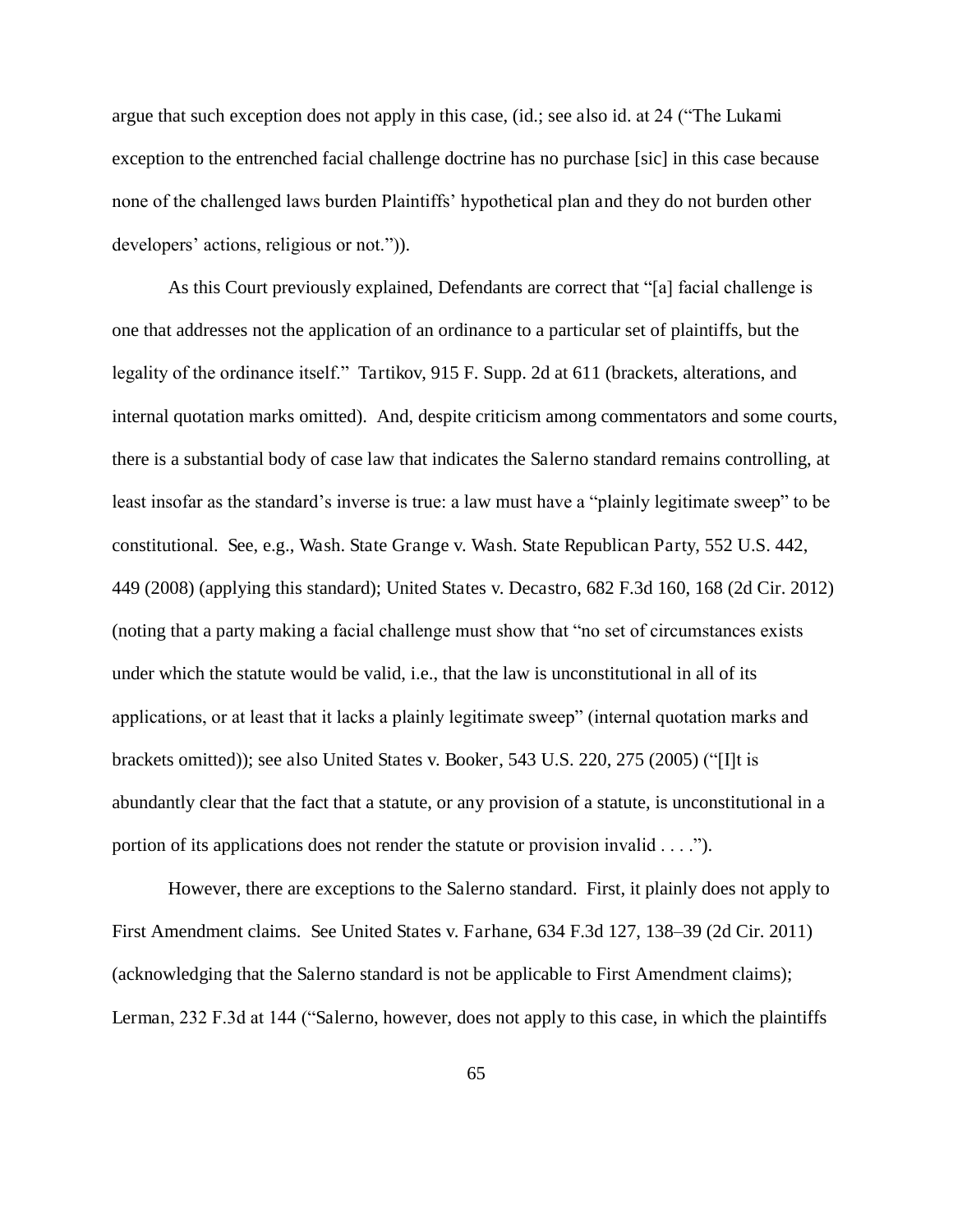argue that such exception does not apply in this case, (id.; see also id. at 24 ("The Lukami exception to the entrenched facial challenge doctrine has no purchase [sic] in this case because none of the challenged laws burden Plaintiffs' hypothetical plan and they do not burden other developers' actions, religious or not.")).

As this Court previously explained, Defendants are correct that "[a] facial challenge is one that addresses not the application of an ordinance to a particular set of plaintiffs, but the legality of the ordinance itself." Tartikov, 915 F. Supp. 2d at 611 (brackets, alterations, and internal quotation marks omitted). And, despite criticism among commentators and some courts, there is a substantial body of case law that indicates the Salerno standard remains controlling, at least insofar as the standard's inverse is true: a law must have a "plainly legitimate sweep" to be constitutional. See, e.g., Wash. State Grange v. Wash. State Republican Party, 552 U.S. 442, 449 (2008) (applying this standard); United States v. Decastro, 682 F.3d 160, 168 (2d Cir. 2012) (noting that a party making a facial challenge must show that "no set of circumstances exists under which the statute would be valid, i.e., that the law is unconstitutional in all of its applications, or at least that it lacks a plainly legitimate sweep" (internal quotation marks and brackets omitted)); see also United States v. Booker, 543 U.S. 220, 275 (2005) ("[I]t is abundantly clear that the fact that a statute, or any provision of a statute, is unconstitutional in a portion of its applications does not render the statute or provision invalid . . . .").

However, there are exceptions to the Salerno standard. First, it plainly does not apply to First Amendment claims. See United States v. Farhane, 634 F.3d 127, 138–39 (2d Cir. 2011) (acknowledging that the Salerno standard is not be applicable to First Amendment claims); Lerman, 232 F.3d at 144 ("Salerno, however, does not apply to this case, in which the plaintiffs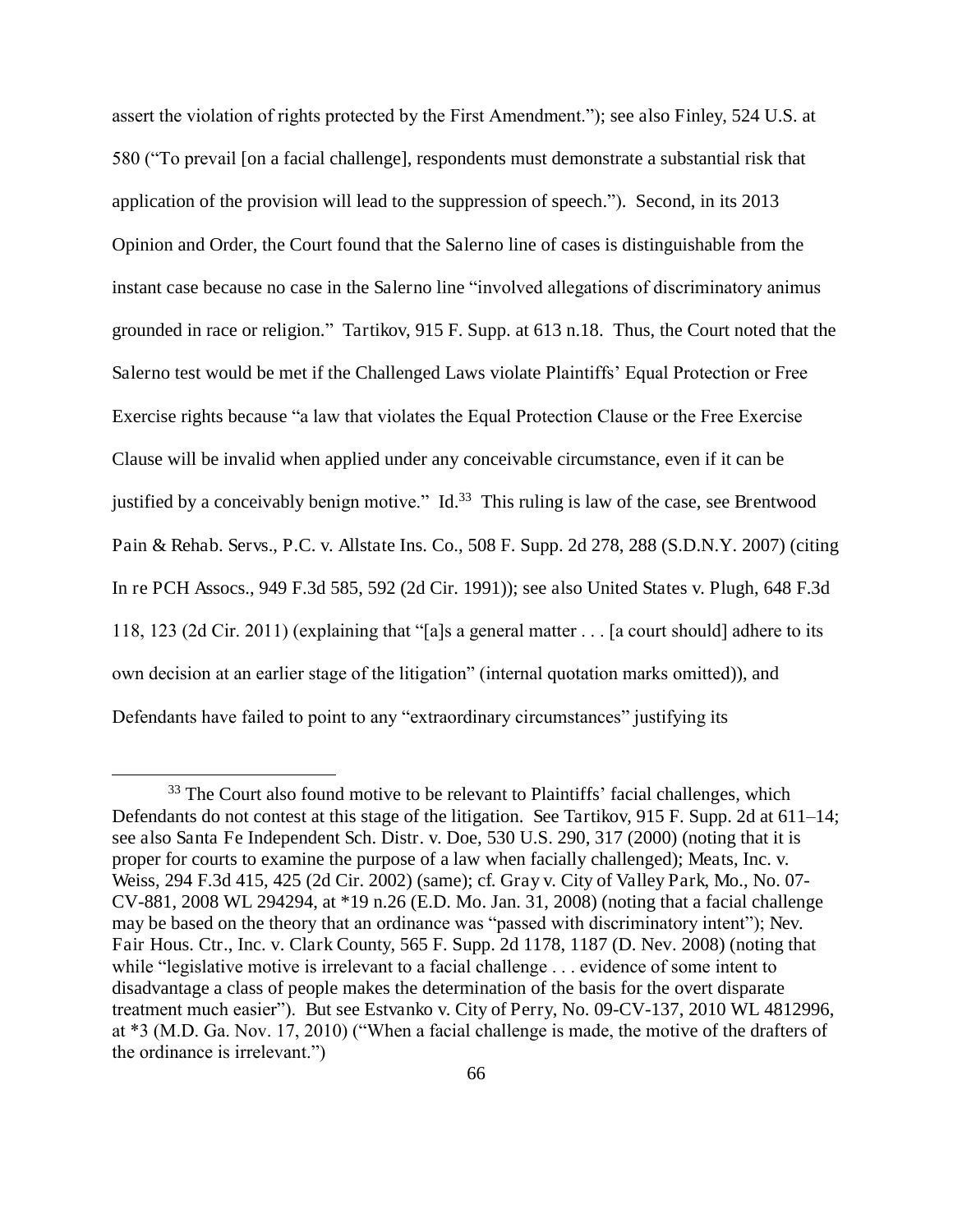assert the violation of rights protected by the First Amendment."); see also Finley, 524 U.S. at 580 ("To prevail [on a facial challenge], respondents must demonstrate a substantial risk that application of the provision will lead to the suppression of speech."). Second, in its 2013 Opinion and Order, the Court found that the Salerno line of cases is distinguishable from the instant case because no case in the Salerno line "involved allegations of discriminatory animus grounded in race or religion." Tartikov, 915 F. Supp. at 613 n.18. Thus, the Court noted that the Salerno test would be met if the Challenged Laws violate Plaintiffs' Equal Protection or Free Exercise rights because "a law that violates the Equal Protection Clause or the Free Exercise Clause will be invalid when applied under any conceivable circumstance, even if it can be justified by a conceivably benign motive." Id.<sup>33</sup> This ruling is law of the case, see Brentwood Pain & Rehab. Servs., P.C. v. Allstate Ins. Co., 508 F. Supp. 2d 278, 288 (S.D.N.Y. 2007) (citing In re PCH Assocs., 949 F.3d 585, 592 (2d Cir. 1991)); see also United States v. Plugh, 648 F.3d 118, 123 (2d Cir. 2011) (explaining that "[a]s a general matter . . . [a court should] adhere to its own decision at an earlier stage of the litigation" (internal quotation marks omitted)), and Defendants have failed to point to any "extraordinary circumstances" justifying its

<sup>&</sup>lt;sup>33</sup> The Court also found motive to be relevant to Plaintiffs' facial challenges, which Defendants do not contest at this stage of the litigation. See Tartikov, 915 F. Supp. 2d at 611–14; see also Santa Fe Independent Sch. Distr. v. Doe, 530 U.S. 290, 317 (2000) (noting that it is proper for courts to examine the purpose of a law when facially challenged); Meats, Inc. v. Weiss, 294 F.3d 415, 425 (2d Cir. 2002) (same); cf. Gray v. City of Valley Park, Mo., No. 07- CV-881, 2008 WL 294294, at \*19 n.26 (E.D. Mo. Jan. 31, 2008) (noting that a facial challenge may be based on the theory that an ordinance was "passed with discriminatory intent"); Nev. Fair Hous. Ctr., Inc. v. Clark County, 565 F. Supp. 2d 1178, 1187 (D. Nev. 2008) (noting that while "legislative motive is irrelevant to a facial challenge . . . evidence of some intent to disadvantage a class of people makes the determination of the basis for the overt disparate treatment much easier"). But see Estvanko v. City of Perry, No. 09-CV-137, 2010 WL 4812996, at \*3 (M.D. Ga. Nov. 17, 2010) ("When a facial challenge is made, the motive of the drafters of the ordinance is irrelevant.")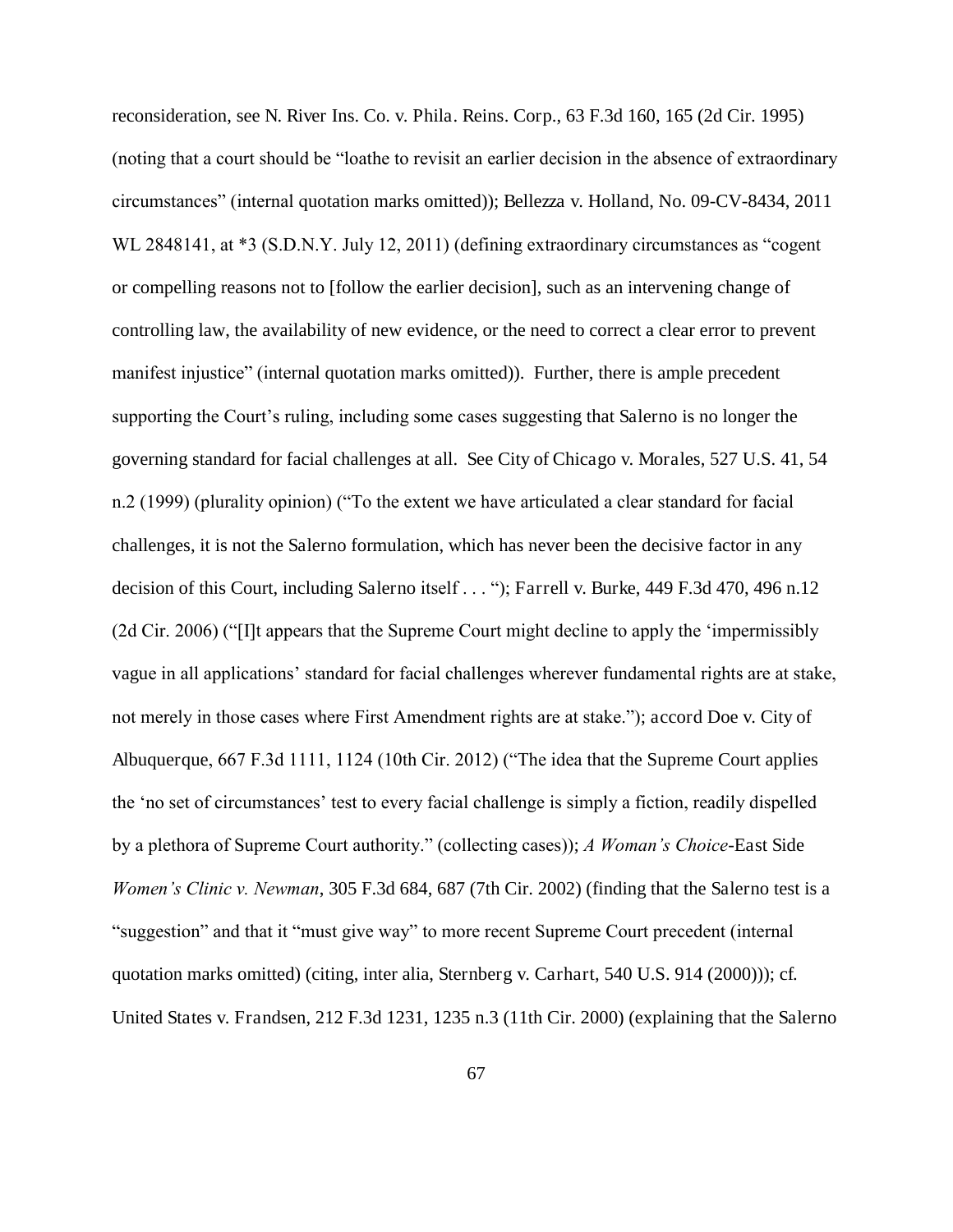reconsideration, see N. River Ins. Co. v. Phila. Reins. Corp., 63 F.3d 160, 165 (2d Cir. 1995) (noting that a court should be "loathe to revisit an earlier decision in the absence of extraordinary circumstances" (internal quotation marks omitted)); Bellezza v. Holland, No. 09-CV-8434, 2011 WL 2848141, at \*3 (S.D.N.Y. July 12, 2011) (defining extraordinary circumstances as "cogent or compelling reasons not to [follow the earlier decision], such as an intervening change of controlling law, the availability of new evidence, or the need to correct a clear error to prevent manifest injustice" (internal quotation marks omitted)). Further, there is ample precedent supporting the Court's ruling, including some cases suggesting that Salerno is no longer the governing standard for facial challenges at all. See City of Chicago v. Morales, 527 U.S. 41, 54 n.2 (1999) (plurality opinion) ("To the extent we have articulated a clear standard for facial challenges, it is not the Salerno formulation, which has never been the decisive factor in any decision of this Court, including Salerno itself . . . "); Farrell v. Burke, 449 F.3d 470, 496 n.12 (2d Cir. 2006) ("[I]t appears that the Supreme Court might decline to apply the 'impermissibly vague in all applications' standard for facial challenges wherever fundamental rights are at stake, not merely in those cases where First Amendment rights are at stake."); accord Doe v. City of Albuquerque, 667 F.3d 1111, 1124 (10th Cir. 2012) ("The idea that the Supreme Court applies the 'no set of circumstances' test to every facial challenge is simply a fiction, readily dispelled by a plethora of Supreme Court authority." (collecting cases)); *A Woman's Choice*-East Side *Women's Clinic v. Newman*, 305 F.3d 684, 687 (7th Cir. 2002) (finding that the Salerno test is a "suggestion" and that it "must give way" to more recent Supreme Court precedent (internal quotation marks omitted) (citing, inter alia, Sternberg v. Carhart, 540 U.S. 914 (2000))); cf. United States v. Frandsen, 212 F.3d 1231, 1235 n.3 (11th Cir. 2000) (explaining that the Salerno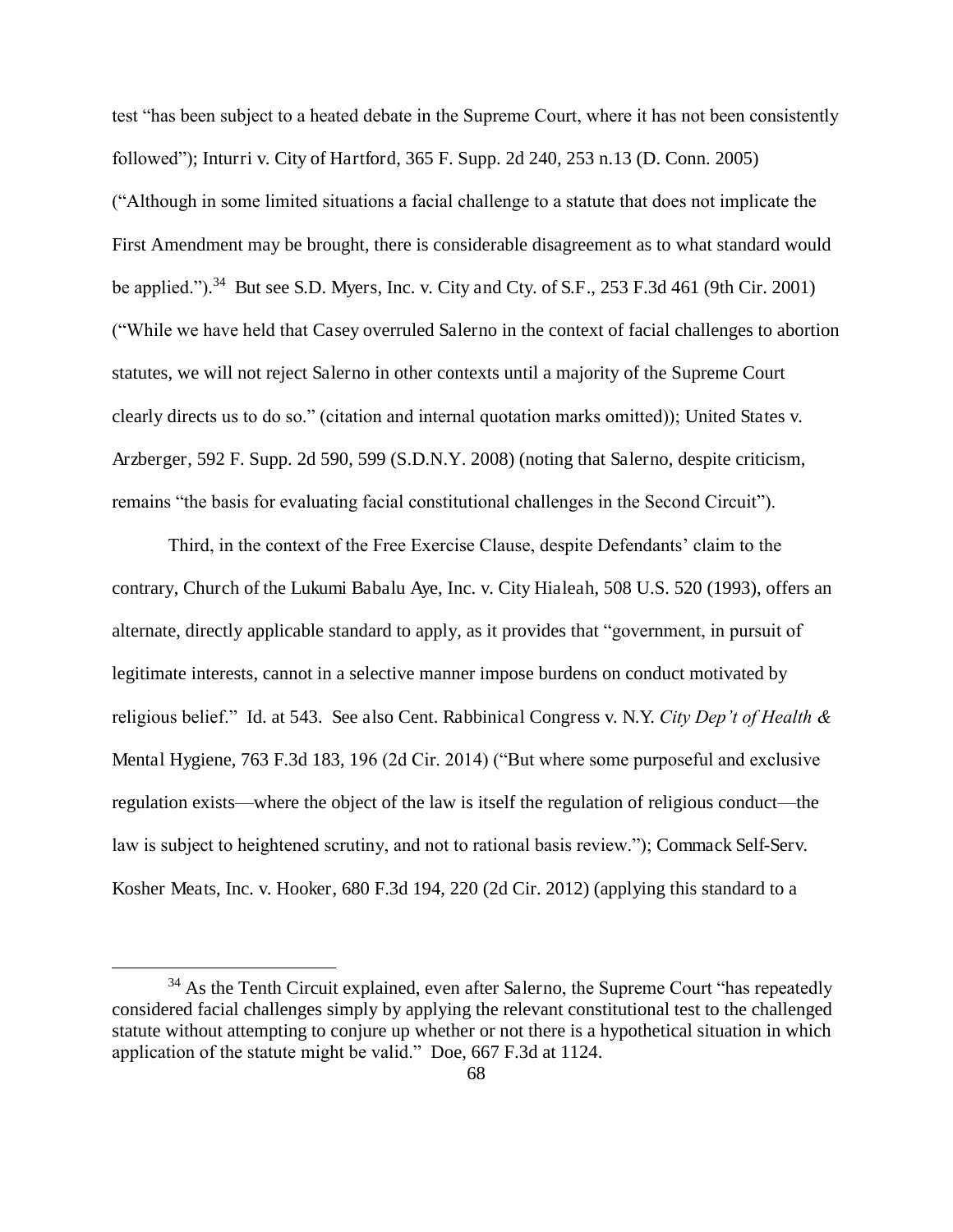test "has been subject to a heated debate in the Supreme Court, where it has not been consistently followed"); Inturri v. City of Hartford, 365 F. Supp. 2d 240, 253 n.13 (D. Conn. 2005) ("Although in some limited situations a facial challenge to a statute that does not implicate the First Amendment may be brought, there is considerable disagreement as to what standard would be applied.").<sup>34</sup> But see S.D. Myers, Inc. v. City and Cty. of S.F., 253 F.3d 461 (9th Cir. 2001) ("While we have held that Casey overruled Salerno in the context of facial challenges to abortion statutes, we will not reject Salerno in other contexts until a majority of the Supreme Court clearly directs us to do so." (citation and internal quotation marks omitted)); United States v. Arzberger, 592 F. Supp. 2d 590, 599 (S.D.N.Y. 2008) (noting that Salerno, despite criticism, remains "the basis for evaluating facial constitutional challenges in the Second Circuit").

Third, in the context of the Free Exercise Clause, despite Defendants' claim to the contrary, Church of the Lukumi Babalu Aye, Inc. v. City Hialeah, 508 U.S. 520 (1993), offers an alternate, directly applicable standard to apply, as it provides that "government, in pursuit of legitimate interests, cannot in a selective manner impose burdens on conduct motivated by religious belief." Id. at 543. See also Cent. Rabbinical Congress v. N.Y. *City Dep't of Health &*  Mental Hygiene, 763 F.3d 183, 196 (2d Cir. 2014) ("But where some purposeful and exclusive regulation exists—where the object of the law is itself the regulation of religious conduct—the law is subject to heightened scrutiny, and not to rational basis review."); Commack Self-Serv. Kosher Meats, Inc. v. Hooker, 680 F.3d 194, 220 (2d Cir. 2012) (applying this standard to a

<sup>&</sup>lt;sup>34</sup> As the Tenth Circuit explained, even after Salerno, the Supreme Court "has repeatedly considered facial challenges simply by applying the relevant constitutional test to the challenged statute without attempting to conjure up whether or not there is a hypothetical situation in which application of the statute might be valid." Doe, 667 F.3d at 1124.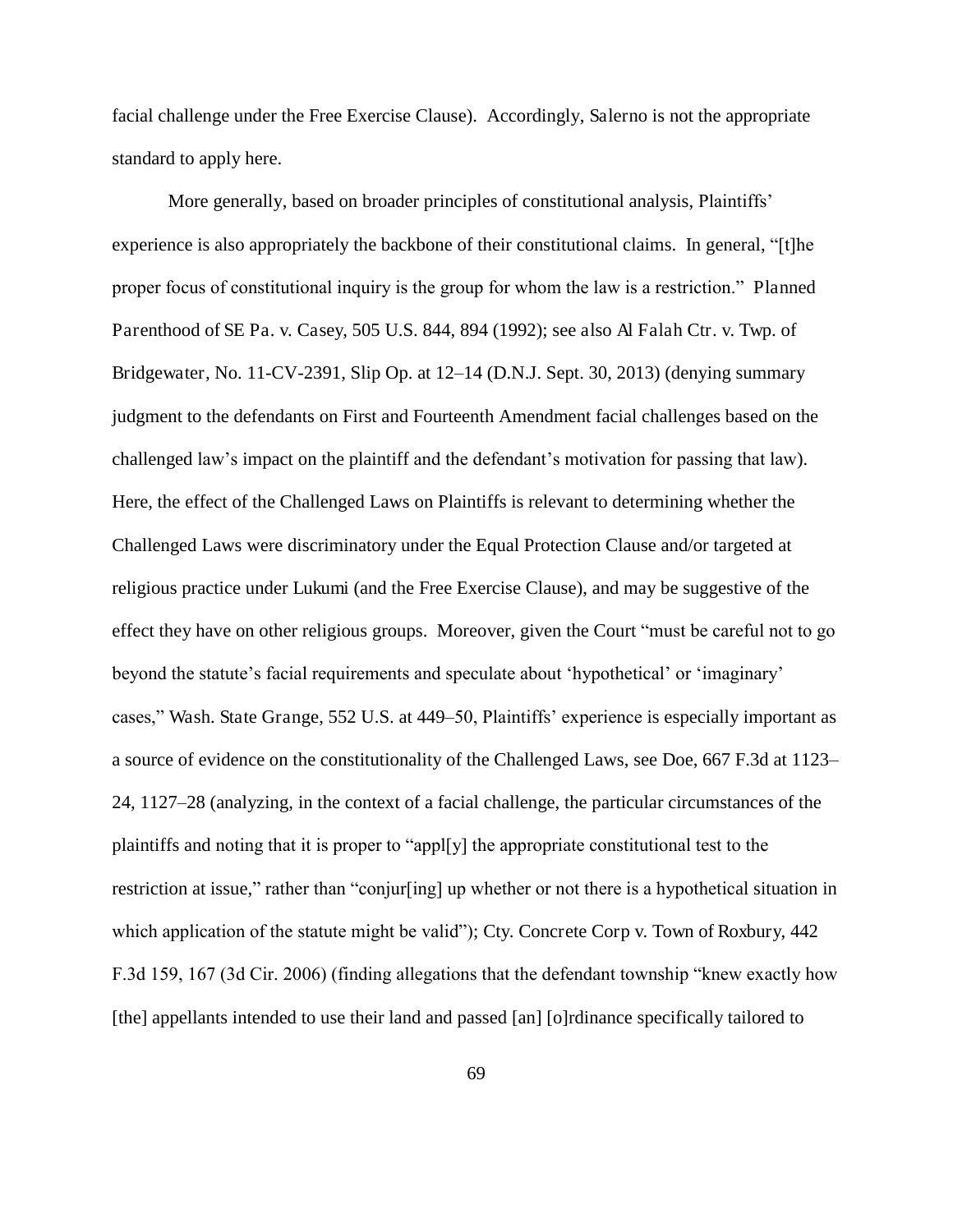facial challenge under the Free Exercise Clause). Accordingly, Salerno is not the appropriate standard to apply here.

More generally, based on broader principles of constitutional analysis, Plaintiffs' experience is also appropriately the backbone of their constitutional claims. In general, "[t]he proper focus of constitutional inquiry is the group for whom the law is a restriction." Planned Parenthood of SE Pa. v. Casey, 505 U.S. 844, 894 (1992); see also Al Falah Ctr. v. Twp. of Bridgewater, No. 11-CV-2391, Slip Op. at 12–14 (D.N.J. Sept. 30, 2013) (denying summary judgment to the defendants on First and Fourteenth Amendment facial challenges based on the challenged law's impact on the plaintiff and the defendant's motivation for passing that law). Here, the effect of the Challenged Laws on Plaintiffs is relevant to determining whether the Challenged Laws were discriminatory under the Equal Protection Clause and/or targeted at religious practice under Lukumi (and the Free Exercise Clause), and may be suggestive of the effect they have on other religious groups. Moreover, given the Court "must be careful not to go beyond the statute's facial requirements and speculate about 'hypothetical' or 'imaginary' cases," Wash. State Grange, 552 U.S. at 449–50, Plaintiffs' experience is especially important as a source of evidence on the constitutionality of the Challenged Laws, see Doe, 667 F.3d at 1123– 24, 1127–28 (analyzing, in the context of a facial challenge, the particular circumstances of the plaintiffs and noting that it is proper to "appl[y] the appropriate constitutional test to the restriction at issue," rather than "conjur[ing] up whether or not there is a hypothetical situation in which application of the statute might be valid"); Cty. Concrete Corp v. Town of Roxbury, 442 F.3d 159, 167 (3d Cir. 2006) (finding allegations that the defendant township "knew exactly how [the] appellants intended to use their land and passed [an] [o]rdinance specifically tailored to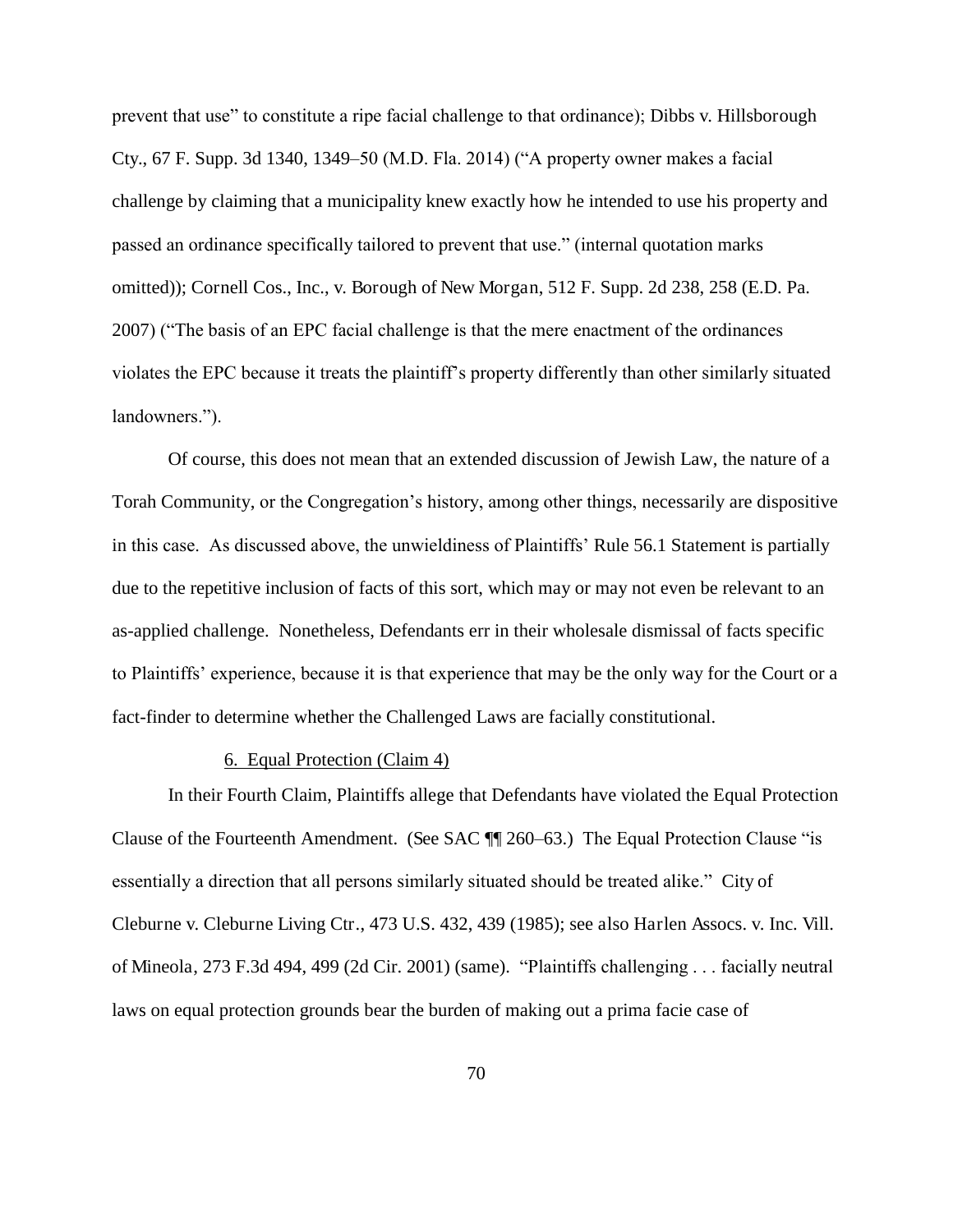prevent that use" to constitute a ripe facial challenge to that ordinance); Dibbs v. Hillsborough Cty., 67 F. Supp. 3d 1340, 1349–50 (M.D. Fla. 2014) ("A property owner makes a facial challenge by claiming that a municipality knew exactly how he intended to use his property and passed an ordinance specifically tailored to prevent that use." (internal quotation marks omitted)); Cornell Cos., Inc., v. Borough of New Morgan, 512 F. Supp. 2d 238, 258 (E.D. Pa. 2007) ("The basis of an EPC facial challenge is that the mere enactment of the ordinances violates the EPC because it treats the plaintiff's property differently than other similarly situated landowners.").

Of course, this does not mean that an extended discussion of Jewish Law, the nature of a Torah Community, or the Congregation's history, among other things, necessarily are dispositive in this case. As discussed above, the unwieldiness of Plaintiffs' Rule 56.1 Statement is partially due to the repetitive inclusion of facts of this sort, which may or may not even be relevant to an as-applied challenge. Nonetheless, Defendants err in their wholesale dismissal of facts specific to Plaintiffs' experience, because it is that experience that may be the only way for the Court or a fact-finder to determine whether the Challenged Laws are facially constitutional.

### 6. Equal Protection (Claim 4)

In their Fourth Claim, Plaintiffs allege that Defendants have violated the Equal Protection Clause of the Fourteenth Amendment. (See SAC ¶¶ 260–63.) The Equal Protection Clause "is essentially a direction that all persons similarly situated should be treated alike." City of Cleburne v. Cleburne Living Ctr., 473 U.S. 432, 439 (1985); see also Harlen Assocs. v. Inc. Vill. of Mineola, 273 F.3d 494, 499 (2d Cir. 2001) (same). "Plaintiffs challenging . . . facially neutral laws on equal protection grounds bear the burden of making out a prima facie case of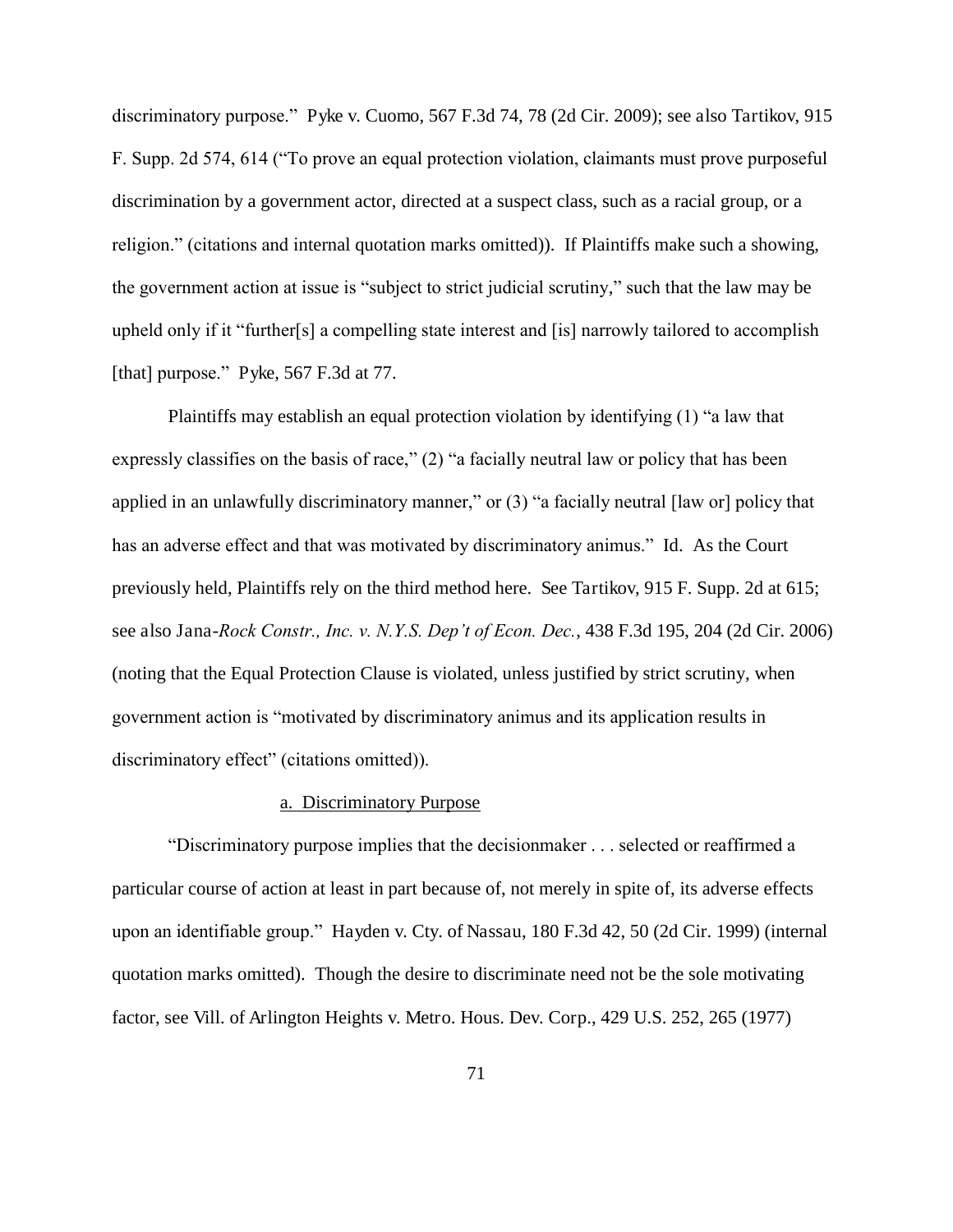discriminatory purpose." Pyke v. Cuomo, 567 F.3d 74, 78 (2d Cir. 2009); see also Tartikov, 915 F. Supp. 2d 574, 614 ("To prove an equal protection violation, claimants must prove purposeful discrimination by a government actor, directed at a suspect class, such as a racial group, or a religion." (citations and internal quotation marks omitted)). If Plaintiffs make such a showing, the government action at issue is "subject to strict judicial scrutiny," such that the law may be upheld only if it "further[s] a compelling state interest and [is] narrowly tailored to accomplish [that] purpose." Pyke, 567 F.3d at 77.

 Plaintiffs may establish an equal protection violation by identifying (1) "a law that expressly classifies on the basis of race," (2) "a facially neutral law or policy that has been applied in an unlawfully discriminatory manner," or (3) "a facially neutral [law or] policy that has an adverse effect and that was motivated by discriminatory animus." Id. As the Court previously held, Plaintiffs rely on the third method here. See Tartikov, 915 F. Supp. 2d at 615; see also Jana-*Rock Constr., Inc. v. N.Y.S. Dep't of Econ. Dec.*, 438 F.3d 195, 204 (2d Cir. 2006) (noting that the Equal Protection Clause is violated, unless justified by strict scrutiny, when government action is "motivated by discriminatory animus and its application results in discriminatory effect" (citations omitted)).

## a. Discriminatory Purpose

"Discriminatory purpose implies that the decisionmaker . . . selected or reaffirmed a particular course of action at least in part because of, not merely in spite of, its adverse effects upon an identifiable group." Hayden v. Cty. of Nassau, 180 F.3d 42, 50 (2d Cir. 1999) (internal quotation marks omitted). Though the desire to discriminate need not be the sole motivating factor, see Vill. of Arlington Heights v. Metro. Hous. Dev. Corp., 429 U.S. 252, 265 (1977)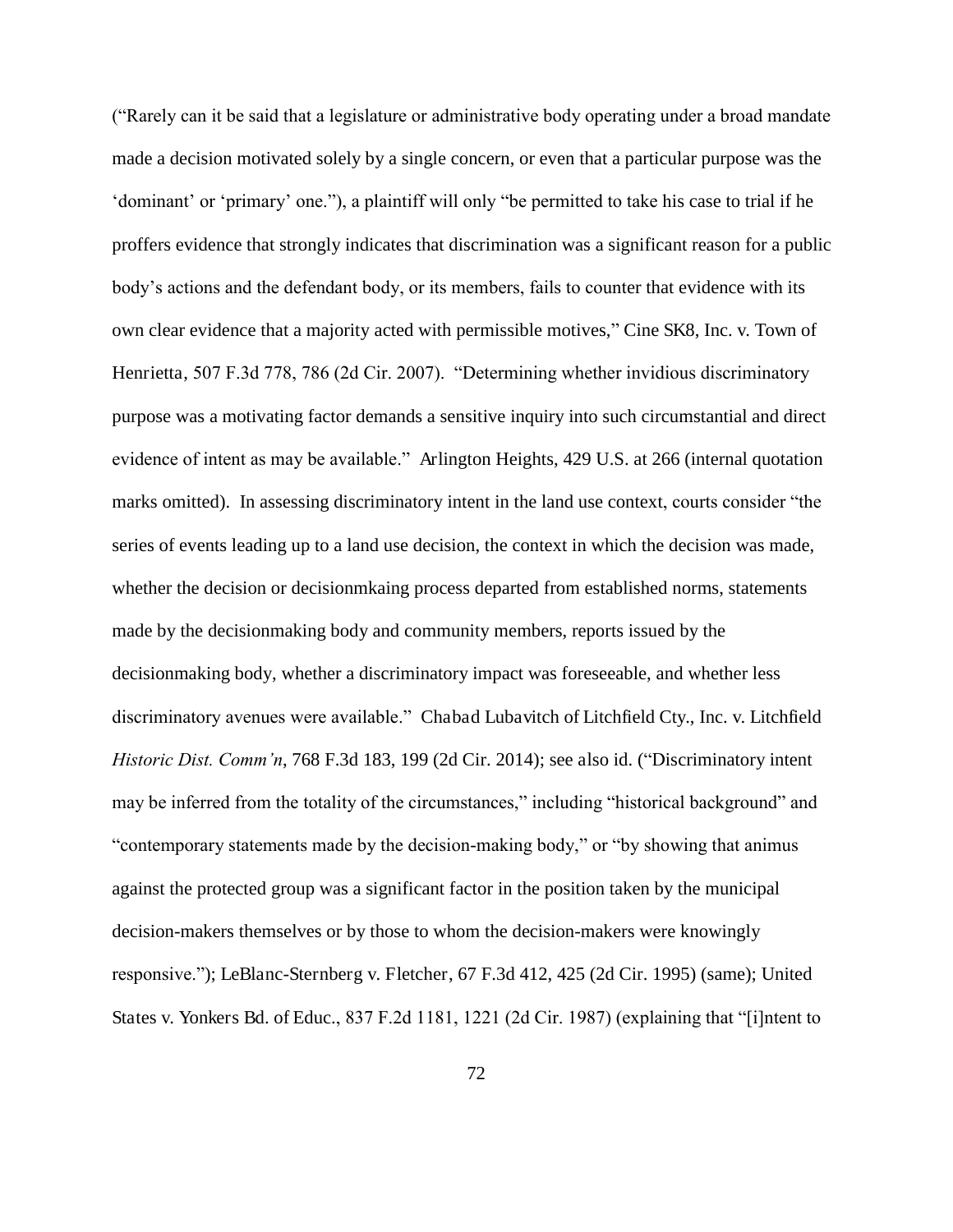("Rarely can it be said that a legislature or administrative body operating under a broad mandate made a decision motivated solely by a single concern, or even that a particular purpose was the 'dominant' or 'primary' one."), a plaintiff will only "be permitted to take his case to trial if he proffers evidence that strongly indicates that discrimination was a significant reason for a public body's actions and the defendant body, or its members, fails to counter that evidence with its own clear evidence that a majority acted with permissible motives," Cine SK8, Inc. v. Town of Henrietta, 507 F.3d 778, 786 (2d Cir. 2007). "Determining whether invidious discriminatory purpose was a motivating factor demands a sensitive inquiry into such circumstantial and direct evidence of intent as may be available." Arlington Heights, 429 U.S. at 266 (internal quotation marks omitted). In assessing discriminatory intent in the land use context, courts consider "the series of events leading up to a land use decision, the context in which the decision was made, whether the decision or decisionmkaing process departed from established norms, statements made by the decisionmaking body and community members, reports issued by the decisionmaking body, whether a discriminatory impact was foreseeable, and whether less discriminatory avenues were available." Chabad Lubavitch of Litchfield Cty., Inc. v. Litchfield *Historic Dist. Comm'n*, 768 F.3d 183, 199 (2d Cir. 2014); see also id. ("Discriminatory intent may be inferred from the totality of the circumstances," including "historical background" and "contemporary statements made by the decision-making body," or "by showing that animus against the protected group was a significant factor in the position taken by the municipal decision-makers themselves or by those to whom the decision-makers were knowingly responsive."); LeBlanc-Sternberg v. Fletcher, 67 F.3d 412, 425 (2d Cir. 1995) (same); United States v. Yonkers Bd. of Educ., 837 F.2d 1181, 1221 (2d Cir. 1987) (explaining that "[i]ntent to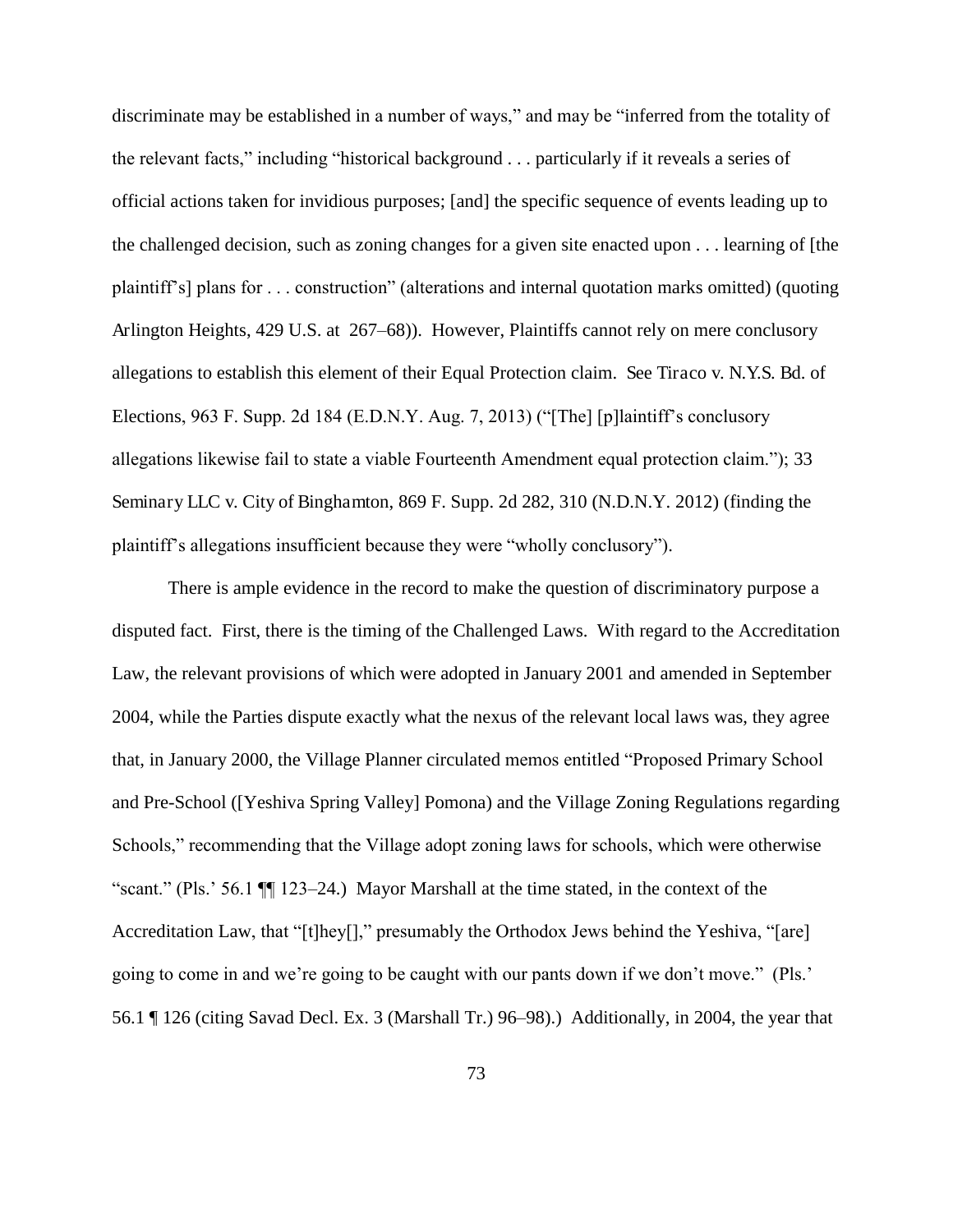discriminate may be established in a number of ways," and may be "inferred from the totality of the relevant facts," including "historical background . . . particularly if it reveals a series of official actions taken for invidious purposes; [and] the specific sequence of events leading up to the challenged decision, such as zoning changes for a given site enacted upon . . . learning of [the plaintiff's] plans for . . . construction" (alterations and internal quotation marks omitted) (quoting Arlington Heights, 429 U.S. at 267–68)). However, Plaintiffs cannot rely on mere conclusory allegations to establish this element of their Equal Protection claim. See Tiraco v. N.Y.S. Bd. of Elections, 963 F. Supp. 2d 184 (E.D.N.Y. Aug. 7, 2013) ("[The] [p]laintiff's conclusory allegations likewise fail to state a viable Fourteenth Amendment equal protection claim."); 33 Seminary LLC v. City of Binghamton, 869 F. Supp. 2d 282, 310 (N.D.N.Y. 2012) (finding the plaintiff's allegations insufficient because they were "wholly conclusory").

There is ample evidence in the record to make the question of discriminatory purpose a disputed fact. First, there is the timing of the Challenged Laws. With regard to the Accreditation Law, the relevant provisions of which were adopted in January 2001 and amended in September 2004, while the Parties dispute exactly what the nexus of the relevant local laws was, they agree that, in January 2000, the Village Planner circulated memos entitled "Proposed Primary School and Pre-School ([Yeshiva Spring Valley] Pomona) and the Village Zoning Regulations regarding Schools," recommending that the Village adopt zoning laws for schools, which were otherwise "scant." (Pls.' 56.1 ¶¶ 123–24.) Mayor Marshall at the time stated, in the context of the Accreditation Law, that "[t]hey[]," presumably the Orthodox Jews behind the Yeshiva, "[are] going to come in and we're going to be caught with our pants down if we don't move." (Pls.' 56.1 ¶ 126 (citing Savad Decl. Ex. 3 (Marshall Tr.) 96–98).) Additionally, in 2004, the year that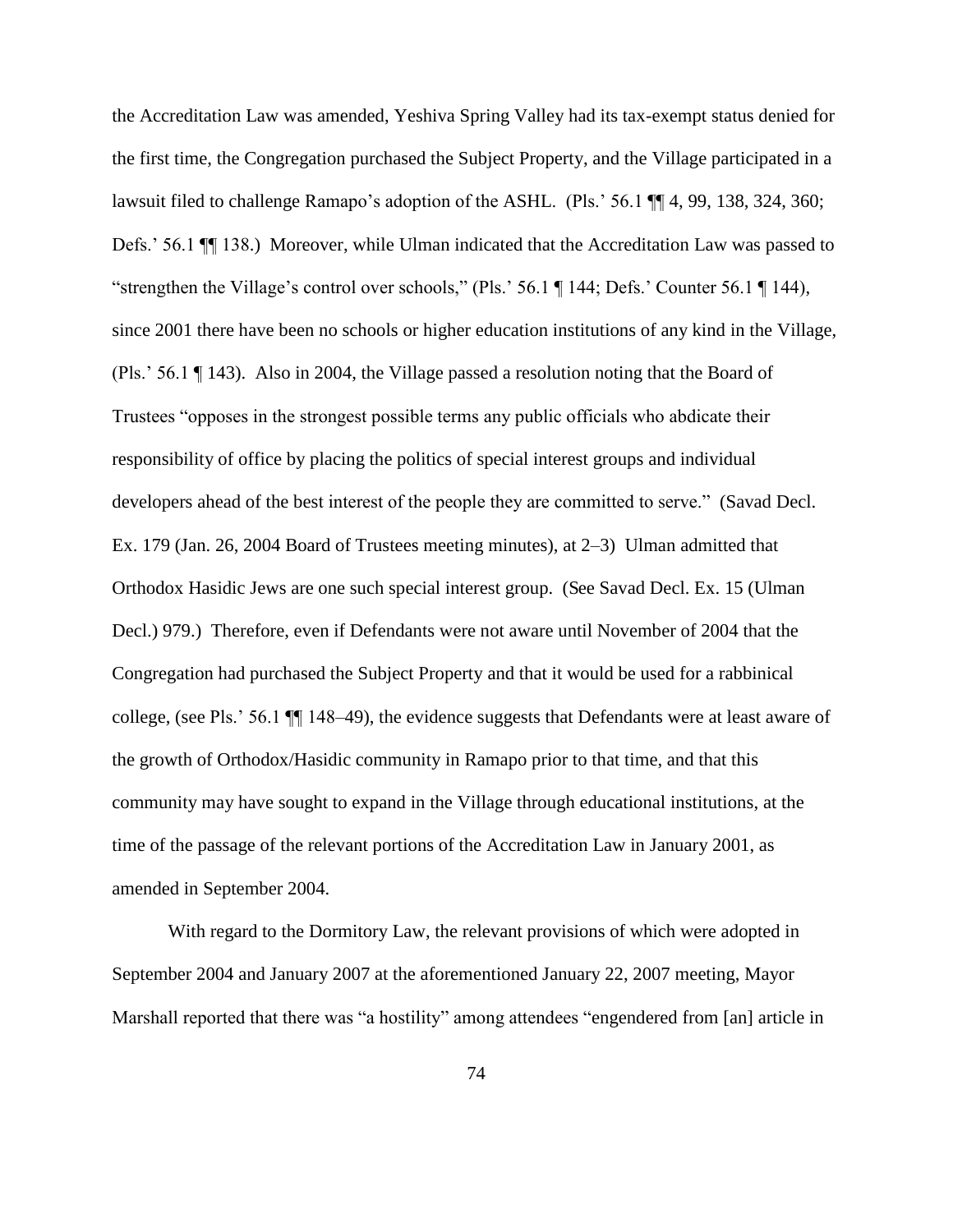the Accreditation Law was amended, Yeshiva Spring Valley had its tax-exempt status denied for the first time, the Congregation purchased the Subject Property, and the Village participated in a lawsuit filed to challenge Ramapo's adoption of the ASHL. (Pls.' 56.1 ¶¶ 4, 99, 138, 324, 360; Defs.' 56.1 ¶¶ 138.) Moreover, while Ulman indicated that the Accreditation Law was passed to "strengthen the Village's control over schools," (Pls.' 56.1 ¶ 144; Defs.' Counter 56.1 ¶ 144), since 2001 there have been no schools or higher education institutions of any kind in the Village, (Pls.' 56.1 ¶ 143). Also in 2004, the Village passed a resolution noting that the Board of Trustees "opposes in the strongest possible terms any public officials who abdicate their responsibility of office by placing the politics of special interest groups and individual developers ahead of the best interest of the people they are committed to serve." (Savad Decl. Ex. 179 (Jan. 26, 2004 Board of Trustees meeting minutes), at 2–3) Ulman admitted that Orthodox Hasidic Jews are one such special interest group. (See Savad Decl. Ex. 15 (Ulman Decl.) 979.) Therefore, even if Defendants were not aware until November of 2004 that the Congregation had purchased the Subject Property and that it would be used for a rabbinical college, (see Pls.' 56.1 ¶¶ 148–49), the evidence suggests that Defendants were at least aware of the growth of Orthodox/Hasidic community in Ramapo prior to that time, and that this community may have sought to expand in the Village through educational institutions, at the time of the passage of the relevant portions of the Accreditation Law in January 2001, as amended in September 2004.

With regard to the Dormitory Law, the relevant provisions of which were adopted in September 2004 and January 2007 at the aforementioned January 22, 2007 meeting, Mayor Marshall reported that there was "a hostility" among attendees "engendered from [an] article in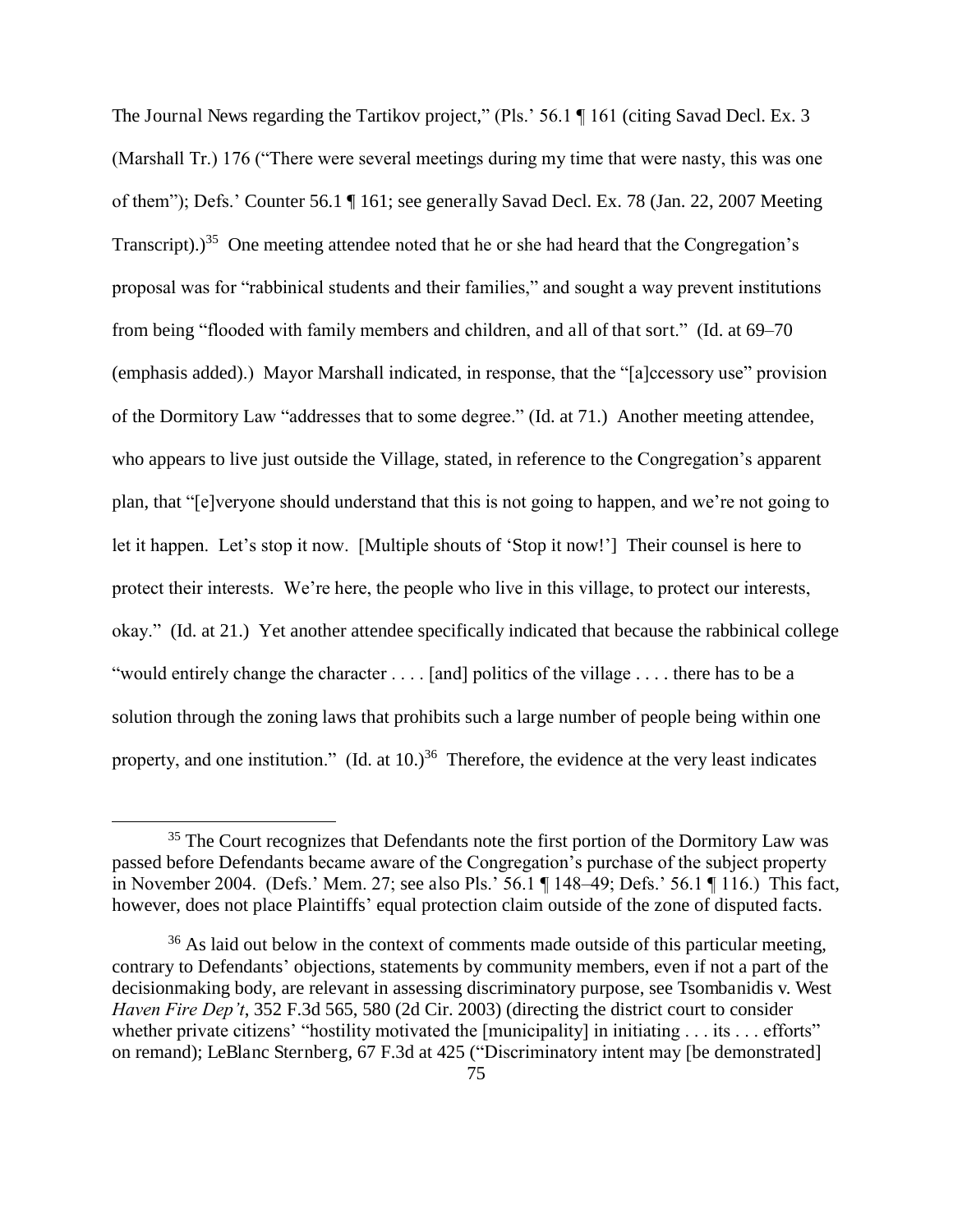The Journal News regarding the Tartikov project," (Pls.' 56.1 ¶ 161 (citing Savad Decl. Ex. 3) (Marshall Tr.) 176 ("There were several meetings during my time that were nasty, this was one of them"); Defs.' Counter 56.1 ¶ 161; see generally Savad Decl. Ex. 78 (Jan. 22, 2007 Meeting Transcript).)<sup>35</sup> One meeting attendee noted that he or she had heard that the Congregation's proposal was for "rabbinical students and their families," and sought a way prevent institutions from being "flooded with family members and children, and all of that sort." (Id. at 69–70 (emphasis added).) Mayor Marshall indicated, in response, that the "[a]ccessory use" provision of the Dormitory Law "addresses that to some degree." (Id. at 71.) Another meeting attendee, who appears to live just outside the Village, stated, in reference to the Congregation's apparent plan, that "[e]veryone should understand that this is not going to happen, and we're not going to let it happen. Let's stop it now. [Multiple shouts of 'Stop it now!'] Their counsel is here to protect their interests. We're here, the people who live in this village, to protect our interests, okay." (Id. at 21.) Yet another attendee specifically indicated that because the rabbinical college "would entirely change the character . . . . [and] politics of the village . . . . there has to be a solution through the zoning laws that prohibits such a large number of people being within one property, and one institution." (Id. at  $10.$ )<sup>36</sup> Therefore, the evidence at the very least indicates

<sup>&</sup>lt;sup>35</sup> The Court recognizes that Defendants note the first portion of the Dormitory Law was passed before Defendants became aware of the Congregation's purchase of the subject property in November 2004. (Defs.' Mem. 27; see also Pls.' 56.1 ¶ 148–49; Defs.' 56.1 ¶ 116.) This fact, however, does not place Plaintiffs' equal protection claim outside of the zone of disputed facts.

 $36$  As laid out below in the context of comments made outside of this particular meeting, contrary to Defendants' objections, statements by community members, even if not a part of the decisionmaking body, are relevant in assessing discriminatory purpose, see Tsombanidis v. West *Haven Fire Dep't*, 352 F.3d 565, 580 (2d Cir. 2003) (directing the district court to consider whether private citizens' "hostility motivated the [municipality] in initiating . . . its . . . efforts" on remand); LeBlanc Sternberg, 67 F.3d at 425 ("Discriminatory intent may [be demonstrated]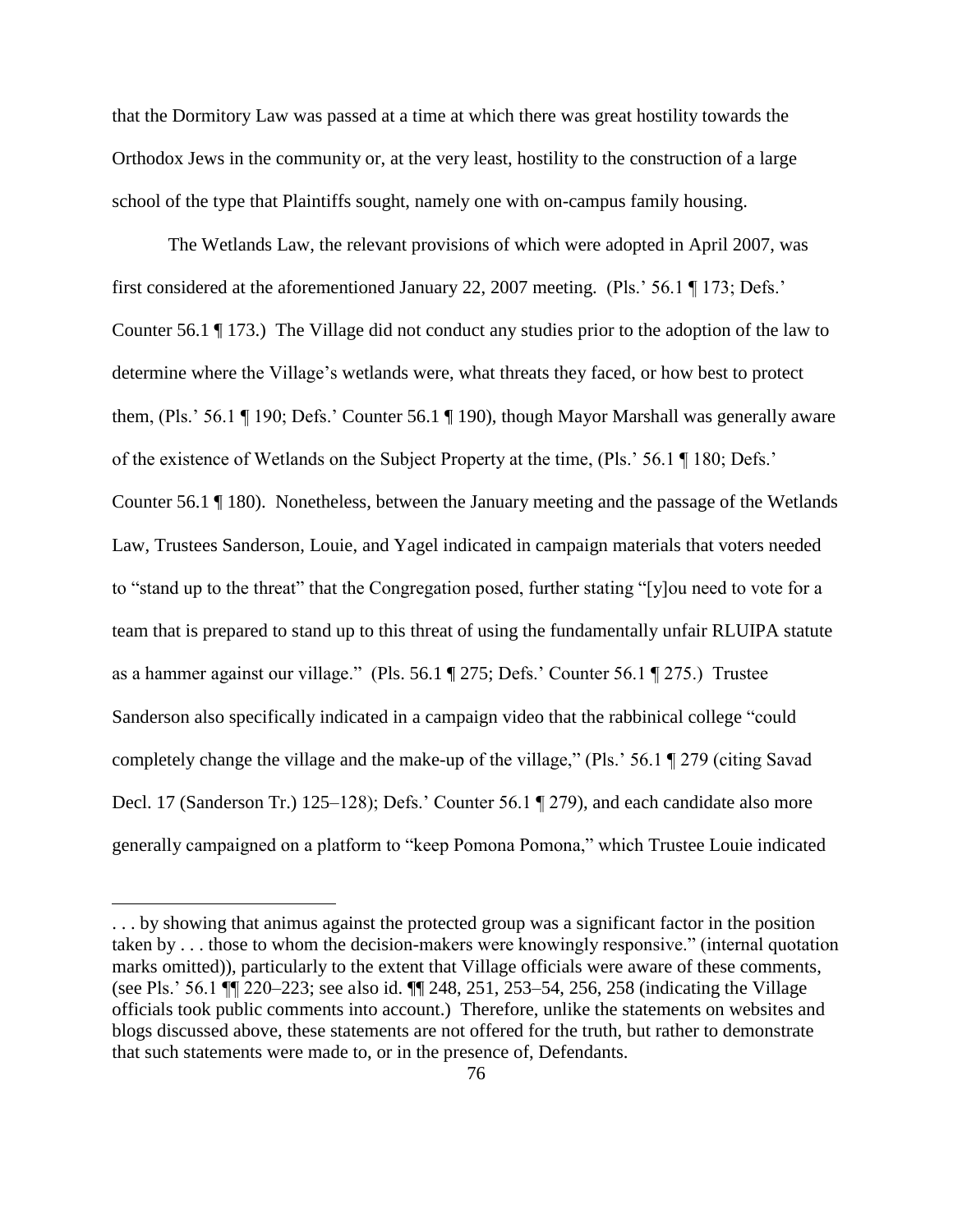that the Dormitory Law was passed at a time at which there was great hostility towards the Orthodox Jews in the community or, at the very least, hostility to the construction of a large school of the type that Plaintiffs sought, namely one with on-campus family housing.

The Wetlands Law, the relevant provisions of which were adopted in April 2007, was first considered at the aforementioned January 22, 2007 meeting. (Pls.' 56.1 ¶ 173; Defs.' Counter 56.1 ¶ 173.) The Village did not conduct any studies prior to the adoption of the law to determine where the Village's wetlands were, what threats they faced, or how best to protect them, (Pls.' 56.1 ¶ 190; Defs.' Counter 56.1 ¶ 190), though Mayor Marshall was generally aware of the existence of Wetlands on the Subject Property at the time, (Pls.' 56.1 ¶ 180; Defs.' Counter 56.1 ¶ 180). Nonetheless, between the January meeting and the passage of the Wetlands Law, Trustees Sanderson, Louie, and Yagel indicated in campaign materials that voters needed to "stand up to the threat" that the Congregation posed, further stating "[y]ou need to vote for a team that is prepared to stand up to this threat of using the fundamentally unfair RLUIPA statute as a hammer against our village." (Pls. 56.1 ¶ 275; Defs.' Counter 56.1 ¶ 275.) Trustee Sanderson also specifically indicated in a campaign video that the rabbinical college "could completely change the village and the make-up of the village," (Pls.' 56.1 ¶ 279 (citing Savad Decl. 17 (Sanderson Tr.) 125–128); Defs.' Counter 56.1 ¶ 279), and each candidate also more generally campaigned on a platform to "keep Pomona Pomona," which Trustee Louie indicated

<sup>. . .</sup> by showing that animus against the protected group was a significant factor in the position taken by . . . those to whom the decision-makers were knowingly responsive." (internal quotation marks omitted)), particularly to the extent that Village officials were aware of these comments, (see Pls.' 56.1 ¶¶ 220–223; see also id. ¶¶ 248, 251, 253–54, 256, 258 (indicating the Village officials took public comments into account.) Therefore, unlike the statements on websites and blogs discussed above, these statements are not offered for the truth, but rather to demonstrate that such statements were made to, or in the presence of, Defendants.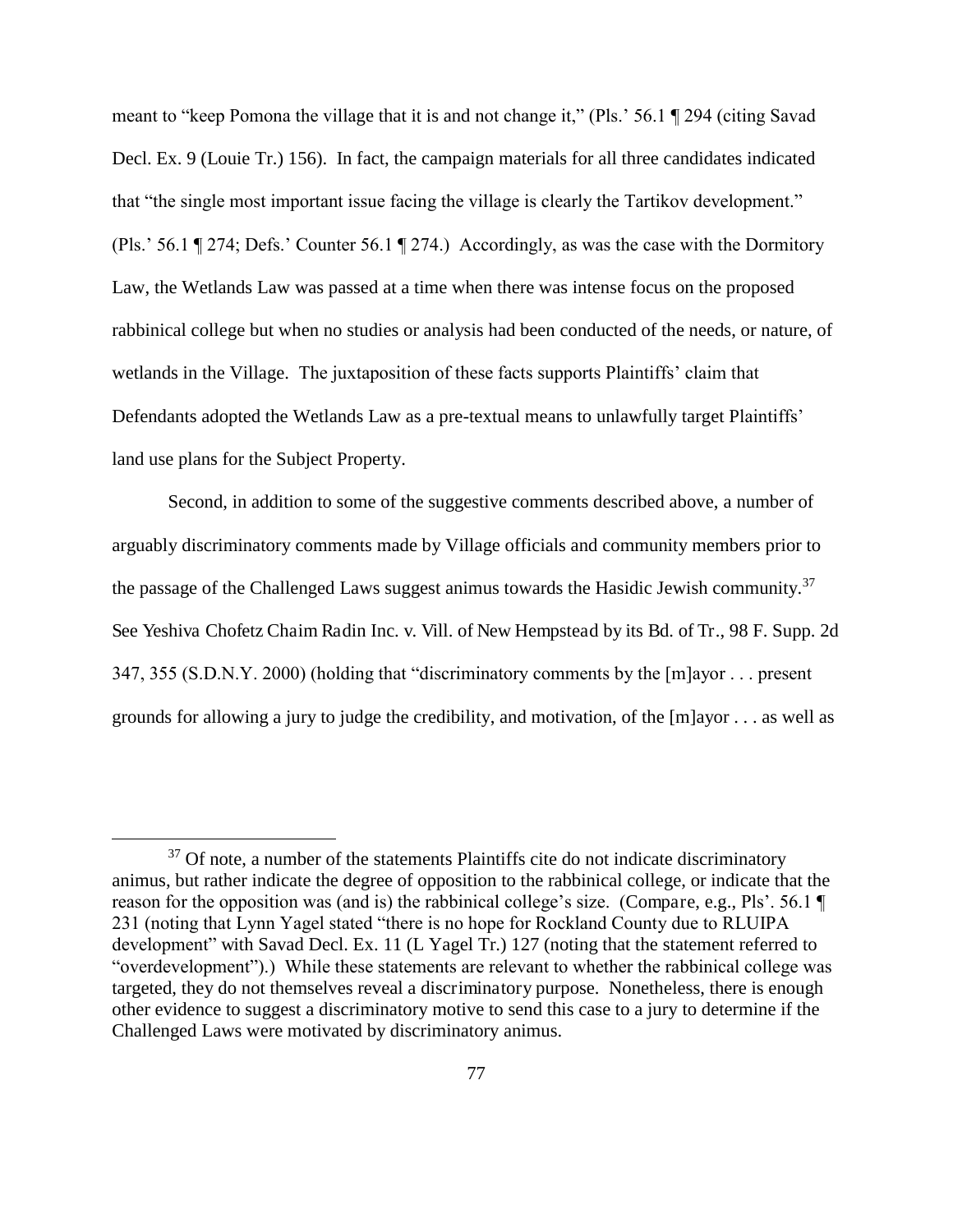meant to "keep Pomona the village that it is and not change it," (Pls.' 56.1 ¶ 294 (citing Savad Decl. Ex. 9 (Louie Tr.) 156). In fact, the campaign materials for all three candidates indicated that "the single most important issue facing the village is clearly the Tartikov development." (Pls.' 56.1 ¶ 274; Defs.' Counter 56.1 ¶ 274.) Accordingly, as was the case with the Dormitory Law, the Wetlands Law was passed at a time when there was intense focus on the proposed rabbinical college but when no studies or analysis had been conducted of the needs, or nature, of wetlands in the Village. The juxtaposition of these facts supports Plaintiffs' claim that Defendants adopted the Wetlands Law as a pre-textual means to unlawfully target Plaintiffs' land use plans for the Subject Property.

Second, in addition to some of the suggestive comments described above, a number of arguably discriminatory comments made by Village officials and community members prior to the passage of the Challenged Laws suggest animus towards the Hasidic Jewish community.<sup>37</sup> See Yeshiva Chofetz Chaim Radin Inc. v. Vill. of New Hempstead by its Bd. of Tr., 98 F. Supp. 2d 347, 355 (S.D.N.Y. 2000) (holding that "discriminatory comments by the [m]ayor . . . present grounds for allowing a jury to judge the credibility, and motivation, of the [m]ayor . . . as well as

 $37$  Of note, a number of the statements Plaintiffs cite do not indicate discriminatory animus, but rather indicate the degree of opposition to the rabbinical college, or indicate that the reason for the opposition was (and is) the rabbinical college's size. (Compare, e.g., Pls'. 56.1 ¶ 231 (noting that Lynn Yagel stated "there is no hope for Rockland County due to RLUIPA development" with Savad Decl. Ex. 11 (L Yagel Tr.) 127 (noting that the statement referred to "overdevelopment").) While these statements are relevant to whether the rabbinical college was targeted, they do not themselves reveal a discriminatory purpose. Nonetheless, there is enough other evidence to suggest a discriminatory motive to send this case to a jury to determine if the Challenged Laws were motivated by discriminatory animus.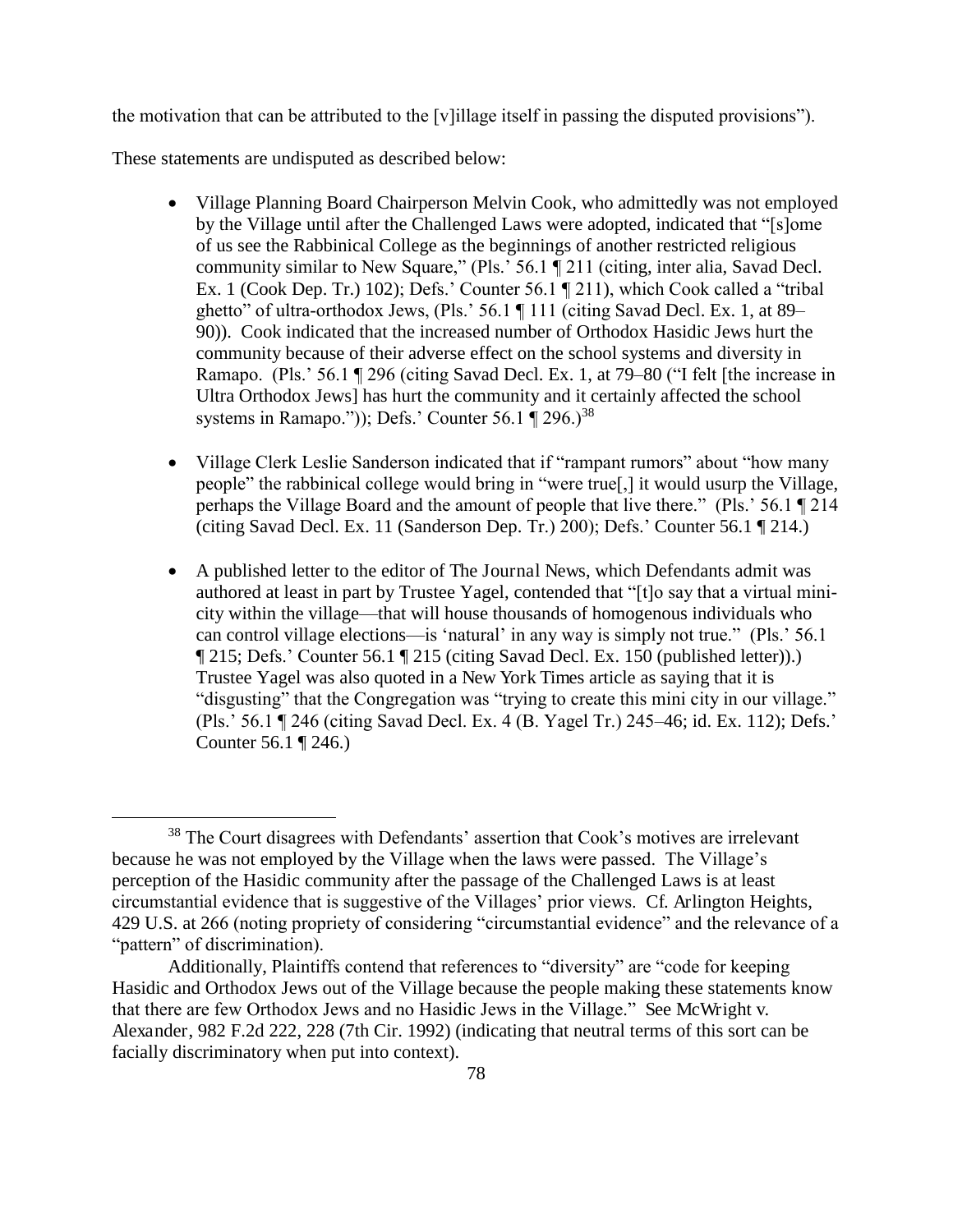the motivation that can be attributed to the [v]illage itself in passing the disputed provisions").

These statements are undisputed as described below:

- Village Planning Board Chairperson Melvin Cook, who admittedly was not employed by the Village until after the Challenged Laws were adopted, indicated that "[s]ome of us see the Rabbinical College as the beginnings of another restricted religious community similar to New Square," (Pls.' 56.1 ¶ 211 (citing, inter alia, Savad Decl. Ex. 1 (Cook Dep. Tr.) 102); Defs.' Counter 56.1 ¶ 211), which Cook called a "tribal ghetto" of ultra-orthodox Jews, (Pls.' 56.1 ¶ 111 (citing Savad Decl. Ex. 1, at 89– 90)). Cook indicated that the increased number of Orthodox Hasidic Jews hurt the community because of their adverse effect on the school systems and diversity in Ramapo. (Pls.' 56.1 ¶ 296 (citing Savad Decl. Ex. 1, at 79–80 ("I felt [the increase in Ultra Orthodox Jews] has hurt the community and it certainly affected the school systems in Ramapo.")); Defs.' Counter  $56.1 \text{ T}$   $296.$ )<sup>38</sup>
- Village Clerk Leslie Sanderson indicated that if "rampant rumors" about "how many people" the rabbinical college would bring in "were true[,] it would usurp the Village, perhaps the Village Board and the amount of people that live there." (Pls.' 56.1 ¶ 214 (citing Savad Decl. Ex. 11 (Sanderson Dep. Tr.) 200); Defs.' Counter 56.1 ¶ 214.)
- A published letter to the editor of The Journal News, which Defendants admit was authored at least in part by Trustee Yagel, contended that "[t]o say that a virtual minicity within the village—that will house thousands of homogenous individuals who can control village elections—is 'natural' in any way is simply not true." (Pls.' 56.1 ¶ 215; Defs.' Counter 56.1 ¶ 215 (citing Savad Decl. Ex. 150 (published letter)).) Trustee Yagel was also quoted in a New York Times article as saying that it is "disgusting" that the Congregation was "trying to create this mini city in our village." (Pls.' 56.1 ¶ 246 (citing Savad Decl. Ex. 4 (B. Yagel Tr.) 245–46; id. Ex. 112); Defs.' Counter 56.1 ¶ 246.)

<sup>38</sup> The Court disagrees with Defendants' assertion that Cook's motives are irrelevant because he was not employed by the Village when the laws were passed. The Village's perception of the Hasidic community after the passage of the Challenged Laws is at least circumstantial evidence that is suggestive of the Villages' prior views. Cf. Arlington Heights, 429 U.S. at 266 (noting propriety of considering "circumstantial evidence" and the relevance of a "pattern" of discrimination).

Additionally, Plaintiffs contend that references to "diversity" are "code for keeping Hasidic and Orthodox Jews out of the Village because the people making these statements know that there are few Orthodox Jews and no Hasidic Jews in the Village." See McWright v. Alexander, 982 F.2d 222, 228 (7th Cir. 1992) (indicating that neutral terms of this sort can be facially discriminatory when put into context).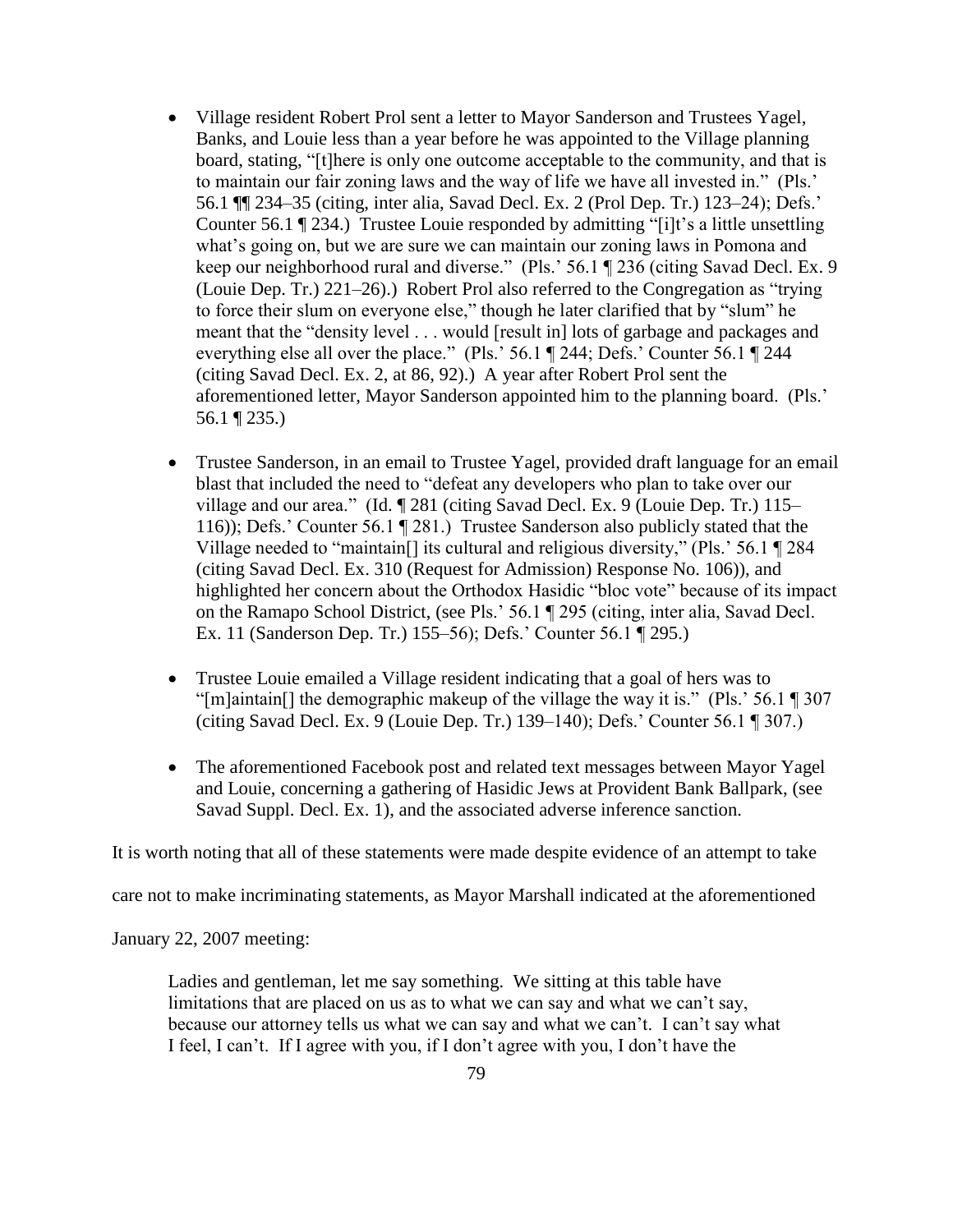- Village resident Robert Prol sent a letter to Mayor Sanderson and Trustees Yagel, Banks, and Louie less than a year before he was appointed to the Village planning board, stating, "[t]here is only one outcome acceptable to the community, and that is to maintain our fair zoning laws and the way of life we have all invested in." (Pls.' 56.1 ¶¶ 234–35 (citing, inter alia, Savad Decl. Ex. 2 (Prol Dep. Tr.) 123–24); Defs.' Counter 56.1 ¶ 234.) Trustee Louie responded by admitting "[i]t's a little unsettling what's going on, but we are sure we can maintain our zoning laws in Pomona and keep our neighborhood rural and diverse." (Pls.' 56.1 ¶ 236 (citing Savad Decl. Ex. 9 (Louie Dep. Tr.) 221–26).) Robert Prol also referred to the Congregation as "trying to force their slum on everyone else," though he later clarified that by "slum" he meant that the "density level . . . would [result in] lots of garbage and packages and everything else all over the place." (Pls.' 56.1 ¶ 244; Defs.' Counter 56.1 ¶ 244 (citing Savad Decl. Ex. 2, at 86, 92).) A year after Robert Prol sent the aforementioned letter, Mayor Sanderson appointed him to the planning board. (Pls.' 56.1 ¶ 235.)
- Trustee Sanderson, in an email to Trustee Yagel, provided draft language for an email blast that included the need to "defeat any developers who plan to take over our village and our area." (Id. ¶ 281 (citing Savad Decl. Ex. 9 (Louie Dep. Tr.) 115– 116)); Defs.' Counter 56.1 ¶ 281.) Trustee Sanderson also publicly stated that the Village needed to "maintain[] its cultural and religious diversity," (Pls.' 56.1 ¶ 284 (citing Savad Decl. Ex. 310 (Request for Admission) Response No. 106)), and highlighted her concern about the Orthodox Hasidic "bloc vote" because of its impact on the Ramapo School District, (see Pls.' 56.1 ¶ 295 (citing, inter alia, Savad Decl. Ex. 11 (Sanderson Dep. Tr.) 155–56); Defs.' Counter 56.1 ¶ 295.)
- Trustee Louie emailed a Village resident indicating that a goal of hers was to "[m]aintain[] the demographic makeup of the village the way it is." (Pls.' 56.1 ¶ 307 (citing Savad Decl. Ex. 9 (Louie Dep. Tr.) 139–140); Defs.' Counter 56.1 ¶ 307.)
- The aforementioned Facebook post and related text messages between Mayor Yagel and Louie, concerning a gathering of Hasidic Jews at Provident Bank Ballpark, (see Savad Suppl. Decl. Ex. 1), and the associated adverse inference sanction.

It is worth noting that all of these statements were made despite evidence of an attempt to take

care not to make incriminating statements, as Mayor Marshall indicated at the aforementioned

January 22, 2007 meeting:

Ladies and gentleman, let me say something. We sitting at this table have limitations that are placed on us as to what we can say and what we can't say, because our attorney tells us what we can say and what we can't. I can't say what I feel, I can't. If I agree with you, if I don't agree with you, I don't have the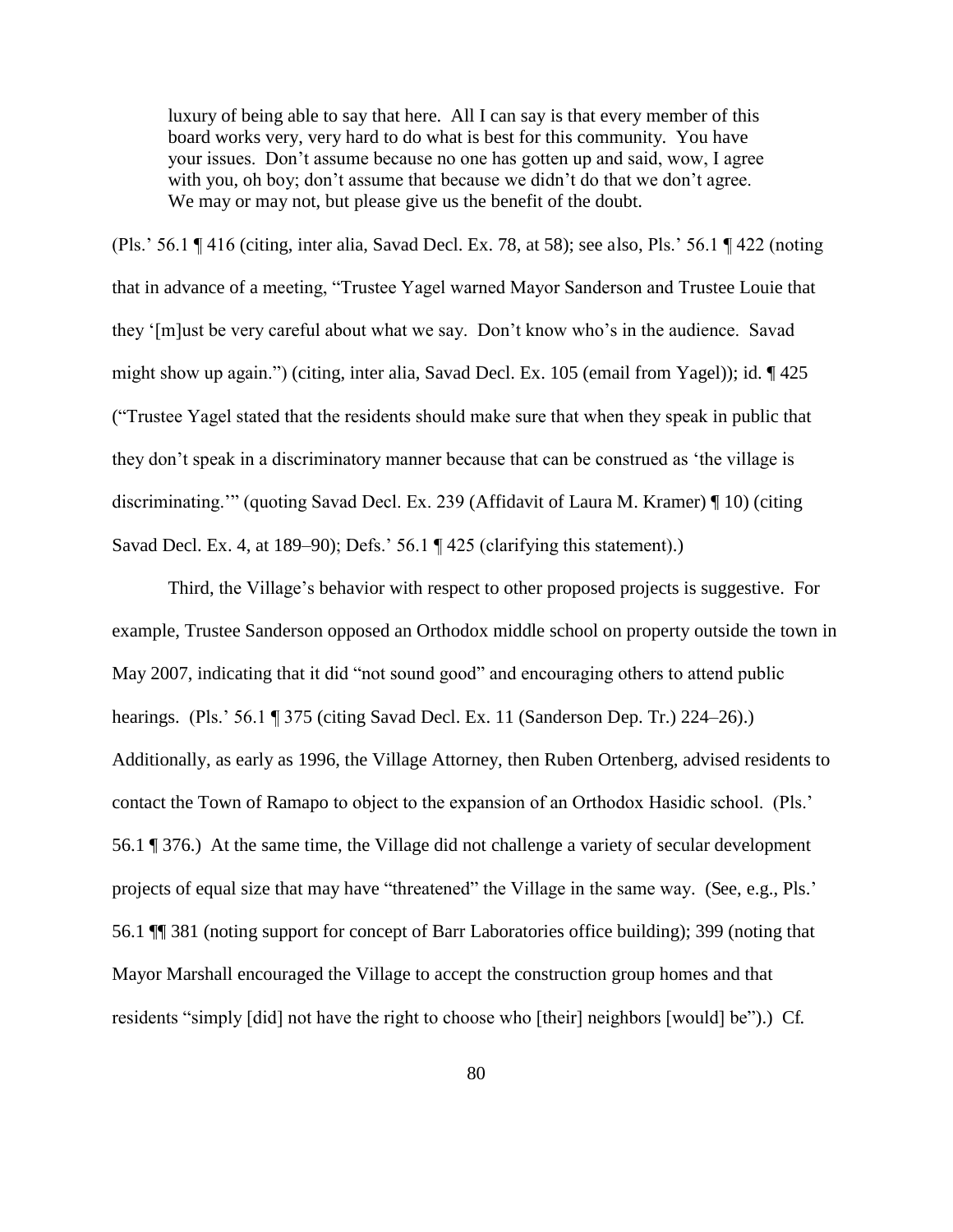luxury of being able to say that here. All I can say is that every member of this board works very, very hard to do what is best for this community. You have your issues. Don't assume because no one has gotten up and said, wow, I agree with you, oh boy; don't assume that because we didn't do that we don't agree. We may or may not, but please give us the benefit of the doubt.

(Pls.' 56.1 ¶ 416 (citing, inter alia, Savad Decl. Ex. 78, at 58); see also, Pls.' 56.1 ¶ 422 (noting that in advance of a meeting, "Trustee Yagel warned Mayor Sanderson and Trustee Louie that they '[m]ust be very careful about what we say. Don't know who's in the audience. Savad might show up again.") (citing, inter alia, Savad Decl. Ex. 105 (email from Yagel)); id. ¶ 425 ("Trustee Yagel stated that the residents should make sure that when they speak in public that they don't speak in a discriminatory manner because that can be construed as 'the village is discriminating.'" (quoting Savad Decl. Ex. 239 (Affidavit of Laura M. Kramer) ¶ 10) (citing Savad Decl. Ex. 4, at 189–90); Defs.' 56.1 ¶ 425 (clarifying this statement).)

Third, the Village's behavior with respect to other proposed projects is suggestive. For example, Trustee Sanderson opposed an Orthodox middle school on property outside the town in May 2007, indicating that it did "not sound good" and encouraging others to attend public hearings. (Pls.' 56.1 ¶ 375 (citing Savad Decl. Ex. 11 (Sanderson Dep. Tr.) 224–26).) Additionally, as early as 1996, the Village Attorney, then Ruben Ortenberg, advised residents to contact the Town of Ramapo to object to the expansion of an Orthodox Hasidic school. (Pls.' 56.1 ¶ 376.) At the same time, the Village did not challenge a variety of secular development projects of equal size that may have "threatened" the Village in the same way. (See, e.g., Pls.' 56.1 ¶¶ 381 (noting support for concept of Barr Laboratories office building); 399 (noting that Mayor Marshall encouraged the Village to accept the construction group homes and that residents "simply [did] not have the right to choose who [their] neighbors [would] be").) Cf.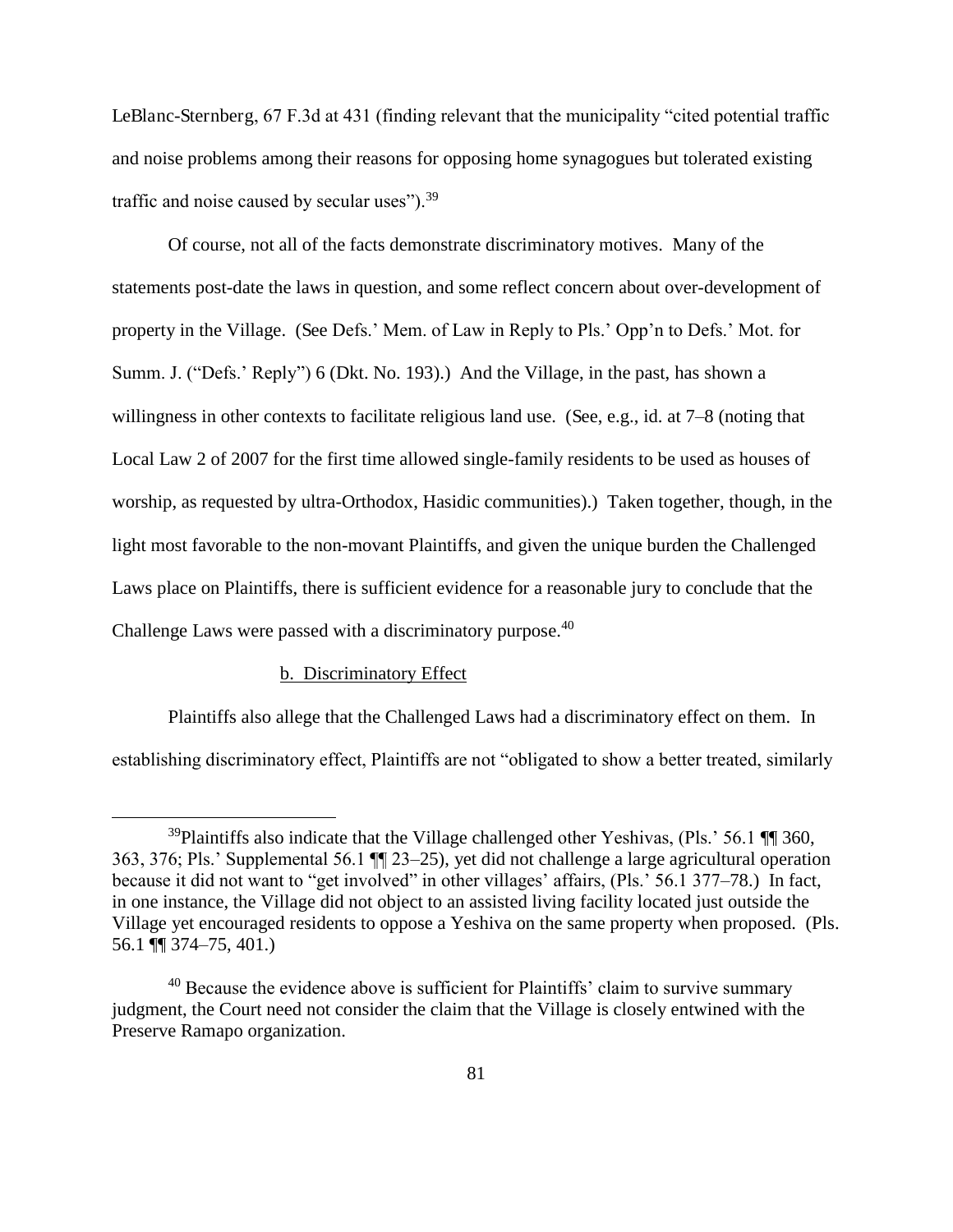LeBlanc-Sternberg, 67 F.3d at 431 (finding relevant that the municipality "cited potential traffic and noise problems among their reasons for opposing home synagogues but tolerated existing traffic and noise caused by secular uses").  $39<sup>39</sup>$ 

Of course, not all of the facts demonstrate discriminatory motives. Many of the statements post-date the laws in question, and some reflect concern about over-development of property in the Village. (See Defs.' Mem. of Law in Reply to Pls.' Opp'n to Defs.' Mot. for Summ. J. ("Defs.' Reply") 6 (Dkt. No. 193).) And the Village, in the past, has shown a willingness in other contexts to facilitate religious land use. (See, e.g., id. at 7–8 (noting that Local Law 2 of 2007 for the first time allowed single-family residents to be used as houses of worship, as requested by ultra-Orthodox, Hasidic communities).) Taken together, though, in the light most favorable to the non-movant Plaintiffs, and given the unique burden the Challenged Laws place on Plaintiffs, there is sufficient evidence for a reasonable jury to conclude that the Challenge Laws were passed with a discriminatory purpose.<sup>40</sup>

## b. Discriminatory Effect

 $\overline{a}$ 

 Plaintiffs also allege that the Challenged Laws had a discriminatory effect on them. In establishing discriminatory effect, Plaintiffs are not "obligated to show a better treated, similarly

 $39$ Plaintiffs also indicate that the Village challenged other Yeshivas, (Pls.' 56.1  $\P$  360, 363, 376; Pls.' Supplemental 56.1 ¶¶ 23–25), yet did not challenge a large agricultural operation because it did not want to "get involved" in other villages' affairs, (Pls.' 56.1 377–78.) In fact, in one instance, the Village did not object to an assisted living facility located just outside the Village yet encouraged residents to oppose a Yeshiva on the same property when proposed. (Pls. 56.1 ¶¶ 374–75, 401.)

<sup>&</sup>lt;sup>40</sup> Because the evidence above is sufficient for Plaintiffs' claim to survive summary judgment, the Court need not consider the claim that the Village is closely entwined with the Preserve Ramapo organization.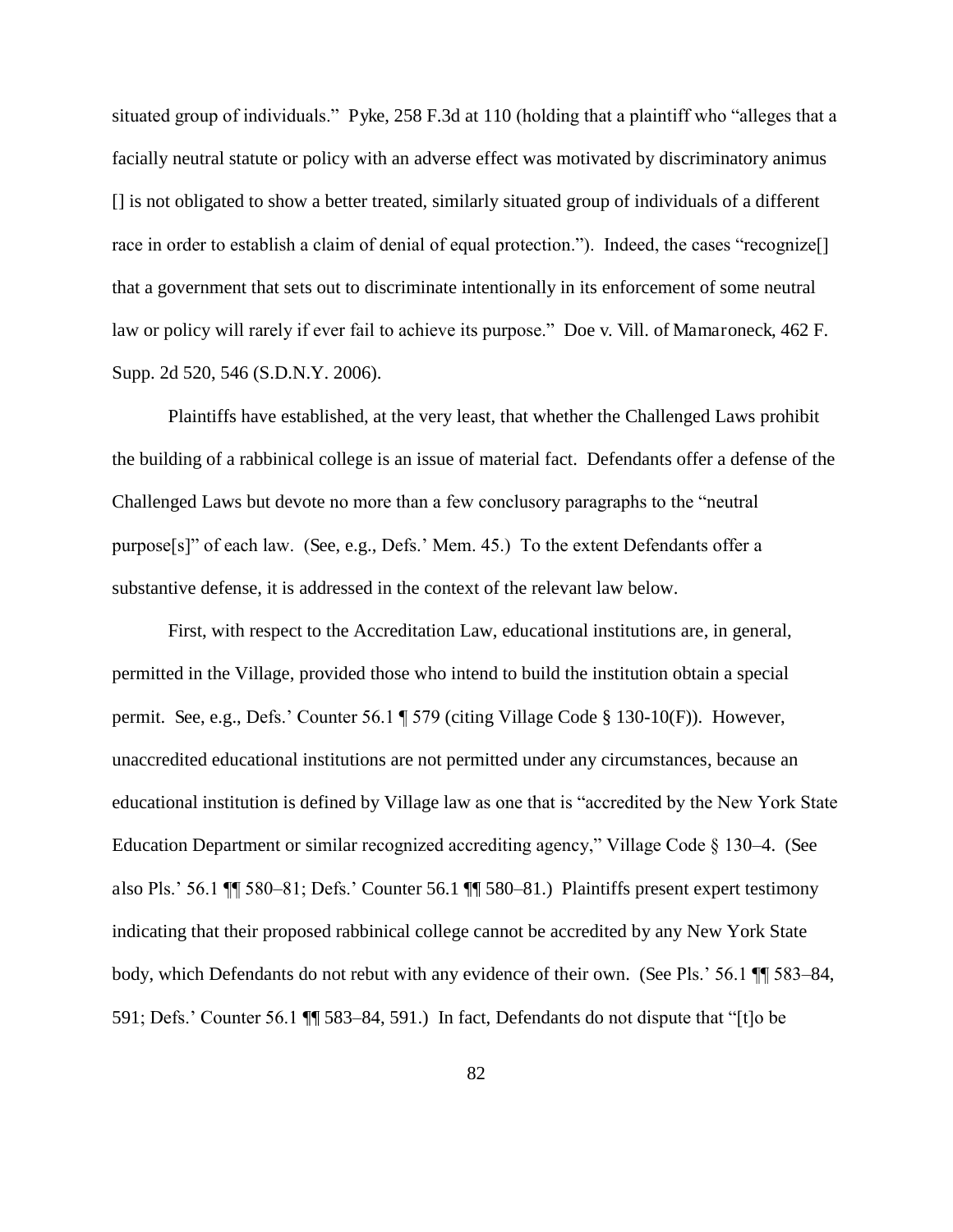situated group of individuals." Pyke, 258 F.3d at 110 (holding that a plaintiff who "alleges that a facially neutral statute or policy with an adverse effect was motivated by discriminatory animus [] is not obligated to show a better treated, similarly situated group of individuals of a different race in order to establish a claim of denial of equal protection."). Indeed, the cases "recognize. that a government that sets out to discriminate intentionally in its enforcement of some neutral law or policy will rarely if ever fail to achieve its purpose." Doe v. Vill. of Mamaroneck, 462 F. Supp. 2d 520, 546 (S.D.N.Y. 2006).

 Plaintiffs have established, at the very least, that whether the Challenged Laws prohibit the building of a rabbinical college is an issue of material fact. Defendants offer a defense of the Challenged Laws but devote no more than a few conclusory paragraphs to the "neutral purpose[s]" of each law. (See, e.g., Defs.' Mem. 45.) To the extent Defendants offer a substantive defense, it is addressed in the context of the relevant law below.

 First, with respect to the Accreditation Law, educational institutions are, in general, permitted in the Village, provided those who intend to build the institution obtain a special permit. See, e.g., Defs.' Counter 56.1 ¶ 579 (citing Village Code § 130-10(F)). However, unaccredited educational institutions are not permitted under any circumstances, because an educational institution is defined by Village law as one that is "accredited by the New York State Education Department or similar recognized accrediting agency," Village Code § 130–4. (See also Pls.' 56.1 ¶¶ 580–81; Defs.' Counter 56.1 ¶¶ 580–81.) Plaintiffs present expert testimony indicating that their proposed rabbinical college cannot be accredited by any New York State body, which Defendants do not rebut with any evidence of their own. (See Pls.' 56.1 ¶¶ 583–84, 591; Defs.' Counter 56.1 ¶¶ 583–84, 591.) In fact, Defendants do not dispute that "[t]o be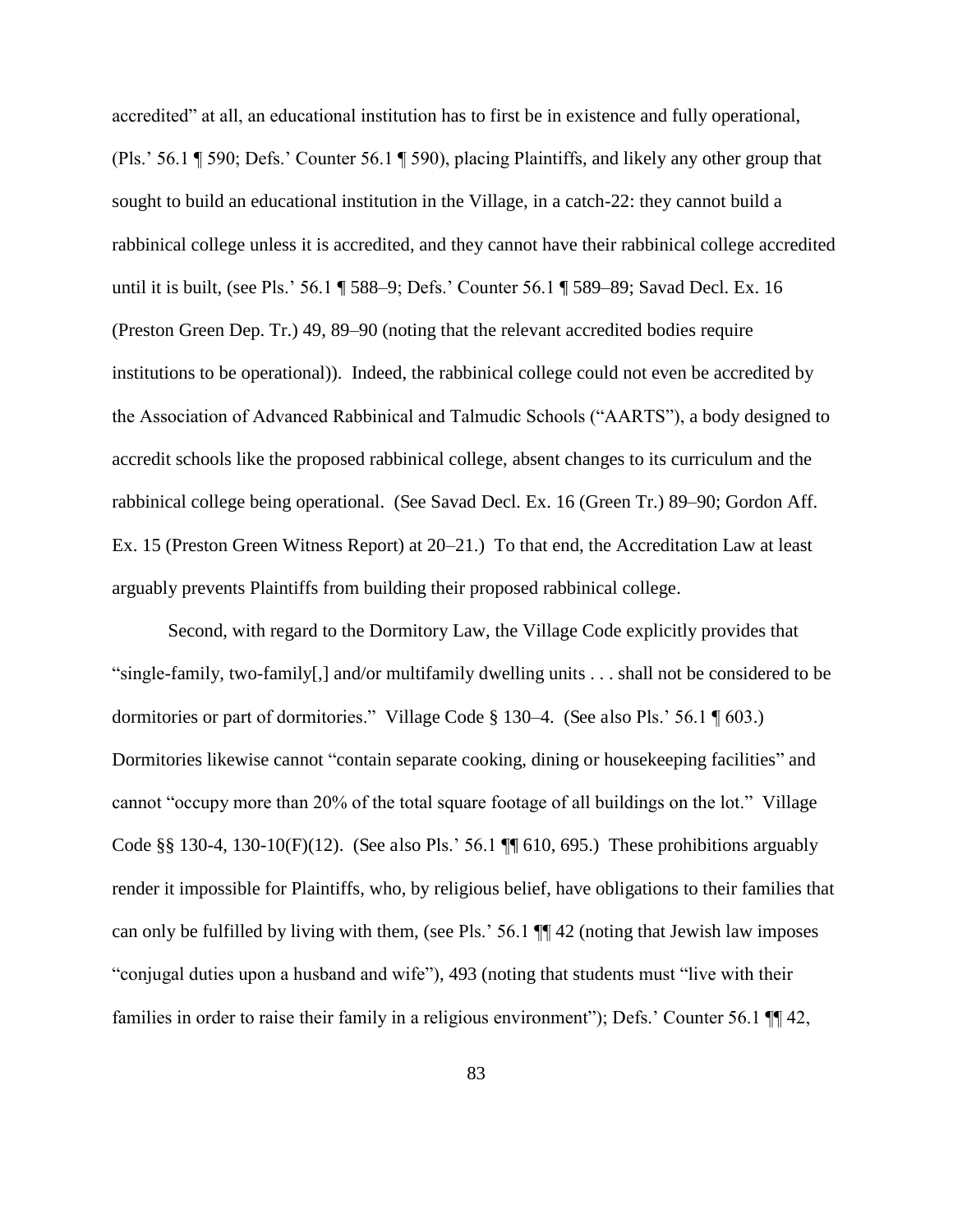accredited" at all, an educational institution has to first be in existence and fully operational, (Pls.' 56.1 ¶ 590; Defs.' Counter 56.1 ¶ 590), placing Plaintiffs, and likely any other group that sought to build an educational institution in the Village, in a catch-22: they cannot build a rabbinical college unless it is accredited, and they cannot have their rabbinical college accredited until it is built, (see Pls.' 56.1 ¶ 588–9; Defs.' Counter 56.1 ¶ 589–89; Savad Decl. Ex. 16 (Preston Green Dep. Tr.) 49, 89–90 (noting that the relevant accredited bodies require institutions to be operational)). Indeed, the rabbinical college could not even be accredited by the Association of Advanced Rabbinical and Talmudic Schools ("AARTS"), a body designed to accredit schools like the proposed rabbinical college, absent changes to its curriculum and the rabbinical college being operational. (See Savad Decl. Ex. 16 (Green Tr.) 89–90; Gordon Aff. Ex. 15 (Preston Green Witness Report) at 20–21.) To that end, the Accreditation Law at least arguably prevents Plaintiffs from building their proposed rabbinical college.

 Second, with regard to the Dormitory Law, the Village Code explicitly provides that "single-family, two-family[,] and/or multifamily dwelling units . . . shall not be considered to be dormitories or part of dormitories." Village Code § 130–4. (See also Pls.' 56.1 ¶ 603.) Dormitories likewise cannot "contain separate cooking, dining or housekeeping facilities" and cannot "occupy more than 20% of the total square footage of all buildings on the lot." Village Code §§ 130-4, 130-10(F)(12). (See also Pls.' 56.1  $\P\P$  610, 695.) These prohibitions arguably render it impossible for Plaintiffs, who, by religious belief, have obligations to their families that can only be fulfilled by living with them, (see Pls.' 56.1 ¶¶ 42 (noting that Jewish law imposes "conjugal duties upon a husband and wife"), 493 (noting that students must "live with their families in order to raise their family in a religious environment"); Defs.' Counter 56.1  $\P$  42,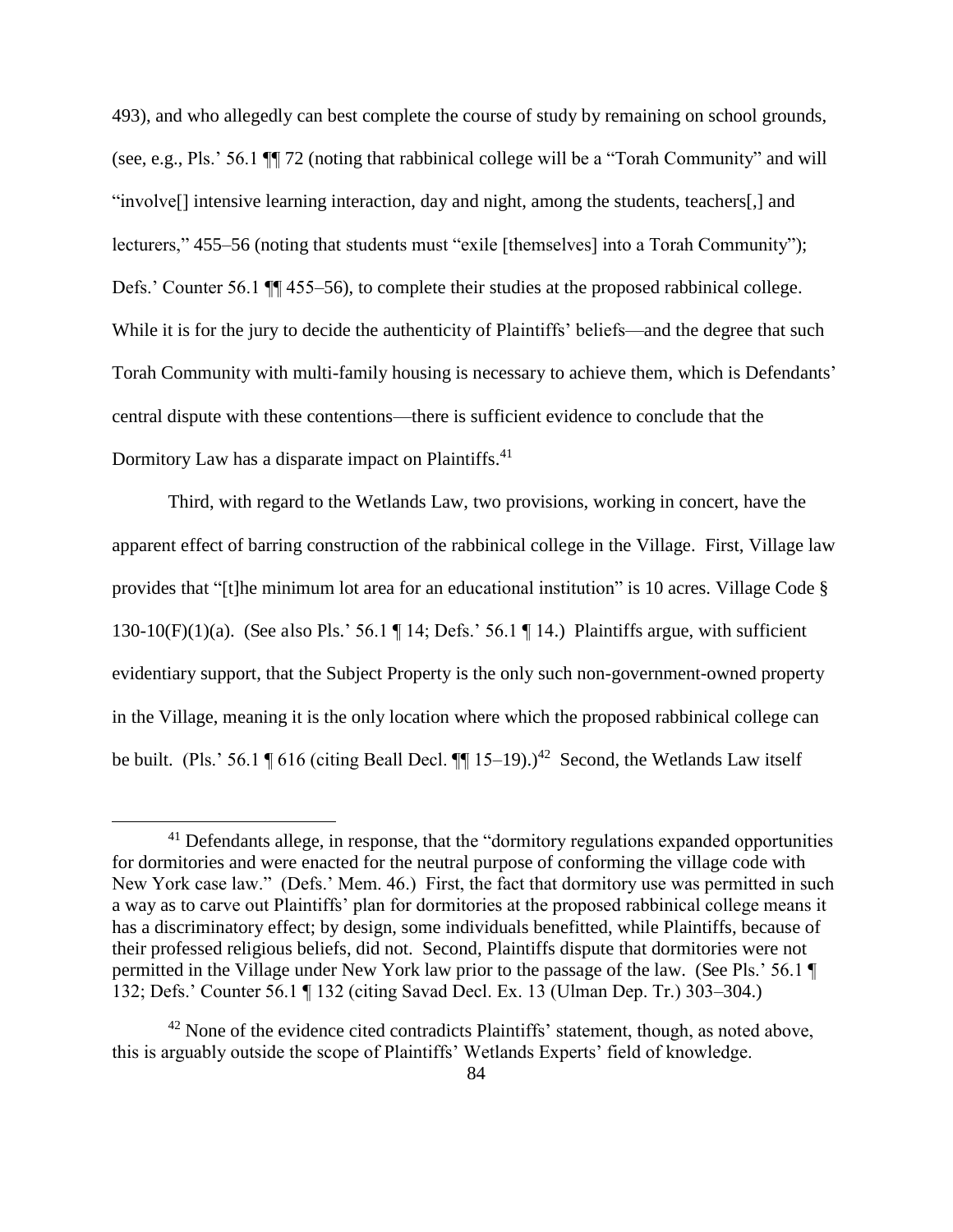493), and who allegedly can best complete the course of study by remaining on school grounds, (see, e.g., Pls.' 56.1 ¶¶ 72 (noting that rabbinical college will be a "Torah Community" and will "involve[] intensive learning interaction, day and night, among the students, teachers[,] and lecturers," 455–56 (noting that students must "exile [themselves] into a Torah Community"); Defs.' Counter 56.1  $\P$  455–56), to complete their studies at the proposed rabbinical college. While it is for the jury to decide the authenticity of Plaintiffs' beliefs—and the degree that such Torah Community with multi-family housing is necessary to achieve them, which is Defendants' central dispute with these contentions—there is sufficient evidence to conclude that the Dormitory Law has a disparate impact on Plaintiffs.<sup>41</sup>

 Third, with regard to the Wetlands Law, two provisions, working in concert, have the apparent effect of barring construction of the rabbinical college in the Village. First, Village law provides that "[t]he minimum lot area for an educational institution" is 10 acres. Village Code § 130-10(F)(1)(a). (See also Pls.' 56.1  $\P$  14; Defs.' 56.1  $\P$  14.) Plaintiffs argue, with sufficient evidentiary support, that the Subject Property is the only such non-government-owned property in the Village, meaning it is the only location where which the proposed rabbinical college can be built. (Pls.' 56.1  $\P$  616 (citing Beall Decl.  $\P$  $\P$  15–19).)<sup>42</sup> Second, the Wetlands Law itself

 $41$  Defendants allege, in response, that the "dormitory regulations expanded opportunities for dormitories and were enacted for the neutral purpose of conforming the village code with New York case law." (Defs.' Mem. 46.) First, the fact that dormitory use was permitted in such a way as to carve out Plaintiffs' plan for dormitories at the proposed rabbinical college means it has a discriminatory effect; by design, some individuals benefitted, while Plaintiffs, because of their professed religious beliefs, did not. Second, Plaintiffs dispute that dormitories were not permitted in the Village under New York law prior to the passage of the law. (See Pls.' 56.1 ¶ 132; Defs.' Counter 56.1 ¶ 132 (citing Savad Decl. Ex. 13 (Ulman Dep. Tr.) 303–304.)

 $42$  None of the evidence cited contradicts Plaintiffs' statement, though, as noted above, this is arguably outside the scope of Plaintiffs' Wetlands Experts' field of knowledge.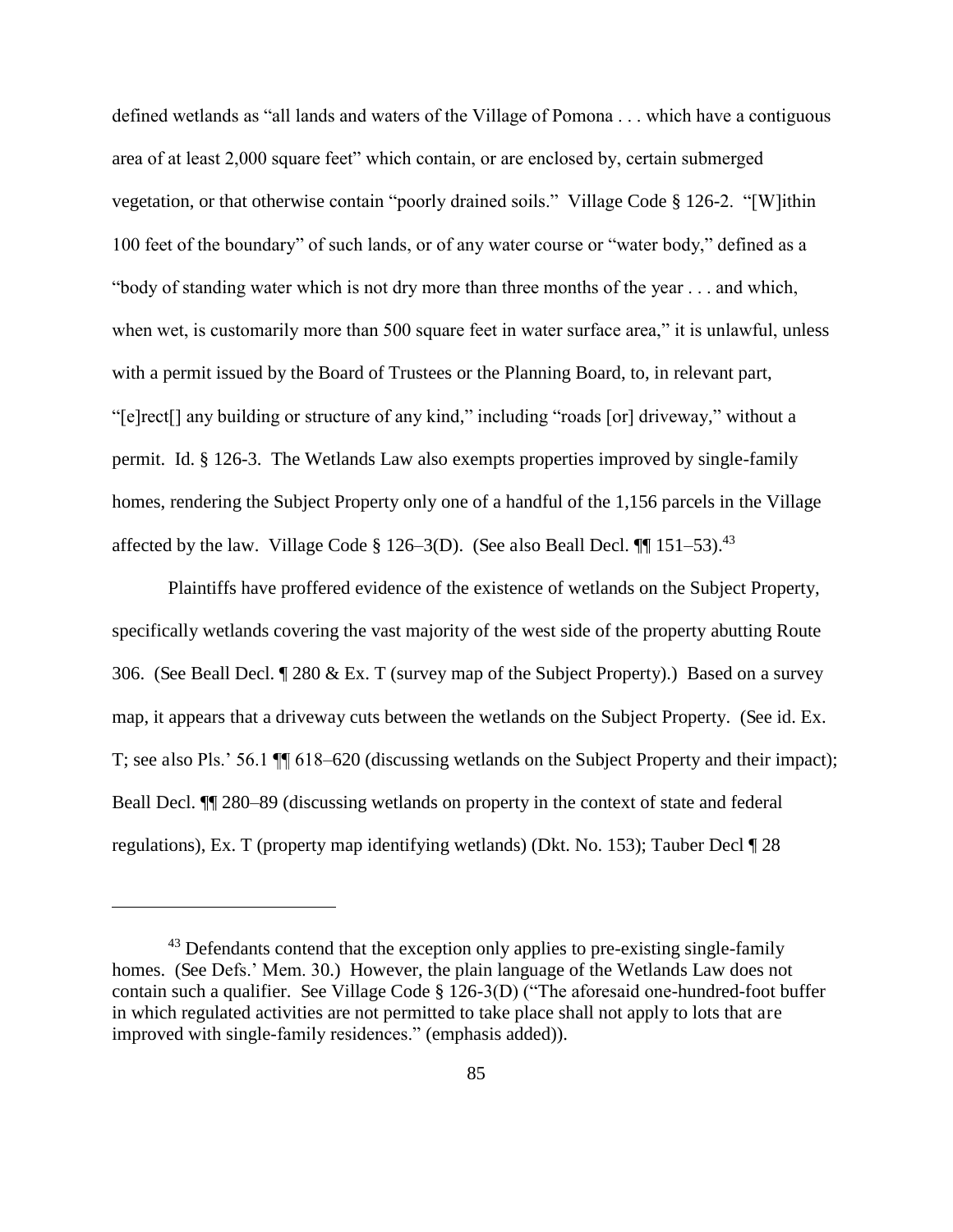defined wetlands as "all lands and waters of the Village of Pomona . . . which have a contiguous area of at least 2,000 square feet" which contain, or are enclosed by, certain submerged vegetation, or that otherwise contain "poorly drained soils." Village Code § 126-2. "[W]ithin 100 feet of the boundary" of such lands, or of any water course or "water body," defined as a "body of standing water which is not dry more than three months of the year . . . and which, when wet, is customarily more than 500 square feet in water surface area," it is unlawful, unless with a permit issued by the Board of Trustees or the Planning Board, to, in relevant part, "[e]rect[] any building or structure of any kind," including "roads [or] driveway," without a permit. Id. § 126-3. The Wetlands Law also exempts properties improved by single-family homes, rendering the Subject Property only one of a handful of the 1,156 parcels in the Village affected by the law. Village Code § 126–3(D). (See also Beall Decl.  $\P\P$  151–53).<sup>43</sup>

 Plaintiffs have proffered evidence of the existence of wetlands on the Subject Property, specifically wetlands covering the vast majority of the west side of the property abutting Route 306. (See Beall Decl. ¶ 280 & Ex. T (survey map of the Subject Property).) Based on a survey map, it appears that a driveway cuts between the wetlands on the Subject Property. (See id. Ex. T; see also Pls.' 56.1 ¶¶ 618–620 (discussing wetlands on the Subject Property and their impact); Beall Decl. ¶¶ 280–89 (discussing wetlands on property in the context of state and federal regulations), Ex. T (property map identifying wetlands) (Dkt. No. 153); Tauber Decl ¶ 28

<sup>&</sup>lt;sup>43</sup> Defendants contend that the exception only applies to pre-existing single-family homes. (See Defs.' Mem. 30.) However, the plain language of the Wetlands Law does not contain such a qualifier. See Village Code § 126-3(D) ("The aforesaid one-hundred-foot buffer in which regulated activities are not permitted to take place shall not apply to lots that are improved with single-family residences." (emphasis added)).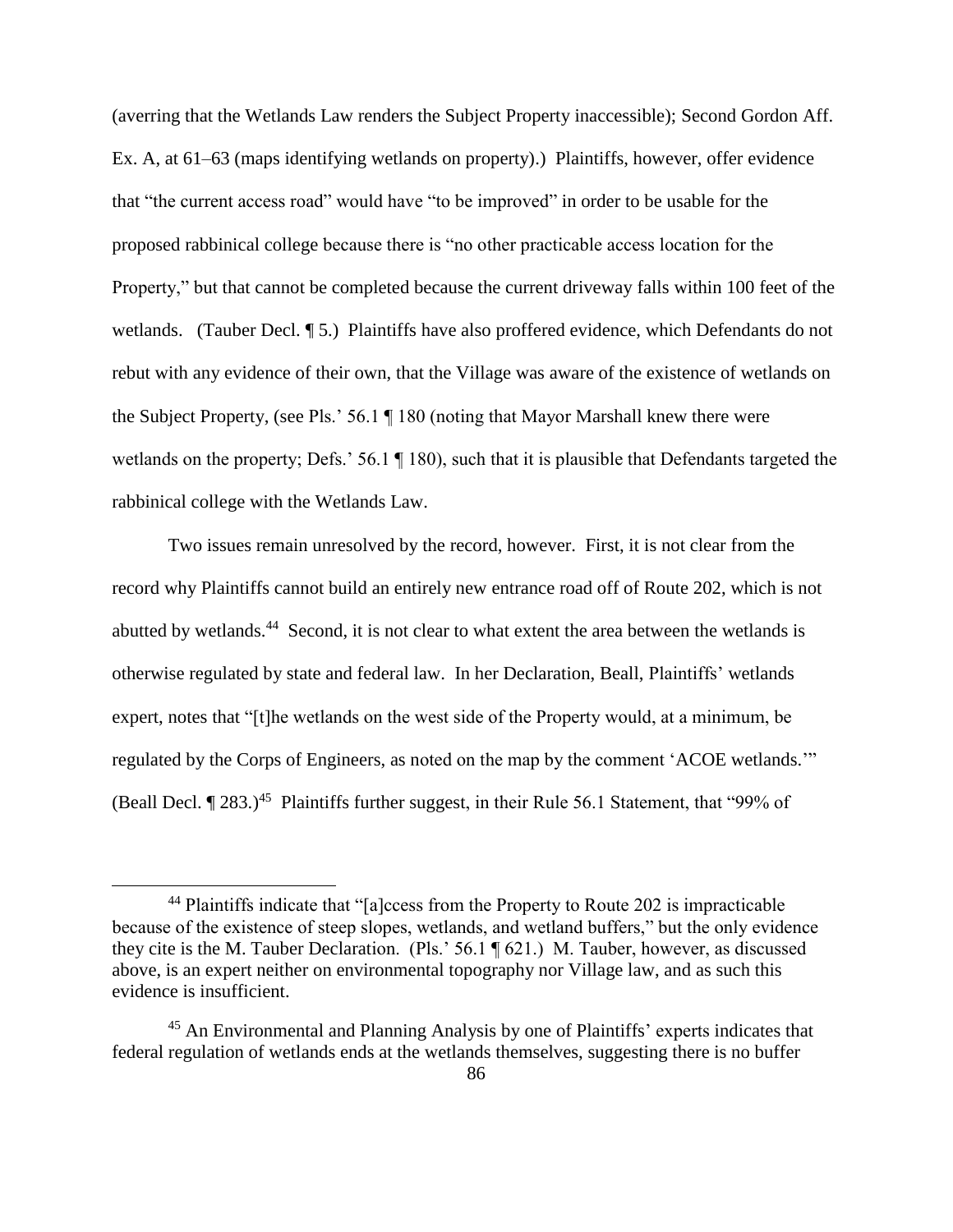(averring that the Wetlands Law renders the Subject Property inaccessible); Second Gordon Aff. Ex. A, at 61–63 (maps identifying wetlands on property).) Plaintiffs, however, offer evidence that "the current access road" would have "to be improved" in order to be usable for the proposed rabbinical college because there is "no other practicable access location for the Property," but that cannot be completed because the current driveway falls within 100 feet of the wetlands. (Tauber Decl. 15.) Plaintiffs have also proffered evidence, which Defendants do not rebut with any evidence of their own, that the Village was aware of the existence of wetlands on the Subject Property, (see Pls.' 56.1 ¶ 180 (noting that Mayor Marshall knew there were wetlands on the property; Defs.' 56.1 ¶ 180), such that it is plausible that Defendants targeted the rabbinical college with the Wetlands Law.

 Two issues remain unresolved by the record, however. First, it is not clear from the record why Plaintiffs cannot build an entirely new entrance road off of Route 202, which is not abutted by wetlands.<sup>44</sup> Second, it is not clear to what extent the area between the wetlands is otherwise regulated by state and federal law. In her Declaration, Beall, Plaintiffs' wetlands expert, notes that "[t]he wetlands on the west side of the Property would, at a minimum, be regulated by the Corps of Engineers, as noted on the map by the comment 'ACOE wetlands.'" (Beall Decl.  $\P$  283.)<sup>45</sup> Plaintiffs further suggest, in their Rule 56.1 Statement, that "99% of

<sup>&</sup>lt;sup>44</sup> Plaintiffs indicate that "[a]ccess from the Property to Route 202 is impracticable because of the existence of steep slopes, wetlands, and wetland buffers," but the only evidence they cite is the M. Tauber Declaration. (Pls.' 56.1 ¶ 621.) M. Tauber, however, as discussed above, is an expert neither on environmental topography nor Village law, and as such this evidence is insufficient.

<sup>&</sup>lt;sup>45</sup> An Environmental and Planning Analysis by one of Plaintiffs' experts indicates that federal regulation of wetlands ends at the wetlands themselves, suggesting there is no buffer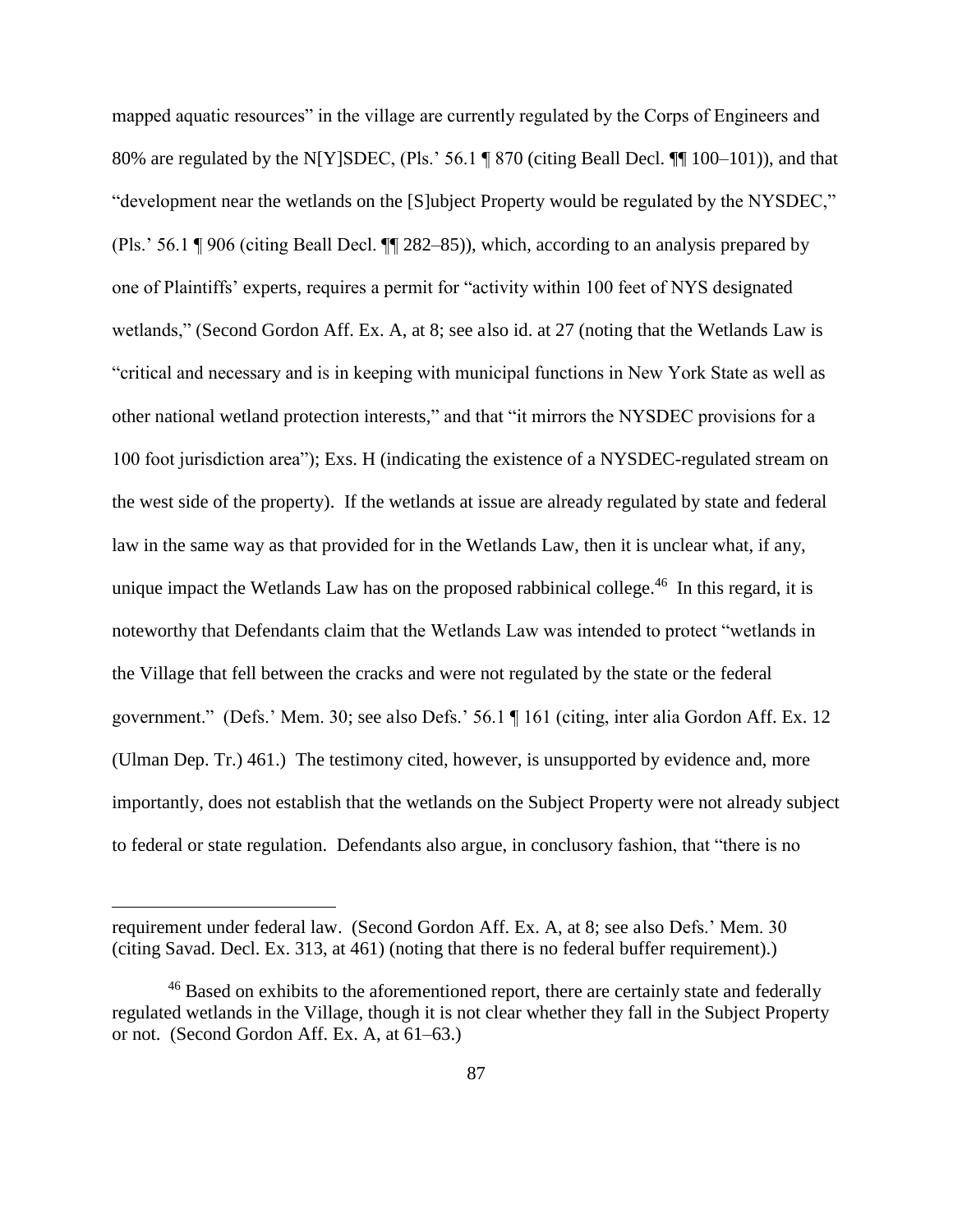mapped aquatic resources" in the village are currently regulated by the Corps of Engineers and 80% are regulated by the N[Y]SDEC, (Pls.' 56.1 ¶ 870 (citing Beall Decl. ¶¶ 100–101)), and that "development near the wetlands on the [S]ubject Property would be regulated by the NYSDEC," (Pls.' 56.1 ¶ 906 (citing Beall Decl. ¶¶ 282–85)), which, according to an analysis prepared by one of Plaintiffs' experts, requires a permit for "activity within 100 feet of NYS designated wetlands," (Second Gordon Aff. Ex. A, at 8; see also id. at 27 (noting that the Wetlands Law is "critical and necessary and is in keeping with municipal functions in New York State as well as other national wetland protection interests," and that "it mirrors the NYSDEC provisions for a 100 foot jurisdiction area"); Exs. H (indicating the existence of a NYSDEC-regulated stream on the west side of the property). If the wetlands at issue are already regulated by state and federal law in the same way as that provided for in the Wetlands Law, then it is unclear what, if any, unique impact the Wetlands Law has on the proposed rabbinical college.<sup>46</sup> In this regard, it is noteworthy that Defendants claim that the Wetlands Law was intended to protect "wetlands in the Village that fell between the cracks and were not regulated by the state or the federal government." (Defs.' Mem. 30; see also Defs.' 56.1 ¶ 161 (citing, inter alia Gordon Aff. Ex. 12 (Ulman Dep. Tr.) 461.) The testimony cited, however, is unsupported by evidence and, more importantly, does not establish that the wetlands on the Subject Property were not already subject to federal or state regulation. Defendants also argue, in conclusory fashion, that "there is no

requirement under federal law. (Second Gordon Aff. Ex. A, at 8; see also Defs.' Mem. 30 (citing Savad. Decl. Ex. 313, at 461) (noting that there is no federal buffer requirement).)

<sup>&</sup>lt;sup>46</sup> Based on exhibits to the aforementioned report, there are certainly state and federally regulated wetlands in the Village, though it is not clear whether they fall in the Subject Property or not. (Second Gordon Aff. Ex. A, at 61–63.)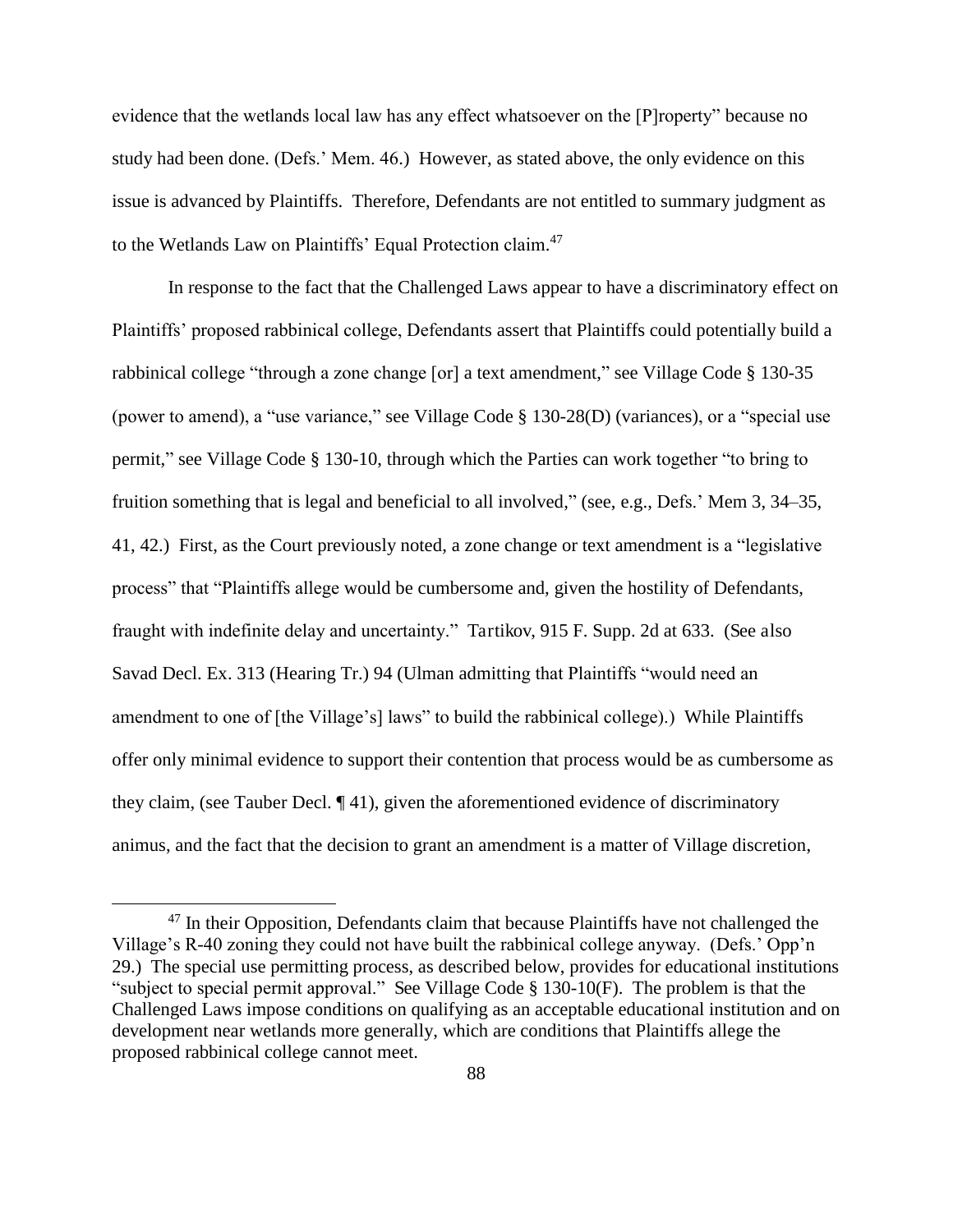evidence that the wetlands local law has any effect whatsoever on the [P]roperty" because no study had been done. (Defs.' Mem. 46.) However, as stated above, the only evidence on this issue is advanced by Plaintiffs. Therefore, Defendants are not entitled to summary judgment as to the Wetlands Law on Plaintiffs' Equal Protection claim.<sup>47</sup>

In response to the fact that the Challenged Laws appear to have a discriminatory effect on Plaintiffs' proposed rabbinical college, Defendants assert that Plaintiffs could potentially build a rabbinical college "through a zone change [or] a text amendment," see Village Code § 130-35 (power to amend), a "use variance," see Village Code § 130-28(D) (variances), or a "special use permit," see Village Code § 130-10, through which the Parties can work together "to bring to fruition something that is legal and beneficial to all involved," (see, e.g., Defs.' Mem 3, 34–35, 41, 42.) First, as the Court previously noted, a zone change or text amendment is a "legislative process" that "Plaintiffs allege would be cumbersome and, given the hostility of Defendants, fraught with indefinite delay and uncertainty." Tartikov, 915 F. Supp. 2d at 633. (See also Savad Decl. Ex. 313 (Hearing Tr.) 94 (Ulman admitting that Plaintiffs "would need an amendment to one of [the Village's] laws" to build the rabbinical college).) While Plaintiffs offer only minimal evidence to support their contention that process would be as cumbersome as they claim, (see Tauber Decl. ¶ 41), given the aforementioned evidence of discriminatory animus, and the fact that the decision to grant an amendment is a matter of Village discretion,

 $47$  In their Opposition, Defendants claim that because Plaintiffs have not challenged the Village's R-40 zoning they could not have built the rabbinical college anyway. (Defs.' Opp'n 29.) The special use permitting process, as described below, provides for educational institutions "subject to special permit approval." See Village Code § 130-10(F). The problem is that the Challenged Laws impose conditions on qualifying as an acceptable educational institution and on development near wetlands more generally, which are conditions that Plaintiffs allege the proposed rabbinical college cannot meet.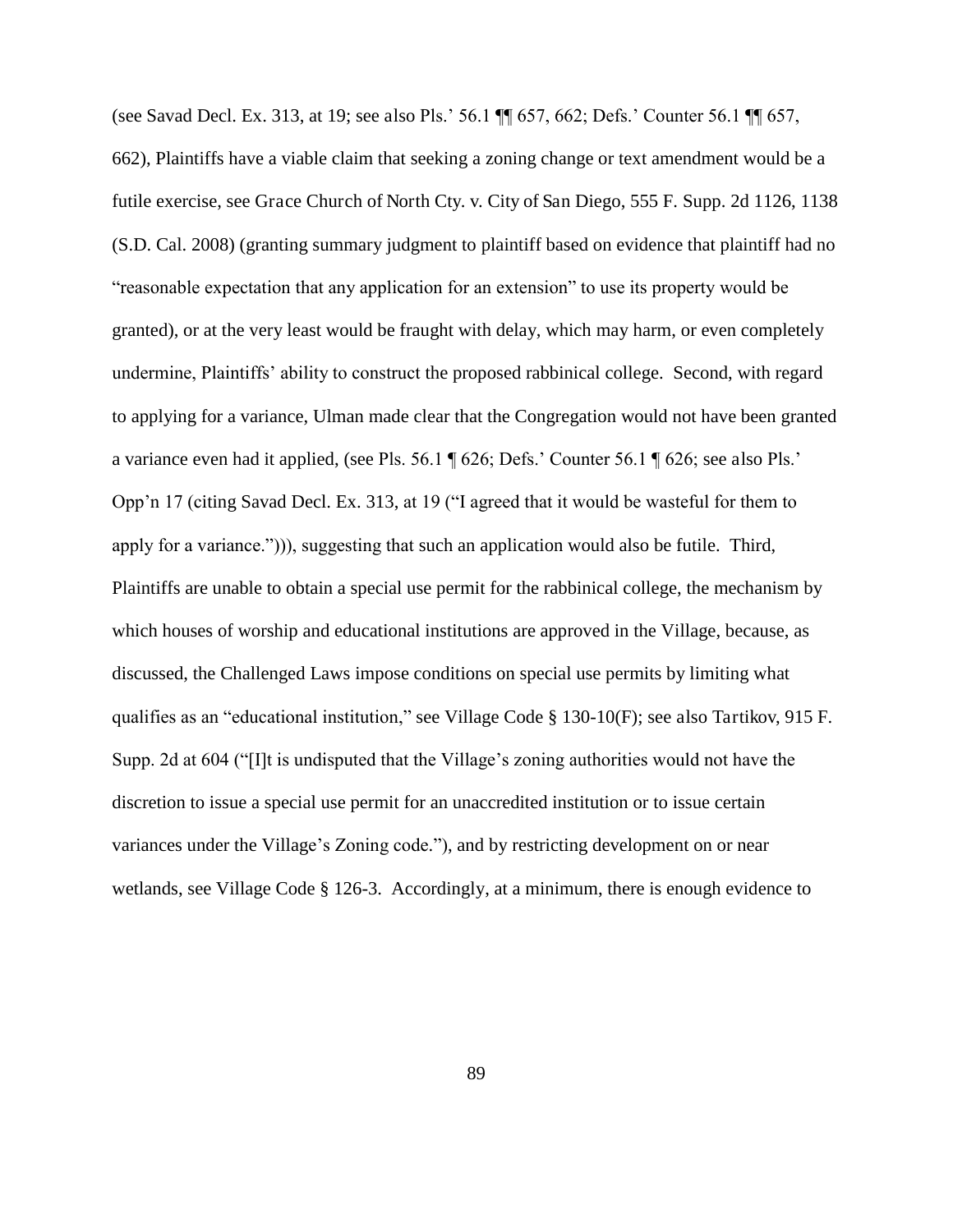(see Savad Decl. Ex. 313, at 19; see also Pls.' 56.1 ¶¶ 657, 662; Defs.' Counter 56.1 ¶¶ 657, 662), Plaintiffs have a viable claim that seeking a zoning change or text amendment would be a futile exercise, see Grace Church of North Cty. v. City of San Diego, 555 F. Supp. 2d 1126, 1138 (S.D. Cal. 2008) (granting summary judgment to plaintiff based on evidence that plaintiff had no "reasonable expectation that any application for an extension" to use its property would be granted), or at the very least would be fraught with delay, which may harm, or even completely undermine, Plaintiffs' ability to construct the proposed rabbinical college. Second, with regard to applying for a variance, Ulman made clear that the Congregation would not have been granted a variance even had it applied, (see Pls. 56.1 ¶ 626; Defs.' Counter 56.1 ¶ 626; see also Pls.' Opp'n 17 (citing Savad Decl. Ex. 313, at 19 ("I agreed that it would be wasteful for them to apply for a variance."))), suggesting that such an application would also be futile. Third, Plaintiffs are unable to obtain a special use permit for the rabbinical college, the mechanism by which houses of worship and educational institutions are approved in the Village, because, as discussed, the Challenged Laws impose conditions on special use permits by limiting what qualifies as an "educational institution," see Village Code § 130-10(F); see also Tartikov, 915 F. Supp. 2d at 604 ("[I]t is undisputed that the Village's zoning authorities would not have the discretion to issue a special use permit for an unaccredited institution or to issue certain variances under the Village's Zoning code."), and by restricting development on or near wetlands, see Village Code § 126-3. Accordingly, at a minimum, there is enough evidence to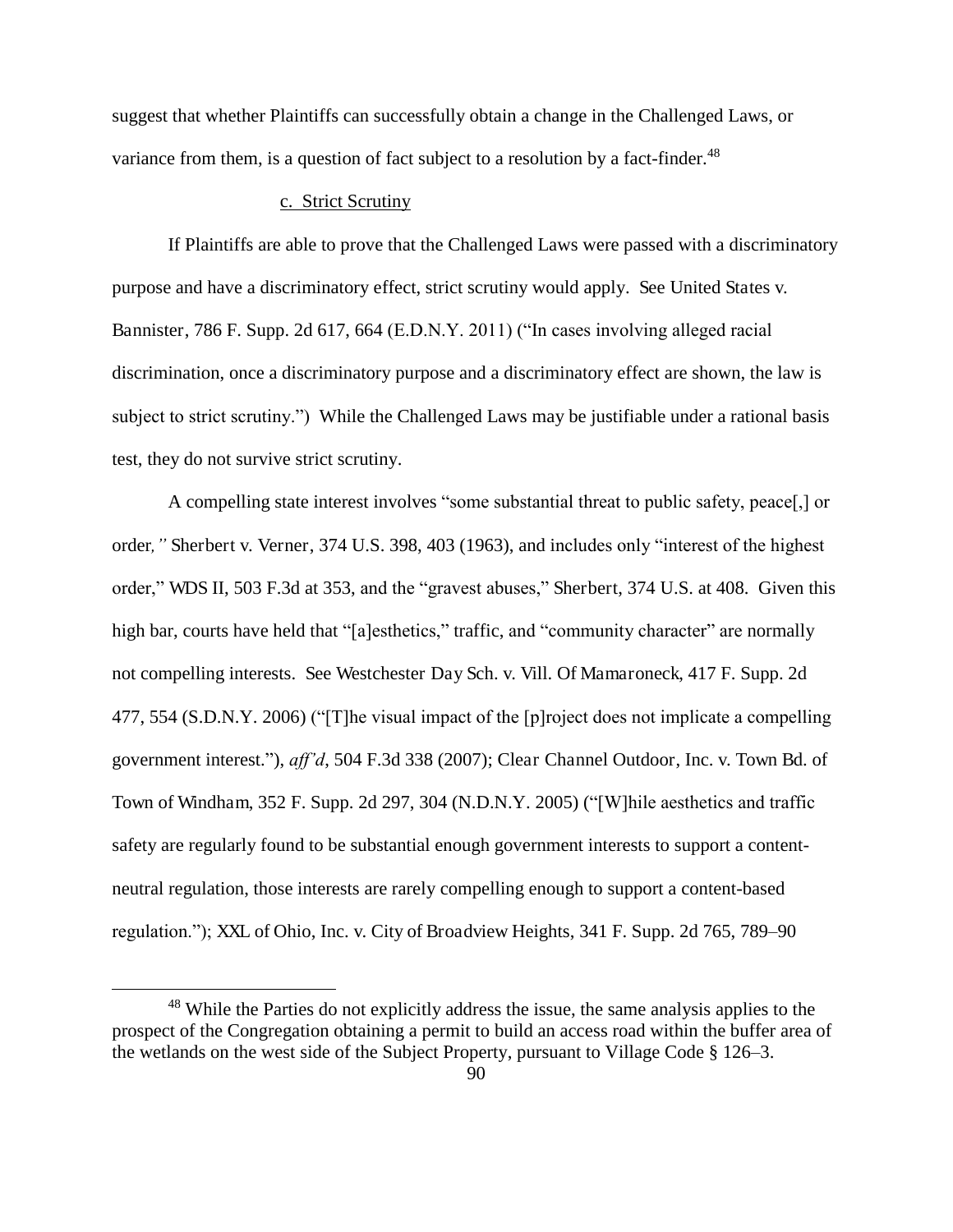suggest that whether Plaintiffs can successfully obtain a change in the Challenged Laws, or variance from them, is a question of fact subject to a resolution by a fact-finder.<sup>48</sup>

## c. Strict Scrutiny

If Plaintiffs are able to prove that the Challenged Laws were passed with a discriminatory purpose and have a discriminatory effect, strict scrutiny would apply. See United States v. Bannister, 786 F. Supp. 2d 617, 664 (E.D.N.Y. 2011) ("In cases involving alleged racial discrimination, once a discriminatory purpose and a discriminatory effect are shown, the law is subject to strict scrutiny.") While the Challenged Laws may be justifiable under a rational basis test, they do not survive strict scrutiny.

A compelling state interest involves "some substantial threat to public safety, peace[,] or order*,"* Sherbert v. Verner, 374 U.S. 398, 403 (1963), and includes only "interest of the highest order," WDS II, 503 F.3d at 353, and the "gravest abuses," Sherbert, 374 U.S. at 408. Given this high bar, courts have held that "[a]esthetics," traffic, and "community character" are normally not compelling interests. See Westchester Day Sch. v. Vill. Of Mamaroneck, 417 F. Supp. 2d 477, 554 (S.D.N.Y. 2006) ("[T]he visual impact of the [p]roject does not implicate a compelling government interest."), *aff'd*, 504 F.3d 338 (2007); Clear Channel Outdoor, Inc. v. Town Bd. of Town of Windham, 352 F. Supp. 2d 297, 304 (N.D.N.Y. 2005) ("[W]hile aesthetics and traffic safety are regularly found to be substantial enough government interests to support a contentneutral regulation, those interests are rarely compelling enough to support a content-based regulation."); XXL of Ohio, Inc. v. City of Broadview Heights, 341 F. Supp. 2d 765, 789–90

<sup>&</sup>lt;sup>48</sup> While the Parties do not explicitly address the issue, the same analysis applies to the prospect of the Congregation obtaining a permit to build an access road within the buffer area of the wetlands on the west side of the Subject Property, pursuant to Village Code § 126–3.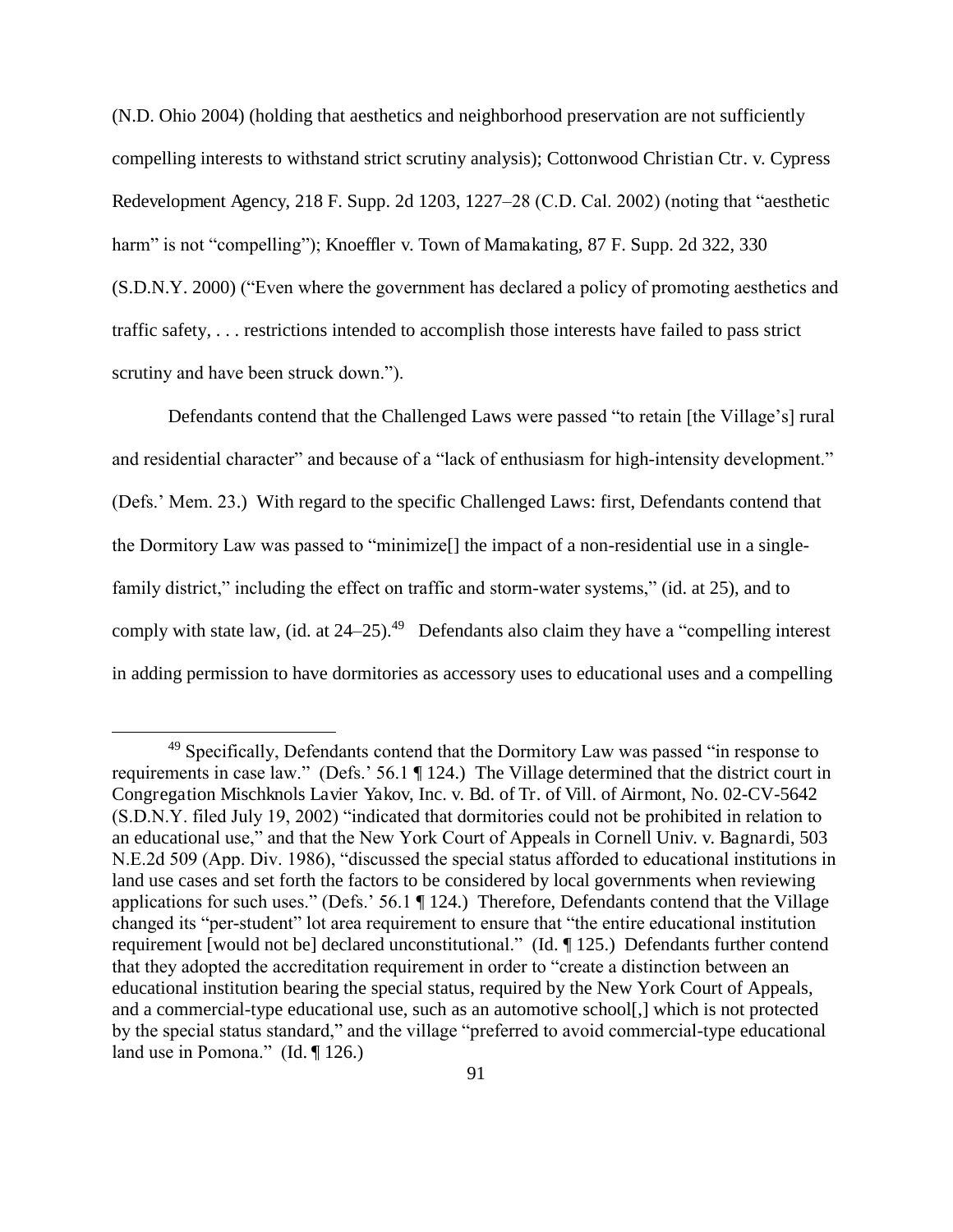(N.D. Ohio 2004) (holding that aesthetics and neighborhood preservation are not sufficiently compelling interests to withstand strict scrutiny analysis); Cottonwood Christian Ctr. v. Cypress Redevelopment Agency, 218 F. Supp. 2d 1203, 1227–28 (C.D. Cal. 2002) (noting that "aesthetic harm" is not "compelling"); Knoeffler v. Town of Mamakating, 87 F. Supp. 2d 322, 330 (S.D.N.Y. 2000) ("Even where the government has declared a policy of promoting aesthetics and traffic safety, . . . restrictions intended to accomplish those interests have failed to pass strict scrutiny and have been struck down.").

Defendants contend that the Challenged Laws were passed "to retain [the Village's] rural and residential character" and because of a "lack of enthusiasm for high-intensity development." (Defs.' Mem. 23.) With regard to the specific Challenged Laws: first, Defendants contend that the Dormitory Law was passed to "minimize[] the impact of a non-residential use in a singlefamily district," including the effect on traffic and storm-water systems," (id. at 25), and to comply with state law, (id. at  $24-25$ ).<sup>49</sup> Defendants also claim they have a "compelling interest" in adding permission to have dormitories as accessory uses to educational uses and a compelling

<sup>&</sup>lt;sup>49</sup> Specifically, Defendants contend that the Dormitory Law was passed "in response to requirements in case law." (Defs.' 56.1 ¶ 124.) The Village determined that the district court in Congregation Mischknols Lavier Yakov, Inc. v. Bd. of Tr. of Vill. of Airmont, No. 02-CV-5642 (S.D.N.Y. filed July 19, 2002) "indicated that dormitories could not be prohibited in relation to an educational use," and that the New York Court of Appeals in Cornell Univ. v. Bagnardi, 503 N.E.2d 509 (App. Div. 1986), "discussed the special status afforded to educational institutions in land use cases and set forth the factors to be considered by local governments when reviewing applications for such uses." (Defs.' 56.1 ¶ 124.) Therefore, Defendants contend that the Village changed its "per-student" lot area requirement to ensure that "the entire educational institution requirement [would not be] declared unconstitutional." (Id. ¶ 125.) Defendants further contend that they adopted the accreditation requirement in order to "create a distinction between an educational institution bearing the special status, required by the New York Court of Appeals, and a commercial-type educational use, such as an automotive school[,] which is not protected by the special status standard," and the village "preferred to avoid commercial-type educational land use in Pomona." (Id. ¶ 126.)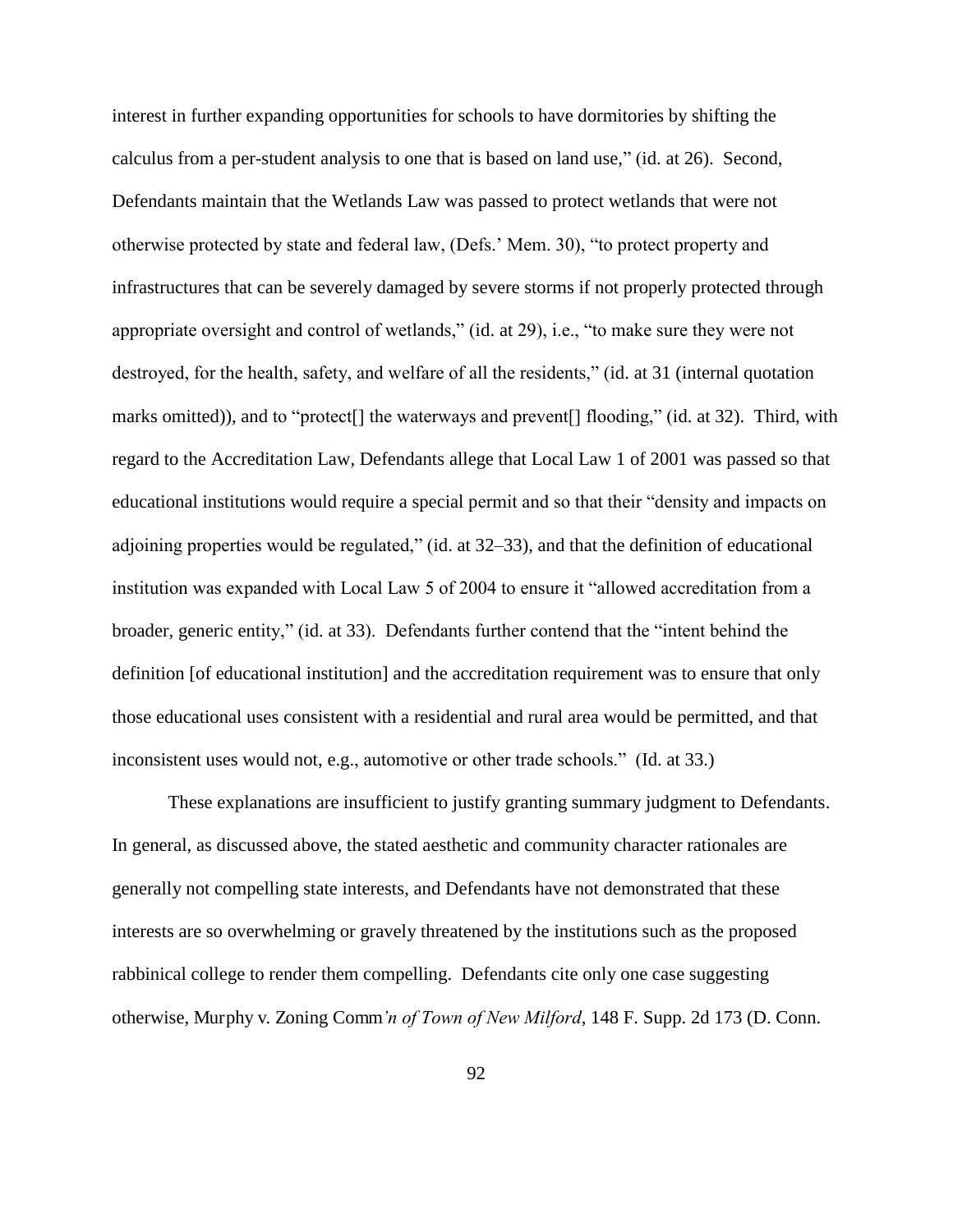interest in further expanding opportunities for schools to have dormitories by shifting the calculus from a per-student analysis to one that is based on land use," (id. at 26).Second, Defendants maintain that the Wetlands Law was passed to protect wetlands that were not otherwise protected by state and federal law, (Defs.' Mem. 30), "to protect property and infrastructures that can be severely damaged by severe storms if not properly protected through appropriate oversight and control of wetlands," (id. at 29), i.e., "to make sure they were not destroyed, for the health, safety, and welfare of all the residents," (id. at 31 (internal quotation marks omitted)), and to "protect[] the waterways and prevent[] flooding," (id. at 32). Third, with regard to the Accreditation Law, Defendants allege that Local Law 1 of 2001 was passed so that educational institutions would require a special permit and so that their "density and impacts on adjoining properties would be regulated," (id. at 32–33), and that the definition of educational institution was expanded with Local Law 5 of 2004 to ensure it "allowed accreditation from a broader, generic entity," (id. at 33). Defendants further contend that the "intent behind the definition [of educational institution] and the accreditation requirement was to ensure that only those educational uses consistent with a residential and rural area would be permitted, and that inconsistent uses would not, e.g., automotive or other trade schools." (Id. at 33.)

These explanations are insufficient to justify granting summary judgment to Defendants. In general, as discussed above, the stated aesthetic and community character rationales are generally not compelling state interests, and Defendants have not demonstrated that these interests are so overwhelming or gravely threatened by the institutions such as the proposed rabbinical college to render them compelling. Defendants cite only one case suggesting otherwise, Murphy v. Zoning Comm*'n of Town of New Milford*, 148 F. Supp. 2d 173 (D. Conn.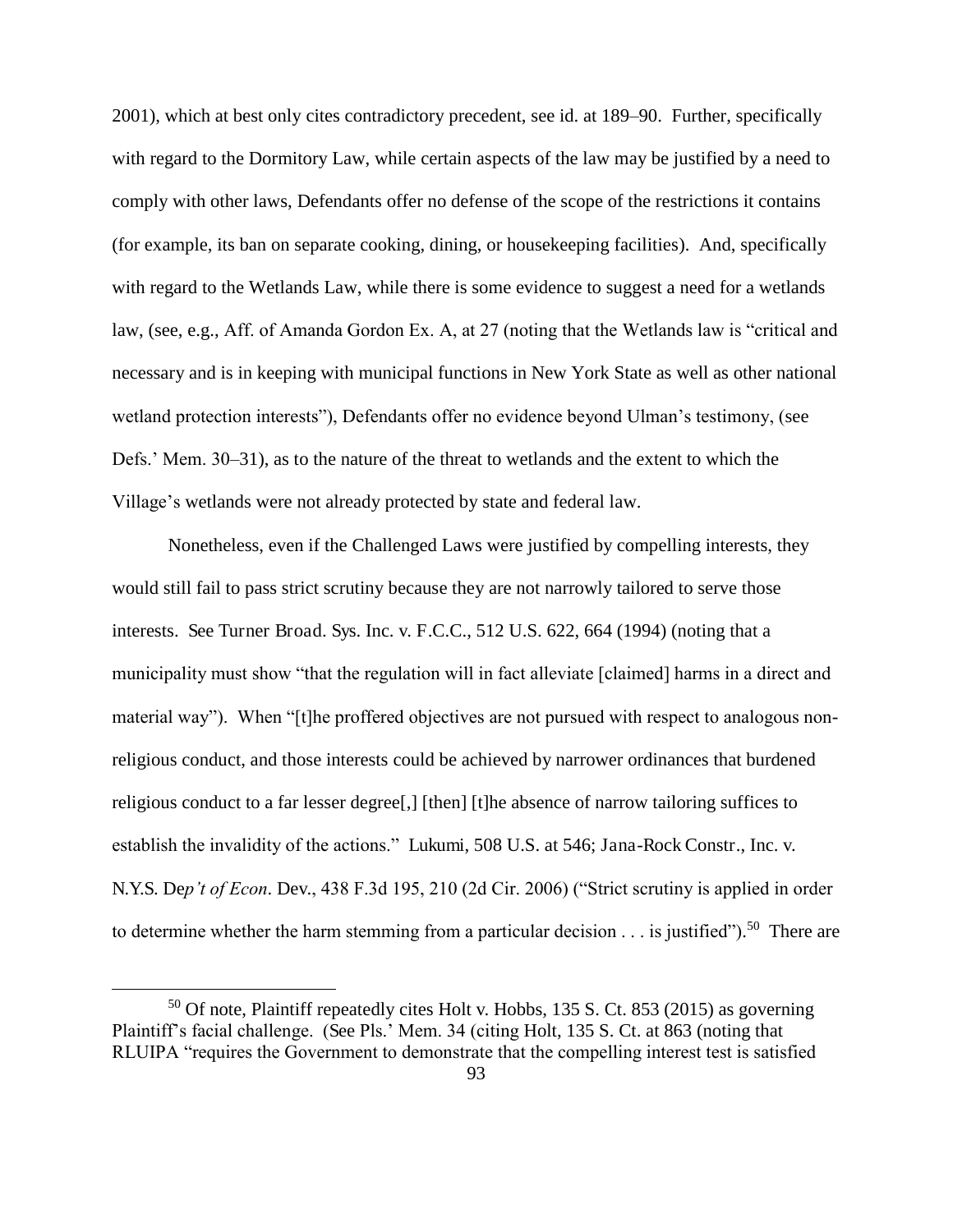2001), which at best only cites contradictory precedent, see id. at 189–90. Further, specifically with regard to the Dormitory Law, while certain aspects of the law may be justified by a need to comply with other laws, Defendants offer no defense of the scope of the restrictions it contains (for example, its ban on separate cooking, dining, or housekeeping facilities). And, specifically with regard to the Wetlands Law, while there is some evidence to suggest a need for a wetlands law, (see, e.g., Aff. of Amanda Gordon Ex. A, at 27 (noting that the Wetlands law is "critical and necessary and is in keeping with municipal functions in New York State as well as other national wetland protection interests"), Defendants offer no evidence beyond Ulman's testimony, (see Defs.' Mem. 30–31), as to the nature of the threat to wetlands and the extent to which the Village's wetlands were not already protected by state and federal law.

Nonetheless, even if the Challenged Laws were justified by compelling interests, they would still fail to pass strict scrutiny because they are not narrowly tailored to serve those interests. See Turner Broad. Sys. Inc. v. F.C.C., 512 U.S. 622, 664 (1994) (noting that a municipality must show "that the regulation will in fact alleviate [claimed] harms in a direct and material way"). When "[t]he proffered objectives are not pursued with respect to analogous nonreligious conduct, and those interests could be achieved by narrower ordinances that burdened religious conduct to a far lesser degree[,] [then] [t]he absence of narrow tailoring suffices to establish the invalidity of the actions." Lukumi, 508 U.S. at 546; Jana-Rock Constr., Inc. v. N.Y.S. De*p't of Econ*. Dev., 438 F.3d 195, 210 (2d Cir. 2006) ("Strict scrutiny is applied in order to determine whether the harm stemming from a particular decision  $\dots$  is justified").<sup>50</sup> There are

 $50$  Of note, Plaintiff repeatedly cites Holt v. Hobbs, 135 S. Ct. 853 (2015) as governing Plaintiff's facial challenge. (See Pls.' Mem. 34 (citing Holt, 135 S. Ct. at 863 (noting that RLUIPA "requires the Government to demonstrate that the compelling interest test is satisfied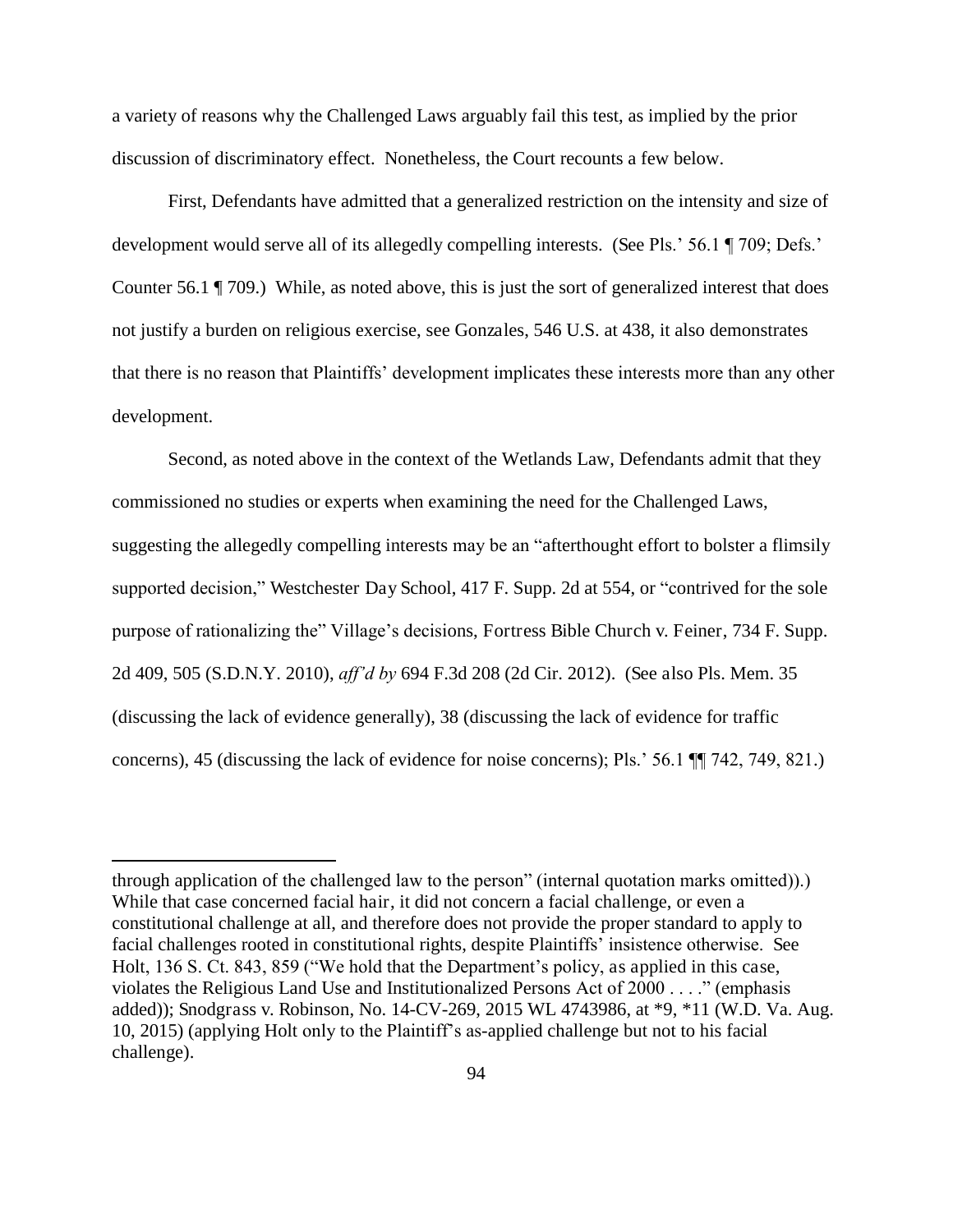a variety of reasons why the Challenged Laws arguably fail this test, as implied by the prior discussion of discriminatory effect. Nonetheless, the Court recounts a few below.

First, Defendants have admitted that a generalized restriction on the intensity and size of development would serve all of its allegedly compelling interests. (See Pls.' 56.1 ¶ 709; Defs.' Counter 56.1 ¶ 709.) While, as noted above, this is just the sort of generalized interest that does not justify a burden on religious exercise, see Gonzales, 546 U.S. at 438, it also demonstrates that there is no reason that Plaintiffs' development implicates these interests more than any other development.

Second, as noted above in the context of the Wetlands Law, Defendants admit that they commissioned no studies or experts when examining the need for the Challenged Laws, suggesting the allegedly compelling interests may be an "afterthought effort to bolster a flimsily supported decision," Westchester Day School, 417 F. Supp. 2d at 554, or "contrived for the sole purpose of rationalizing the" Village's decisions, Fortress Bible Church v. Feiner, 734 F. Supp. 2d 409, 505 (S.D.N.Y. 2010), *aff'd by* 694 F.3d 208 (2d Cir. 2012). (See also Pls. Mem. 35 (discussing the lack of evidence generally), 38 (discussing the lack of evidence for traffic concerns), 45 (discussing the lack of evidence for noise concerns); Pls.' 56.1 ¶¶ 742, 749, 821.)

through application of the challenged law to the person" (internal quotation marks omitted)).) While that case concerned facial hair, it did not concern a facial challenge, or even a constitutional challenge at all, and therefore does not provide the proper standard to apply to facial challenges rooted in constitutional rights, despite Plaintiffs' insistence otherwise. See Holt, 136 S. Ct. 843, 859 ("We hold that the Department's policy, as applied in this case, violates the Religious Land Use and Institutionalized Persons Act of 2000 . . . ." (emphasis added)); Snodgrass v. Robinson, No. 14-CV-269, 2015 WL 4743986, at \*9, \*11 (W.D. Va. Aug. 10, 2015) (applying Holt only to the Plaintiff's as-applied challenge but not to his facial challenge).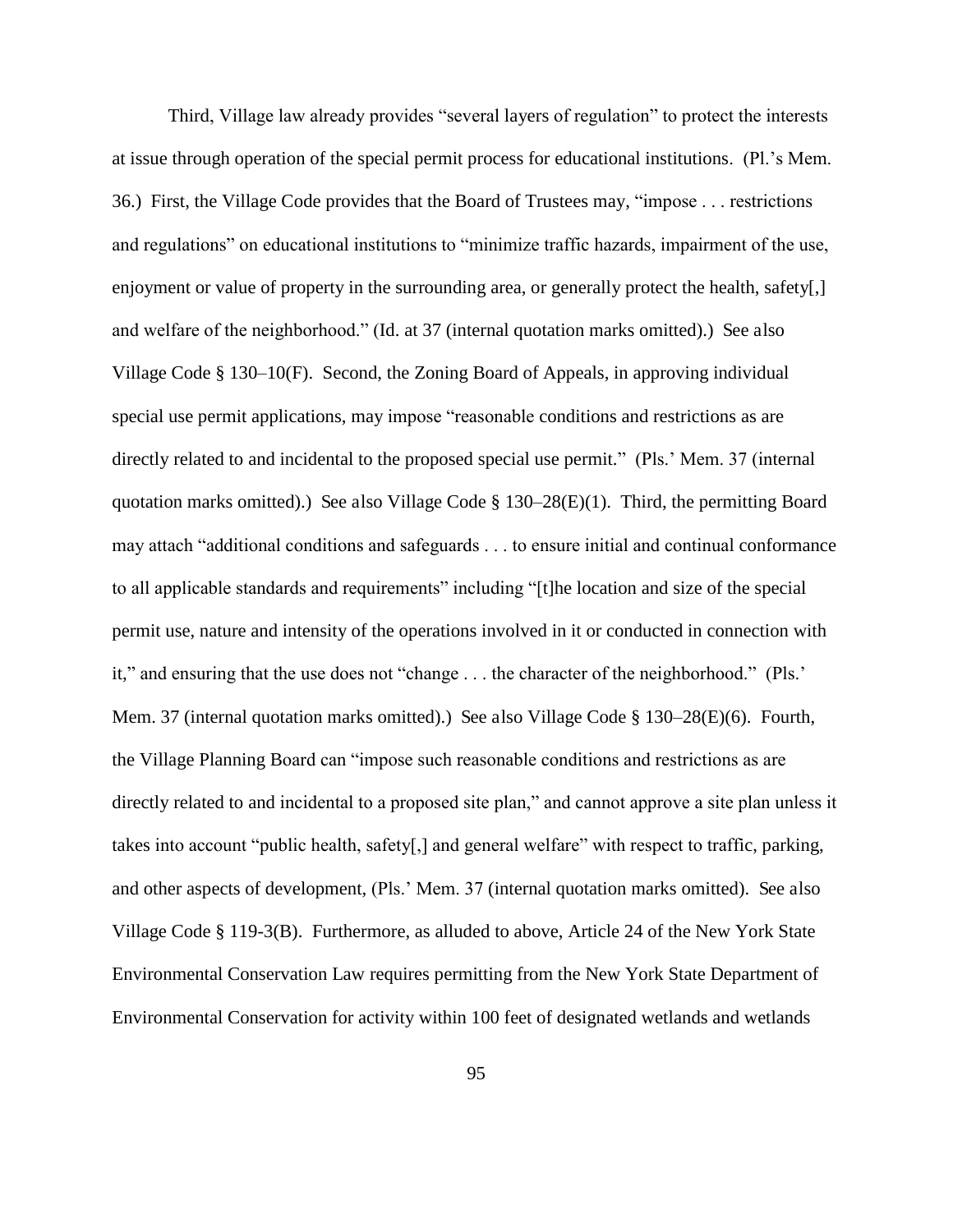Third, Village law already provides "several layers of regulation" to protect the interests at issue through operation of the special permit process for educational institutions. (Pl.'s Mem. 36.) First, the Village Code provides that the Board of Trustees may, "impose . . . restrictions and regulations" on educational institutions to "minimize traffic hazards, impairment of the use, enjoyment or value of property in the surrounding area, or generally protect the health, safety[,] and welfare of the neighborhood." (Id. at 37 (internal quotation marks omitted).) See also Village Code § 130–10(F). Second, the Zoning Board of Appeals, in approving individual special use permit applications, may impose "reasonable conditions and restrictions as are directly related to and incidental to the proposed special use permit." (Pls.' Mem. 37 (internal quotation marks omitted).) See also Village Code  $\S$  130–28(E)(1). Third, the permitting Board may attach "additional conditions and safeguards . . . to ensure initial and continual conformance to all applicable standards and requirements" including "[t]he location and size of the special permit use, nature and intensity of the operations involved in it or conducted in connection with it," and ensuring that the use does not "change . . . the character of the neighborhood." (Pls.' Mem. 37 (internal quotation marks omitted).) See also Village Code § 130–28(E)(6). Fourth, the Village Planning Board can "impose such reasonable conditions and restrictions as are directly related to and incidental to a proposed site plan," and cannot approve a site plan unless it takes into account "public health, safety[,] and general welfare" with respect to traffic, parking, and other aspects of development, (Pls.' Mem. 37 (internal quotation marks omitted). See also Village Code § 119-3(B). Furthermore, as alluded to above, Article 24 of the New York State Environmental Conservation Law requires permitting from the New York State Department of Environmental Conservation for activity within 100 feet of designated wetlands and wetlands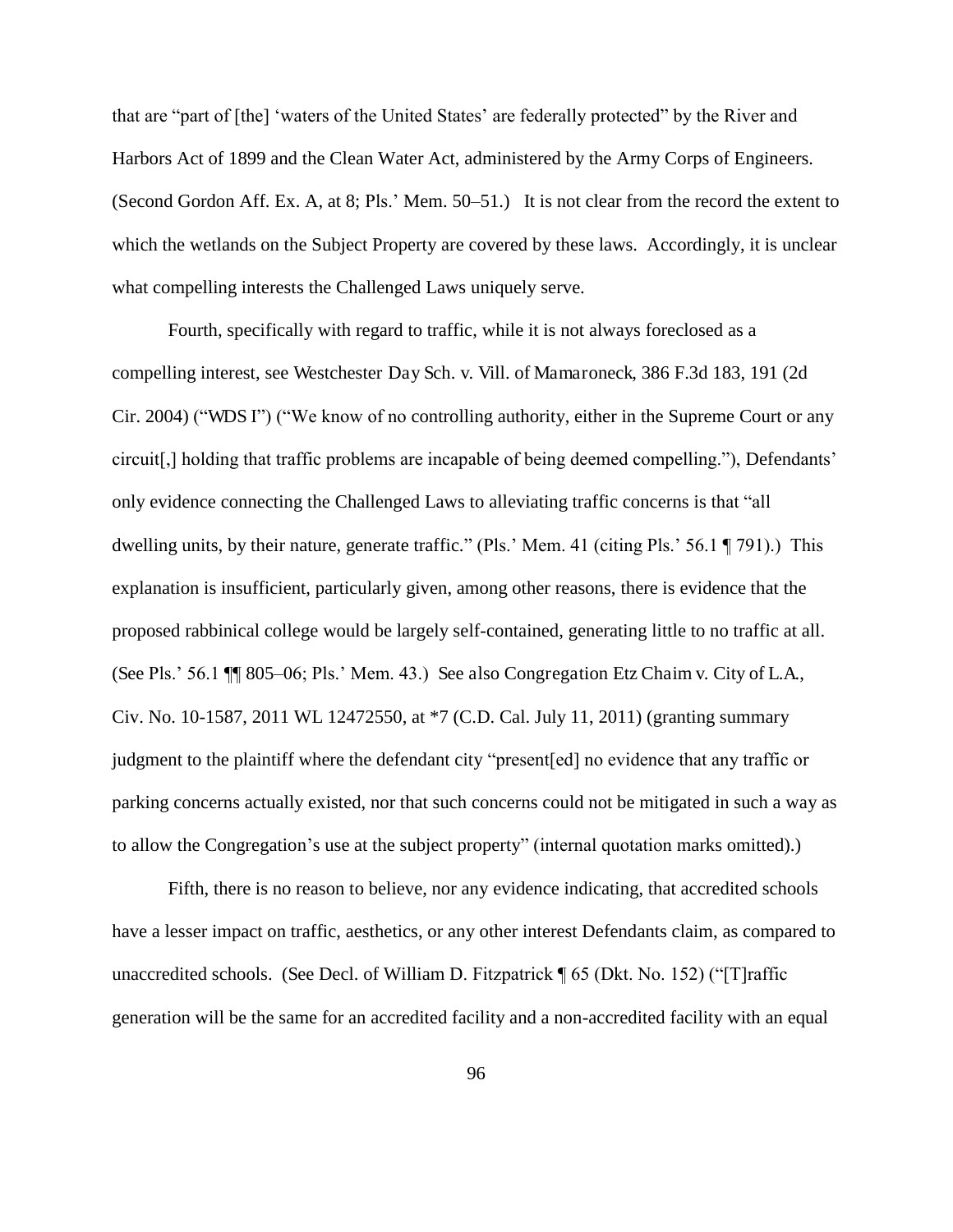that are "part of [the] 'waters of the United States' are federally protected" by the River and Harbors Act of 1899 and the Clean Water Act, administered by the Army Corps of Engineers. (Second Gordon Aff. Ex. A, at 8; Pls.' Mem. 50–51.) It is not clear from the record the extent to which the wetlands on the Subject Property are covered by these laws. Accordingly, it is unclear what compelling interests the Challenged Laws uniquely serve.

Fourth, specifically with regard to traffic, while it is not always foreclosed as a compelling interest, see Westchester Day Sch. v. Vill. of Mamaroneck, 386 F.3d 183, 191 (2d Cir. 2004) ("WDS I") ("We know of no controlling authority, either in the Supreme Court or any circuit[,] holding that traffic problems are incapable of being deemed compelling."), Defendants' only evidence connecting the Challenged Laws to alleviating traffic concerns is that "all dwelling units, by their nature, generate traffic." (Pls.' Mem. 41 (citing Pls.' 56.1 ¶ 791).) This explanation is insufficient, particularly given, among other reasons, there is evidence that the proposed rabbinical college would be largely self-contained, generating little to no traffic at all. (See Pls.' 56.1 ¶¶ 805–06; Pls.' Mem. 43.) See also Congregation Etz Chaim v. City of L.A., Civ. No. 10-1587, 2011 WL 12472550, at \*7 (C.D. Cal. July 11, 2011) (granting summary judgment to the plaintiff where the defendant city "present[ed] no evidence that any traffic or parking concerns actually existed, nor that such concerns could not be mitigated in such a way as to allow the Congregation's use at the subject property" (internal quotation marks omitted).)

Fifth, there is no reason to believe, nor any evidence indicating, that accredited schools have a lesser impact on traffic, aesthetics, or any other interest Defendants claim, as compared to unaccredited schools. (See Decl. of William D. Fitzpatrick ¶ 65 (Dkt. No. 152) ("[T]raffic generation will be the same for an accredited facility and a non-accredited facility with an equal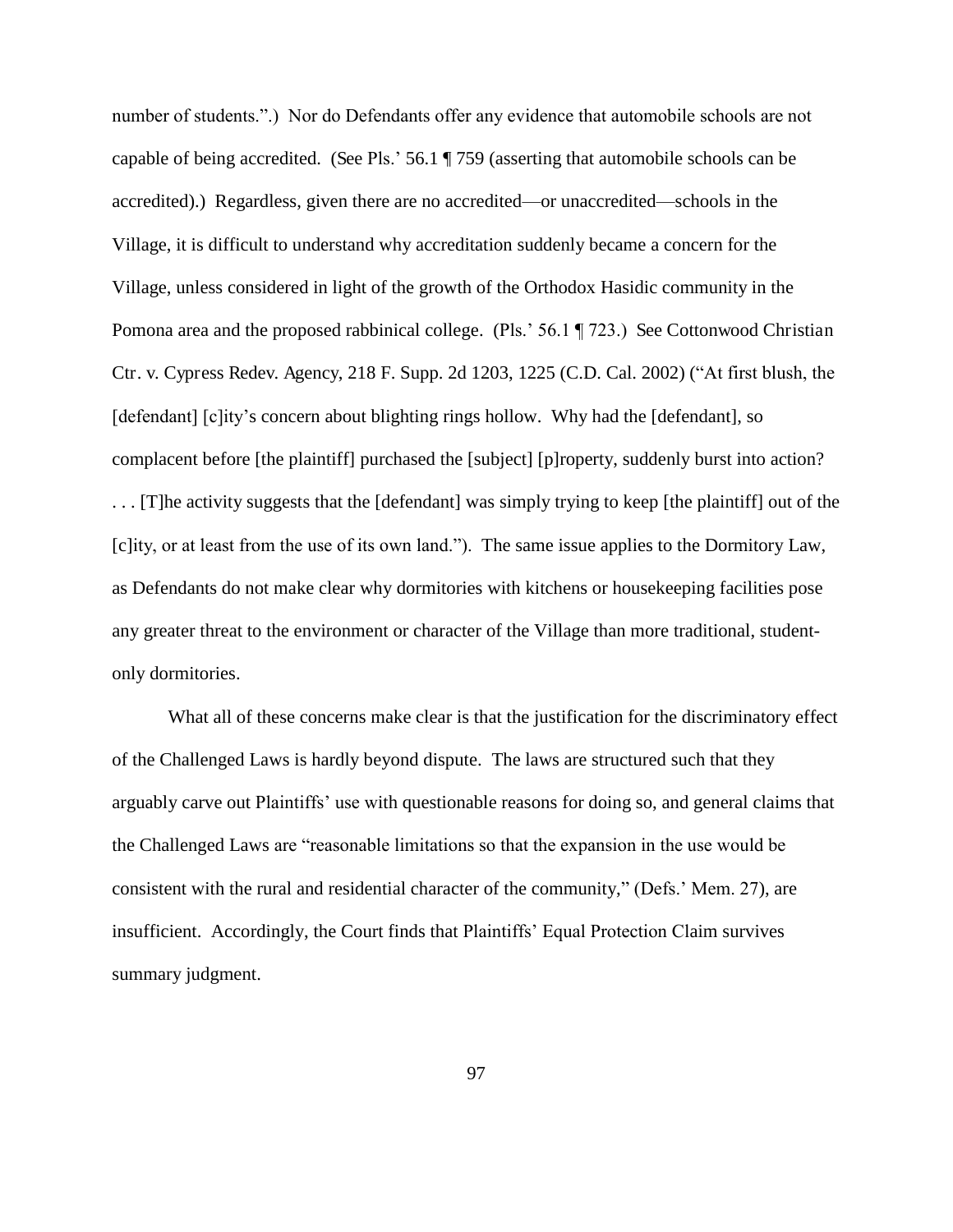number of students.".) Nor do Defendants offer any evidence that automobile schools are not capable of being accredited. (See Pls.' 56.1 ¶ 759 (asserting that automobile schools can be accredited).) Regardless, given there are no accredited—or unaccredited—schools in the Village, it is difficult to understand why accreditation suddenly became a concern for the Village, unless considered in light of the growth of the Orthodox Hasidic community in the Pomona area and the proposed rabbinical college. (Pls.' 56.1 ¶ 723.) See Cottonwood Christian Ctr. v. Cypress Redev. Agency, 218 F. Supp. 2d 1203, 1225 (C.D. Cal. 2002) ("At first blush, the [defendant] [c]ity's concern about blighting rings hollow. Why had the [defendant], so complacent before [the plaintiff] purchased the [subject] [p]roperty, suddenly burst into action? . . . [T]he activity suggests that the [defendant] was simply trying to keep [the plaintiff] out of the [c]ity, or at least from the use of its own land."). The same issue applies to the Dormitory Law, as Defendants do not make clear why dormitories with kitchens or housekeeping facilities pose any greater threat to the environment or character of the Village than more traditional, studentonly dormitories.

What all of these concerns make clear is that the justification for the discriminatory effect of the Challenged Laws is hardly beyond dispute. The laws are structured such that they arguably carve out Plaintiffs' use with questionable reasons for doing so, and general claims that the Challenged Laws are "reasonable limitations so that the expansion in the use would be consistent with the rural and residential character of the community," (Defs.' Mem. 27), are insufficient. Accordingly, the Court finds that Plaintiffs' Equal Protection Claim survives summary judgment.

97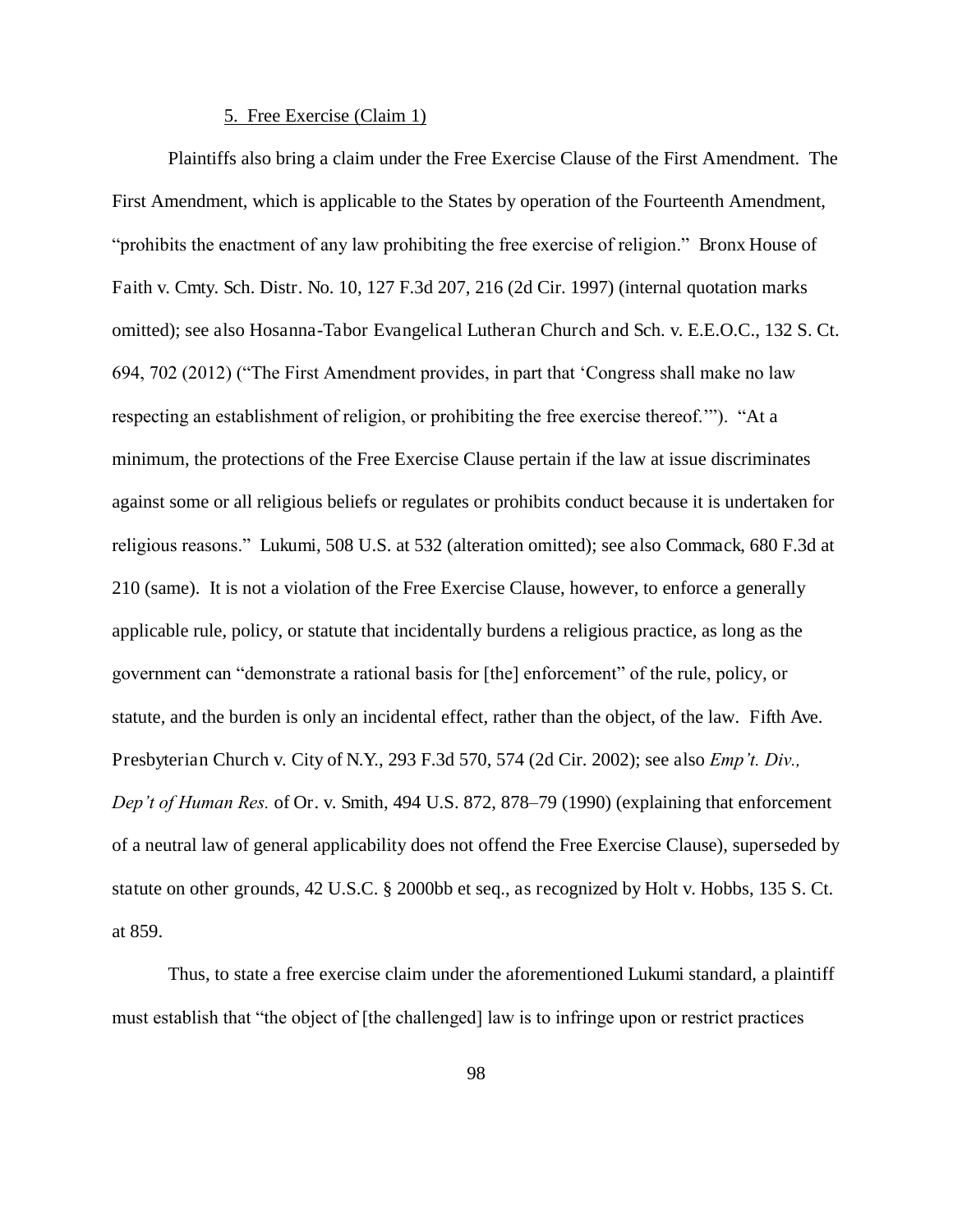## 5. Free Exercise (Claim 1)

 Plaintiffs also bring a claim under the Free Exercise Clause of the First Amendment. The First Amendment, which is applicable to the States by operation of the Fourteenth Amendment, "prohibits the enactment of any law prohibiting the free exercise of religion." Bronx House of Faith v. Cmty. Sch. Distr. No. 10, 127 F.3d 207, 216 (2d Cir. 1997) (internal quotation marks omitted); see also Hosanna-Tabor Evangelical Lutheran Church and Sch. v. E.E.O.C., 132 S. Ct. 694, 702 (2012) ("The First Amendment provides, in part that 'Congress shall make no law respecting an establishment of religion, or prohibiting the free exercise thereof.'"). "At a minimum, the protections of the Free Exercise Clause pertain if the law at issue discriminates against some or all religious beliefs or regulates or prohibits conduct because it is undertaken for religious reasons." Lukumi, 508 U.S. at 532 (alteration omitted); see also Commack, 680 F.3d at 210 (same). It is not a violation of the Free Exercise Clause, however, to enforce a generally applicable rule, policy, or statute that incidentally burdens a religious practice, as long as the government can "demonstrate a rational basis for [the] enforcement" of the rule, policy, or statute, and the burden is only an incidental effect, rather than the object, of the law. Fifth Ave. Presbyterian Church v. City of N.Y., 293 F.3d 570, 574 (2d Cir. 2002); see also *Emp't. Div., Dep't of Human Res.* of Or. v. Smith, 494 U.S. 872, 878–79 (1990) (explaining that enforcement of a neutral law of general applicability does not offend the Free Exercise Clause), superseded by statute on other grounds, 42 U.S.C. § 2000bb et seq., as recognized by Holt v. Hobbs, 135 S. Ct. at 859.

Thus, to state a free exercise claim under the aforementioned Lukumi standard, a plaintiff must establish that "the object of [the challenged] law is to infringe upon or restrict practices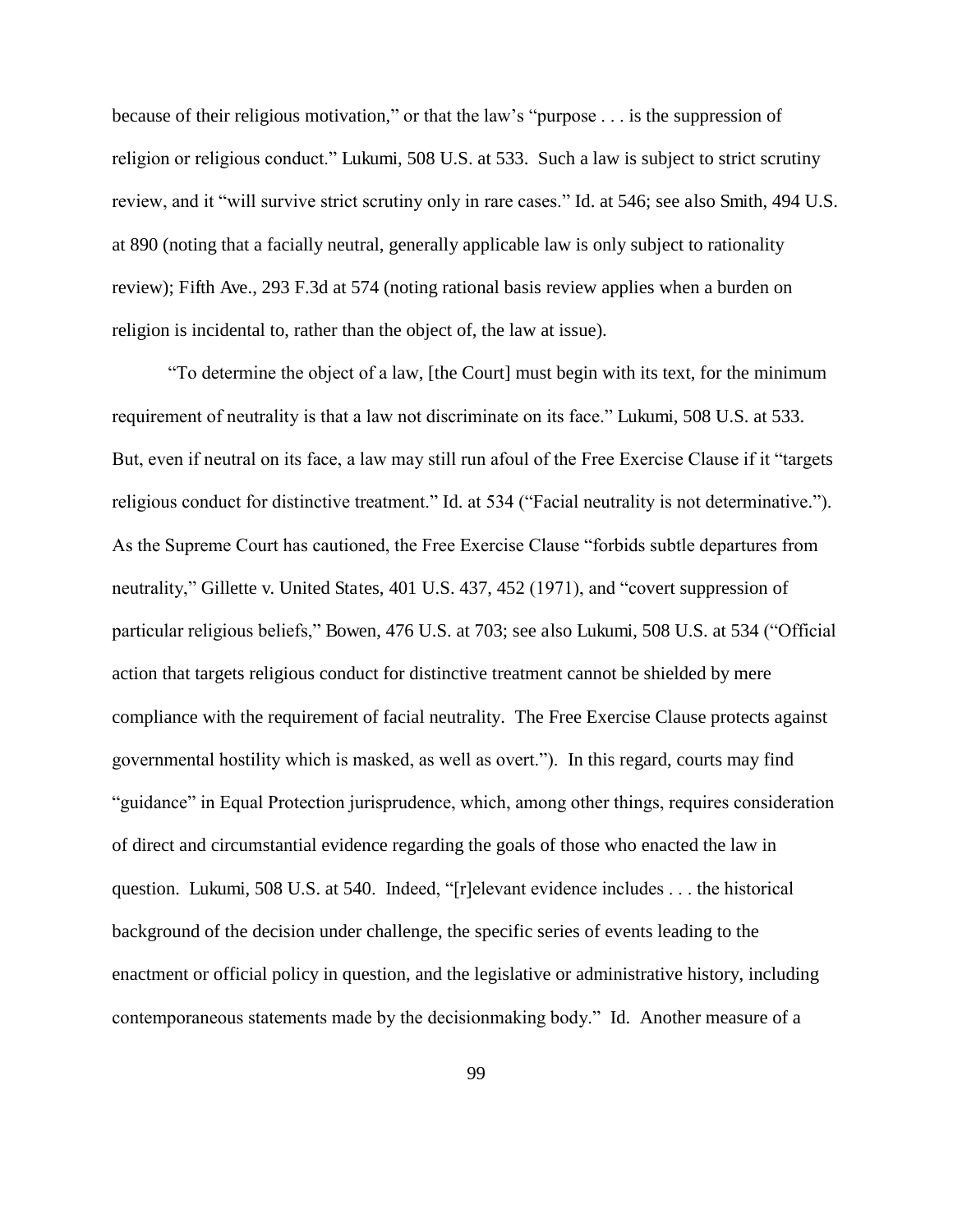because of their religious motivation," or that the law's "purpose . . . is the suppression of religion or religious conduct." Lukumi, 508 U.S. at 533. Such a law is subject to strict scrutiny review, and it "will survive strict scrutiny only in rare cases." Id. at 546; see also Smith, 494 U.S. at 890 (noting that a facially neutral, generally applicable law is only subject to rationality review); Fifth Ave., 293 F.3d at 574 (noting rational basis review applies when a burden on religion is incidental to, rather than the object of, the law at issue).

"To determine the object of a law, [the Court] must begin with its text, for the minimum requirement of neutrality is that a law not discriminate on its face." Lukumi, 508 U.S. at 533. But, even if neutral on its face, a law may still run afoul of the Free Exercise Clause if it "targets religious conduct for distinctive treatment." Id. at 534 ("Facial neutrality is not determinative."). As the Supreme Court has cautioned, the Free Exercise Clause "forbids subtle departures from neutrality," Gillette v. United States, 401 U.S. 437, 452 (1971), and "covert suppression of particular religious beliefs," Bowen, 476 U.S. at 703; see also Lukumi, 508 U.S. at 534 ("Official action that targets religious conduct for distinctive treatment cannot be shielded by mere compliance with the requirement of facial neutrality. The Free Exercise Clause protects against governmental hostility which is masked, as well as overt."). In this regard, courts may find "guidance" in Equal Protection jurisprudence, which, among other things, requires consideration of direct and circumstantial evidence regarding the goals of those who enacted the law in question. Lukumi, 508 U.S. at 540. Indeed, "[r]elevant evidence includes . . . the historical background of the decision under challenge, the specific series of events leading to the enactment or official policy in question, and the legislative or administrative history, including contemporaneous statements made by the decisionmaking body." Id. Another measure of a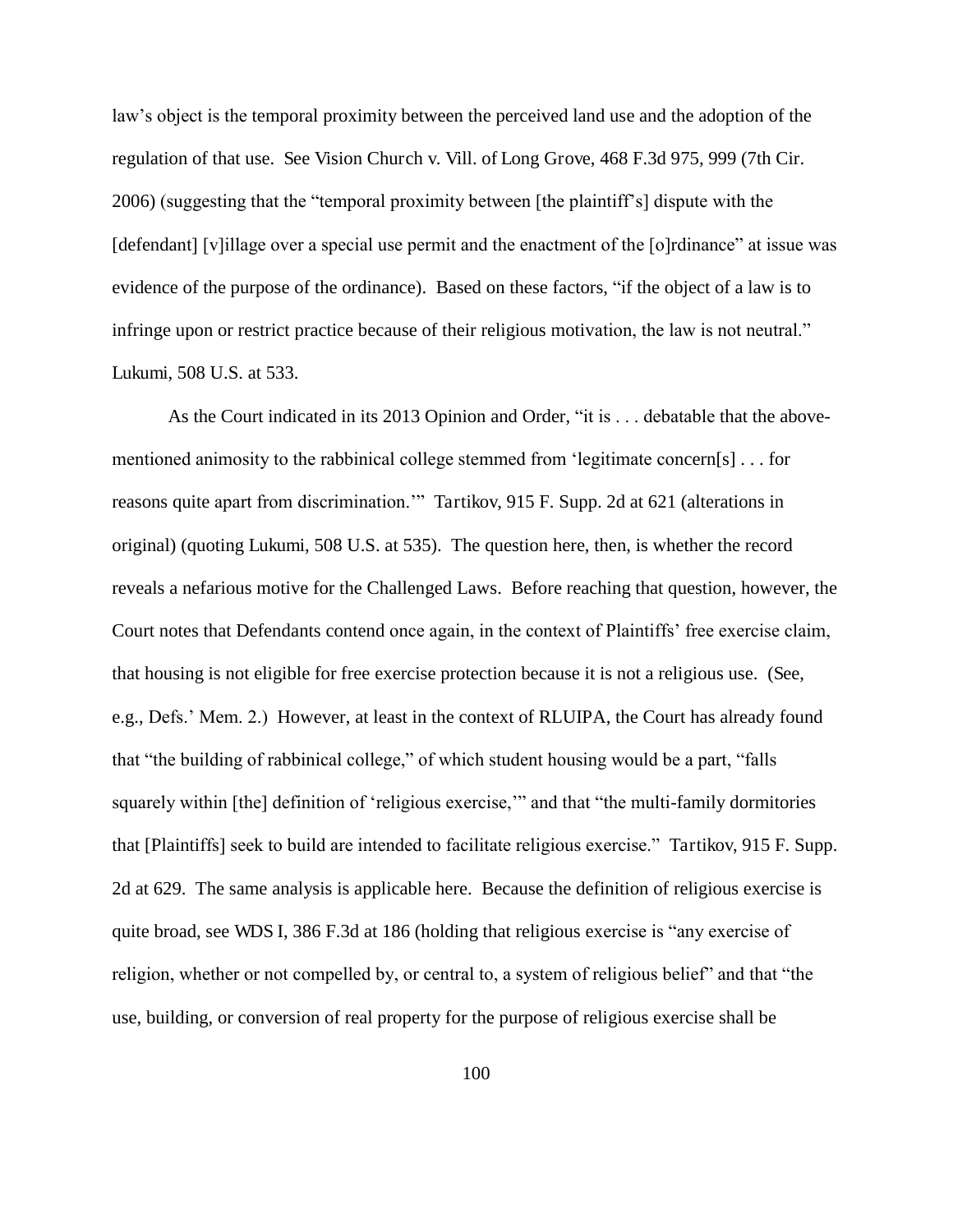law's object is the temporal proximity between the perceived land use and the adoption of the regulation of that use. See Vision Church v. Vill. of Long Grove, 468 F.3d 975, 999 (7th Cir. 2006) (suggesting that the "temporal proximity between [the plaintiff's] dispute with the [defendant] [v]illage over a special use permit and the enactment of the [o]rdinance" at issue was evidence of the purpose of the ordinance). Based on these factors, "if the object of a law is to infringe upon or restrict practice because of their religious motivation, the law is not neutral." Lukumi, 508 U.S. at 533.

As the Court indicated in its 2013 Opinion and Order, "it is . . . debatable that the abovementioned animosity to the rabbinical college stemmed from 'legitimate concern[s] . . . for reasons quite apart from discrimination.'" Tartikov, 915 F. Supp. 2d at 621 (alterations in original) (quoting Lukumi, 508 U.S. at 535). The question here, then, is whether the record reveals a nefarious motive for the Challenged Laws. Before reaching that question, however, the Court notes that Defendants contend once again, in the context of Plaintiffs' free exercise claim, that housing is not eligible for free exercise protection because it is not a religious use. (See, e.g., Defs.' Mem. 2.) However, at least in the context of RLUIPA, the Court has already found that "the building of rabbinical college," of which student housing would be a part, "falls squarely within [the] definition of 'religious exercise,'" and that "the multi-family dormitories that [Plaintiffs] seek to build are intended to facilitate religious exercise." Tartikov, 915 F. Supp. 2d at 629. The same analysis is applicable here. Because the definition of religious exercise is quite broad, see WDS I, 386 F.3d at 186 (holding that religious exercise is "any exercise of religion, whether or not compelled by, or central to, a system of religious belief" and that "the use, building, or conversion of real property for the purpose of religious exercise shall be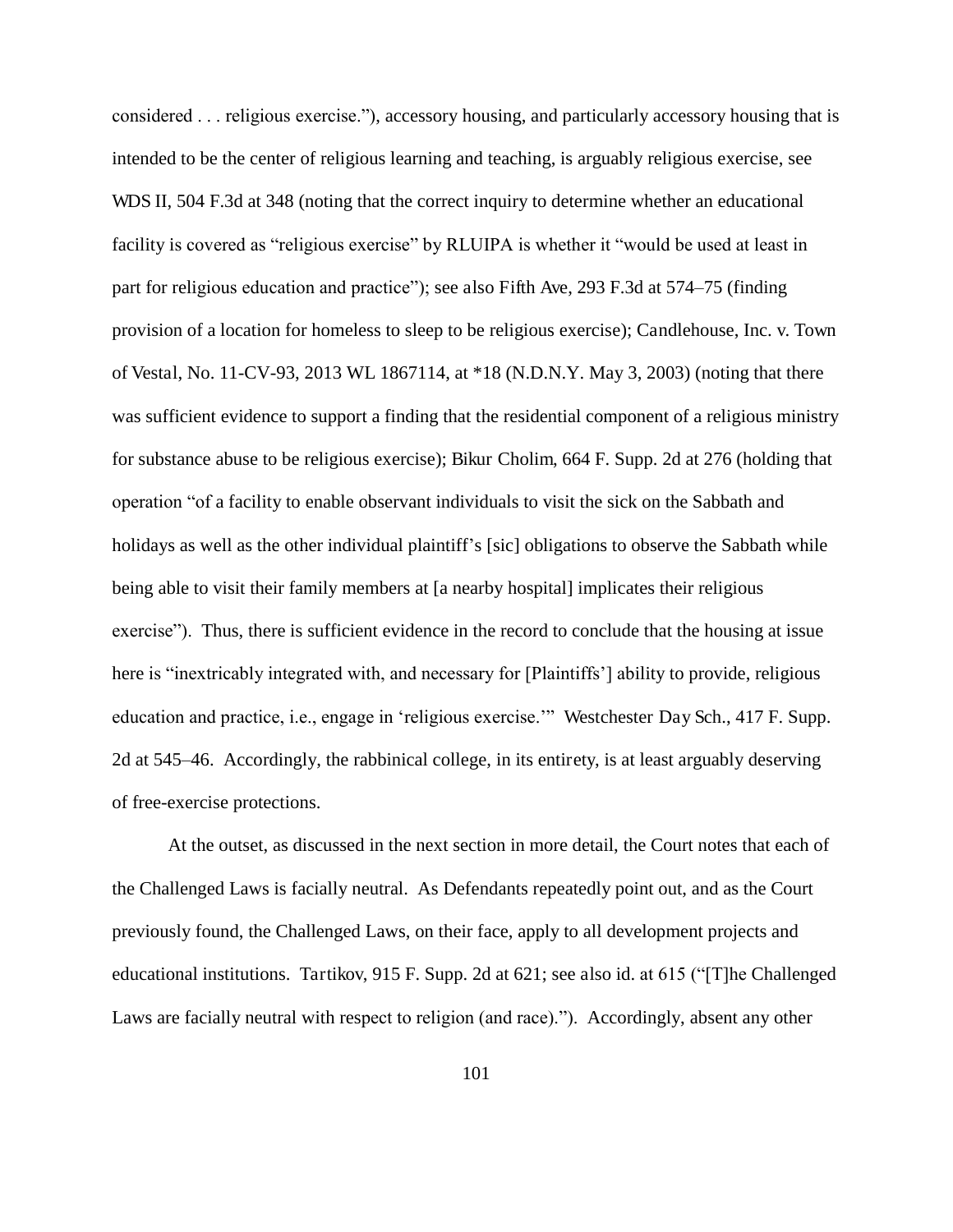considered . . . religious exercise."), accessory housing, and particularly accessory housing that is intended to be the center of religious learning and teaching, is arguably religious exercise, see WDS II, 504 F.3d at 348 (noting that the correct inquiry to determine whether an educational facility is covered as "religious exercise" by RLUIPA is whether it "would be used at least in part for religious education and practice"); see also Fifth Ave, 293 F.3d at 574–75 (finding provision of a location for homeless to sleep to be religious exercise); Candlehouse, Inc. v. Town of Vestal, No. 11-CV-93, 2013 WL 1867114, at \*18 (N.D.N.Y. May 3, 2003) (noting that there was sufficient evidence to support a finding that the residential component of a religious ministry for substance abuse to be religious exercise); Bikur Cholim, 664 F. Supp. 2d at 276 (holding that operation "of a facility to enable observant individuals to visit the sick on the Sabbath and holidays as well as the other individual plaintiff's [sic] obligations to observe the Sabbath while being able to visit their family members at [a nearby hospital] implicates their religious exercise"). Thus, there is sufficient evidence in the record to conclude that the housing at issue here is "inextricably integrated with, and necessary for [Plaintiffs'] ability to provide, religious education and practice, i.e., engage in 'religious exercise.'" Westchester Day Sch., 417 F. Supp. 2d at 545–46. Accordingly, the rabbinical college, in its entirety, is at least arguably deserving of free-exercise protections.

At the outset, as discussed in the next section in more detail, the Court notes that each of the Challenged Laws is facially neutral. As Defendants repeatedly point out, and as the Court previously found, the Challenged Laws, on their face, apply to all development projects and educational institutions. Tartikov, 915 F. Supp. 2d at 621; see also id. at 615 ("[T]he Challenged Laws are facially neutral with respect to religion (and race)."). Accordingly, absent any other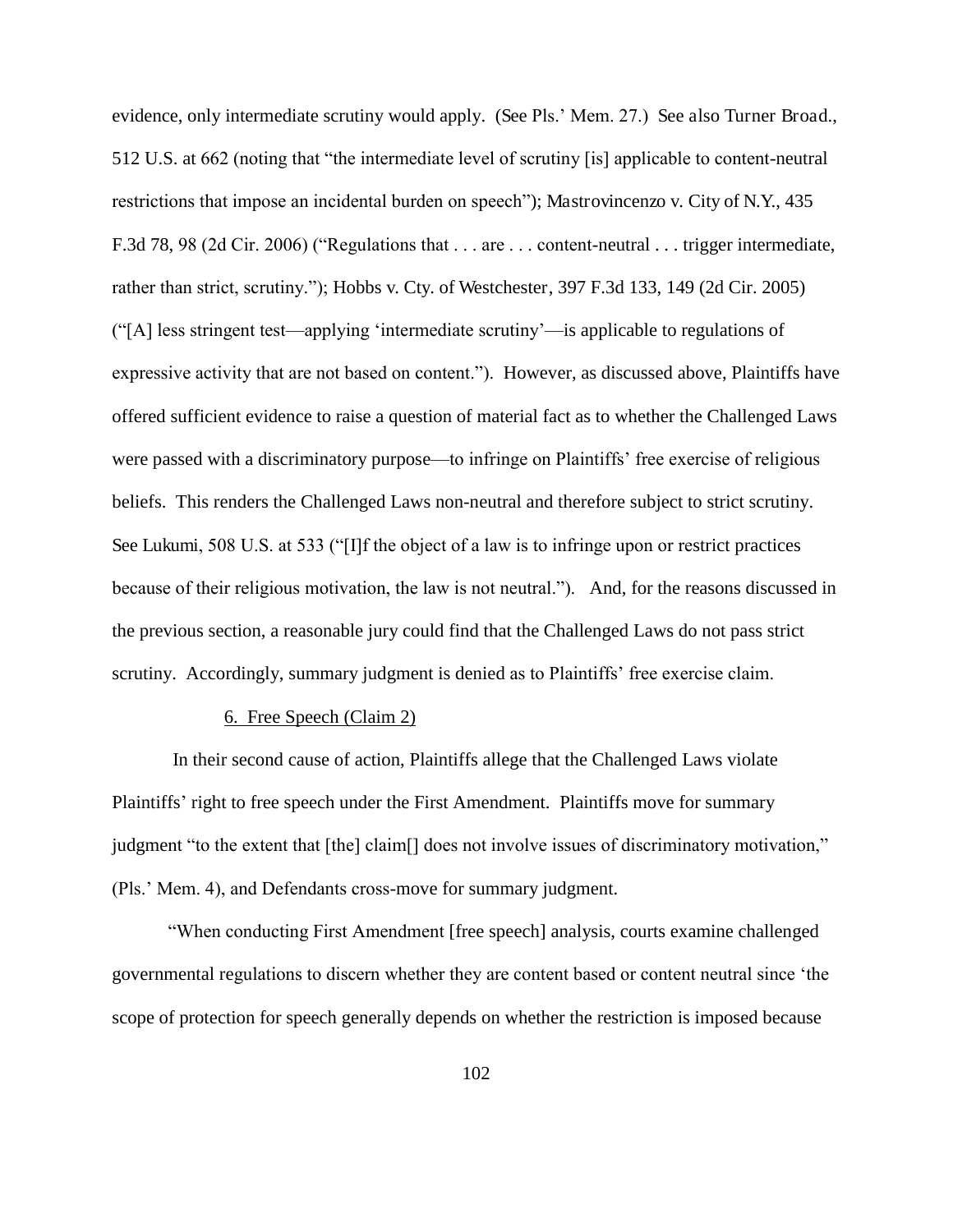evidence, only intermediate scrutiny would apply. (See Pls.' Mem. 27.) See also Turner Broad., 512 U.S. at 662 (noting that "the intermediate level of scrutiny [is] applicable to content-neutral restrictions that impose an incidental burden on speech"); Mastrovincenzo v. City of N.Y., 435 F.3d 78, 98 (2d Cir. 2006) ("Regulations that . . . are . . . content-neutral . . . trigger intermediate, rather than strict, scrutiny."); Hobbs v. Cty. of Westchester, 397 F.3d 133, 149 (2d Cir. 2005) ("[A] less stringent test—applying 'intermediate scrutiny'—is applicable to regulations of expressive activity that are not based on content."). However, as discussed above, Plaintiffs have offered sufficient evidence to raise a question of material fact as to whether the Challenged Laws were passed with a discriminatory purpose—to infringe on Plaintiffs' free exercise of religious beliefs. This renders the Challenged Laws non-neutral and therefore subject to strict scrutiny. See Lukumi, 508 U.S. at 533 ("[I]f the object of a law is to infringe upon or restrict practices because of their religious motivation, the law is not neutral."). And, for the reasons discussed in the previous section, a reasonable jury could find that the Challenged Laws do not pass strict scrutiny. Accordingly, summary judgment is denied as to Plaintiffs' free exercise claim.

## 6. Free Speech (Claim 2)

 In their second cause of action, Plaintiffs allege that the Challenged Laws violate Plaintiffs' right to free speech under the First Amendment. Plaintiffs move for summary judgment "to the extent that [the] claim[] does not involve issues of discriminatory motivation," (Pls.' Mem. 4), and Defendants cross-move for summary judgment.

"When conducting First Amendment [free speech] analysis, courts examine challenged governmental regulations to discern whether they are content based or content neutral since 'the scope of protection for speech generally depends on whether the restriction is imposed because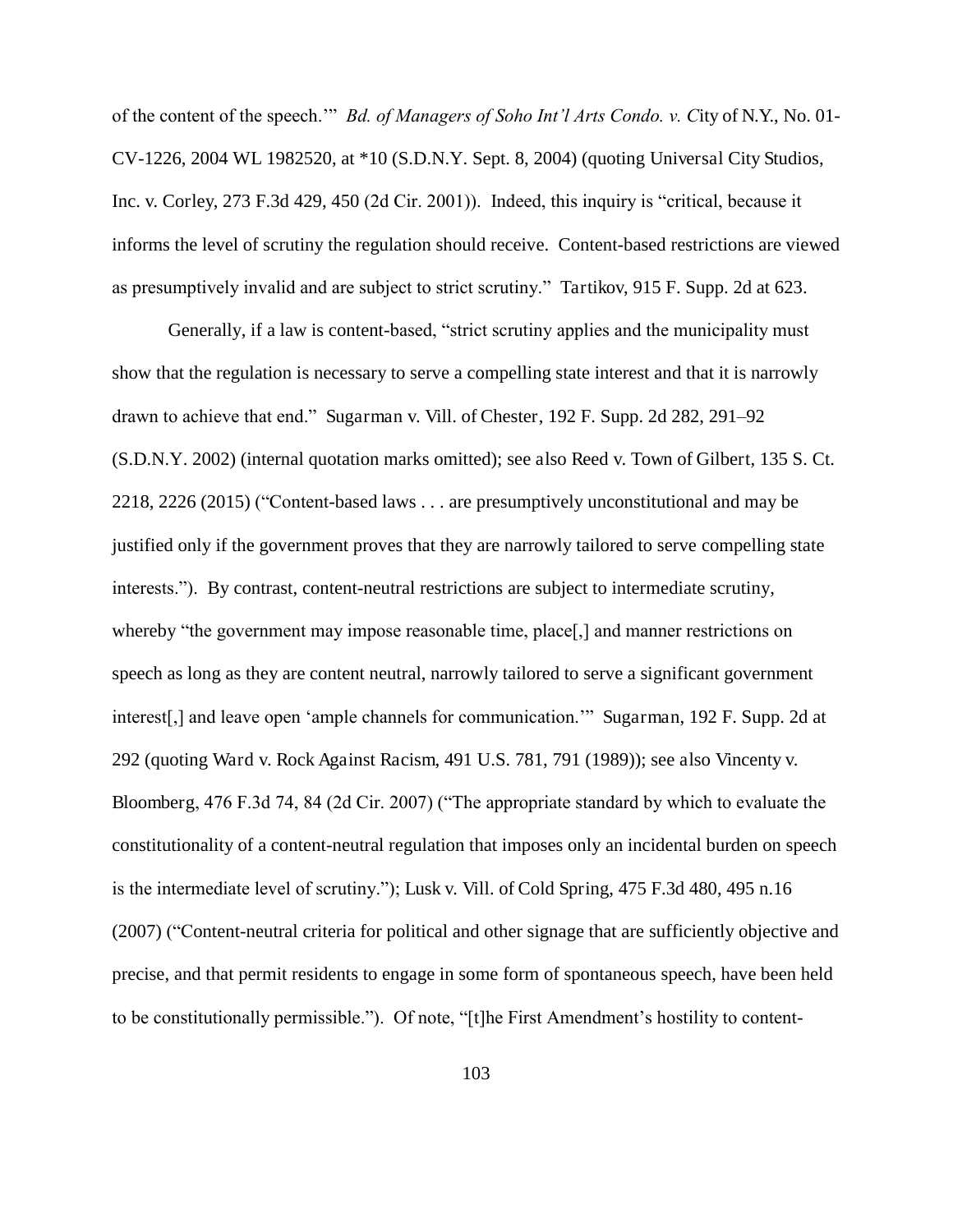of the content of the speech.'" *Bd. of Managers of Soho Int'l Arts Condo. v. C*ity of N.Y., No. 01- CV-1226, 2004 WL 1982520, at \*10 (S.D.N.Y. Sept. 8, 2004) (quoting Universal City Studios, Inc. v. Corley, 273 F.3d 429, 450 (2d Cir. 2001)). Indeed, this inquiry is "critical, because it informs the level of scrutiny the regulation should receive. Content-based restrictions are viewed as presumptively invalid and are subject to strict scrutiny." Tartikov, 915 F. Supp. 2d at 623.

Generally, if a law is content-based, "strict scrutiny applies and the municipality must show that the regulation is necessary to serve a compelling state interest and that it is narrowly drawn to achieve that end." Sugarman v. Vill. of Chester, 192 F. Supp. 2d 282, 291–92 (S.D.N.Y. 2002) (internal quotation marks omitted); see also Reed v. Town of Gilbert, 135 S. Ct. 2218, 2226 (2015) ("Content-based laws . . . are presumptively unconstitutional and may be justified only if the government proves that they are narrowly tailored to serve compelling state interests."). By contrast, content-neutral restrictions are subject to intermediate scrutiny, whereby "the government may impose reasonable time, place<sup>[1]</sup>, and manner restrictions on speech as long as they are content neutral, narrowly tailored to serve a significant government interest[,] and leave open 'ample channels for communication.'" Sugarman, 192 F. Supp. 2d at 292 (quoting Ward v. Rock Against Racism, 491 U.S. 781, 791 (1989)); see also Vincenty v. Bloomberg, 476 F.3d 74, 84 (2d Cir. 2007) ("The appropriate standard by which to evaluate the constitutionality of a content-neutral regulation that imposes only an incidental burden on speech is the intermediate level of scrutiny."); Lusk v. Vill. of Cold Spring, 475 F.3d 480, 495 n.16 (2007) ("Content-neutral criteria for political and other signage that are sufficiently objective and precise, and that permit residents to engage in some form of spontaneous speech, have been held to be constitutionally permissible."). Of note, "[t]he First Amendment's hostility to content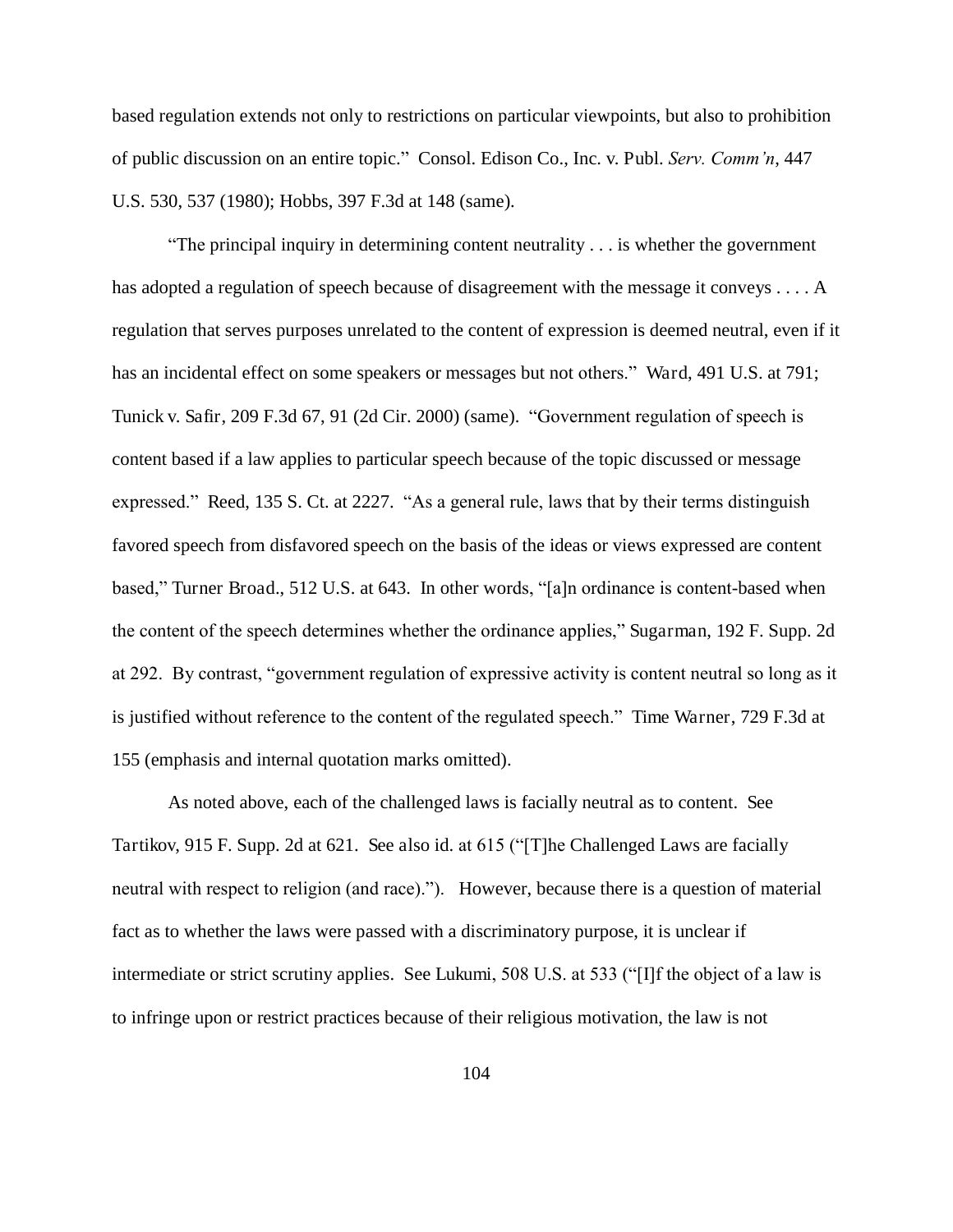based regulation extends not only to restrictions on particular viewpoints, but also to prohibition of public discussion on an entire topic." Consol. Edison Co., Inc. v. Publ. *Serv. Comm'n*, 447 U.S. 530, 537 (1980); Hobbs, 397 F.3d at 148 (same).

"The principal inquiry in determining content neutrality . . . is whether the government has adopted a regulation of speech because of disagreement with the message it conveys . . . . A regulation that serves purposes unrelated to the content of expression is deemed neutral, even if it has an incidental effect on some speakers or messages but not others." Ward, 491 U.S. at 791; Tunick v. Safir, 209 F.3d 67, 91 (2d Cir. 2000) (same). "Government regulation of speech is content based if a law applies to particular speech because of the topic discussed or message expressed." Reed, 135 S. Ct. at 2227. "As a general rule, laws that by their terms distinguish favored speech from disfavored speech on the basis of the ideas or views expressed are content based," Turner Broad., 512 U.S. at 643. In other words, "[a]n ordinance is content-based when the content of the speech determines whether the ordinance applies," Sugarman, 192 F. Supp. 2d at 292. By contrast, "government regulation of expressive activity is content neutral so long as it is justified without reference to the content of the regulated speech." Time Warner, 729 F.3d at 155 (emphasis and internal quotation marks omitted).

As noted above, each of the challenged laws is facially neutral as to content. See Tartikov, 915 F. Supp. 2d at 621. See also id. at 615 ("[T]he Challenged Laws are facially neutral with respect to religion (and race)."). However, because there is a question of material fact as to whether the laws were passed with a discriminatory purpose, it is unclear if intermediate or strict scrutiny applies. See Lukumi, 508 U.S. at 533 ("[I]f the object of a law is to infringe upon or restrict practices because of their religious motivation, the law is not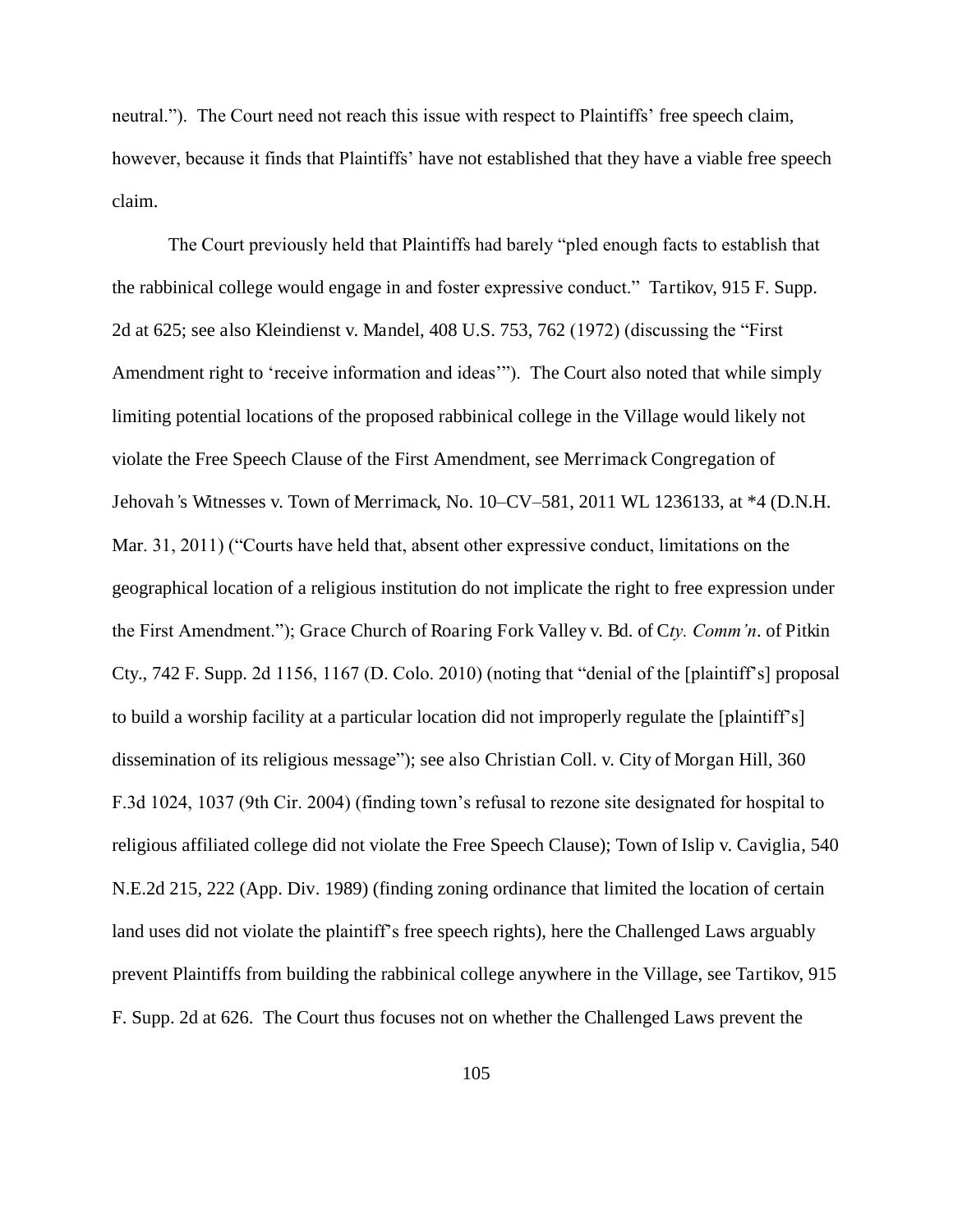neutral."). The Court need not reach this issue with respect to Plaintiffs' free speech claim, however, because it finds that Plaintiffs' have not established that they have a viable free speech claim.

The Court previously held that Plaintiffs had barely "pled enough facts to establish that the rabbinical college would engage in and foster expressive conduct." Tartikov, 915 F. Supp. 2d at 625; see also Kleindienst v. Mandel, 408 U.S. 753, 762 (1972) (discussing the "First Amendment right to 'receive information and ideas'"). The Court also noted that while simply limiting potential locations of the proposed rabbinical college in the Village would likely not violate the Free Speech Clause of the First Amendment, see Merrimack Congregation of Jehovah*'*s Witnesses v. Town of Merrimack, No. 10–CV–581, 2011 WL 1236133, at \*4 (D.N.H. Mar. 31, 2011) ("Courts have held that, absent other expressive conduct, limitations on the geographical location of a religious institution do not implicate the right to free expression under the First Amendment."); Grace Church of Roaring Fork Valley v. Bd. of C*ty. Comm'n*. of Pitkin Cty., 742 F. Supp. 2d 1156, 1167 (D. Colo. 2010) (noting that "denial of the [plaintiff's] proposal to build a worship facility at a particular location did not improperly regulate the [plaintiff's] dissemination of its religious message"); see also Christian Coll. v. City of Morgan Hill, 360 F.3d 1024, 1037 (9th Cir. 2004) (finding town's refusal to rezone site designated for hospital to religious affiliated college did not violate the Free Speech Clause); Town of Islip v. Caviglia, 540 N.E.2d 215, 222 (App. Div. 1989) (finding zoning ordinance that limited the location of certain land uses did not violate the plaintiff's free speech rights), here the Challenged Laws arguably prevent Plaintiffs from building the rabbinical college anywhere in the Village, see Tartikov, 915 F. Supp. 2d at 626. The Court thus focuses not on whether the Challenged Laws prevent the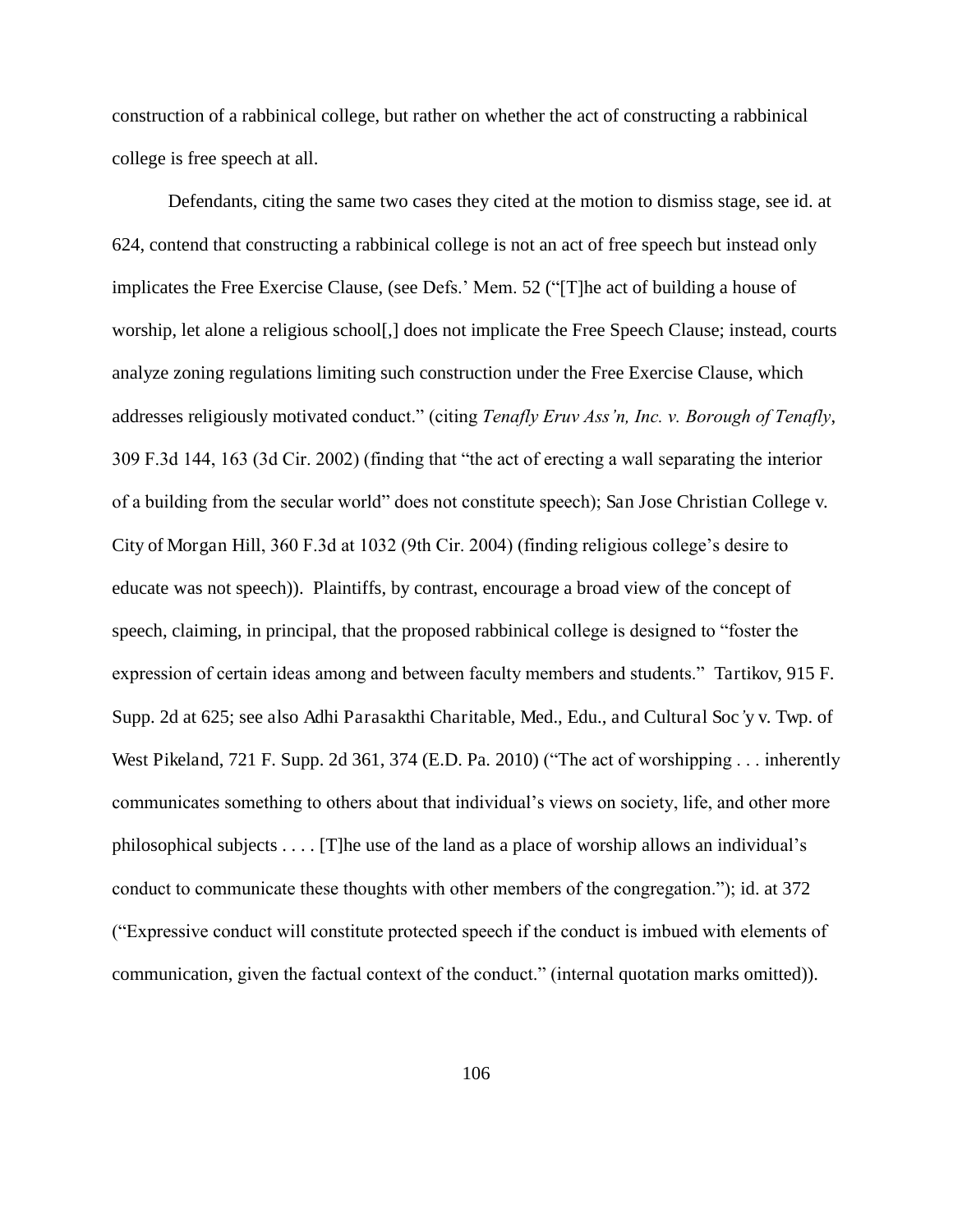construction of a rabbinical college, but rather on whether the act of constructing a rabbinical college is free speech at all.

Defendants, citing the same two cases they cited at the motion to dismiss stage, see id. at 624, contend that constructing a rabbinical college is not an act of free speech but instead only implicates the Free Exercise Clause, (see Defs.' Mem. 52 ("[T]he act of building a house of worship, let alone a religious school[,] does not implicate the Free Speech Clause; instead, courts analyze zoning regulations limiting such construction under the Free Exercise Clause, which addresses religiously motivated conduct." (citing *Tenafly Eruv Ass'n, Inc. v. Borough of Tenafly*, 309 F.3d 144, 163 (3d Cir. 2002) (finding that "the act of erecting a wall separating the interior of a building from the secular world" does not constitute speech); San Jose Christian College v. City of Morgan Hill, 360 F.3d at 1032 (9th Cir. 2004) (finding religious college's desire to educate was not speech)). Plaintiffs, by contrast, encourage a broad view of the concept of speech, claiming, in principal, that the proposed rabbinical college is designed to "foster the expression of certain ideas among and between faculty members and students." Tartikov, 915 F. Supp. 2d at 625; see also Adhi Parasakthi Charitable, Med., Edu., and Cultural Soc*'*y v. Twp. of West Pikeland, 721 F. Supp. 2d 361, 374 (E.D. Pa. 2010) ("The act of worshipping . . . inherently communicates something to others about that individual's views on society, life, and other more philosophical subjects . . . . [T]he use of the land as a place of worship allows an individual's conduct to communicate these thoughts with other members of the congregation."); id. at 372 ("Expressive conduct will constitute protected speech if the conduct is imbued with elements of communication, given the factual context of the conduct." (internal quotation marks omitted)).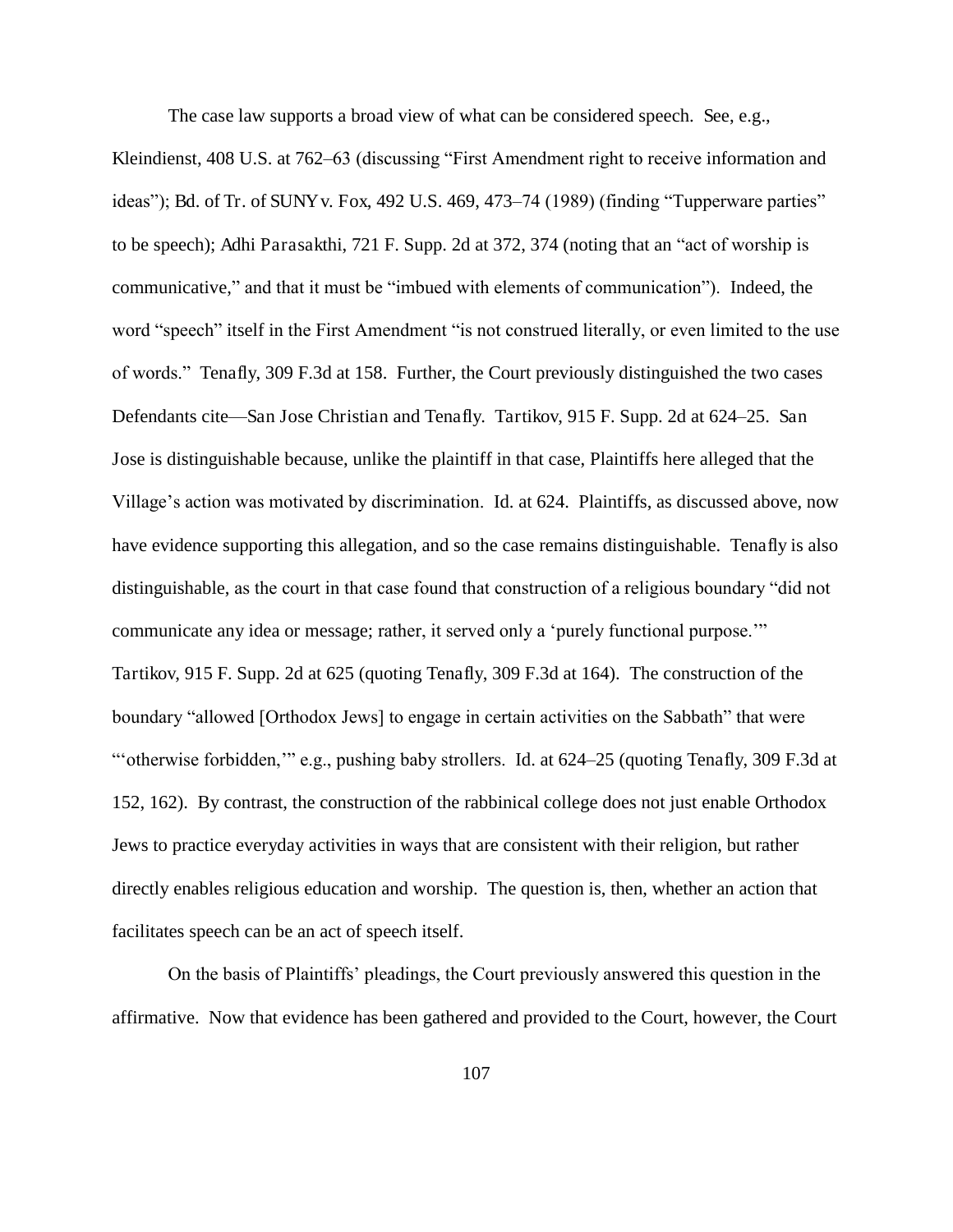The case law supports a broad view of what can be considered speech. See, e.g., Kleindienst, 408 U.S. at 762–63 (discussing "First Amendment right to receive information and ideas"); Bd. of Tr. of SUNY v. Fox, 492 U.S. 469, 473–74 (1989) (finding "Tupperware parties" to be speech); Adhi Parasakthi, 721 F. Supp. 2d at 372, 374 (noting that an "act of worship is communicative," and that it must be "imbued with elements of communication"). Indeed, the word "speech" itself in the First Amendment "is not construed literally, or even limited to the use of words." Tenafly, 309 F.3d at 158. Further, the Court previously distinguished the two cases Defendants cite—San Jose Christian and Tenafly. Tartikov, 915 F. Supp. 2d at 624–25. San Jose is distinguishable because, unlike the plaintiff in that case, Plaintiffs here alleged that the Village's action was motivated by discrimination. Id. at 624. Plaintiffs, as discussed above, now have evidence supporting this allegation, and so the case remains distinguishable. Tenafly is also distinguishable, as the court in that case found that construction of a religious boundary "did not communicate any idea or message; rather, it served only a 'purely functional purpose.'" Tartikov, 915 F. Supp. 2d at 625 (quoting Tenafly, 309 F.3d at 164). The construction of the boundary "allowed [Orthodox Jews] to engage in certain activities on the Sabbath" that were "'otherwise forbidden,'" e.g., pushing baby strollers. Id. at 624–25 (quoting Tenafly, 309 F.3d at 152, 162). By contrast, the construction of the rabbinical college does not just enable Orthodox Jews to practice everyday activities in ways that are consistent with their religion, but rather directly enables religious education and worship. The question is, then, whether an action that facilitates speech can be an act of speech itself.

On the basis of Plaintiffs' pleadings, the Court previously answered this question in the affirmative. Now that evidence has been gathered and provided to the Court, however, the Court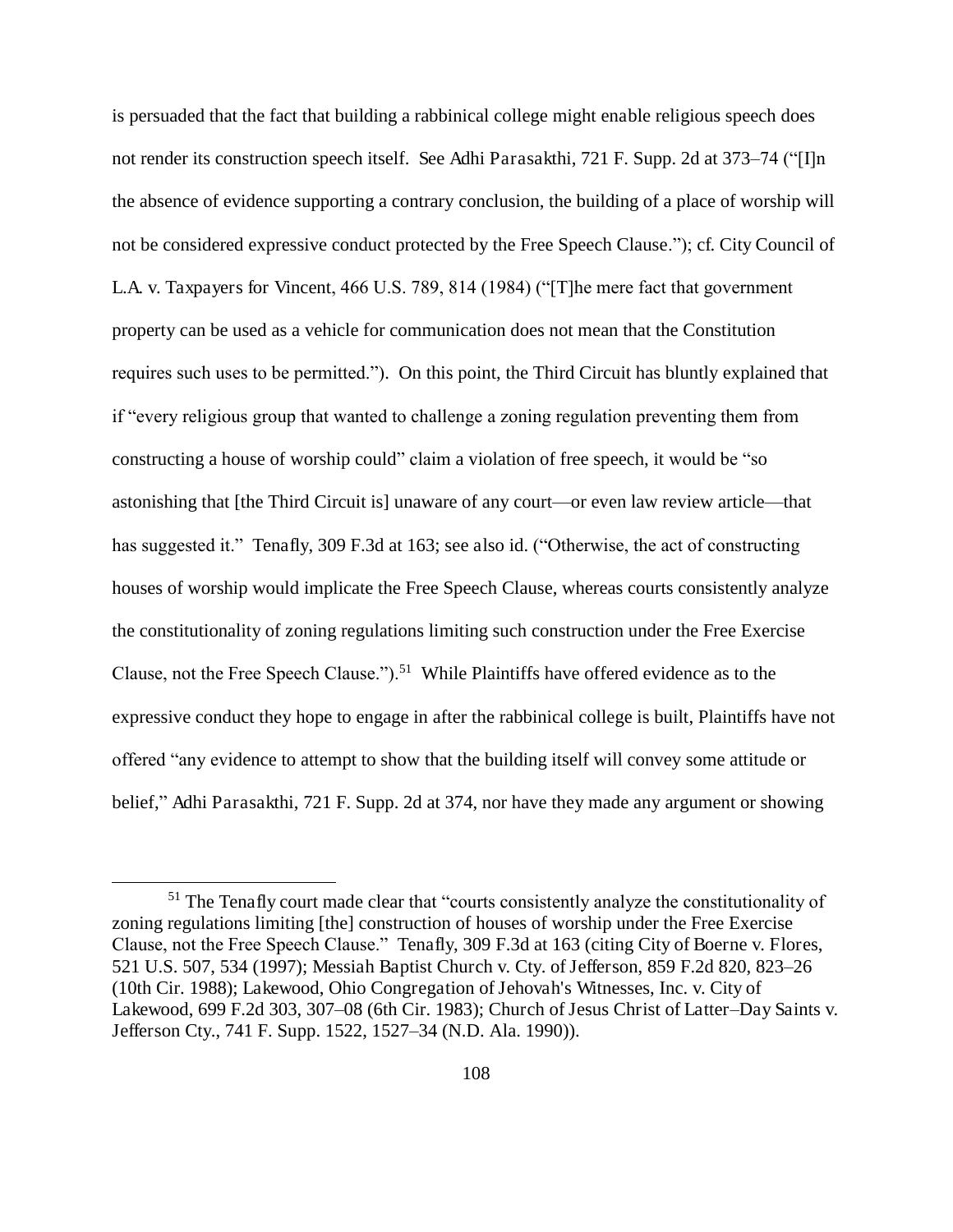is persuaded that the fact that building a rabbinical college might enable religious speech does not render its construction speech itself. See Adhi Parasakthi, 721 F. Supp. 2d at 373–74 ("[I]n the absence of evidence supporting a contrary conclusion, the building of a place of worship will not be considered expressive conduct protected by the Free Speech Clause."); cf. City Council of L.A. v. Taxpayers for Vincent, 466 U.S. 789, 814 (1984) ("[T]he mere fact that government property can be used as a vehicle for communication does not mean that the Constitution requires such uses to be permitted."). On this point, the Third Circuit has bluntly explained that if "every religious group that wanted to challenge a zoning regulation preventing them from constructing a house of worship could" claim a violation of free speech, it would be "so astonishing that [the Third Circuit is] unaware of any court—or even law review article—that has suggested it." Tenafly, 309 F.3d at 163; see also id. ("Otherwise, the act of constructing houses of worship would implicate the Free Speech Clause, whereas courts consistently analyze the constitutionality of zoning regulations limiting such construction under the Free Exercise Clause, not the Free Speech Clause.").<sup>51</sup> While Plaintiffs have offered evidence as to the expressive conduct they hope to engage in after the rabbinical college is built, Plaintiffs have not offered "any evidence to attempt to show that the building itself will convey some attitude or belief," Adhi Parasakthi, 721 F. Supp. 2d at 374, nor have they made any argument or showing

<sup>&</sup>lt;sup>51</sup> The Tenafly court made clear that "courts consistently analyze the constitutionality of zoning regulations limiting [the] construction of houses of worship under the Free Exercise Clause, not the Free Speech Clause." Tenafly, 309 F.3d at 163 (citing City of Boerne v. Flores, 521 U.S. 507, 534 (1997); Messiah Baptist Church v. Cty. of Jefferson, 859 F.2d 820, 823–26 (10th Cir. 1988); Lakewood, Ohio Congregation of Jehovah's Witnesses, Inc. v. City of Lakewood, 699 F.2d 303, 307–08 (6th Cir. 1983); Church of Jesus Christ of Latter*–*Day Saints v. Jefferson Cty., 741 F. Supp. 1522, 1527–34 (N.D. Ala. 1990)).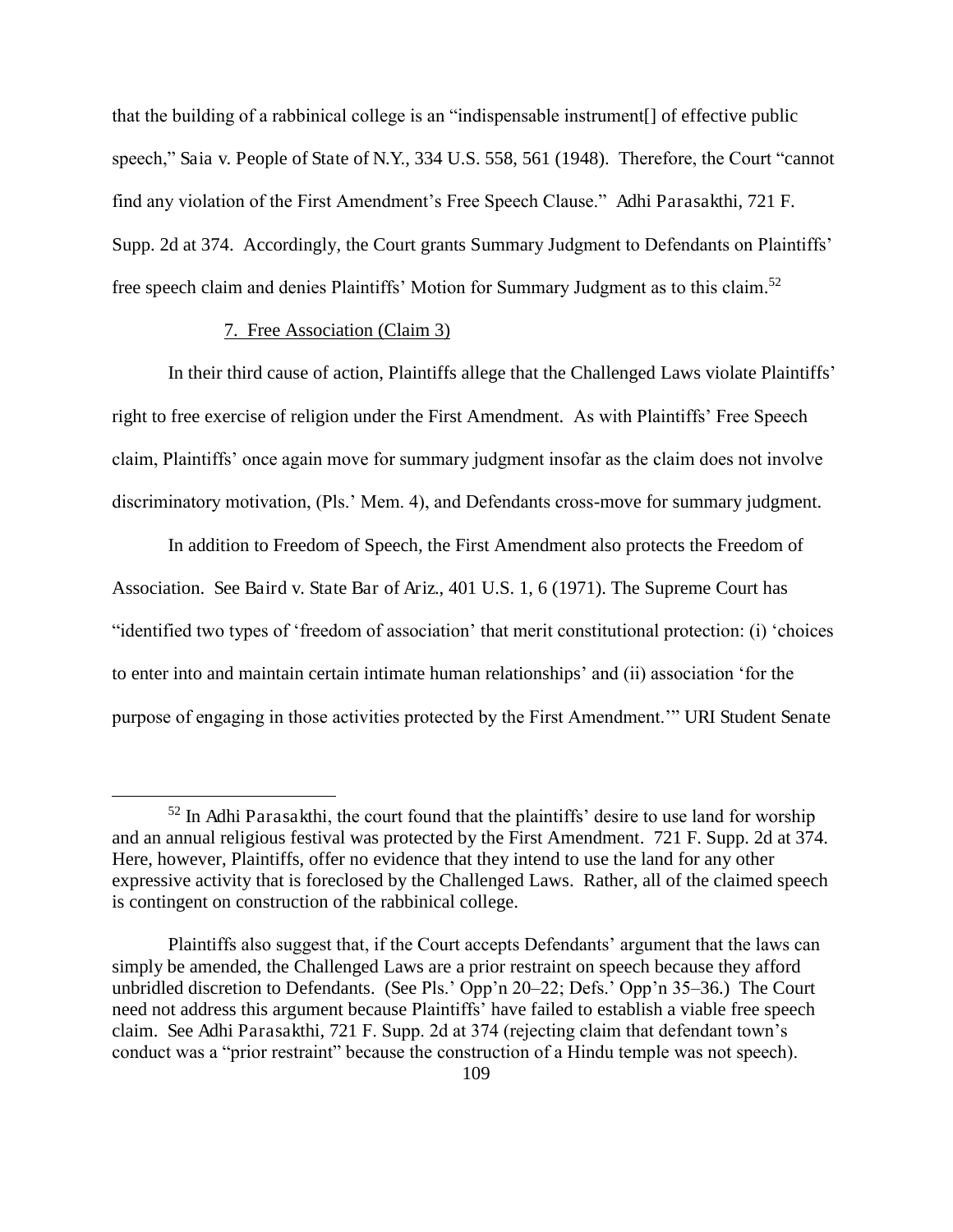that the building of a rabbinical college is an "indispensable instrument[] of effective public speech," Saia v. People of State of N.Y., 334 U.S. 558, 561 (1948). Therefore, the Court "cannot find any violation of the First Amendment's Free Speech Clause." Adhi Parasakthi, 721 F. Supp. 2d at 374. Accordingly, the Court grants Summary Judgment to Defendants on Plaintiffs' free speech claim and denies Plaintiffs' Motion for Summary Judgment as to this claim.<sup>52</sup>

# 7. Free Association (Claim 3)

 $\overline{a}$ 

In their third cause of action, Plaintiffs allege that the Challenged Laws violate Plaintiffs' right to free exercise of religion under the First Amendment. As with Plaintiffs' Free Speech claim, Plaintiffs' once again move for summary judgment insofar as the claim does not involve discriminatory motivation, (Pls.' Mem. 4), and Defendants cross-move for summary judgment.

In addition to Freedom of Speech, the First Amendment also protects the Freedom of Association. See Baird v. State Bar of Ariz., 401 U.S. 1, 6 (1971). The Supreme Court has "identified two types of 'freedom of association' that merit constitutional protection: (i) 'choices to enter into and maintain certain intimate human relationships' and (ii) association 'for the purpose of engaging in those activities protected by the First Amendment.'" URI Student Senate

 $52$  In Adhi Parasakthi, the court found that the plaintiffs' desire to use land for worship and an annual religious festival was protected by the First Amendment. 721 F. Supp. 2d at 374. Here, however, Plaintiffs, offer no evidence that they intend to use the land for any other expressive activity that is foreclosed by the Challenged Laws. Rather, all of the claimed speech is contingent on construction of the rabbinical college.

Plaintiffs also suggest that, if the Court accepts Defendants' argument that the laws can simply be amended, the Challenged Laws are a prior restraint on speech because they afford unbridled discretion to Defendants. (See Pls.' Opp'n 20–22; Defs.' Opp'n 35–36.) The Court need not address this argument because Plaintiffs' have failed to establish a viable free speech claim. See Adhi Parasakthi, 721 F. Supp. 2d at 374 (rejecting claim that defendant town's conduct was a "prior restraint" because the construction of a Hindu temple was not speech).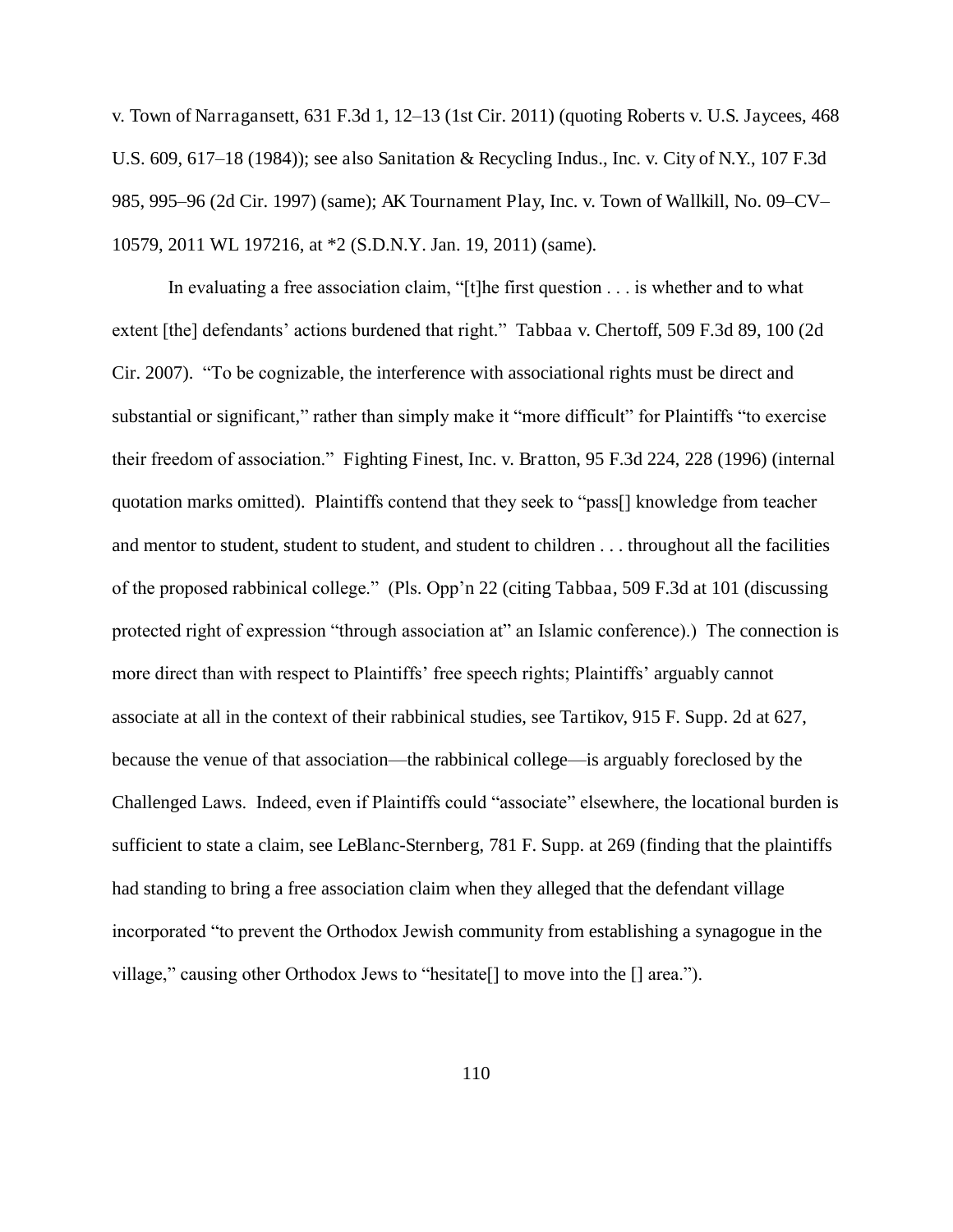v. Town of Narragansett, 631 F.3d 1, 12–13 (1st Cir. 2011) (quoting Roberts v. U.S. Jaycees, 468 U.S. 609, 617–18 (1984)); see also Sanitation & Recycling Indus., Inc. v. City of N.Y., 107 F.3d 985, 995–96 (2d Cir. 1997) (same); AK Tournament Play, Inc. v. Town of Wallkill, No. 09–CV– 10579, 2011 WL 197216, at \*2 (S.D.N.Y. Jan. 19, 2011) (same).

In evaluating a free association claim, "[t]he first question . . . is whether and to what extent [the] defendants' actions burdened that right." Tabbaa v. Chertoff, 509 F.3d 89, 100 (2d Cir. 2007). "To be cognizable, the interference with associational rights must be direct and substantial or significant," rather than simply make it "more difficult" for Plaintiffs "to exercise their freedom of association." Fighting Finest, Inc. v. Bratton, 95 F.3d 224, 228 (1996) (internal quotation marks omitted). Plaintiffs contend that they seek to "pass[] knowledge from teacher and mentor to student, student to student, and student to children . . . throughout all the facilities of the proposed rabbinical college." (Pls. Opp'n 22 (citing Tabbaa, 509 F.3d at 101 (discussing protected right of expression "through association at" an Islamic conference).) The connection is more direct than with respect to Plaintiffs' free speech rights; Plaintiffs' arguably cannot associate at all in the context of their rabbinical studies, see Tartikov, 915 F. Supp. 2d at 627, because the venue of that association—the rabbinical college—is arguably foreclosed by the Challenged Laws. Indeed, even if Plaintiffs could "associate" elsewhere, the locational burden is sufficient to state a claim, see LeBlanc-Sternberg, 781 F. Supp. at 269 (finding that the plaintiffs had standing to bring a free association claim when they alleged that the defendant village incorporated "to prevent the Orthodox Jewish community from establishing a synagogue in the village," causing other Orthodox Jews to "hesitate[] to move into the [] area.").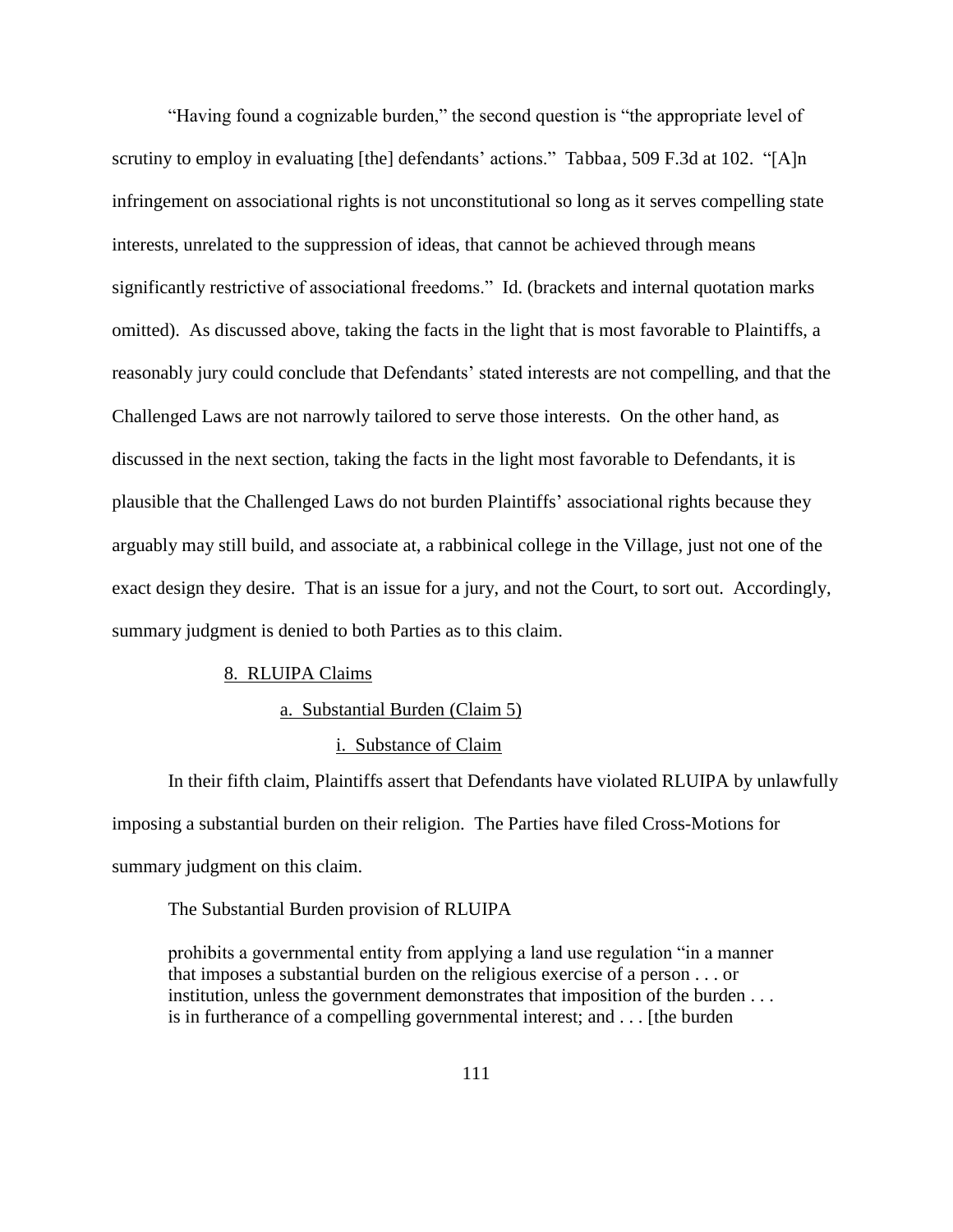"Having found a cognizable burden," the second question is "the appropriate level of scrutiny to employ in evaluating [the] defendants' actions." Tabbaa, 509 F.3d at 102. "[A]n infringement on associational rights is not unconstitutional so long as it serves compelling state interests, unrelated to the suppression of ideas, that cannot be achieved through means significantly restrictive of associational freedoms." Id. (brackets and internal quotation marks omitted). As discussed above, taking the facts in the light that is most favorable to Plaintiffs, a reasonably jury could conclude that Defendants' stated interests are not compelling, and that the Challenged Laws are not narrowly tailored to serve those interests.On the other hand, as discussed in the next section, taking the facts in the light most favorable to Defendants, it is plausible that the Challenged Laws do not burden Plaintiffs' associational rights because they arguably may still build, and associate at, a rabbinical college in the Village, just not one of the exact design they desire. That is an issue for a jury, and not the Court, to sort out. Accordingly, summary judgment is denied to both Parties as to this claim.

#### 8. RLUIPA Claims

### a. Substantial Burden (Claim 5)

### i. Substance of Claim

In their fifth claim, Plaintiffs assert that Defendants have violated RLUIPA by unlawfully imposing a substantial burden on their religion. The Parties have filed Cross-Motions for summary judgment on this claim.

### The Substantial Burden provision of RLUIPA

prohibits a governmental entity from applying a land use regulation "in a manner that imposes a substantial burden on the religious exercise of a person . . . or institution, unless the government demonstrates that imposition of the burden . . . is in furtherance of a compelling governmental interest; and . . . [the burden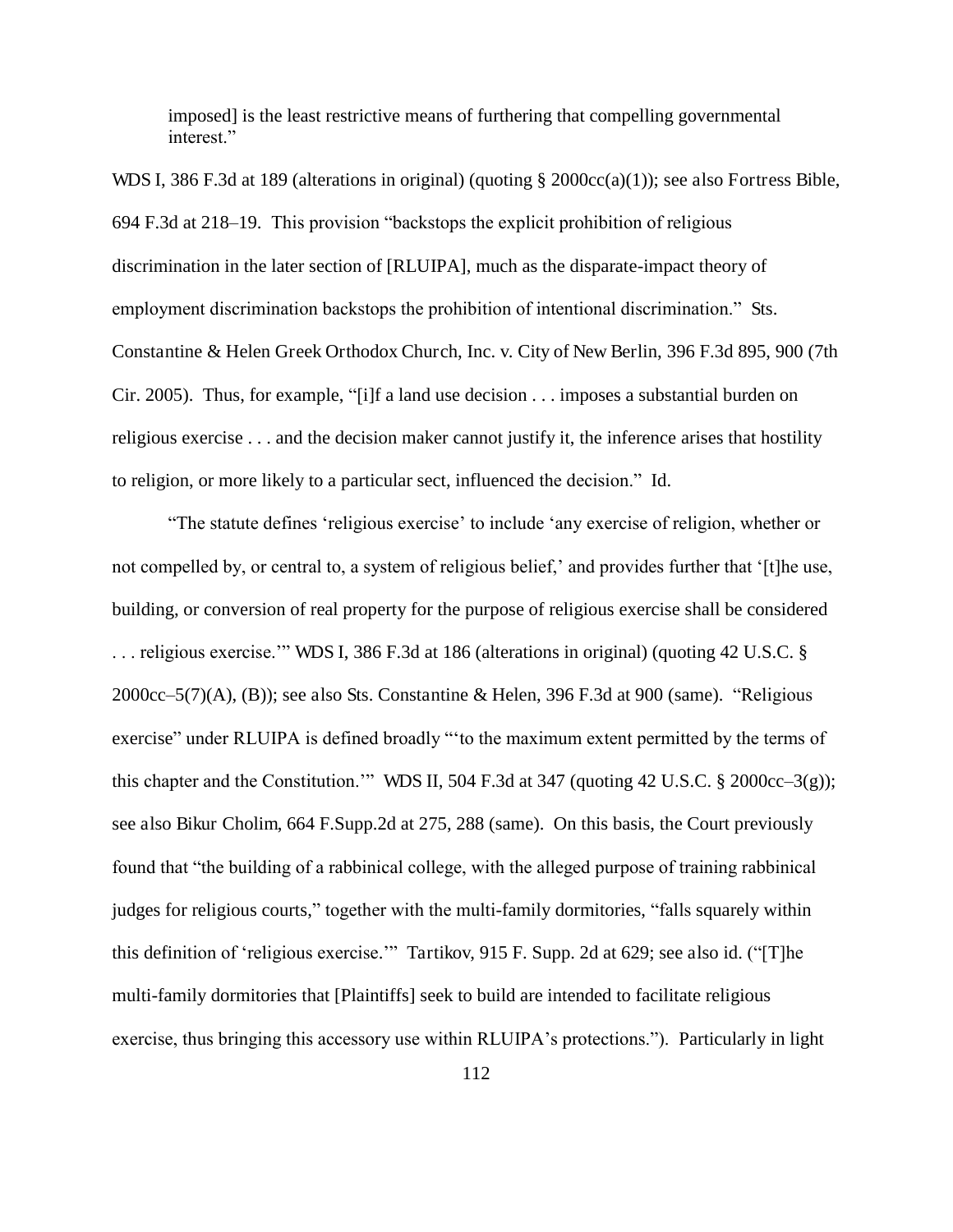imposed] is the least restrictive means of furthering that compelling governmental interest."

WDS I, 386 F.3d at 189 (alterations in original) (quoting § 2000cc(a)(1)); see also Fortress Bible, 694 F.3d at 218–19. This provision "backstops the explicit prohibition of religious discrimination in the later section of [RLUIPA], much as the disparate-impact theory of employment discrimination backstops the prohibition of intentional discrimination." Sts. Constantine & Helen Greek Orthodox Church, Inc. v. City of New Berlin, 396 F.3d 895, 900 (7th Cir. 2005). Thus, for example, "[i]f a land use decision . . . imposes a substantial burden on religious exercise . . . and the decision maker cannot justify it, the inference arises that hostility to religion, or more likely to a particular sect, influenced the decision." Id.

"The statute defines 'religious exercise' to include 'any exercise of religion, whether or not compelled by, or central to, a system of religious belief,' and provides further that '[t]he use, building, or conversion of real property for the purpose of religious exercise shall be considered . . . religious exercise.'" WDS I, 386 F.3d at 186 (alterations in original) (quoting 42 U.S.C. § 2000cc–5(7)(A), (B)); see also Sts. Constantine & Helen, 396 F.3d at 900 (same). "Religious exercise" under RLUIPA is defined broadly "'to the maximum extent permitted by the terms of this chapter and the Constitution.'" WDS II, 504 F.3d at 347 (quoting 42 U.S.C.  $\S$  2000cc–3(g)); see also Bikur Cholim, 664 F.Supp.2d at 275, 288 (same). On this basis, the Court previously found that "the building of a rabbinical college, with the alleged purpose of training rabbinical judges for religious courts," together with the multi-family dormitories, "falls squarely within this definition of 'religious exercise.'" Tartikov, 915 F. Supp. 2d at 629; see also id. ("[T]he multi-family dormitories that [Plaintiffs] seek to build are intended to facilitate religious exercise, thus bringing this accessory use within RLUIPA's protections."). Particularly in light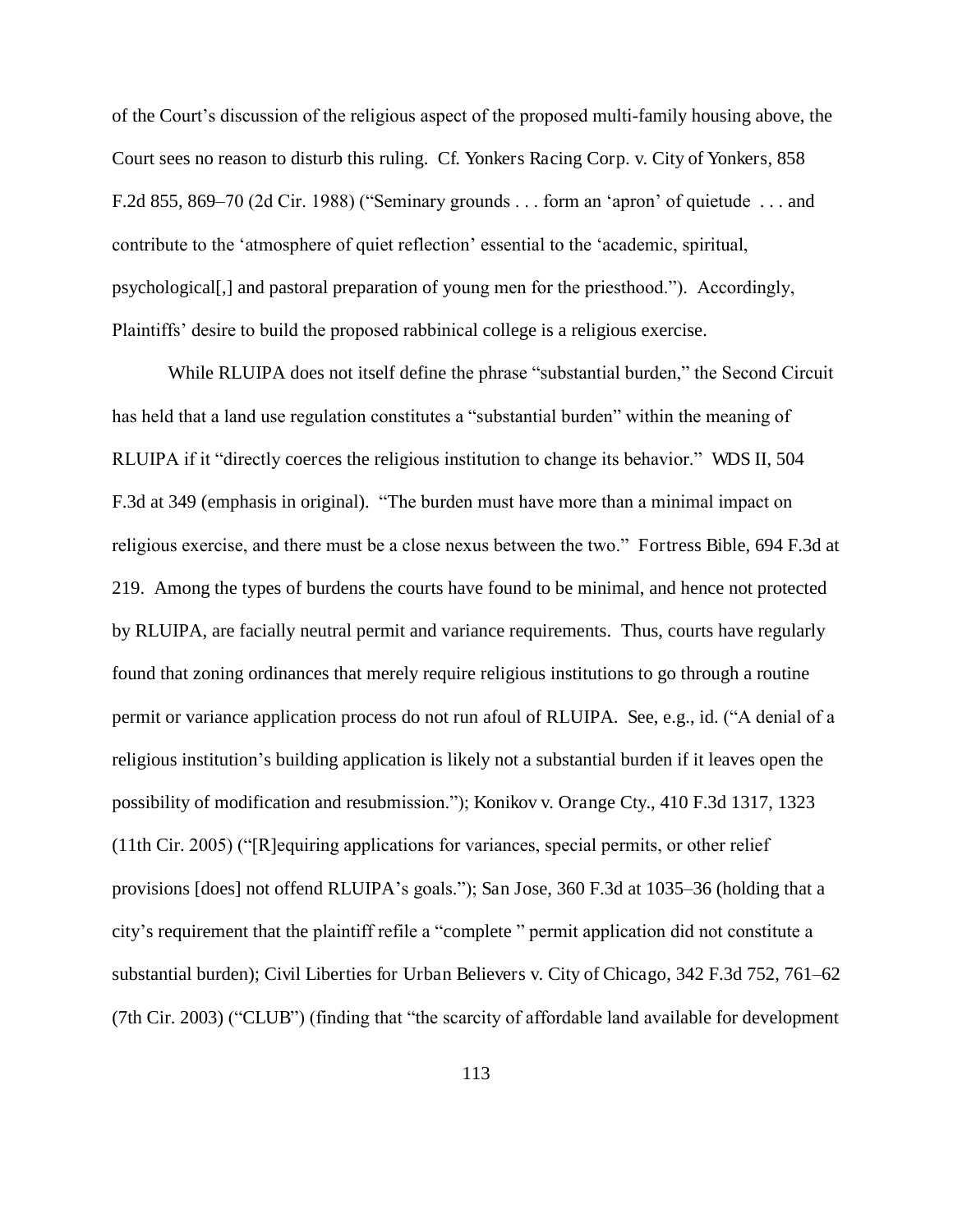of the Court's discussion of the religious aspect of the proposed multi-family housing above, the Court sees no reason to disturb this ruling. Cf. Yonkers Racing Corp. v. City of Yonkers, 858 F.2d 855, 869–70 (2d Cir. 1988) ("Seminary grounds . . . form an 'apron' of quietude . . . and contribute to the 'atmosphere of quiet reflection' essential to the 'academic, spiritual, psychological[,] and pastoral preparation of young men for the priesthood."). Accordingly, Plaintiffs' desire to build the proposed rabbinical college is a religious exercise.

While RLUIPA does not itself define the phrase "substantial burden," the Second Circuit has held that a land use regulation constitutes a "substantial burden" within the meaning of RLUIPA if it "directly coerces the religious institution to change its behavior." WDS II, 504 F.3d at 349 (emphasis in original). "The burden must have more than a minimal impact on religious exercise, and there must be a close nexus between the two." Fortress Bible, 694 F.3d at 219. Among the types of burdens the courts have found to be minimal, and hence not protected by RLUIPA, are facially neutral permit and variance requirements. Thus, courts have regularly found that zoning ordinances that merely require religious institutions to go through a routine permit or variance application process do not run afoul of RLUIPA. See, e.g., id. ("A denial of a religious institution's building application is likely not a substantial burden if it leaves open the possibility of modification and resubmission."); Konikov v. Orange Cty., 410 F.3d 1317, 1323 (11th Cir. 2005) ("[R]equiring applications for variances, special permits, or other relief provisions [does] not offend RLUIPA's goals."); San Jose, 360 F.3d at 1035–36 (holding that a city's requirement that the plaintiff refile a "complete " permit application did not constitute a substantial burden); Civil Liberties for Urban Believers v. City of Chicago, 342 F.3d 752, 761–62 (7th Cir. 2003) ("CLUB") (finding that "the scarcity of affordable land available for development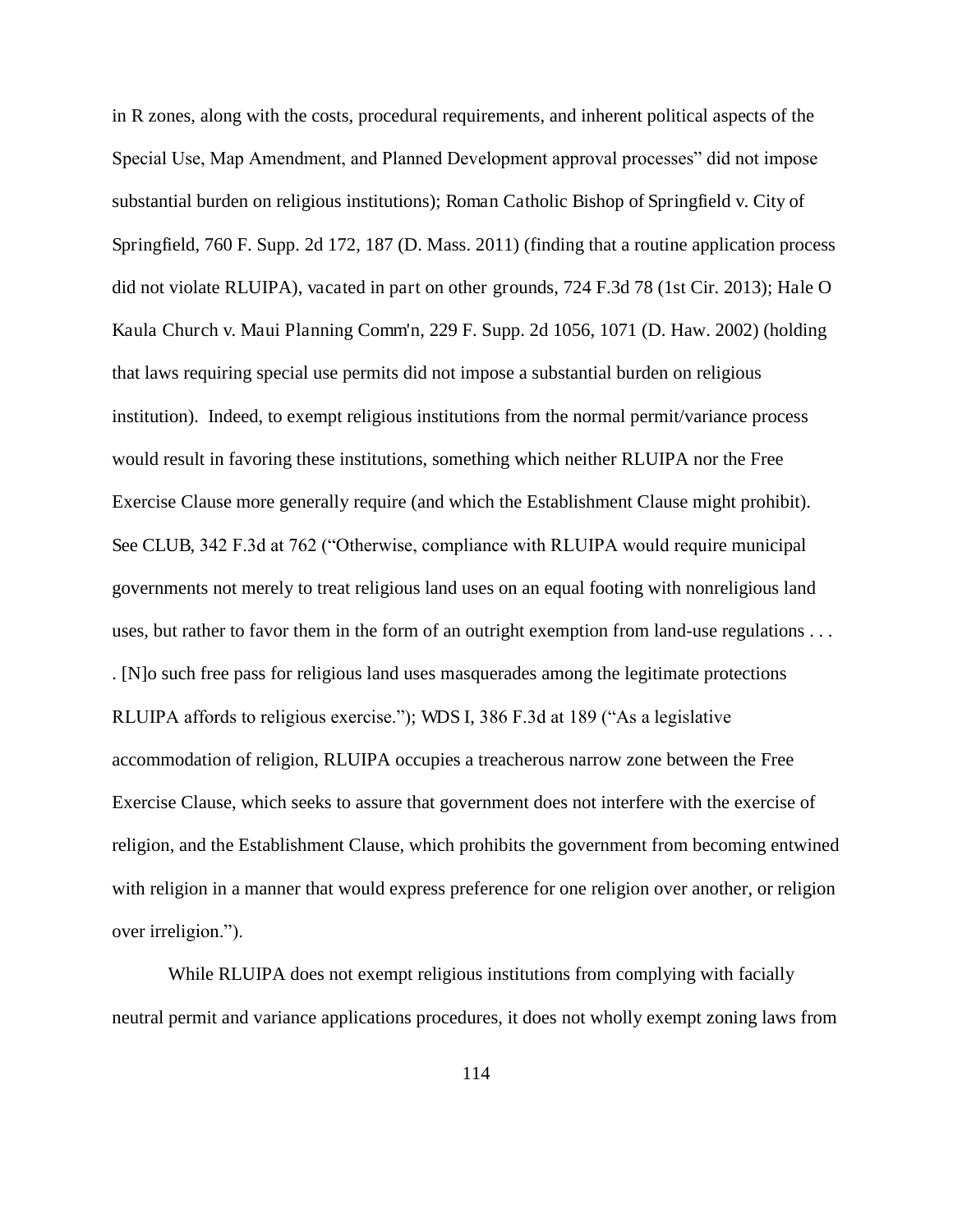in R zones, along with the costs, procedural requirements, and inherent political aspects of the Special Use, Map Amendment, and Planned Development approval processes" did not impose substantial burden on religious institutions); Roman Catholic Bishop of Springfield v. City of Springfield, 760 F. Supp. 2d 172, 187 (D. Mass. 2011) (finding that a routine application process did not violate RLUIPA), vacated in part on other grounds, 724 F.3d 78 (1st Cir. 2013); Hale O Kaula Church v. Maui Planning Comm'n, 229 F. Supp. 2d 1056, 1071 (D. Haw. 2002) (holding that laws requiring special use permits did not impose a substantial burden on religious institution). Indeed, to exempt religious institutions from the normal permit/variance process would result in favoring these institutions, something which neither RLUIPA nor the Free Exercise Clause more generally require (and which the Establishment Clause might prohibit). See CLUB, 342 F.3d at 762 ("Otherwise, compliance with RLUIPA would require municipal governments not merely to treat religious land uses on an equal footing with nonreligious land uses, but rather to favor them in the form of an outright exemption from land-use regulations . . . . [N]o such free pass for religious land uses masquerades among the legitimate protections RLUIPA affords to religious exercise."); WDS I, 386 F.3d at 189 ("As a legislative accommodation of religion, RLUIPA occupies a treacherous narrow zone between the Free Exercise Clause, which seeks to assure that government does not interfere with the exercise of religion, and the Establishment Clause, which prohibits the government from becoming entwined with religion in a manner that would express preference for one religion over another, or religion over irreligion.").

While RLUIPA does not exempt religious institutions from complying with facially neutral permit and variance applications procedures, it does not wholly exempt zoning laws from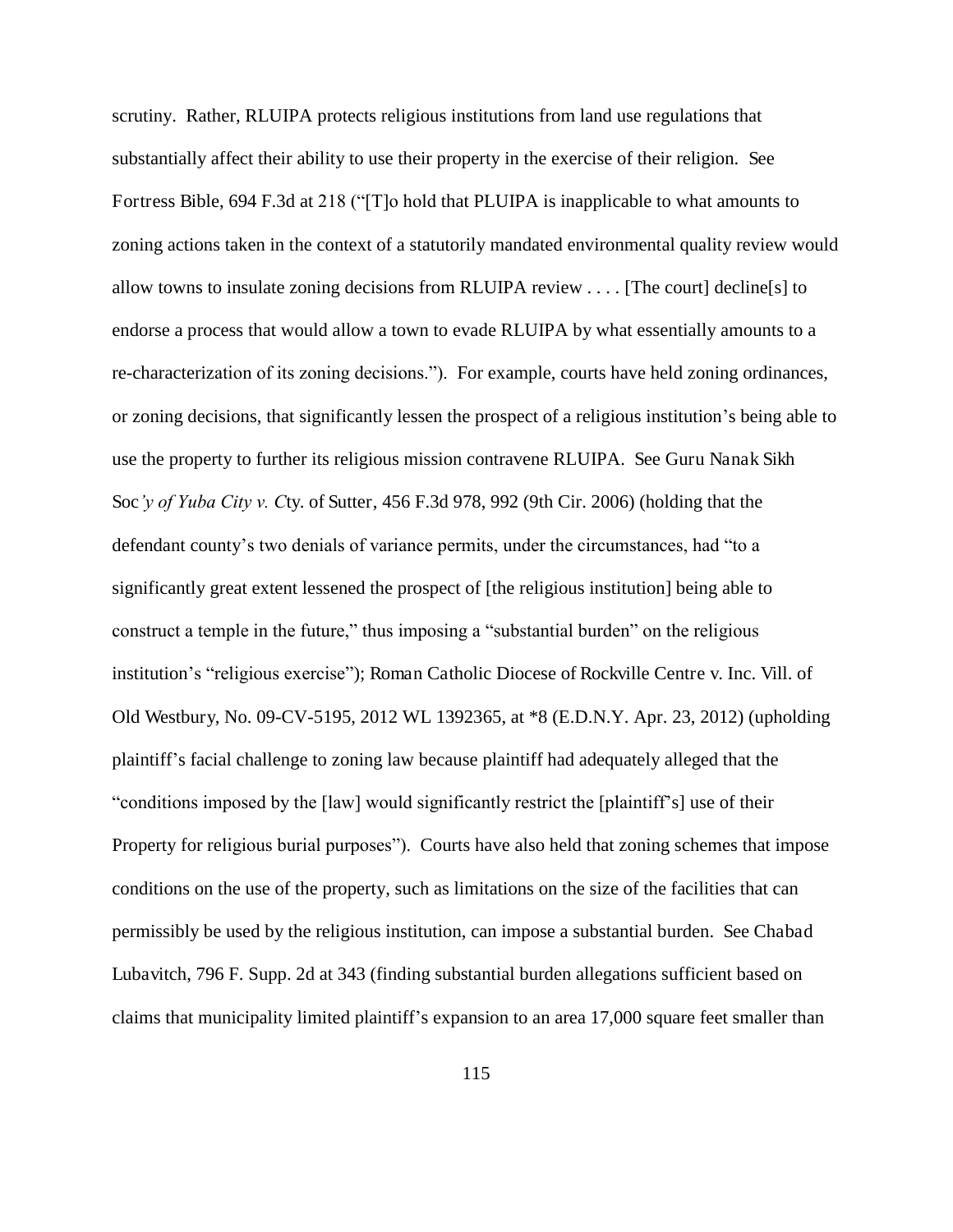scrutiny. Rather, RLUIPA protects religious institutions from land use regulations that substantially affect their ability to use their property in the exercise of their religion. See Fortress Bible, 694 F.3d at 218 ("[T]o hold that PLUIPA is inapplicable to what amounts to zoning actions taken in the context of a statutorily mandated environmental quality review would allow towns to insulate zoning decisions from RLUIPA review . . . . [The court] decline[s] to endorse a process that would allow a town to evade RLUIPA by what essentially amounts to a re-characterization of its zoning decisions."). For example, courts have held zoning ordinances, or zoning decisions, that significantly lessen the prospect of a religious institution's being able to use the property to further its religious mission contravene RLUIPA. See Guru Nanak Sikh Soc*'y of Yuba City v. C*ty. of Sutter, 456 F.3d 978, 992 (9th Cir. 2006) (holding that the defendant county's two denials of variance permits, under the circumstances, had "to a significantly great extent lessened the prospect of [the religious institution] being able to construct a temple in the future," thus imposing a "substantial burden" on the religious institution's "religious exercise"); Roman Catholic Diocese of Rockville Centre v. Inc. Vill. of Old Westbury, No. 09-CV-5195, 2012 WL 1392365, at \*8 (E.D.N.Y. Apr. 23, 2012) (upholding plaintiff's facial challenge to zoning law because plaintiff had adequately alleged that the "conditions imposed by the [law] would significantly restrict the [plaintiff's] use of their Property for religious burial purposes"). Courts have also held that zoning schemes that impose conditions on the use of the property, such as limitations on the size of the facilities that can permissibly be used by the religious institution, can impose a substantial burden. See Chabad Lubavitch, 796 F. Supp. 2d at 343 (finding substantial burden allegations sufficient based on claims that municipality limited plaintiff's expansion to an area 17,000 square feet smaller than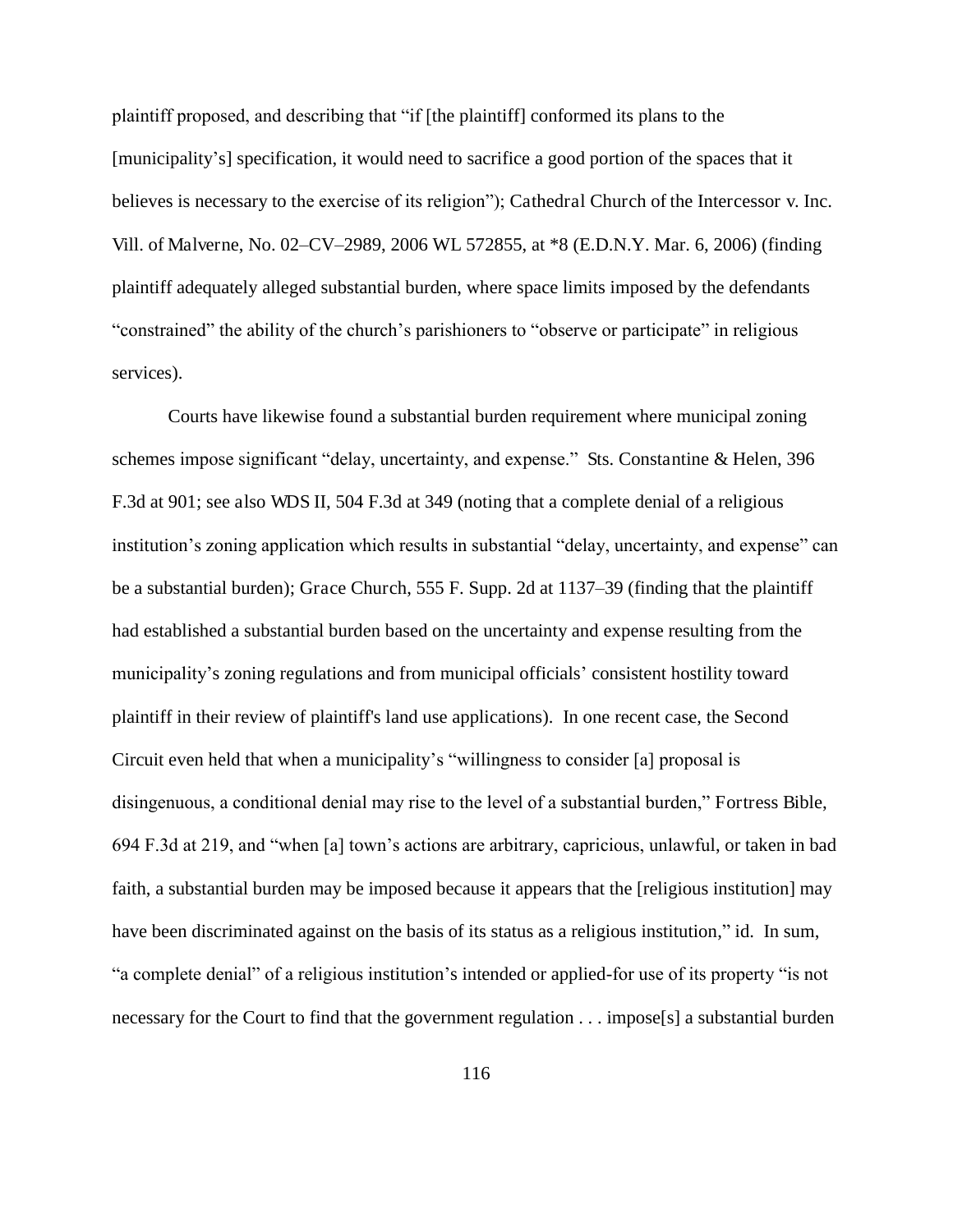plaintiff proposed, and describing that "if [the plaintiff] conformed its plans to the [municipality's] specification, it would need to sacrifice a good portion of the spaces that it believes is necessary to the exercise of its religion"); Cathedral Church of the Intercessor v. Inc. Vill. of Malverne, No. 02–CV–2989, 2006 WL 572855, at \*8 (E.D.N.Y. Mar. 6, 2006) (finding plaintiff adequately alleged substantial burden, where space limits imposed by the defendants "constrained" the ability of the church's parishioners to "observe or participate" in religious services).

Courts have likewise found a substantial burden requirement where municipal zoning schemes impose significant "delay, uncertainty, and expense." Sts. Constantine & Helen, 396 F.3d at 901; see also WDS II, 504 F.3d at 349 (noting that a complete denial of a religious institution's zoning application which results in substantial "delay, uncertainty, and expense" can be a substantial burden); Grace Church, 555 F. Supp. 2d at 1137–39 (finding that the plaintiff had established a substantial burden based on the uncertainty and expense resulting from the municipality's zoning regulations and from municipal officials' consistent hostility toward plaintiff in their review of plaintiff's land use applications). In one recent case, the Second Circuit even held that when a municipality's "willingness to consider [a] proposal is disingenuous, a conditional denial may rise to the level of a substantial burden," Fortress Bible, 694 F.3d at 219, and "when [a] town's actions are arbitrary, capricious, unlawful, or taken in bad faith, a substantial burden may be imposed because it appears that the [religious institution] may have been discriminated against on the basis of its status as a religious institution," id. In sum, "a complete denial" of a religious institution's intended or applied-for use of its property "is not necessary for the Court to find that the government regulation . . . impose[s] a substantial burden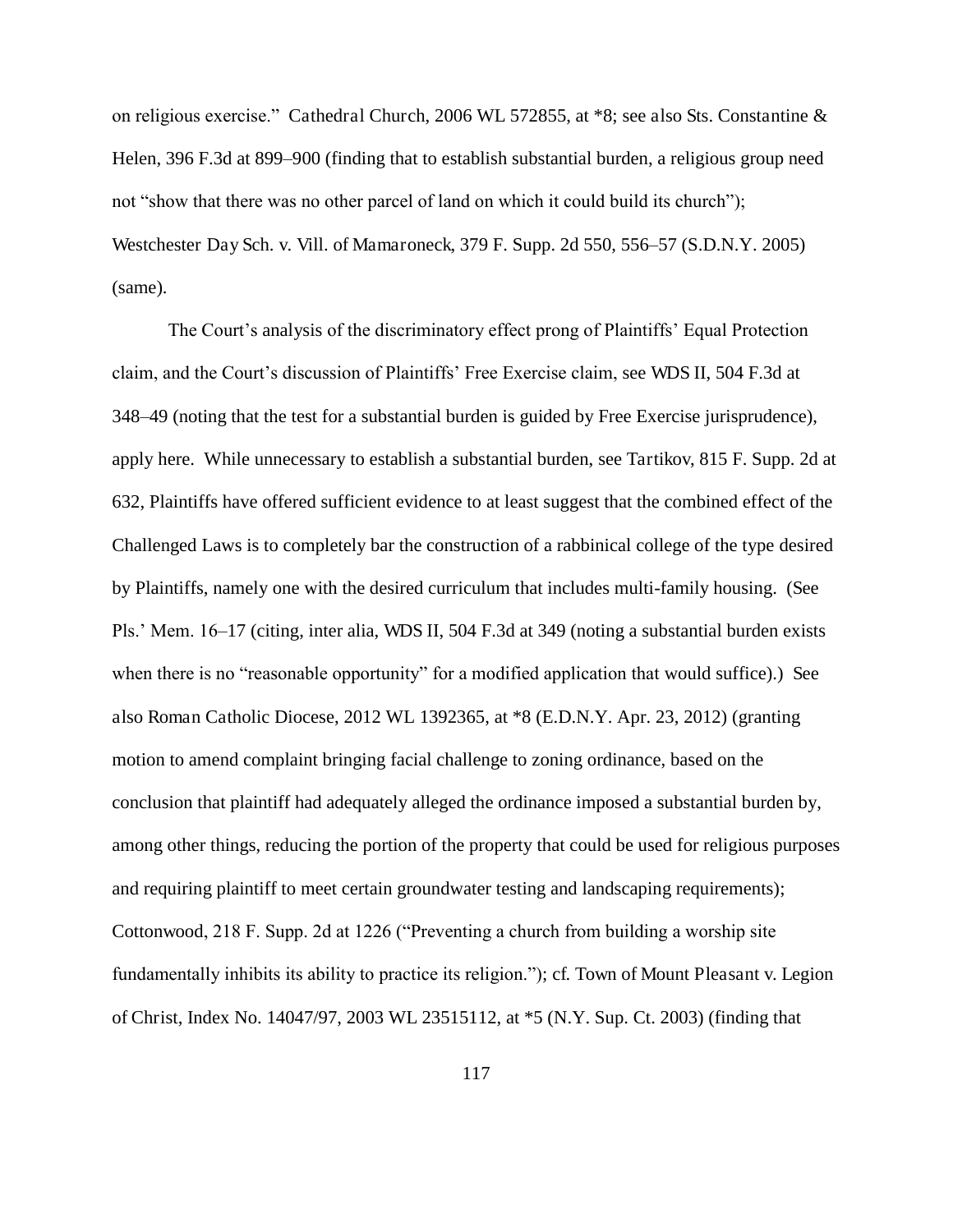on religious exercise." Cathedral Church, 2006 WL 572855, at \*8; see also Sts. Constantine & Helen, 396 F.3d at 899–900 (finding that to establish substantial burden, a religious group need not "show that there was no other parcel of land on which it could build its church"); Westchester Day Sch. v. Vill. of Mamaroneck, 379 F. Supp. 2d 550, 556–57 (S.D.N.Y. 2005) (same).

The Court's analysis of the discriminatory effect prong of Plaintiffs' Equal Protection claim, and the Court's discussion of Plaintiffs' Free Exercise claim, see WDS II, 504 F.3d at 348–49 (noting that the test for a substantial burden is guided by Free Exercise jurisprudence), apply here. While unnecessary to establish a substantial burden, see Tartikov, 815 F. Supp. 2d at 632, Plaintiffs have offered sufficient evidence to at least suggest that the combined effect of the Challenged Laws is to completely bar the construction of a rabbinical college of the type desired by Plaintiffs, namely one with the desired curriculum that includes multi-family housing. (See Pls.' Mem. 16–17 (citing, inter alia, WDS II, 504 F.3d at 349 (noting a substantial burden exists when there is no "reasonable opportunity" for a modified application that would suffice).) See also Roman Catholic Diocese, 2012 WL 1392365, at \*8 (E.D.N.Y. Apr. 23, 2012) (granting motion to amend complaint bringing facial challenge to zoning ordinance, based on the conclusion that plaintiff had adequately alleged the ordinance imposed a substantial burden by, among other things, reducing the portion of the property that could be used for religious purposes and requiring plaintiff to meet certain groundwater testing and landscaping requirements); Cottonwood, 218 F. Supp. 2d at 1226 ("Preventing a church from building a worship site fundamentally inhibits its ability to practice its religion."); cf. Town of Mount Pleasant v. Legion of Christ, Index No. 14047/97, 2003 WL 23515112, at \*5 (N.Y. Sup. Ct. 2003) (finding that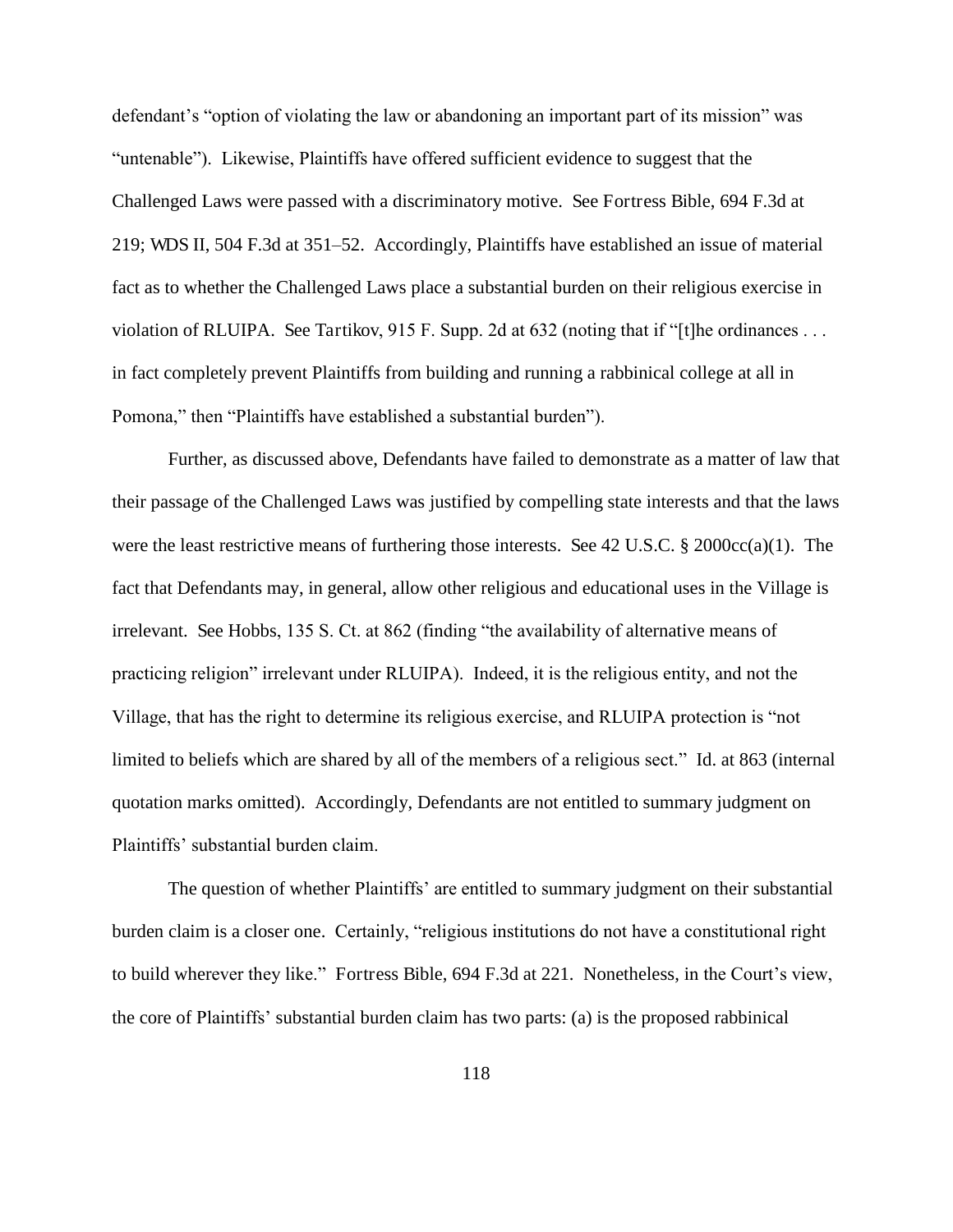defendant's "option of violating the law or abandoning an important part of its mission" was "untenable"). Likewise, Plaintiffs have offered sufficient evidence to suggest that the Challenged Laws were passed with a discriminatory motive. See Fortress Bible, 694 F.3d at 219; WDS II, 504 F.3d at 351–52. Accordingly, Plaintiffs have established an issue of material fact as to whether the Challenged Laws place a substantial burden on their religious exercise in violation of RLUIPA. See Tartikov, 915 F. Supp. 2d at 632 (noting that if "[t]he ordinances . . . in fact completely prevent Plaintiffs from building and running a rabbinical college at all in Pomona," then "Plaintiffs have established a substantial burden").

Further, as discussed above, Defendants have failed to demonstrate as a matter of law that their passage of the Challenged Laws was justified by compelling state interests and that the laws were the least restrictive means of furthering those interests. See 42 U.S.C. § 2000cc(a)(1). The fact that Defendants may, in general, allow other religious and educational uses in the Village is irrelevant. See Hobbs, 135 S. Ct. at 862 (finding "the availability of alternative means of practicing religion" irrelevant under RLUIPA). Indeed, it is the religious entity, and not the Village, that has the right to determine its religious exercise, and RLUIPA protection is "not limited to beliefs which are shared by all of the members of a religious sect." Id. at 863 (internal quotation marks omitted). Accordingly, Defendants are not entitled to summary judgment on Plaintiffs' substantial burden claim.

The question of whether Plaintiffs' are entitled to summary judgment on their substantial burden claim is a closer one. Certainly, "religious institutions do not have a constitutional right to build wherever they like." Fortress Bible, 694 F.3d at 221. Nonetheless, in the Court's view, the core of Plaintiffs' substantial burden claim has two parts: (a) is the proposed rabbinical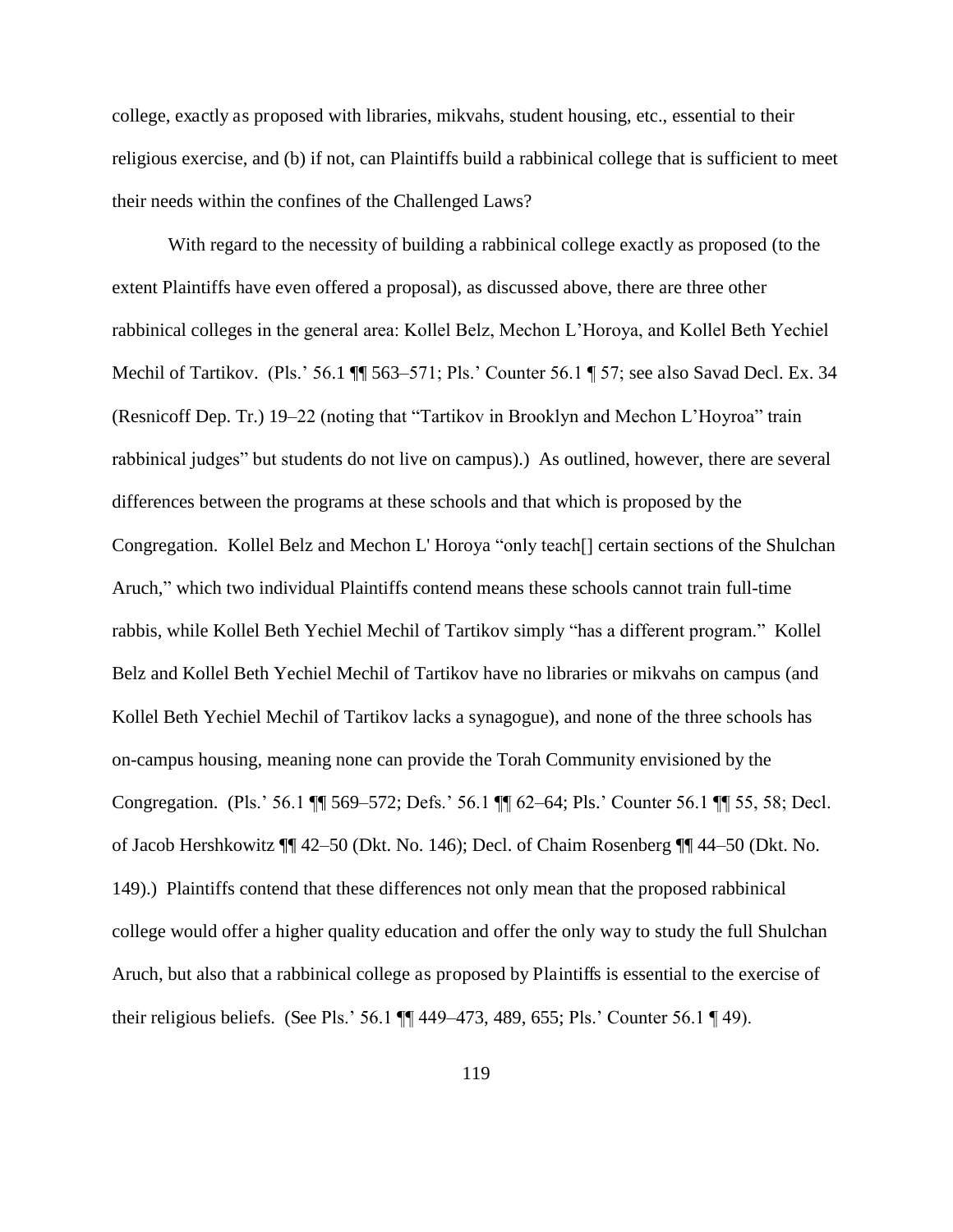college, exactly as proposed with libraries, mikvahs, student housing, etc., essential to their religious exercise, and (b) if not, can Plaintiffs build a rabbinical college that is sufficient to meet their needs within the confines of the Challenged Laws?

With regard to the necessity of building a rabbinical college exactly as proposed (to the extent Plaintiffs have even offered a proposal), as discussed above, there are three other rabbinical colleges in the general area: Kollel Belz, Mechon L'Horoya, and Kollel Beth Yechiel Mechil of Tartikov. (Pls.' 56.1  $\P$  563–571; Pls.' Counter 56.1  $\P$  57; see also Savad Decl. Ex. 34 (Resnicoff Dep. Tr.) 19–22 (noting that "Tartikov in Brooklyn and Mechon L'Hoyroa" train rabbinical judges" but students do not live on campus).) As outlined, however, there are several differences between the programs at these schools and that which is proposed by the Congregation. Kollel Belz and Mechon L' Horoya "only teach[] certain sections of the Shulchan Aruch," which two individual Plaintiffs contend means these schools cannot train full-time rabbis, while Kollel Beth Yechiel Mechil of Tartikov simply "has a different program." Kollel Belz and Kollel Beth Yechiel Mechil of Tartikov have no libraries or mikvahs on campus (and Kollel Beth Yechiel Mechil of Tartikov lacks a synagogue), and none of the three schools has on-campus housing, meaning none can provide the Torah Community envisioned by the Congregation. (Pls.' 56.1 ¶¶ 569–572; Defs.' 56.1 ¶¶ 62–64; Pls.' Counter 56.1 ¶¶ 55, 58; Decl. of Jacob Hershkowitz ¶¶ 42–50 (Dkt. No. 146); Decl. of Chaim Rosenberg ¶¶ 44–50 (Dkt. No. 149).) Plaintiffs contend that these differences not only mean that the proposed rabbinical college would offer a higher quality education and offer the only way to study the full Shulchan Aruch, but also that a rabbinical college as proposed by Plaintiffs is essential to the exercise of their religious beliefs. (See Pls.' 56.1 ¶¶ 449–473, 489, 655; Pls.' Counter 56.1 ¶ 49).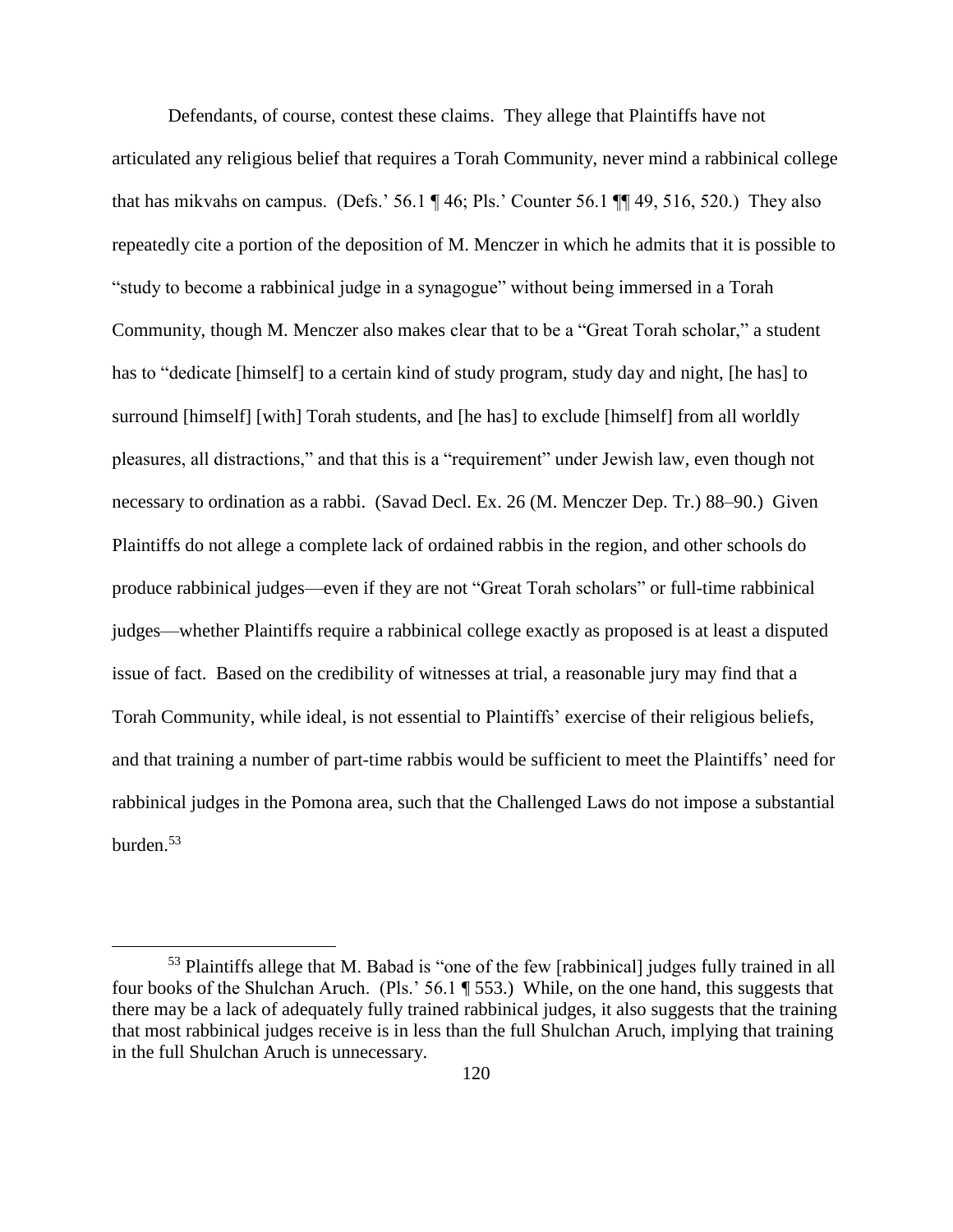Defendants, of course, contest these claims. They allege that Plaintiffs have not articulated any religious belief that requires a Torah Community, never mind a rabbinical college that has mikvahs on campus. (Defs.' 56.1  $\P$  46; Pls.' Counter 56.1  $\P$  49, 516, 520.) They also repeatedly cite a portion of the deposition of M. Menczer in which he admits that it is possible to "study to become a rabbinical judge in a synagogue" without being immersed in a Torah Community, though M. Menczer also makes clear that to be a "Great Torah scholar," a student has to "dedicate [himself] to a certain kind of study program, study day and night, [he has] to surround [himself] [with] Torah students, and [he has] to exclude [himself] from all worldly pleasures, all distractions," and that this is a "requirement" under Jewish law, even though not necessary to ordination as a rabbi. (Savad Decl. Ex. 26 (M. Menczer Dep. Tr.) 88–90.) Given Plaintiffs do not allege a complete lack of ordained rabbis in the region, and other schools do produce rabbinical judges—even if they are not "Great Torah scholars" or full-time rabbinical judges—whether Plaintiffs require a rabbinical college exactly as proposed is at least a disputed issue of fact. Based on the credibility of witnesses at trial, a reasonable jury may find that a Torah Community, while ideal, is not essential to Plaintiffs' exercise of their religious beliefs, and that training a number of part-time rabbis would be sufficient to meet the Plaintiffs' need for rabbinical judges in the Pomona area, such that the Challenged Laws do not impose a substantial burden.<sup>53</sup>

 $\overline{a}$ 

<sup>53</sup> Plaintiffs allege that M. Babad is "one of the few [rabbinical] judges fully trained in all four books of the Shulchan Aruch. (Pls.' 56.1 ¶ 553.) While, on the one hand, this suggests that there may be a lack of adequately fully trained rabbinical judges, it also suggests that the training that most rabbinical judges receive is in less than the full Shulchan Aruch, implying that training in the full Shulchan Aruch is unnecessary.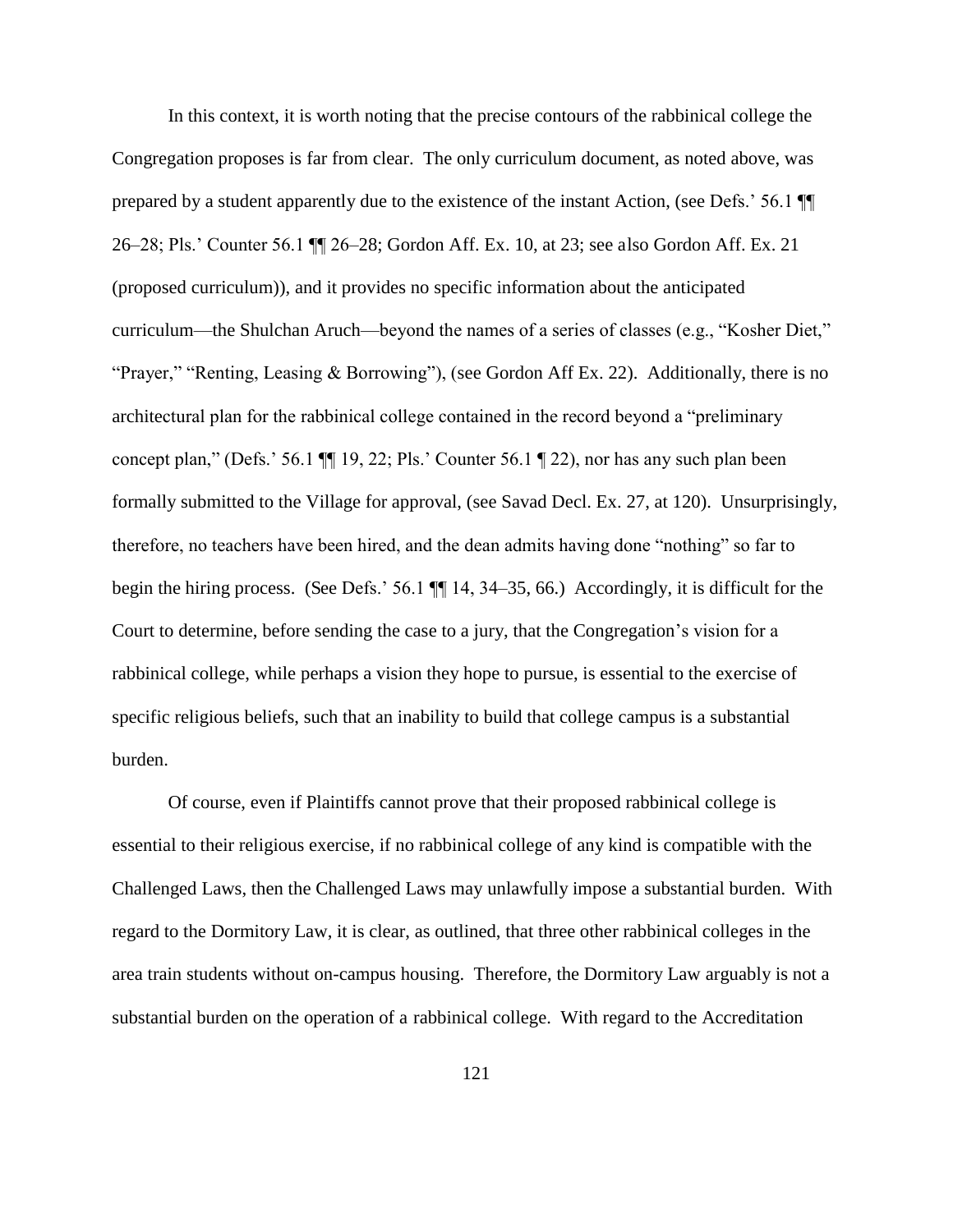In this context, it is worth noting that the precise contours of the rabbinical college the Congregation proposes is far from clear. The only curriculum document, as noted above, was prepared by a student apparently due to the existence of the instant Action, (see Defs.' 56.1 ¶¶ 26–28; Pls.' Counter 56.1 ¶¶ 26–28; Gordon Aff. Ex. 10, at 23; see also Gordon Aff. Ex. 21 (proposed curriculum)), and it provides no specific information about the anticipated curriculum—the Shulchan Aruch—beyond the names of a series of classes (e.g., "Kosher Diet," "Prayer," "Renting, Leasing & Borrowing"), (see Gordon Aff Ex. 22). Additionally, there is no architectural plan for the rabbinical college contained in the record beyond a "preliminary concept plan," (Defs.' 56.1 ¶¶ 19, 22; Pls.' Counter 56.1 ¶ 22), nor has any such plan been formally submitted to the Village for approval, (see Savad Decl. Ex. 27, at 120). Unsurprisingly, therefore, no teachers have been hired, and the dean admits having done "nothing" so far to begin the hiring process. (See Defs.' 56.1 ¶¶ 14, 34–35, 66.) Accordingly, it is difficult for the Court to determine, before sending the case to a jury, that the Congregation's vision for a rabbinical college, while perhaps a vision they hope to pursue, is essential to the exercise of specific religious beliefs, such that an inability to build that college campus is a substantial burden.

Of course, even if Plaintiffs cannot prove that their proposed rabbinical college is essential to their religious exercise, if no rabbinical college of any kind is compatible with the Challenged Laws, then the Challenged Laws may unlawfully impose a substantial burden. With regard to the Dormitory Law, it is clear, as outlined, that three other rabbinical colleges in the area train students without on-campus housing. Therefore, the Dormitory Law arguably is not a substantial burden on the operation of a rabbinical college. With regard to the Accreditation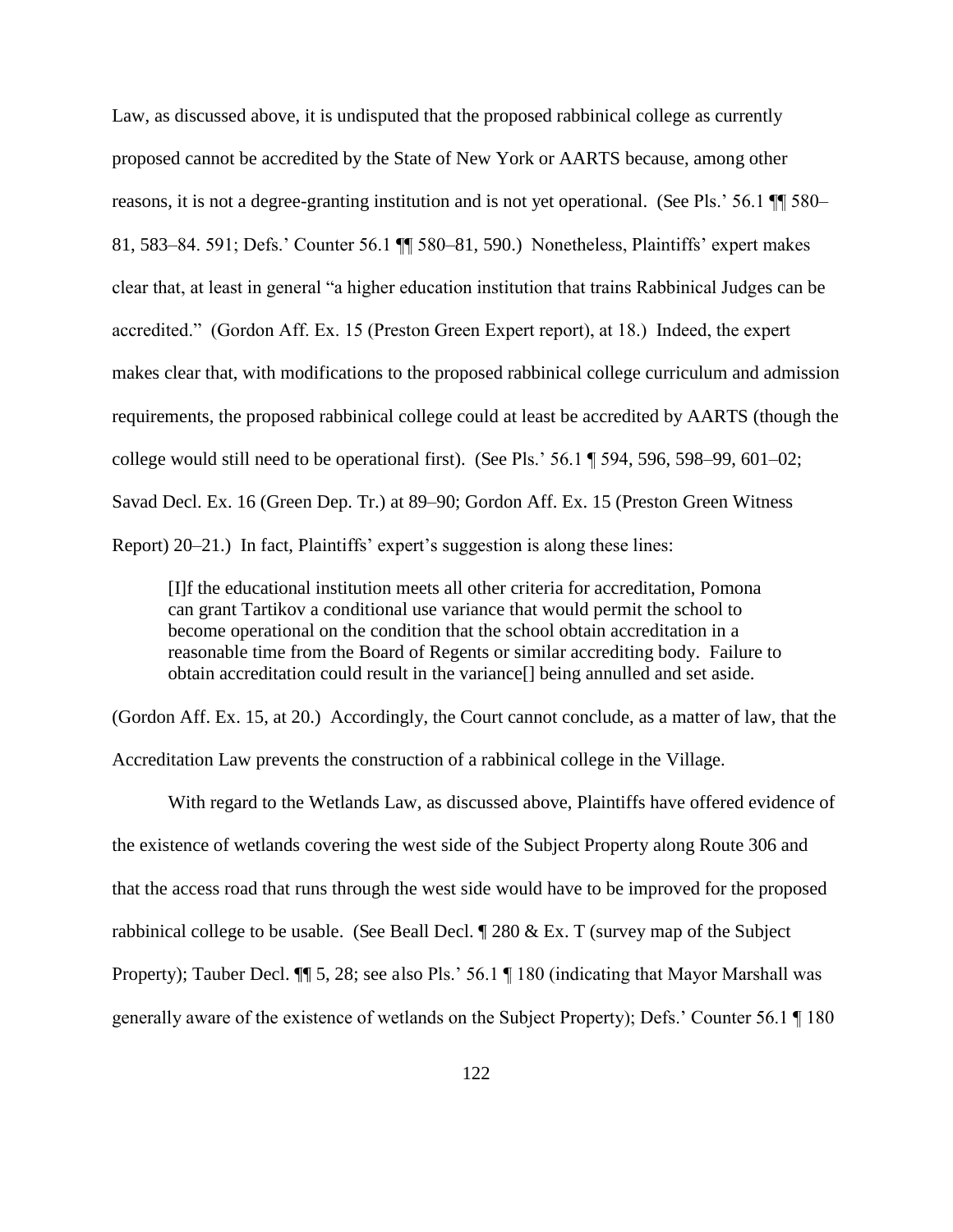Law, as discussed above, it is undisputed that the proposed rabbinical college as currently proposed cannot be accredited by the State of New York or AARTS because, among other reasons, it is not a degree-granting institution and is not yet operational. (See Pls.' 56.1 ¶¶ 580– 81, 583–84. 591; Defs.' Counter 56.1 ¶¶ 580–81, 590.) Nonetheless, Plaintiffs' expert makes clear that, at least in general "a higher education institution that trains Rabbinical Judges can be accredited." (Gordon Aff. Ex. 15 (Preston Green Expert report), at 18.) Indeed, the expert makes clear that, with modifications to the proposed rabbinical college curriculum and admission requirements, the proposed rabbinical college could at least be accredited by AARTS (though the college would still need to be operational first). (See Pls.' 56.1 ¶ 594, 596, 598–99, 601–02; Savad Decl. Ex. 16 (Green Dep. Tr.) at 89–90; Gordon Aff. Ex. 15 (Preston Green Witness Report) 20–21.) In fact, Plaintiffs' expert's suggestion is along these lines:

[I]f the educational institution meets all other criteria for accreditation, Pomona can grant Tartikov a conditional use variance that would permit the school to become operational on the condition that the school obtain accreditation in a reasonable time from the Board of Regents or similar accrediting body. Failure to obtain accreditation could result in the variance[] being annulled and set aside.

(Gordon Aff. Ex. 15, at 20.) Accordingly, the Court cannot conclude, as a matter of law, that the Accreditation Law prevents the construction of a rabbinical college in the Village.

With regard to the Wetlands Law, as discussed above, Plaintiffs have offered evidence of the existence of wetlands covering the west side of the Subject Property along Route 306 and that the access road that runs through the west side would have to be improved for the proposed rabbinical college to be usable. (See Beall Decl. ¶ 280 & Ex. T (survey map of the Subject Property); Tauber Decl. ¶¶ 5, 28; see also Pls.' 56.1 ¶ 180 (indicating that Mayor Marshall was generally aware of the existence of wetlands on the Subject Property); Defs.' Counter 56.1 ¶ 180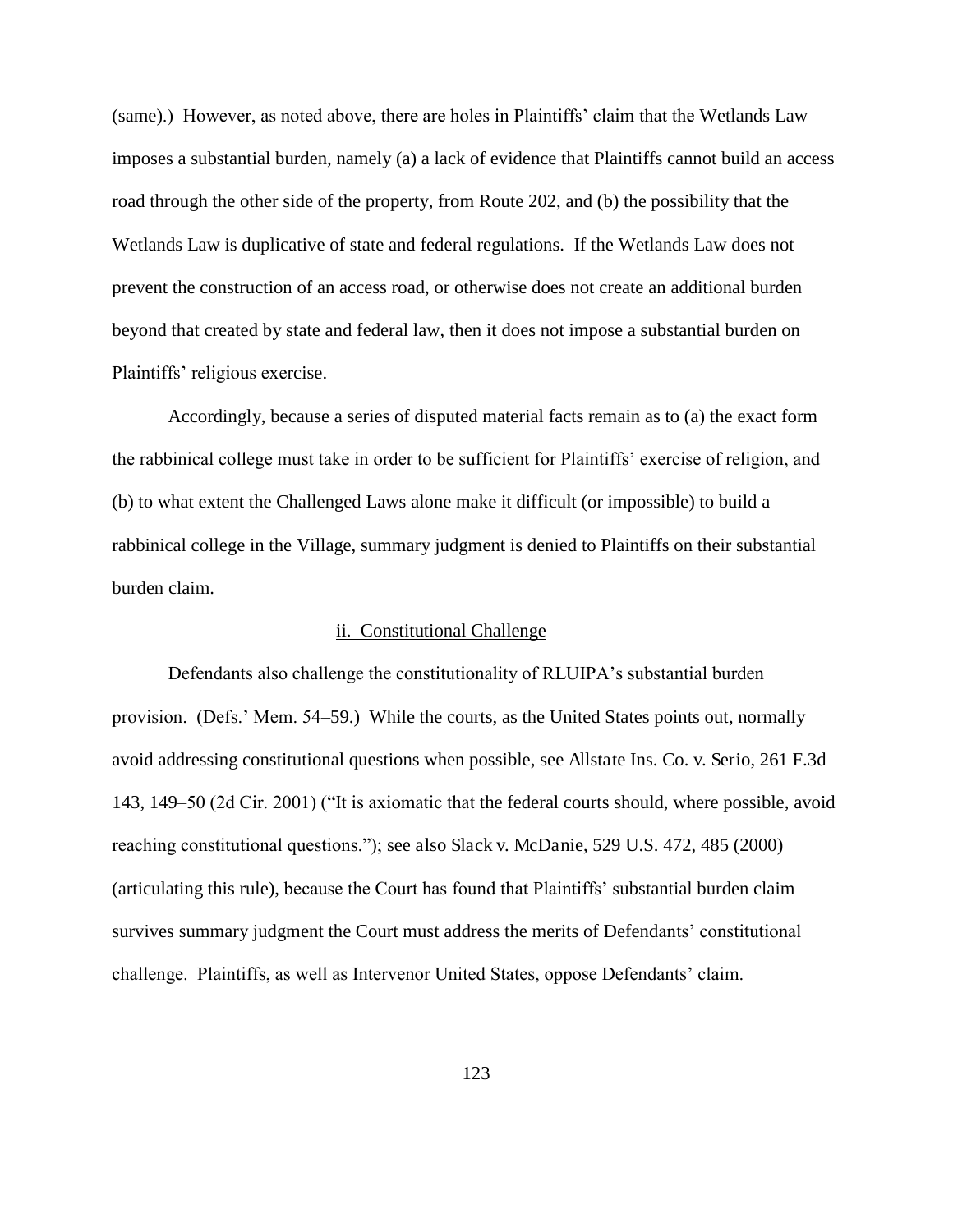(same).) However, as noted above, there are holes in Plaintiffs' claim that the Wetlands Law imposes a substantial burden, namely (a) a lack of evidence that Plaintiffs cannot build an access road through the other side of the property, from Route 202, and (b) the possibility that the Wetlands Law is duplicative of state and federal regulations. If the Wetlands Law does not prevent the construction of an access road, or otherwise does not create an additional burden beyond that created by state and federal law, then it does not impose a substantial burden on Plaintiffs' religious exercise.

Accordingly, because a series of disputed material facts remain as to (a) the exact form the rabbinical college must take in order to be sufficient for Plaintiffs' exercise of religion, and (b) to what extent the Challenged Laws alone make it difficult (or impossible) to build a rabbinical college in the Village, summary judgment is denied to Plaintiffs on their substantial burden claim.

#### ii. Constitutional Challenge

Defendants also challenge the constitutionality of RLUIPA's substantial burden provision. (Defs.' Mem. 54–59.) While the courts, as the United States points out, normally avoid addressing constitutional questions when possible, see Allstate Ins. Co. v. Serio, 261 F.3d 143, 149–50 (2d Cir. 2001) ("It is axiomatic that the federal courts should, where possible, avoid reaching constitutional questions."); see also Slack v. McDanie, 529 U.S. 472, 485 (2000) (articulating this rule), because the Court has found that Plaintiffs' substantial burden claim survives summary judgment the Court must address the merits of Defendants' constitutional challenge. Plaintiffs, as well as Intervenor United States, oppose Defendants' claim.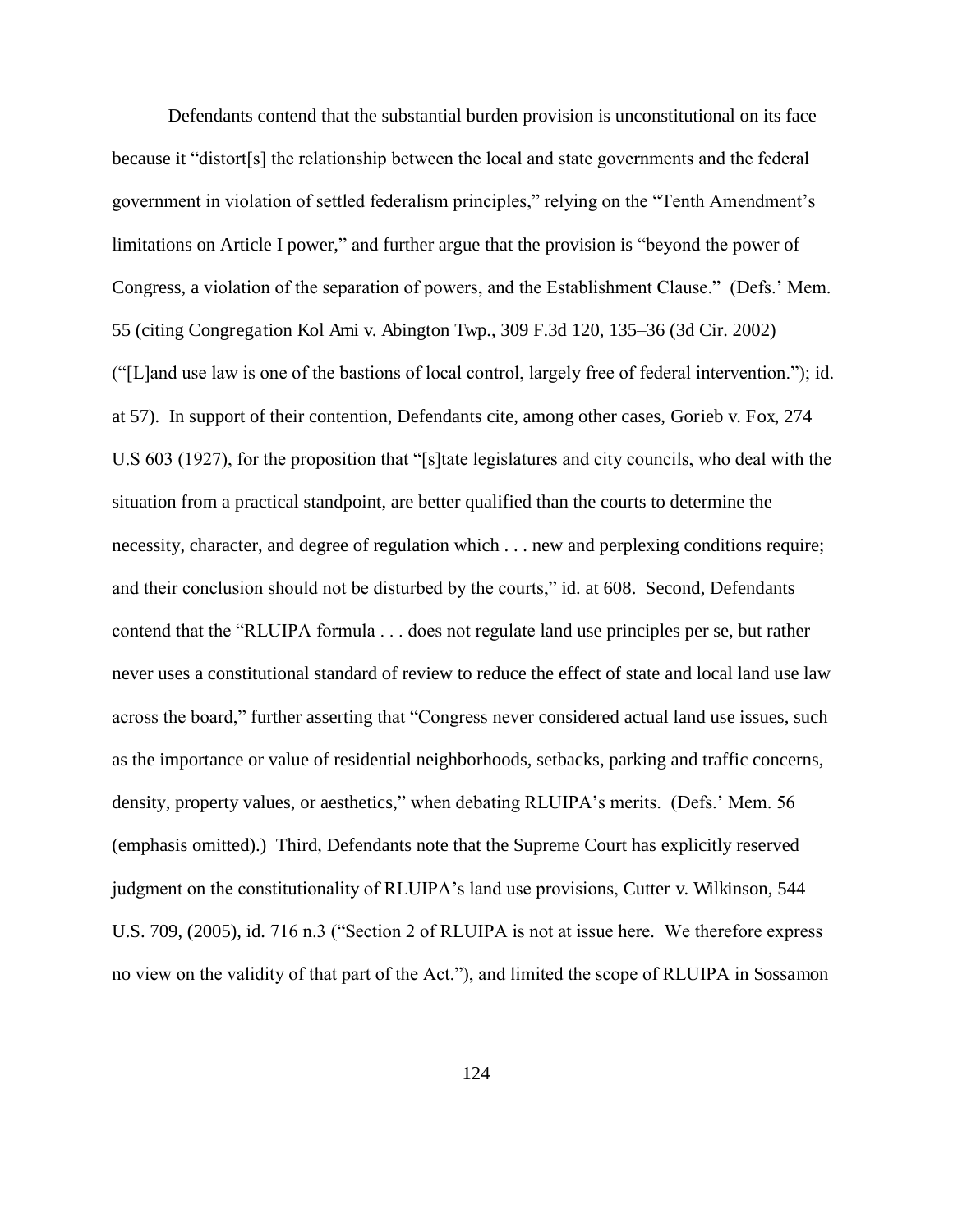Defendants contend that the substantial burden provision is unconstitutional on its face because it "distort[s] the relationship between the local and state governments and the federal government in violation of settled federalism principles," relying on the "Tenth Amendment's limitations on Article I power," and further argue that the provision is "beyond the power of Congress, a violation of the separation of powers, and the Establishment Clause." (Defs.' Mem. 55 (citing Congregation Kol Ami v. Abington Twp., 309 F.3d 120, 135–36 (3d Cir. 2002) ("[L]and use law is one of the bastions of local control, largely free of federal intervention."); id. at 57). In support of their contention, Defendants cite, among other cases, Gorieb v. Fox, 274 U.S 603 (1927), for the proposition that "[s]tate legislatures and city councils, who deal with the situation from a practical standpoint, are better qualified than the courts to determine the necessity, character, and degree of regulation which . . . new and perplexing conditions require; and their conclusion should not be disturbed by the courts," id. at 608. Second, Defendants contend that the "RLUIPA formula . . . does not regulate land use principles per se, but rather never uses a constitutional standard of review to reduce the effect of state and local land use law across the board," further asserting that "Congress never considered actual land use issues, such as the importance or value of residential neighborhoods, setbacks, parking and traffic concerns, density, property values, or aesthetics," when debating RLUIPA's merits. (Defs.' Mem. 56 (emphasis omitted).) Third, Defendants note that the Supreme Court has explicitly reserved judgment on the constitutionality of RLUIPA's land use provisions, Cutter v. Wilkinson, 544 U.S. 709, (2005), id. 716 n.3 ("Section 2 of RLUIPA is not at issue here. We therefore express no view on the validity of that part of the Act."), and limited the scope of RLUIPA in Sossamon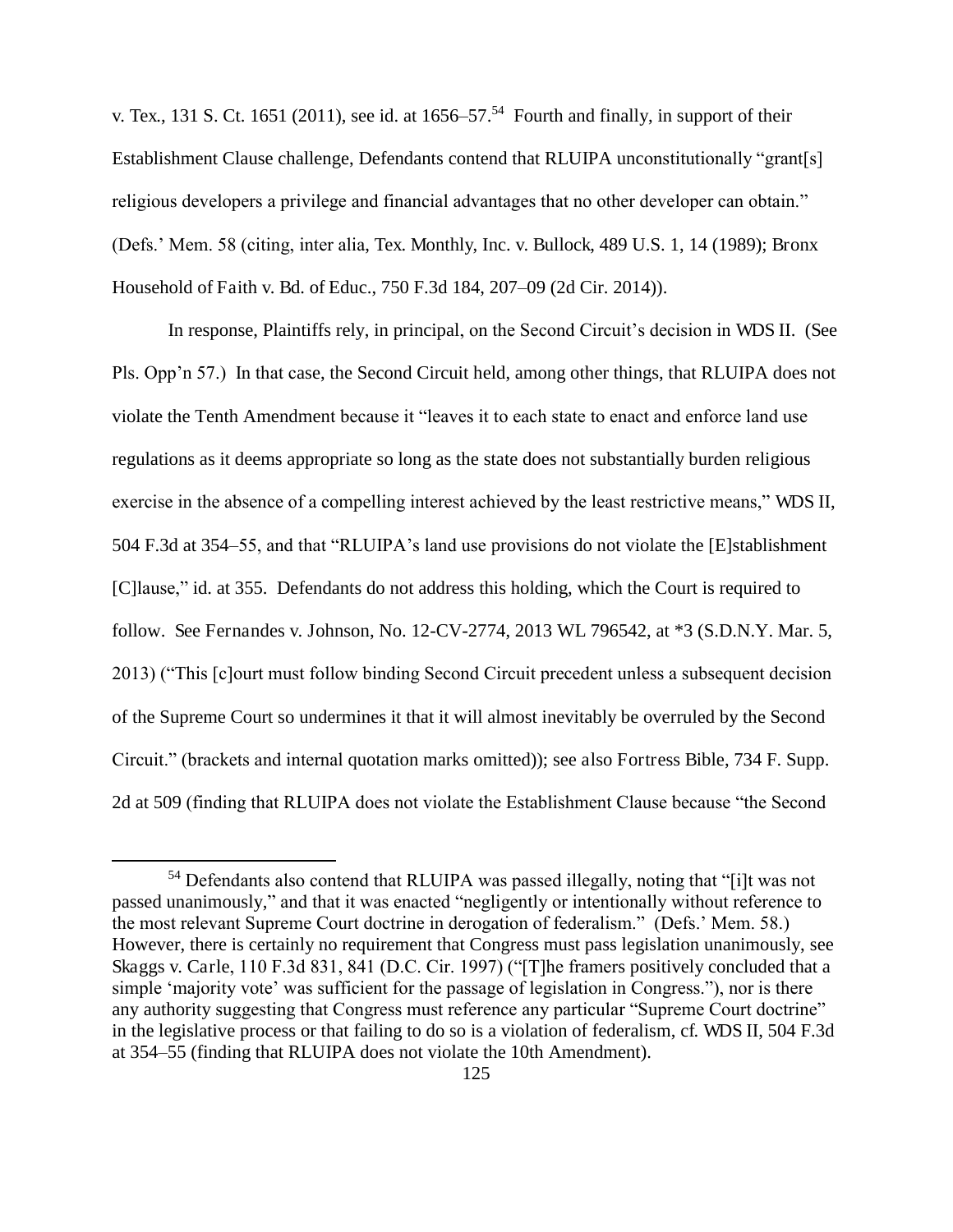v. Tex., 131 S. Ct. 1651 (2011), see id. at  $1656-57<sup>54</sup>$  Fourth and finally, in support of their Establishment Clause challenge, Defendants contend that RLUIPA unconstitutionally "grant[s] religious developers a privilege and financial advantages that no other developer can obtain." (Defs.' Mem. 58 (citing, inter alia, Tex. Monthly, Inc. v. Bullock, 489 U.S. 1, 14 (1989); Bronx Household of Faith v. Bd. of Educ., 750 F.3d 184, 207–09 (2d Cir. 2014)).

In response, Plaintiffs rely, in principal, on the Second Circuit's decision in WDS II. (See Pls. Opp'n 57.) In that case, the Second Circuit held, among other things, that RLUIPA does not violate the Tenth Amendment because it "leaves it to each state to enact and enforce land use regulations as it deems appropriate so long as the state does not substantially burden religious exercise in the absence of a compelling interest achieved by the least restrictive means," WDS II, 504 F.3d at 354–55, and that "RLUIPA's land use provisions do not violate the [E]stablishment [C]lause," id. at 355. Defendants do not address this holding, which the Court is required to follow. See Fernandes v. Johnson, No. 12-CV-2774, 2013 WL 796542, at \*3 (S.D.N.Y. Mar. 5, 2013) ("This [c]ourt must follow binding Second Circuit precedent unless a subsequent decision of the Supreme Court so undermines it that it will almost inevitably be overruled by the Second Circuit." (brackets and internal quotation marks omitted)); see also Fortress Bible, 734 F. Supp. 2d at 509 (finding that RLUIPA does not violate the Establishment Clause because "the Second

 $\overline{a}$ 

<sup>54</sup> Defendants also contend that RLUIPA was passed illegally, noting that "[i]t was not passed unanimously," and that it was enacted "negligently or intentionally without reference to the most relevant Supreme Court doctrine in derogation of federalism." (Defs.' Mem. 58.) However, there is certainly no requirement that Congress must pass legislation unanimously, see Skaggs v. Carle, 110 F.3d 831, 841 (D.C. Cir. 1997) ("[T]he framers positively concluded that a simple 'majority vote' was sufficient for the passage of legislation in Congress."), nor is there any authority suggesting that Congress must reference any particular "Supreme Court doctrine" in the legislative process or that failing to do so is a violation of federalism, cf. WDS II, 504 F.3d at 354–55 (finding that RLUIPA does not violate the 10th Amendment).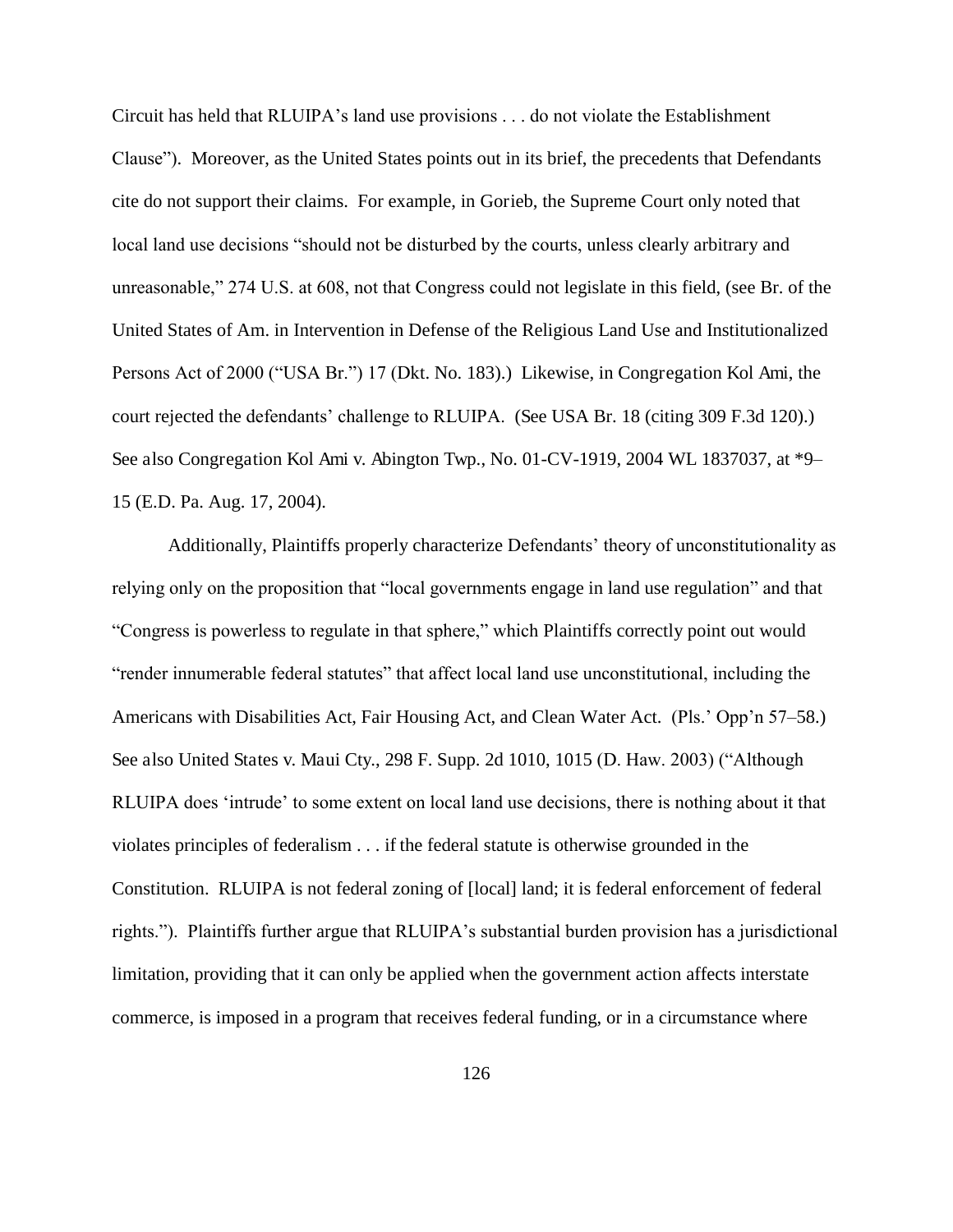Circuit has held that RLUIPA's land use provisions . . . do not violate the Establishment Clause"). Moreover, as the United States points out in its brief, the precedents that Defendants cite do not support their claims. For example, in Gorieb, the Supreme Court only noted that local land use decisions "should not be disturbed by the courts, unless clearly arbitrary and unreasonable," 274 U.S. at 608, not that Congress could not legislate in this field, (see Br. of the United States of Am. in Intervention in Defense of the Religious Land Use and Institutionalized Persons Act of 2000 ("USA Br.") 17 (Dkt. No. 183).) Likewise, in Congregation Kol Ami, the court rejected the defendants' challenge to RLUIPA. (See USA Br. 18 (citing 309 F.3d 120).) See also Congregation Kol Ami v. Abington Twp., No. 01-CV-1919, 2004 WL 1837037, at \*9– 15 (E.D. Pa. Aug. 17, 2004).

Additionally, Plaintiffs properly characterize Defendants' theory of unconstitutionality as relying only on the proposition that "local governments engage in land use regulation" and that "Congress is powerless to regulate in that sphere," which Plaintiffs correctly point out would "render innumerable federal statutes" that affect local land use unconstitutional, including the Americans with Disabilities Act, Fair Housing Act, and Clean Water Act. (Pls.' Opp'n 57–58.) See also United States v. Maui Cty., 298 F. Supp. 2d 1010, 1015 (D. Haw. 2003) ("Although RLUIPA does 'intrude' to some extent on local land use decisions, there is nothing about it that violates principles of federalism . . . if the federal statute is otherwise grounded in the Constitution. RLUIPA is not federal zoning of [local] land; it is federal enforcement of federal rights."). Plaintiffs further argue that RLUIPA's substantial burden provision has a jurisdictional limitation, providing that it can only be applied when the government action affects interstate commerce, is imposed in a program that receives federal funding, or in a circumstance where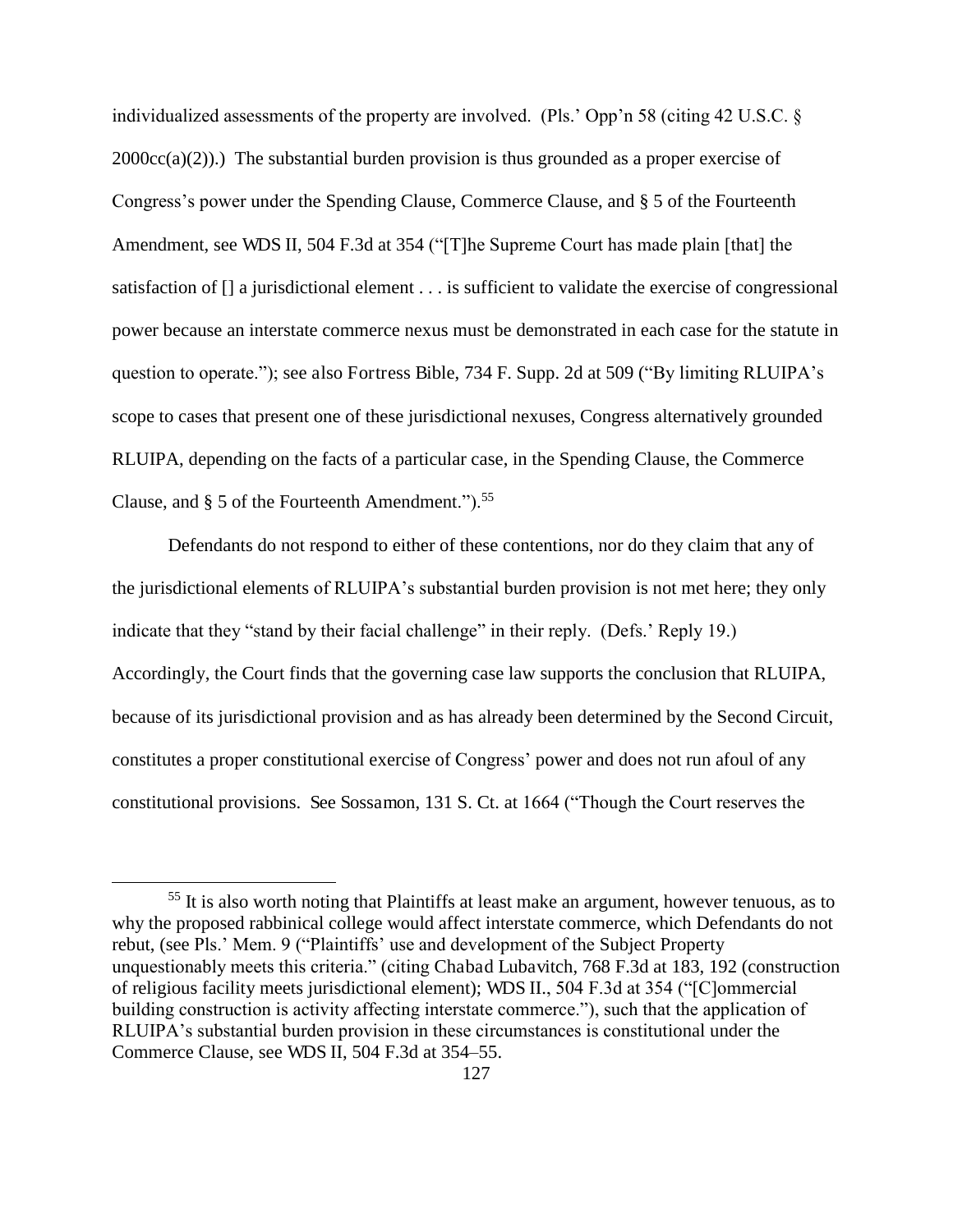individualized assessments of the property are involved. (Pls.' Opp'n 58 (citing 42 U.S.C. §  $2000cc(a)(2)$ ).) The substantial burden provision is thus grounded as a proper exercise of Congress's power under the Spending Clause, Commerce Clause, and § 5 of the Fourteenth Amendment, see WDS II, 504 F.3d at 354 ("[T]he Supreme Court has made plain [that] the satisfaction of [] a jurisdictional element . . . is sufficient to validate the exercise of congressional power because an interstate commerce nexus must be demonstrated in each case for the statute in question to operate."); see also Fortress Bible, 734 F. Supp. 2d at 509 ("By limiting RLUIPA's scope to cases that present one of these jurisdictional nexuses, Congress alternatively grounded RLUIPA, depending on the facts of a particular case, in the Spending Clause, the Commerce Clause, and  $\S$  5 of the Fourteenth Amendment.").<sup>55</sup>

Defendants do not respond to either of these contentions, nor do they claim that any of the jurisdictional elements of RLUIPA's substantial burden provision is not met here; they only indicate that they "stand by their facial challenge" in their reply. (Defs.' Reply 19.) Accordingly, the Court finds that the governing case law supports the conclusion that RLUIPA, because of its jurisdictional provision and as has already been determined by the Second Circuit, constitutes a proper constitutional exercise of Congress' power and does not run afoul of any constitutional provisions. See Sossamon, 131 S. Ct. at 1664 ("Though the Court reserves the

 $\overline{a}$ 

<sup>&</sup>lt;sup>55</sup> It is also worth noting that Plaintiffs at least make an argument, however tenuous, as to why the proposed rabbinical college would affect interstate commerce, which Defendants do not rebut, (see Pls.' Mem. 9 ("Plaintiffs' use and development of the Subject Property unquestionably meets this criteria." (citing Chabad Lubavitch, 768 F.3d at 183, 192 (construction of religious facility meets jurisdictional element); WDS II., 504 F.3d at 354 ("[C]ommercial building construction is activity affecting interstate commerce."), such that the application of RLUIPA's substantial burden provision in these circumstances is constitutional under the Commerce Clause, see WDS II, 504 F.3d at 354–55.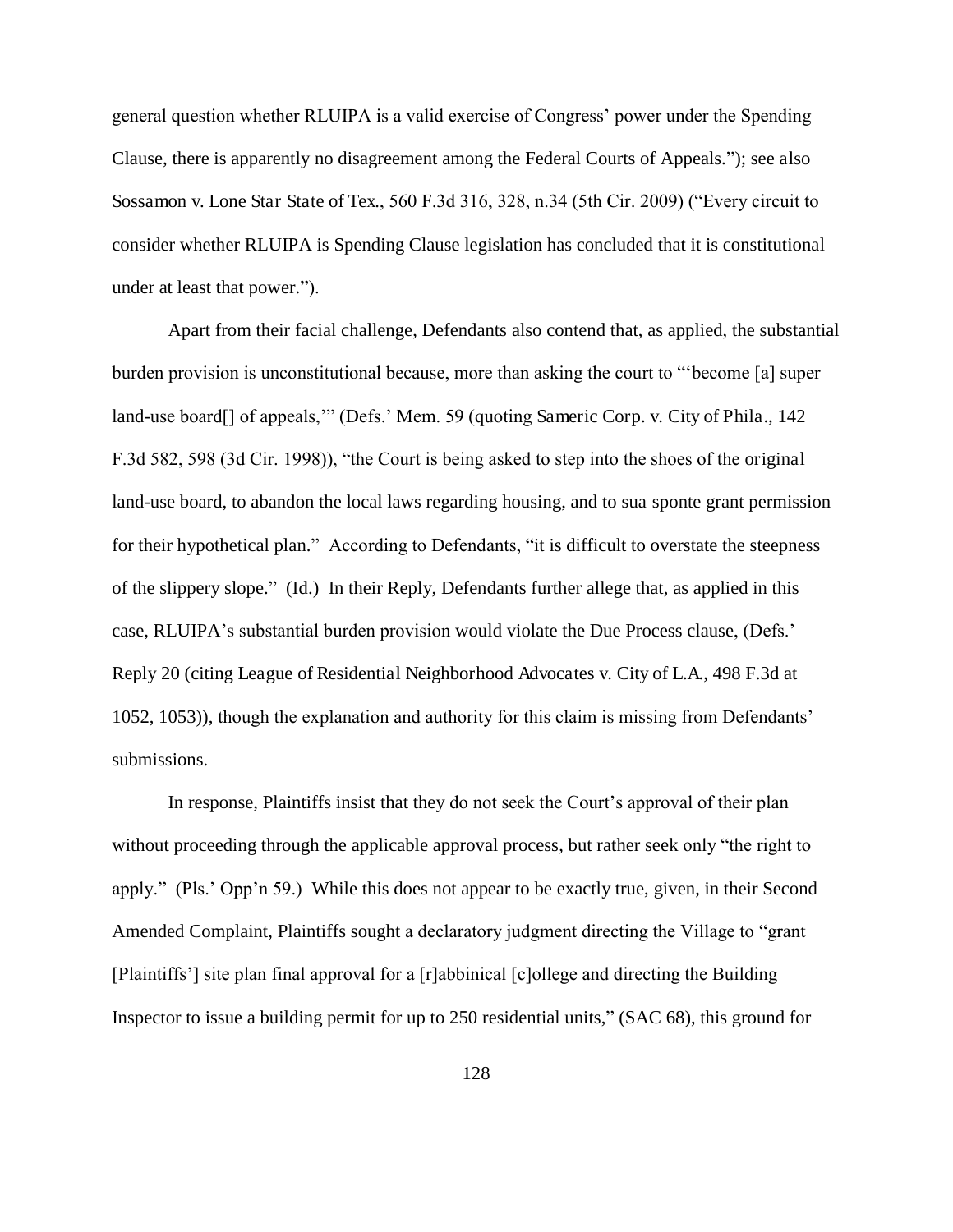general question whether RLUIPA is a valid exercise of Congress' power under the Spending Clause, there is apparently no disagreement among the Federal Courts of Appeals."); see also Sossamon v. Lone Star State of Tex., 560 F.3d 316, 328, n.34 (5th Cir. 2009) ("Every circuit to consider whether RLUIPA is Spending Clause legislation has concluded that it is constitutional under at least that power.").

Apart from their facial challenge, Defendants also contend that, as applied, the substantial burden provision is unconstitutional because, more than asking the court to "'become [a] super land-use board<sup>[]</sup> of appeals," (Defs.' Mem. 59 (quoting Sameric Corp. v. City of Phila., 142) F.3d 582, 598 (3d Cir. 1998)), "the Court is being asked to step into the shoes of the original land-use board, to abandon the local laws regarding housing, and to sua sponte grant permission for their hypothetical plan." According to Defendants, "it is difficult to overstate the steepness of the slippery slope." (Id.) In their Reply, Defendants further allege that, as applied in this case, RLUIPA's substantial burden provision would violate the Due Process clause, (Defs.' Reply 20 (citing League of Residential Neighborhood Advocates v. City of L.A., 498 F.3d at 1052, 1053)), though the explanation and authority for this claim is missing from Defendants' submissions.

In response, Plaintiffs insist that they do not seek the Court's approval of their plan without proceeding through the applicable approval process, but rather seek only "the right to apply." (Pls.' Opp'n 59.) While this does not appear to be exactly true, given, in their Second Amended Complaint, Plaintiffs sought a declaratory judgment directing the Village to "grant [Plaintiffs'] site plan final approval for a [r]abbinical [c]ollege and directing the Building Inspector to issue a building permit for up to 250 residential units," (SAC 68), this ground for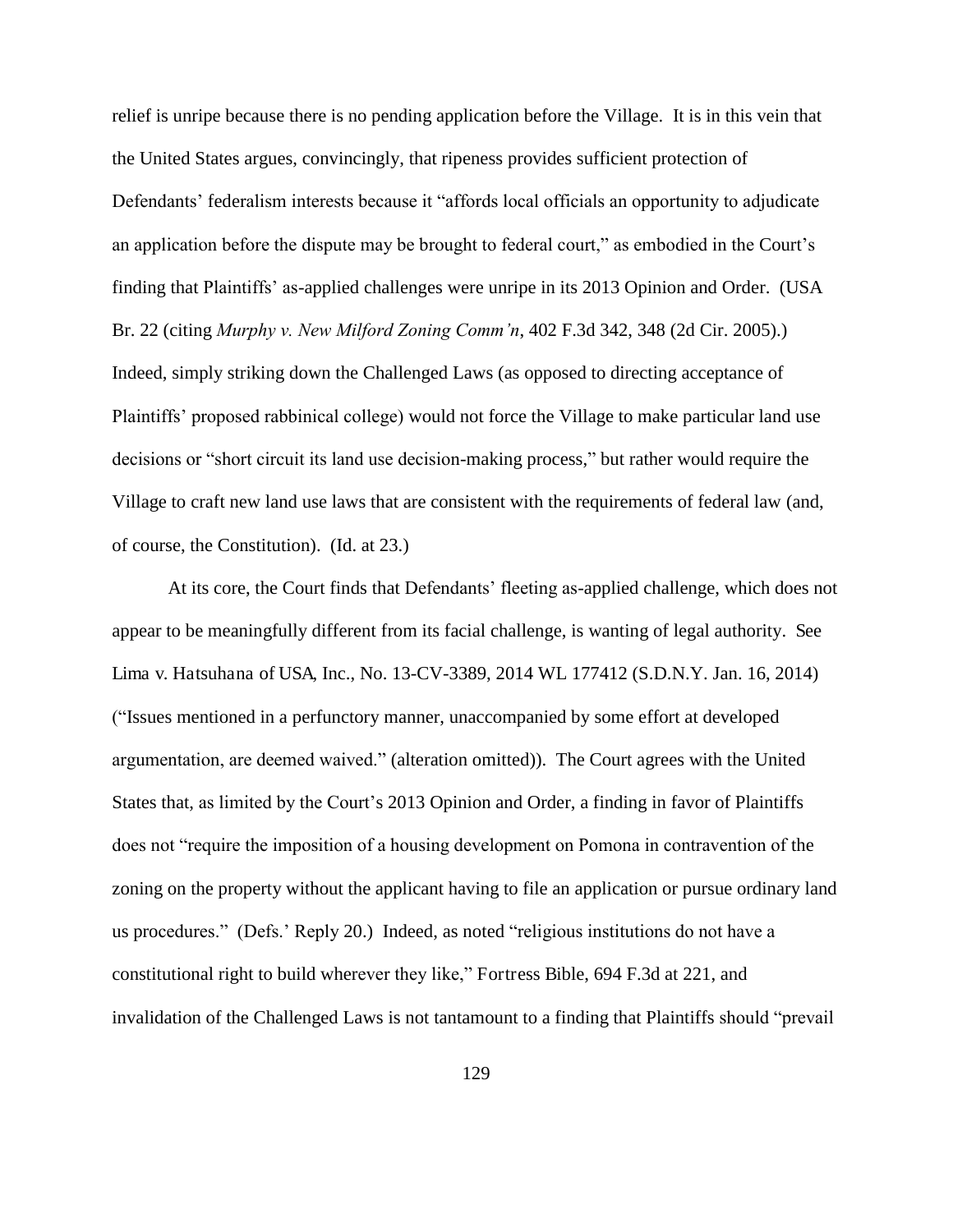relief is unripe because there is no pending application before the Village. It is in this vein that the United States argues, convincingly, that ripeness provides sufficient protection of Defendants' federalism interests because it "affords local officials an opportunity to adjudicate an application before the dispute may be brought to federal court," as embodied in the Court's finding that Plaintiffs' as-applied challenges were unripe in its 2013 Opinion and Order. (USA Br. 22 (citing *Murphy v. New Milford Zoning Comm'n*, 402 F.3d 342, 348 (2d Cir. 2005).) Indeed, simply striking down the Challenged Laws (as opposed to directing acceptance of Plaintiffs' proposed rabbinical college) would not force the Village to make particular land use decisions or "short circuit its land use decision-making process," but rather would require the Village to craft new land use laws that are consistent with the requirements of federal law (and, of course, the Constitution). (Id. at 23.)

At its core, the Court finds that Defendants' fleeting as-applied challenge, which does not appear to be meaningfully different from its facial challenge, is wanting of legal authority. See Lima v. Hatsuhana of USA, Inc., No. 13-CV-3389, 2014 WL 177412 (S.D.N.Y. Jan. 16, 2014) ("Issues mentioned in a perfunctory manner, unaccompanied by some effort at developed argumentation, are deemed waived." (alteration omitted)). The Court agrees with the United States that, as limited by the Court's 2013 Opinion and Order, a finding in favor of Plaintiffs does not "require the imposition of a housing development on Pomona in contravention of the zoning on the property without the applicant having to file an application or pursue ordinary land us procedures." (Defs.' Reply 20.) Indeed, as noted "religious institutions do not have a constitutional right to build wherever they like," Fortress Bible, 694 F.3d at 221, and invalidation of the Challenged Laws is not tantamount to a finding that Plaintiffs should "prevail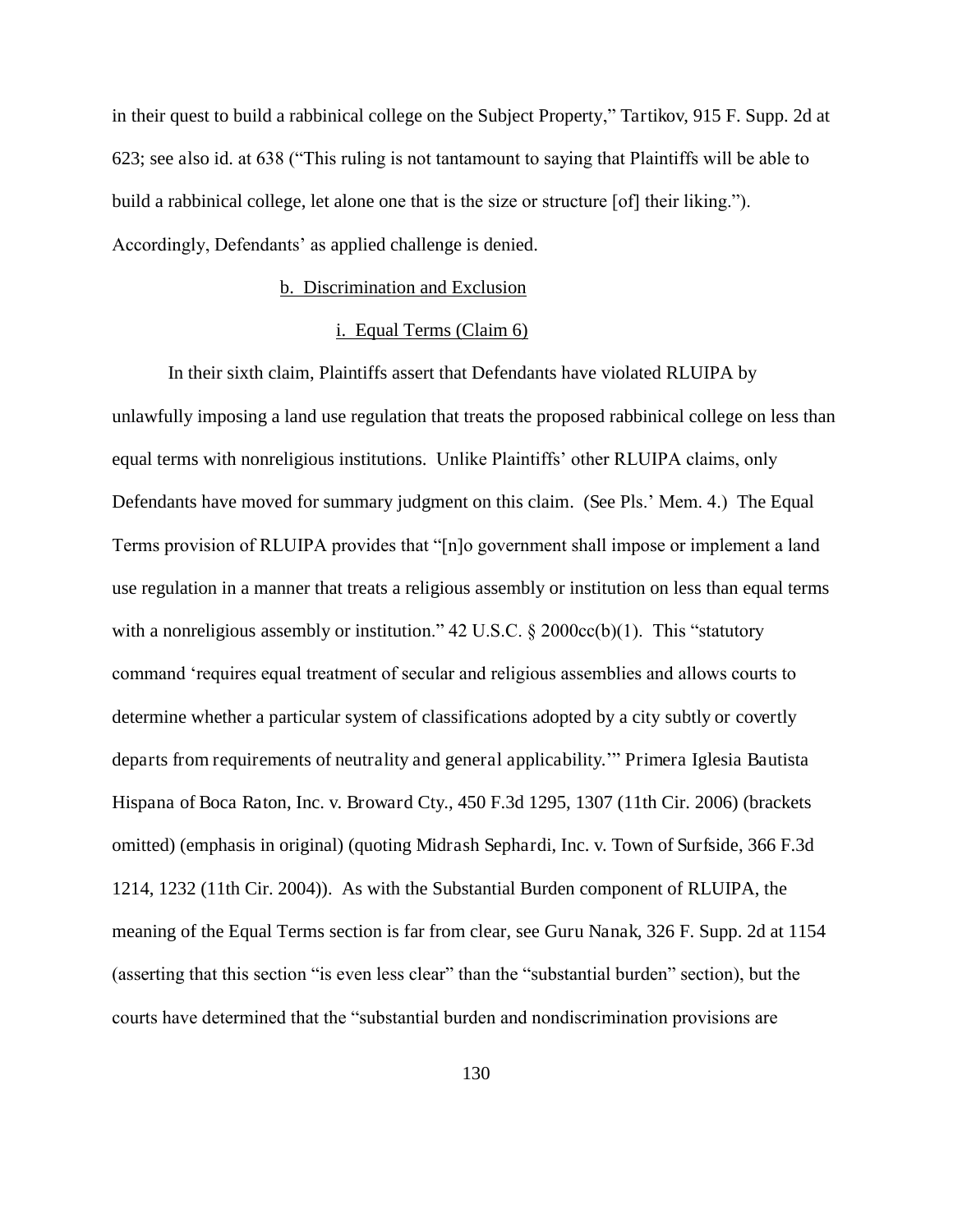in their quest to build a rabbinical college on the Subject Property," Tartikov, 915 F. Supp. 2d at 623; see also id. at 638 ("This ruling is not tantamount to saying that Plaintiffs will be able to build a rabbinical college, let alone one that is the size or structure [of] their liking."). Accordingly, Defendants' as applied challenge is denied.

# b. Discrimination and Exclusion

# i. Equal Terms (Claim 6)

In their sixth claim, Plaintiffs assert that Defendants have violated RLUIPA by unlawfully imposing a land use regulation that treats the proposed rabbinical college on less than equal terms with nonreligious institutions. Unlike Plaintiffs' other RLUIPA claims, only Defendants have moved for summary judgment on this claim. (See Pls.' Mem. 4.) The Equal Terms provision of RLUIPA provides that "[n]o government shall impose or implement a land use regulation in a manner that treats a religious assembly or institution on less than equal terms with a nonreligious assembly or institution."  $42 \text{ U.S.C.}$  §  $2000 \text{cc(b)}(1)$ . This "statutory command 'requires equal treatment of secular and religious assemblies and allows courts to determine whether a particular system of classifications adopted by a city subtly or covertly departs from requirements of neutrality and general applicability.'" Primera Iglesia Bautista Hispana of Boca Raton, Inc. v. Broward Cty., 450 F.3d 1295, 1307 (11th Cir. 2006) (brackets omitted) (emphasis in original) (quoting Midrash Sephardi, Inc. v. Town of Surfside, 366 F.3d 1214, 1232 (11th Cir. 2004)). As with the Substantial Burden component of RLUIPA, the meaning of the Equal Terms section is far from clear, see Guru Nanak, 326 F. Supp. 2d at 1154 (asserting that this section "is even less clear" than the "substantial burden" section), but the courts have determined that the "substantial burden and nondiscrimination provisions are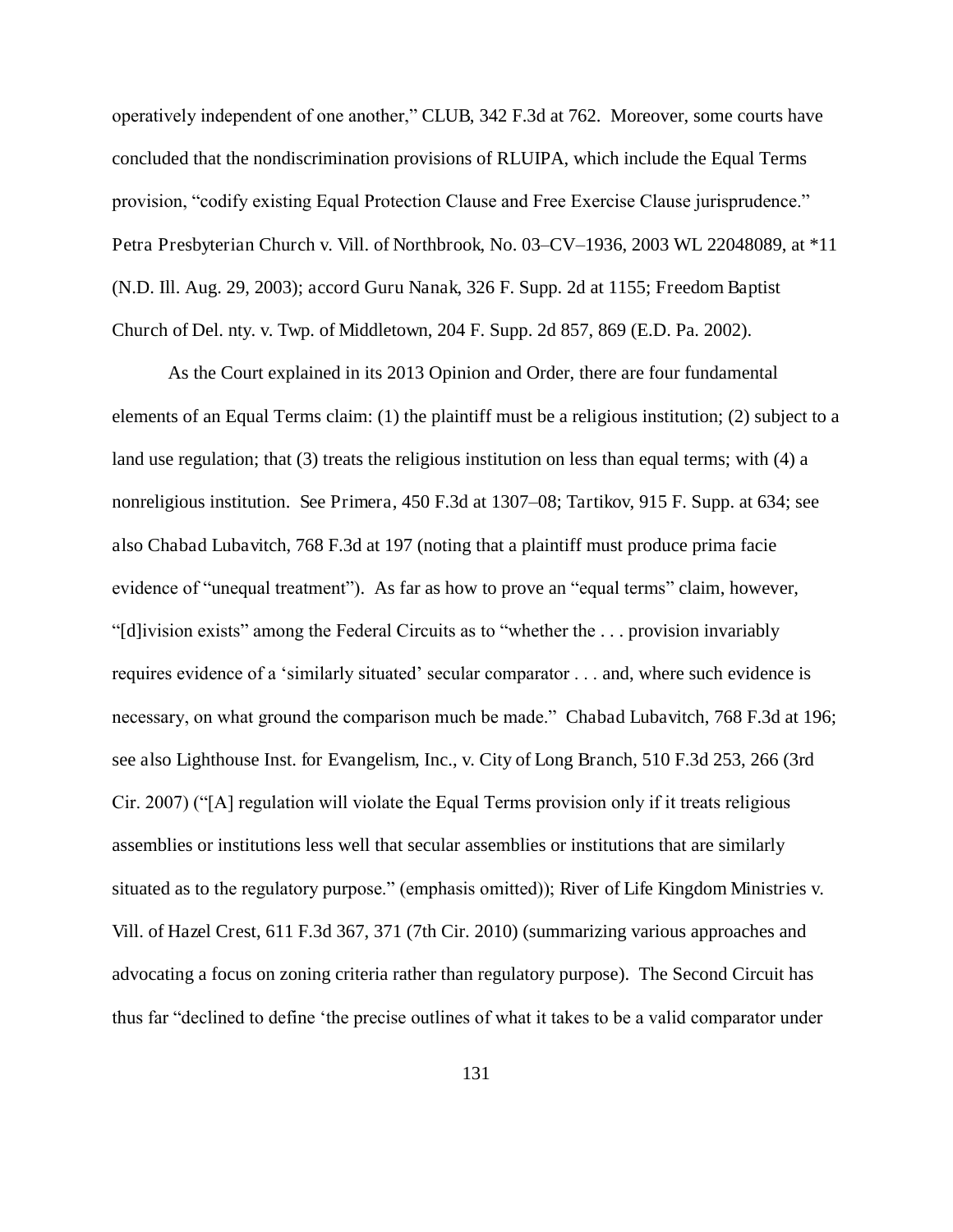operatively independent of one another," CLUB, 342 F.3d at 762. Moreover, some courts have concluded that the nondiscrimination provisions of RLUIPA, which include the Equal Terms provision, "codify existing Equal Protection Clause and Free Exercise Clause jurisprudence." Petra Presbyterian Church v. Vill. of Northbrook, No. 03–CV–1936, 2003 WL 22048089, at \*11 (N.D. Ill. Aug. 29, 2003); accord Guru Nanak, 326 F. Supp. 2d at 1155; Freedom Baptist Church of Del. nty. v. Twp. of Middletown, 204 F. Supp. 2d 857, 869 (E.D. Pa. 2002).

As the Court explained in its 2013 Opinion and Order, there are four fundamental elements of an Equal Terms claim: (1) the plaintiff must be a religious institution; (2) subject to a land use regulation; that (3) treats the religious institution on less than equal terms; with (4) a nonreligious institution. See Primera, 450 F.3d at 1307–08; Tartikov, 915 F. Supp. at 634; see also Chabad Lubavitch, 768 F.3d at 197 (noting that a plaintiff must produce prima facie evidence of "unequal treatment"). As far as how to prove an "equal terms" claim, however, "[d]ivision exists" among the Federal Circuits as to "whether the . . . provision invariably requires evidence of a 'similarly situated' secular comparator . . . and, where such evidence is necessary, on what ground the comparison much be made." Chabad Lubavitch, 768 F.3d at 196; see also Lighthouse Inst. for Evangelism, Inc., v. City of Long Branch, 510 F.3d 253, 266 (3rd Cir. 2007) ("[A] regulation will violate the Equal Terms provision only if it treats religious assemblies or institutions less well that secular assemblies or institutions that are similarly situated as to the regulatory purpose." (emphasis omitted)); River of Life Kingdom Ministries v. Vill. of Hazel Crest, 611 F.3d 367, 371 (7th Cir. 2010) (summarizing various approaches and advocating a focus on zoning criteria rather than regulatory purpose). The Second Circuit has thus far "declined to define 'the precise outlines of what it takes to be a valid comparator under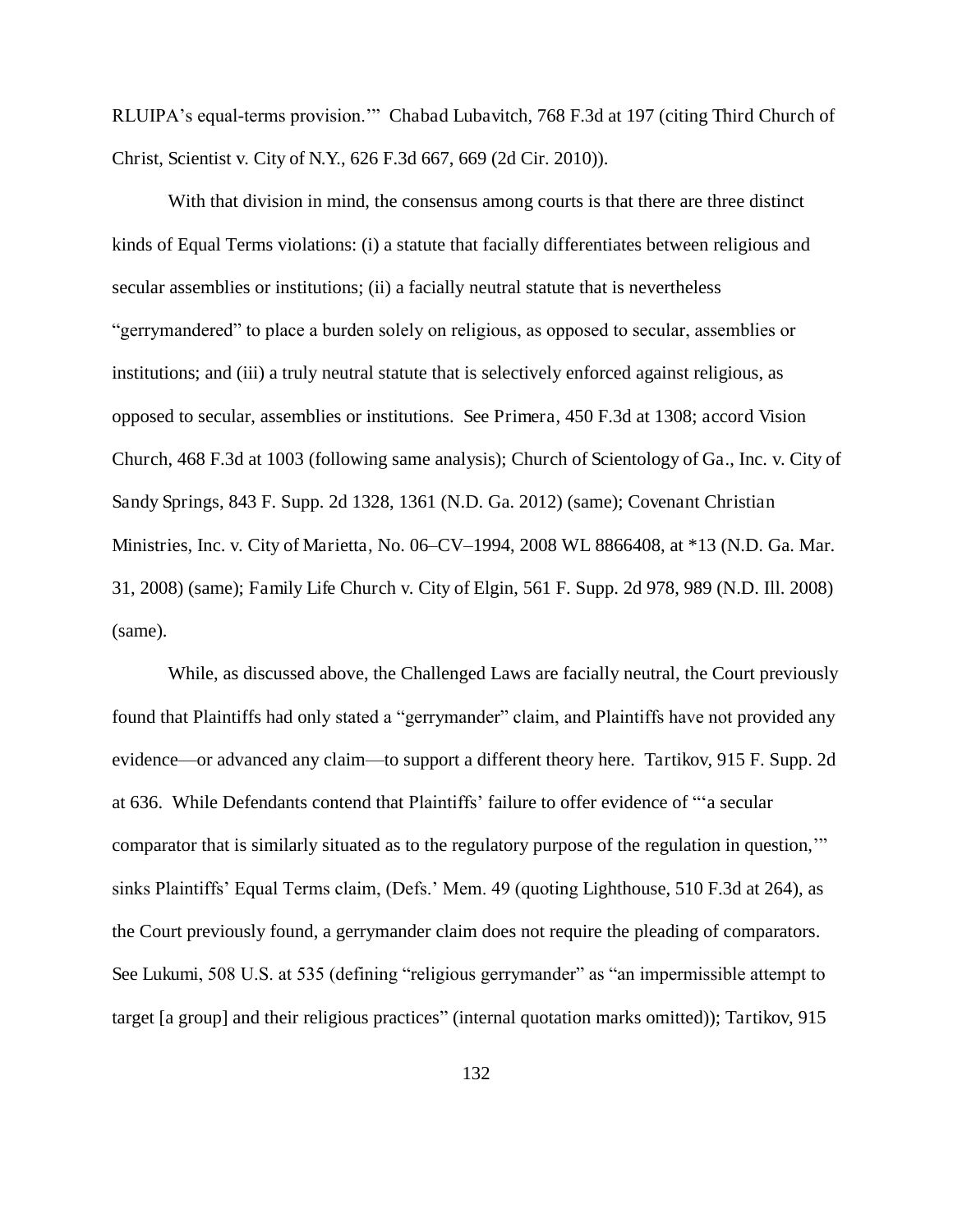RLUIPA's equal-terms provision.'" Chabad Lubavitch, 768 F.3d at 197 (citing Third Church of Christ, Scientist v. City of N.Y., 626 F.3d 667, 669 (2d Cir. 2010)).

With that division in mind, the consensus among courts is that there are three distinct kinds of Equal Terms violations: (i) a statute that facially differentiates between religious and secular assemblies or institutions; (ii) a facially neutral statute that is nevertheless "gerrymandered" to place a burden solely on religious, as opposed to secular, assemblies or institutions; and (iii) a truly neutral statute that is selectively enforced against religious, as opposed to secular, assemblies or institutions. See Primera, 450 F.3d at 1308; accord Vision Church, 468 F.3d at 1003 (following same analysis); Church of Scientology of Ga., Inc. v. City of Sandy Springs, 843 F. Supp. 2d 1328, 1361 (N.D. Ga. 2012) (same); Covenant Christian Ministries, Inc. v. City of Marietta, No. 06–CV–1994, 2008 WL 8866408, at \*13 (N.D. Ga. Mar. 31, 2008) (same); Family Life Church v. City of Elgin, 561 F. Supp. 2d 978, 989 (N.D. Ill. 2008) (same).

While, as discussed above, the Challenged Laws are facially neutral, the Court previously found that Plaintiffs had only stated a "gerrymander" claim, and Plaintiffs have not provided any evidence—or advanced any claim—to support a different theory here. Tartikov, 915 F. Supp. 2d at 636. While Defendants contend that Plaintiffs' failure to offer evidence of "'a secular comparator that is similarly situated as to the regulatory purpose of the regulation in question,'" sinks Plaintiffs' Equal Terms claim, (Defs.' Mem. 49 (quoting Lighthouse, 510 F.3d at 264), as the Court previously found, a gerrymander claim does not require the pleading of comparators. See Lukumi, 508 U.S. at 535 (defining "religious gerrymander" as "an impermissible attempt to target [a group] and their religious practices" (internal quotation marks omitted)); Tartikov, 915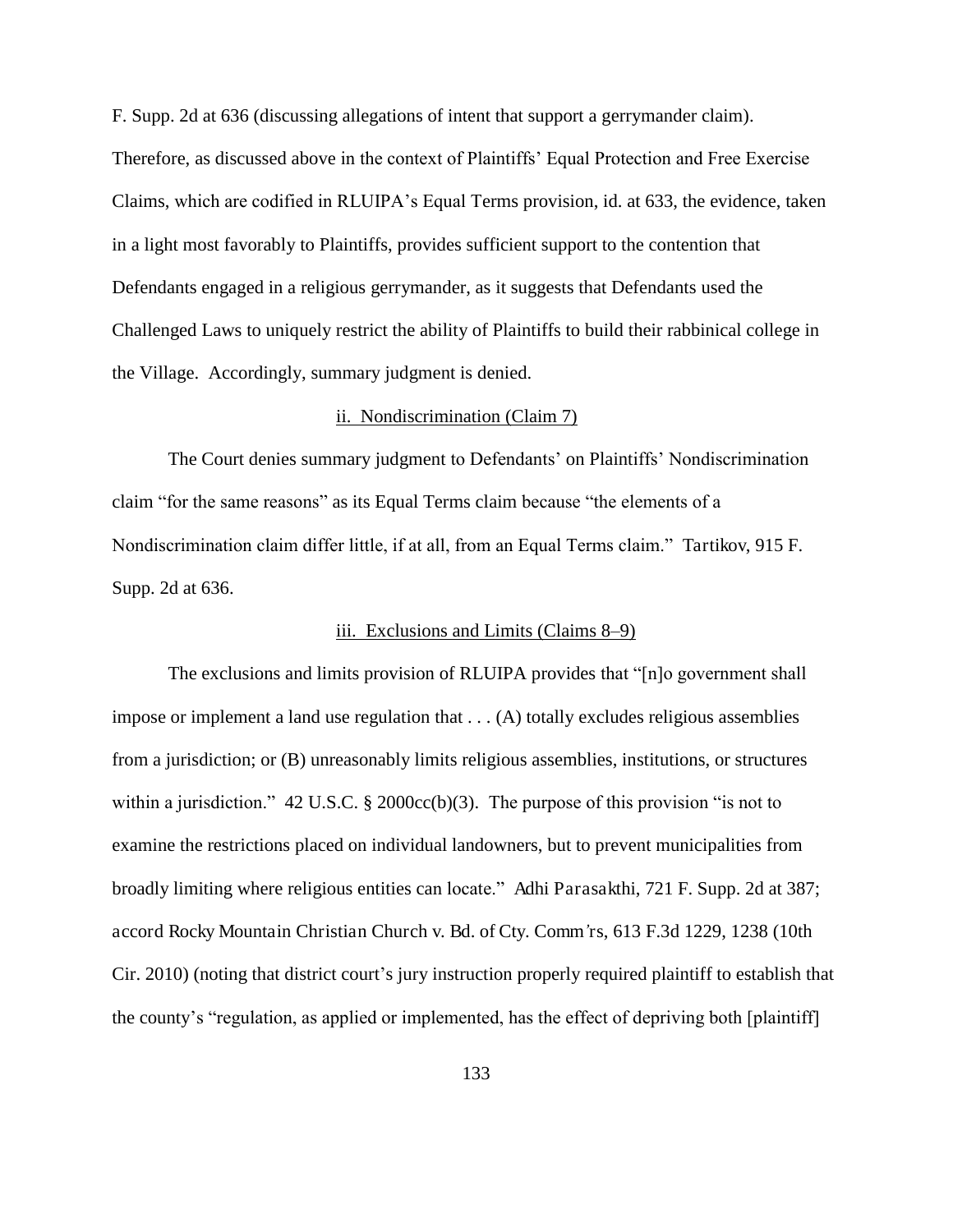F. Supp. 2d at 636 (discussing allegations of intent that support a gerrymander claim). Therefore, as discussed above in the context of Plaintiffs' Equal Protection and Free Exercise Claims, which are codified in RLUIPA's Equal Terms provision, id. at 633, the evidence, taken in a light most favorably to Plaintiffs, provides sufficient support to the contention that Defendants engaged in a religious gerrymander, as it suggests that Defendants used the Challenged Laws to uniquely restrict the ability of Plaintiffs to build their rabbinical college in the Village. Accordingly, summary judgment is denied.

### ii. Nondiscrimination (Claim 7)

The Court denies summary judgment to Defendants' on Plaintiffs' Nondiscrimination claim "for the same reasons" as its Equal Terms claim because "the elements of a Nondiscrimination claim differ little, if at all, from an Equal Terms claim." Tartikov, 915 F. Supp. 2d at 636.

#### iii. Exclusions and Limits (Claims 8–9)

The exclusions and limits provision of RLUIPA provides that "[n]o government shall impose or implement a land use regulation that . . . (A) totally excludes religious assemblies from a jurisdiction; or (B) unreasonably limits religious assemblies, institutions, or structures within a jurisdiction." 42 U.S.C. § 2000cc(b)(3). The purpose of this provision "is not to examine the restrictions placed on individual landowners, but to prevent municipalities from broadly limiting where religious entities can locate." Adhi Parasakthi, 721 F. Supp. 2d at 387; accord Rocky Mountain Christian Church v. Bd. of Cty. Comm*'*rs, 613 F.3d 1229, 1238 (10th Cir. 2010) (noting that district court's jury instruction properly required plaintiff to establish that the county's "regulation, as applied or implemented, has the effect of depriving both [plaintiff]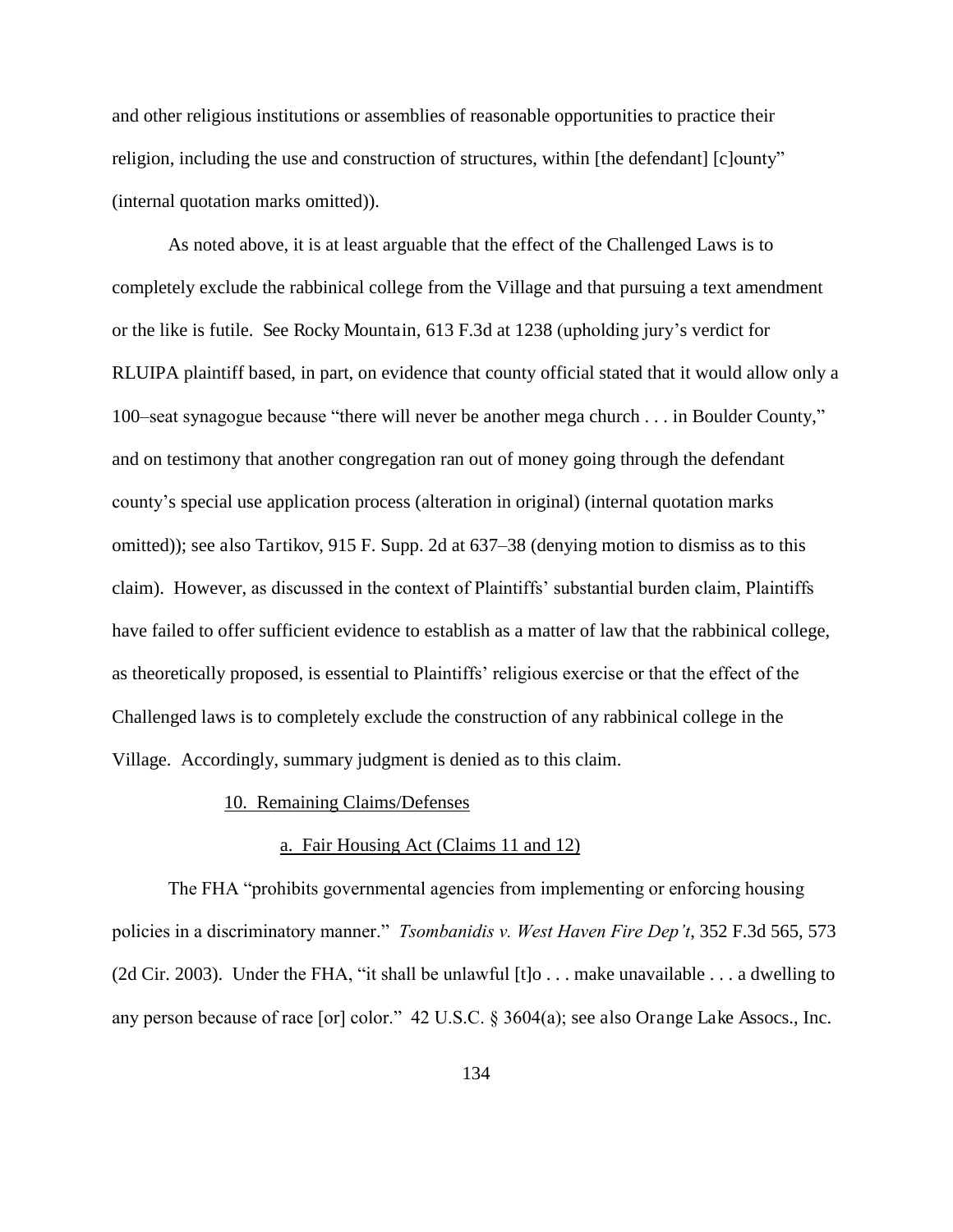and other religious institutions or assemblies of reasonable opportunities to practice their religion, including the use and construction of structures, within [the defendant] [c]ounty" (internal quotation marks omitted)).

As noted above, it is at least arguable that the effect of the Challenged Laws is to completely exclude the rabbinical college from the Village and that pursuing a text amendment or the like is futile. See Rocky Mountain, 613 F.3d at 1238 (upholding jury's verdict for RLUIPA plaintiff based, in part, on evidence that county official stated that it would allow only a 100–seat synagogue because "there will never be another mega church . . . in Boulder County," and on testimony that another congregation ran out of money going through the defendant county's special use application process (alteration in original) (internal quotation marks omitted)); see also Tartikov, 915 F. Supp. 2d at 637–38 (denying motion to dismiss as to this claim). However, as discussed in the context of Plaintiffs' substantial burden claim, Plaintiffs have failed to offer sufficient evidence to establish as a matter of law that the rabbinical college, as theoretically proposed, is essential to Plaintiffs' religious exercise or that the effect of the Challenged laws is to completely exclude the construction of any rabbinical college in the Village. Accordingly, summary judgment is denied as to this claim.

#### 10. Remaining Claims/Defenses

### a. Fair Housing Act (Claims 11 and 12)

The FHA "prohibits governmental agencies from implementing or enforcing housing policies in a discriminatory manner." *Tsombanidis v. West Haven Fire Dep't*, 352 F.3d 565, 573 (2d Cir. 2003). Under the FHA, "it shall be unlawful [t]o . . . make unavailable . . . a dwelling to any person because of race [or] color." 42 U.S.C. § 3604(a); see also Orange Lake Assocs., Inc.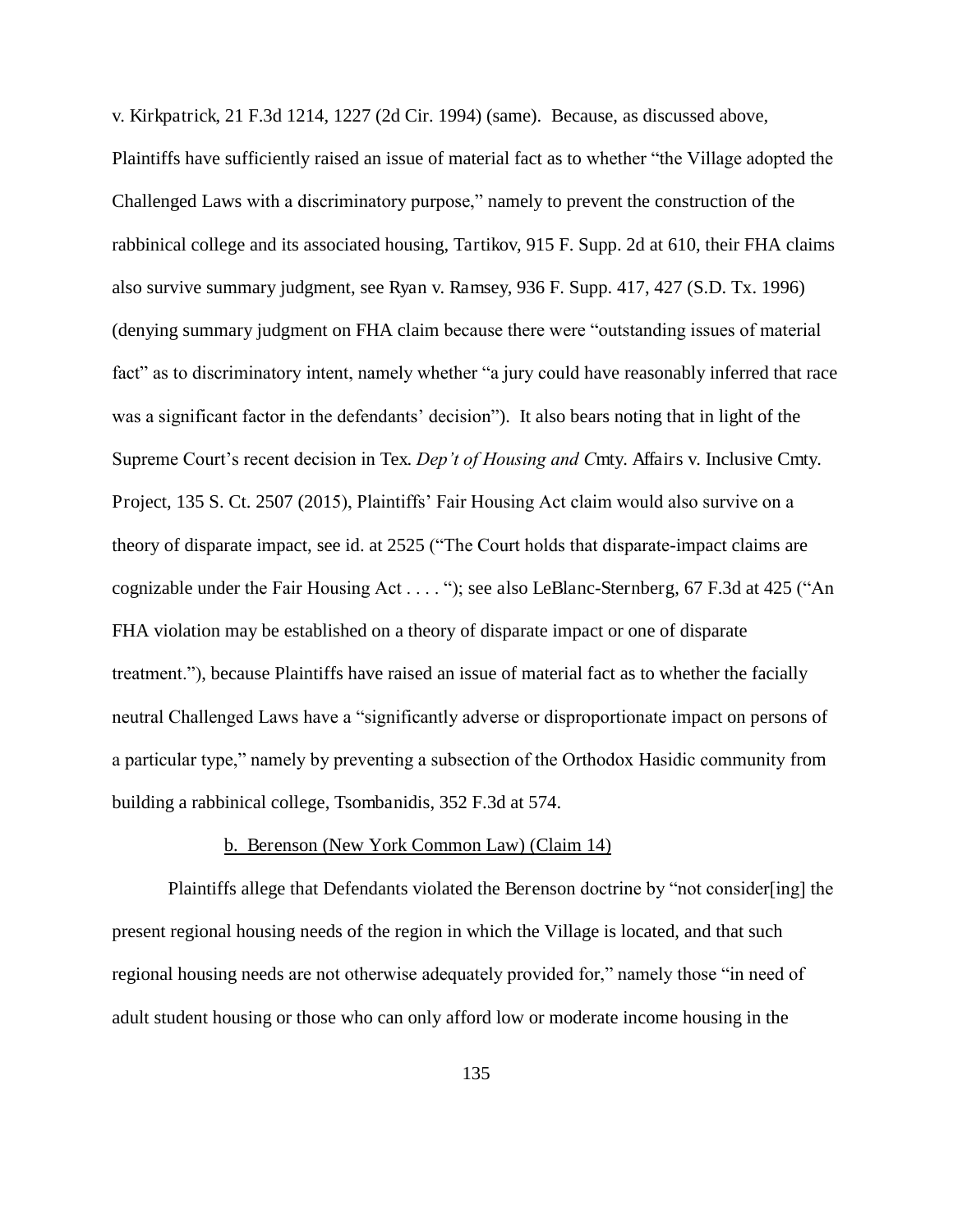v. Kirkpatrick, 21 F.3d 1214, 1227 (2d Cir. 1994) (same). Because, as discussed above, Plaintiffs have sufficiently raised an issue of material fact as to whether "the Village adopted the Challenged Laws with a discriminatory purpose," namely to prevent the construction of the rabbinical college and its associated housing, Tartikov, 915 F. Supp. 2d at 610, their FHA claims also survive summary judgment, see Ryan v. Ramsey, 936 F. Supp. 417, 427 (S.D. Tx. 1996) (denying summary judgment on FHA claim because there were "outstanding issues of material fact" as to discriminatory intent, namely whether "a jury could have reasonably inferred that race was a significant factor in the defendants' decision"). It also bears noting that in light of the Supreme Court's recent decision in Tex. *Dep't of Housing and C*mty. Affairs v. Inclusive Cmty. Project, 135 S. Ct. 2507 (2015), Plaintiffs' Fair Housing Act claim would also survive on a theory of disparate impact, see id. at 2525 ("The Court holds that disparate-impact claims are cognizable under the Fair Housing Act . . . . "); see also LeBlanc-Sternberg, 67 F.3d at 425 ("An FHA violation may be established on a theory of disparate impact or one of disparate treatment."), because Plaintiffs have raised an issue of material fact as to whether the facially neutral Challenged Laws have a "significantly adverse or disproportionate impact on persons of a particular type," namely by preventing a subsection of the Orthodox Hasidic community from building a rabbinical college, Tsombanidis, 352 F.3d at 574.

### b. Berenson (New York Common Law) (Claim 14)

 Plaintiffs allege that Defendants violated the Berenson doctrine by "not consider[ing] the present regional housing needs of the region in which the Village is located, and that such regional housing needs are not otherwise adequately provided for," namely those "in need of adult student housing or those who can only afford low or moderate income housing in the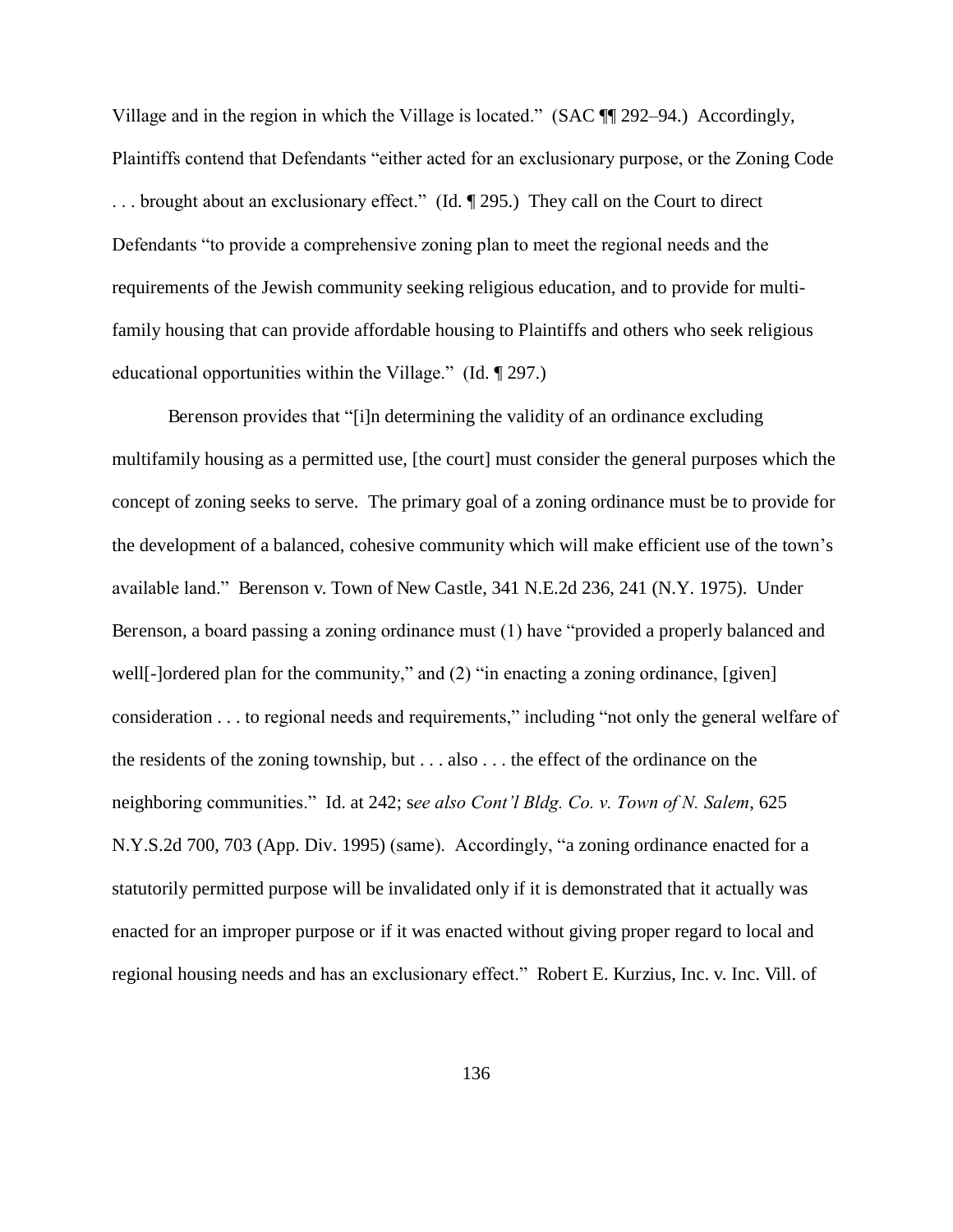Village and in the region in which the Village is located." (SAC ¶¶ 292–94.) Accordingly, Plaintiffs contend that Defendants "either acted for an exclusionary purpose, or the Zoning Code . . . brought about an exclusionary effect." (Id. ¶ 295.) They call on the Court to direct Defendants "to provide a comprehensive zoning plan to meet the regional needs and the requirements of the Jewish community seeking religious education, and to provide for multifamily housing that can provide affordable housing to Plaintiffs and others who seek religious educational opportunities within the Village." (Id. ¶ 297.)

Berenson provides that "[i]n determining the validity of an ordinance excluding multifamily housing as a permitted use, [the court] must consider the general purposes which the concept of zoning seeks to serve. The primary goal of a zoning ordinance must be to provide for the development of a balanced, cohesive community which will make efficient use of the town's available land." Berenson v. Town of New Castle, 341 N.E.2d 236, 241 (N.Y. 1975). Under Berenson, a board passing a zoning ordinance must (1) have "provided a properly balanced and well<sup>[-</sup>]ordered plan for the community," and (2) "in enacting a zoning ordinance, [given] consideration . . . to regional needs and requirements," including "not only the general welfare of the residents of the zoning township, but . . . also . . . the effect of the ordinance on the neighboring communities." Id. at 242; s*ee also Cont'l Bldg. Co. v. Town of N. Salem*, 625 N.Y.S.2d 700, 703 (App. Div. 1995) (same). Accordingly, "a zoning ordinance enacted for a statutorily permitted purpose will be invalidated only if it is demonstrated that it actually was enacted for an improper purpose or if it was enacted without giving proper regard to local and regional housing needs and has an exclusionary effect." Robert E. Kurzius, Inc. v. Inc. Vill. of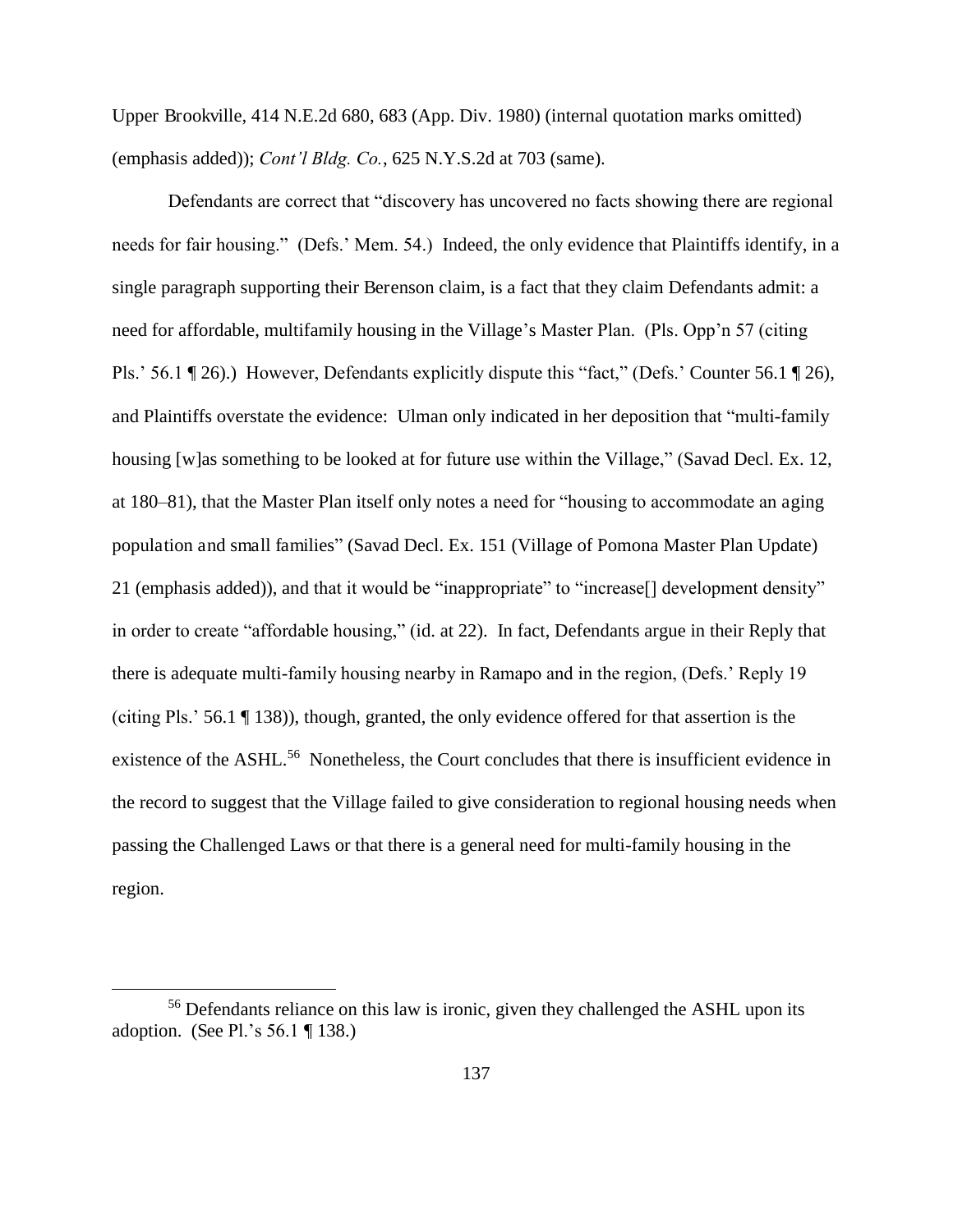Upper Brookville, 414 N.E.2d 680, 683 (App. Div. 1980) (internal quotation marks omitted) (emphasis added)); *Cont'l Bldg. Co.*, 625 N.Y.S.2d at 703 (same).

Defendants are correct that "discovery has uncovered no facts showing there are regional needs for fair housing." (Defs.' Mem. 54.) Indeed, the only evidence that Plaintiffs identify, in a single paragraph supporting their Berenson claim, is a fact that they claim Defendants admit: a need for affordable, multifamily housing in the Village's Master Plan. (Pls. Opp'n 57 (citing Pls.' 56.1 ¶ 26).) However, Defendants explicitly dispute this "fact," (Defs.' Counter 56.1 ¶ 26), and Plaintiffs overstate the evidence: Ulman only indicated in her deposition that "multi-family housing [w]as something to be looked at for future use within the Village," (Savad Decl. Ex. 12, at 180–81), that the Master Plan itself only notes a need for "housing to accommodate an aging population and small families" (Savad Decl. Ex. 151 (Village of Pomona Master Plan Update) 21 (emphasis added)), and that it would be "inappropriate" to "increase[] development density" in order to create "affordable housing," (id. at 22). In fact, Defendants argue in their Reply that there is adequate multi-family housing nearby in Ramapo and in the region, (Defs.' Reply 19 (citing Pls.' 56.1 ¶ 138)), though, granted, the only evidence offered for that assertion is the existence of the ASHL.<sup>56</sup> Nonetheless, the Court concludes that there is insufficient evidence in the record to suggest that the Village failed to give consideration to regional housing needs when passing the Challenged Laws or that there is a general need for multi-family housing in the region.

 $\overline{a}$ 

<sup>&</sup>lt;sup>56</sup> Defendants reliance on this law is ironic, given they challenged the ASHL upon its adoption. (See Pl.'s 56.1 ¶ 138.)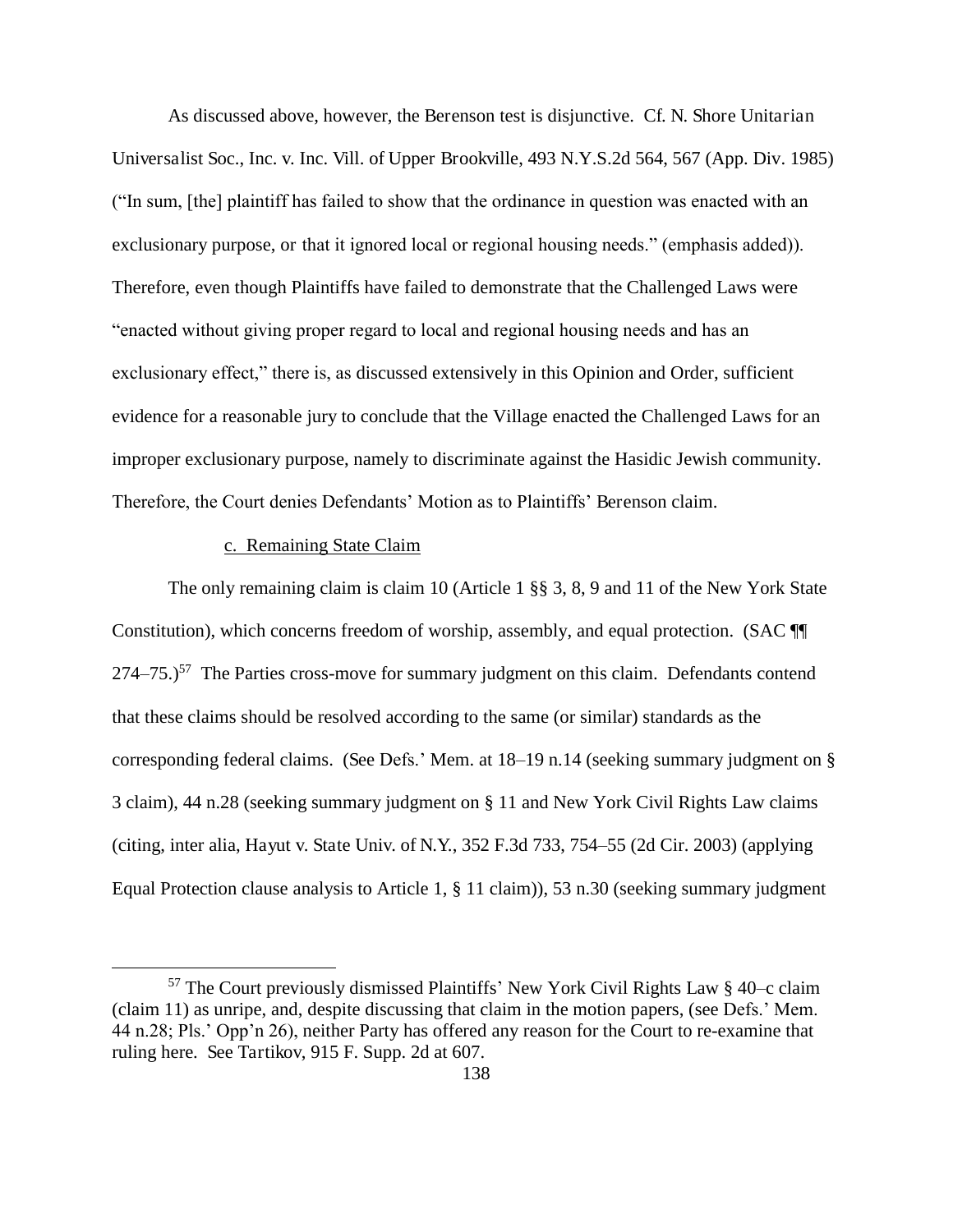As discussed above, however, the Berenson test is disjunctive. Cf. N. Shore Unitarian Universalist Soc., Inc. v. Inc. Vill. of Upper Brookville, 493 N.Y.S.2d 564, 567 (App. Div. 1985) ("In sum, [the] plaintiff has failed to show that the ordinance in question was enacted with an exclusionary purpose, or that it ignored local or regional housing needs." (emphasis added)). Therefore, even though Plaintiffs have failed to demonstrate that the Challenged Laws were "enacted without giving proper regard to local and regional housing needs and has an exclusionary effect," there is, as discussed extensively in this Opinion and Order, sufficient evidence for a reasonable jury to conclude that the Village enacted the Challenged Laws for an improper exclusionary purpose, namely to discriminate against the Hasidic Jewish community. Therefore, the Court denies Defendants' Motion as to Plaintiffs' Berenson claim.

#### c. Remaining State Claim

 $\overline{a}$ 

The only remaining claim is claim 10 (Article 1 §§ 3, 8, 9 and 11 of the New York State Constitution), which concerns freedom of worship, assembly, and equal protection. (SAC ¶¶  $274-75.$ <sup>57</sup> The Parties cross-move for summary judgment on this claim. Defendants contend that these claims should be resolved according to the same (or similar) standards as the corresponding federal claims. (See Defs.' Mem. at 18–19 n.14 (seeking summary judgment on § 3 claim), 44 n.28 (seeking summary judgment on § 11 and New York Civil Rights Law claims (citing, inter alia, Hayut v. State Univ. of N.Y., 352 F.3d 733, 754–55 (2d Cir. 2003) (applying Equal Protection clause analysis to Article 1, § 11 claim)), 53 n.30 (seeking summary judgment

 $57$  The Court previously dismissed Plaintiffs' New York Civil Rights Law  $\S$  40–c claim (claim 11) as unripe, and, despite discussing that claim in the motion papers, (see Defs.' Mem. 44 n.28; Pls.' Opp'n 26), neither Party has offered any reason for the Court to re-examine that ruling here. See Tartikov, 915 F. Supp. 2d at 607.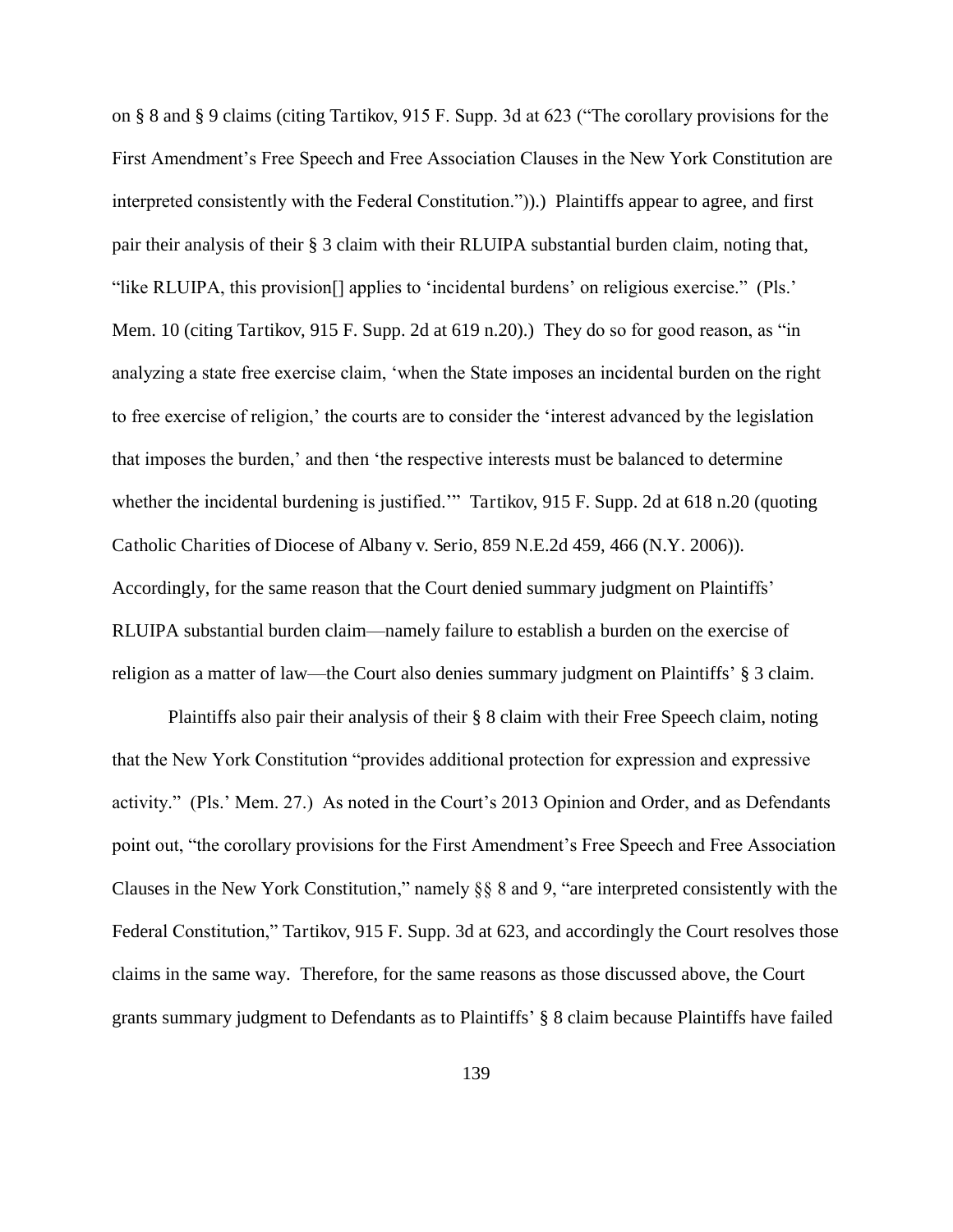on § 8 and § 9 claims (citing Tartikov, 915 F. Supp. 3d at 623 ("The corollary provisions for the First Amendment's Free Speech and Free Association Clauses in the New York Constitution are interpreted consistently with the Federal Constitution.")).) Plaintiffs appear to agree, and first pair their analysis of their § 3 claim with their RLUIPA substantial burden claim, noting that, "like RLUIPA, this provision[] applies to 'incidental burdens' on religious exercise." (Pls.' Mem. 10 (citing Tartikov, 915 F. Supp. 2d at 619 n.20).) They do so for good reason, as "in analyzing a state free exercise claim, 'when the State imposes an incidental burden on the right to free exercise of religion,' the courts are to consider the 'interest advanced by the legislation that imposes the burden,' and then 'the respective interests must be balanced to determine whether the incidental burdening is justified.'" Tartikov, 915 F. Supp. 2d at 618 n.20 (quoting Catholic Charities of Diocese of Albany v. Serio, 859 N.E.2d 459, 466 (N.Y. 2006)). Accordingly, for the same reason that the Court denied summary judgment on Plaintiffs' RLUIPA substantial burden claim—namely failure to establish a burden on the exercise of religion as a matter of law—the Court also denies summary judgment on Plaintiffs' § 3 claim.

Plaintiffs also pair their analysis of their § 8 claim with their Free Speech claim, noting that the New York Constitution "provides additional protection for expression and expressive activity." (Pls.' Mem. 27.) As noted in the Court's 2013 Opinion and Order, and as Defendants point out, "the corollary provisions for the First Amendment's Free Speech and Free Association Clauses in the New York Constitution," namely §§ 8 and 9, "are interpreted consistently with the Federal Constitution," Tartikov, 915 F. Supp. 3d at 623, and accordingly the Court resolves those claims in the same way. Therefore, for the same reasons as those discussed above, the Court grants summary judgment to Defendants as to Plaintiffs' § 8 claim because Plaintiffs have failed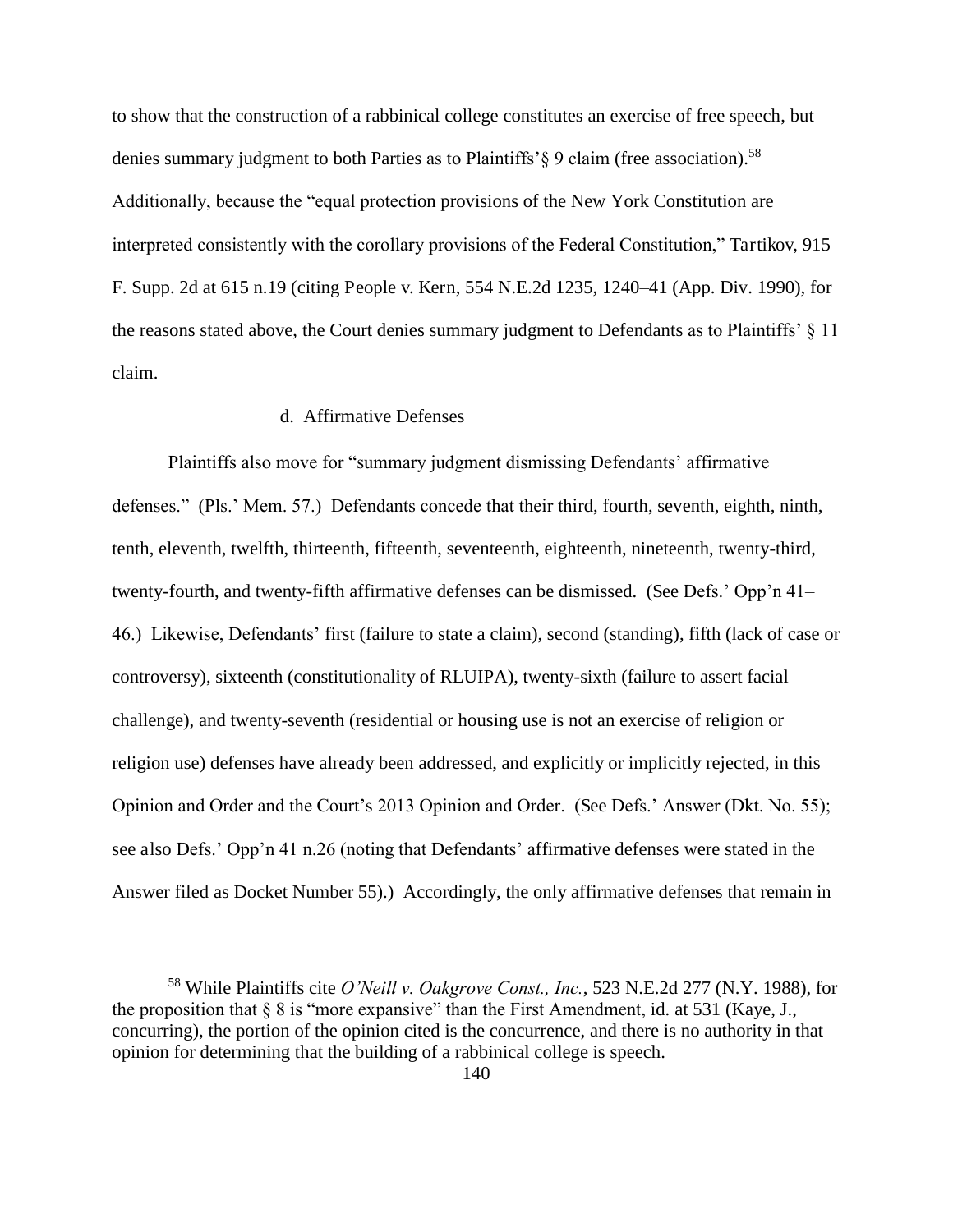to show that the construction of a rabbinical college constitutes an exercise of free speech, but denies summary judgment to both Parties as to Plaintiffs' § 9 claim (free association).<sup>58</sup> Additionally, because the "equal protection provisions of the New York Constitution are interpreted consistently with the corollary provisions of the Federal Constitution," Tartikov, 915 F. Supp. 2d at 615 n.19 (citing People v. Kern, 554 N.E.2d 1235, 1240–41 (App. Div. 1990), for the reasons stated above, the Court denies summary judgment to Defendants as to Plaintiffs' § 11 claim.

# d. Affirmative Defenses

 $\overline{a}$ 

Plaintiffs also move for "summary judgment dismissing Defendants' affirmative defenses." (Pls.' Mem. 57.) Defendants concede that their third, fourth, seventh, eighth, ninth, tenth, eleventh, twelfth, thirteenth, fifteenth, seventeenth, eighteenth, nineteenth, twenty-third, twenty-fourth, and twenty-fifth affirmative defenses can be dismissed. (See Defs.' Opp'n 41– 46.) Likewise, Defendants' first (failure to state a claim), second (standing), fifth (lack of case or controversy), sixteenth (constitutionality of RLUIPA), twenty-sixth (failure to assert facial challenge), and twenty-seventh (residential or housing use is not an exercise of religion or religion use) defenses have already been addressed, and explicitly or implicitly rejected, in this Opinion and Order and the Court's 2013 Opinion and Order. (See Defs.' Answer (Dkt. No. 55); see also Defs.' Opp'n 41 n.26 (noting that Defendants' affirmative defenses were stated in the Answer filed as Docket Number 55).) Accordingly, the only affirmative defenses that remain in

<sup>58</sup> While Plaintiffs cite *O'Neill v. Oakgrove Const., Inc.*, 523 N.E.2d 277 (N.Y. 1988), for the proposition that § 8 is "more expansive" than the First Amendment, id. at 531 (Kaye, J., concurring), the portion of the opinion cited is the concurrence, and there is no authority in that opinion for determining that the building of a rabbinical college is speech.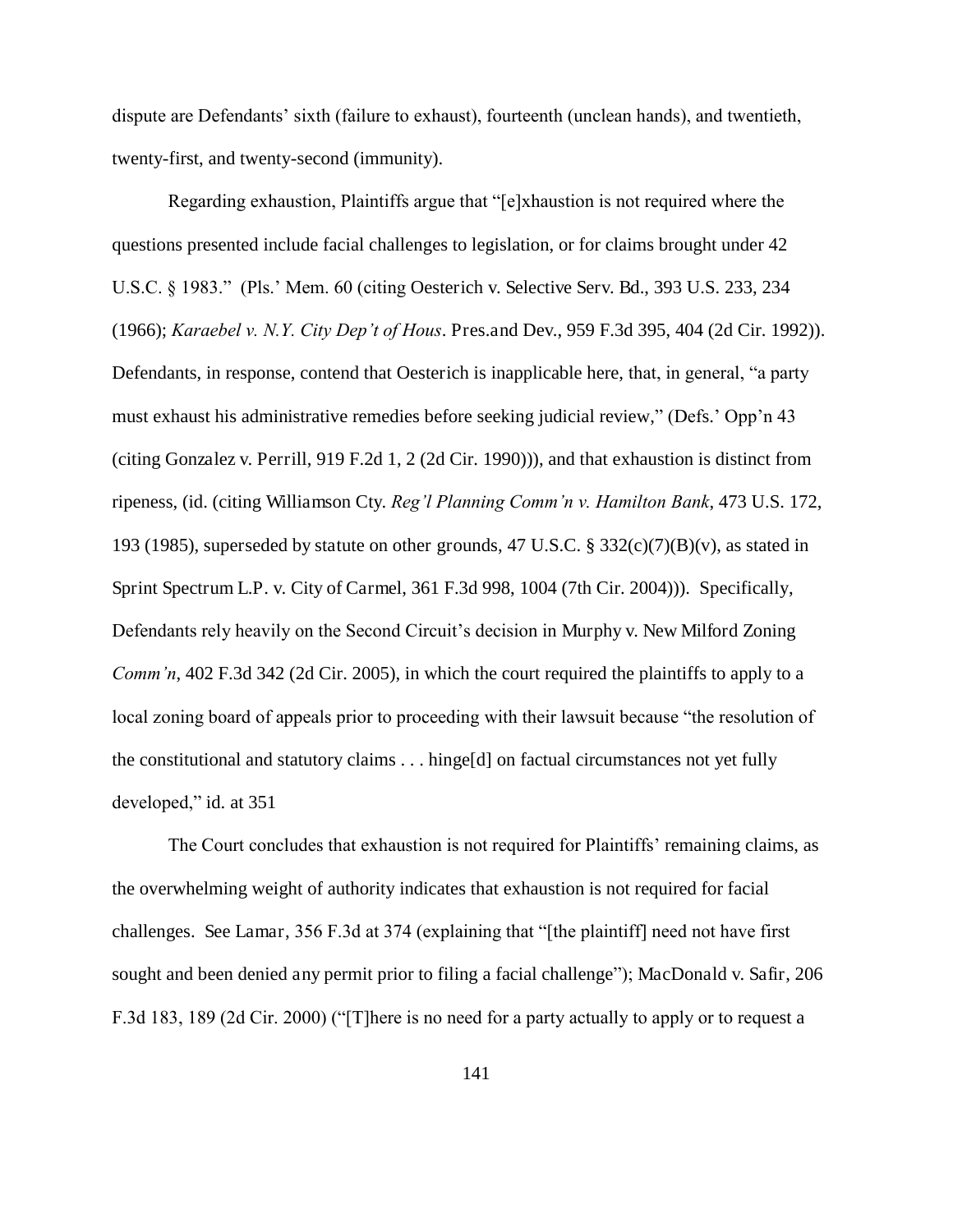dispute are Defendants' sixth (failure to exhaust), fourteenth (unclean hands), and twentieth, twenty-first, and twenty-second (immunity).

Regarding exhaustion, Plaintiffs argue that "[e]xhaustion is not required where the questions presented include facial challenges to legislation, or for claims brought under 42 U.S.C. § 1983." (Pls.' Mem. 60 (citing Oesterich v. Selective Serv. Bd., 393 U.S. 233, 234 (1966); *Karaebel v. N.Y. City Dep't of Hous*. Pres.and Dev., 959 F.3d 395, 404 (2d Cir. 1992)). Defendants, in response, contend that Oesterich is inapplicable here, that, in general, "a party must exhaust his administrative remedies before seeking judicial review," (Defs.' Opp'n 43 (citing Gonzalez v. Perrill, 919 F.2d 1, 2 (2d Cir. 1990))), and that exhaustion is distinct from ripeness, (id. (citing Williamson Cty. *Reg'l Planning Comm'n v. Hamilton Bank*, 473 U.S. 172, 193 (1985), superseded by statute on other grounds, 47 U.S.C.  $\S$  332(c)(7)(B)(v), as stated in Sprint Spectrum L.P. v. City of Carmel, 361 F.3d 998, 1004 (7th Cir. 2004))). Specifically, Defendants rely heavily on the Second Circuit's decision in Murphy v. New Milford Zoning *Comm'n*, 402 F.3d 342 (2d Cir. 2005), in which the court required the plaintiffs to apply to a local zoning board of appeals prior to proceeding with their lawsuit because "the resolution of the constitutional and statutory claims . . . hinge[d] on factual circumstances not yet fully developed," id. at 351

The Court concludes that exhaustion is not required for Plaintiffs' remaining claims, as the overwhelming weight of authority indicates that exhaustion is not required for facial challenges. See Lamar, 356 F.3d at 374 (explaining that "[the plaintiff] need not have first sought and been denied any permit prior to filing a facial challenge"); MacDonald v. Safir, 206 F.3d 183, 189 (2d Cir. 2000) ("[T]here is no need for a party actually to apply or to request a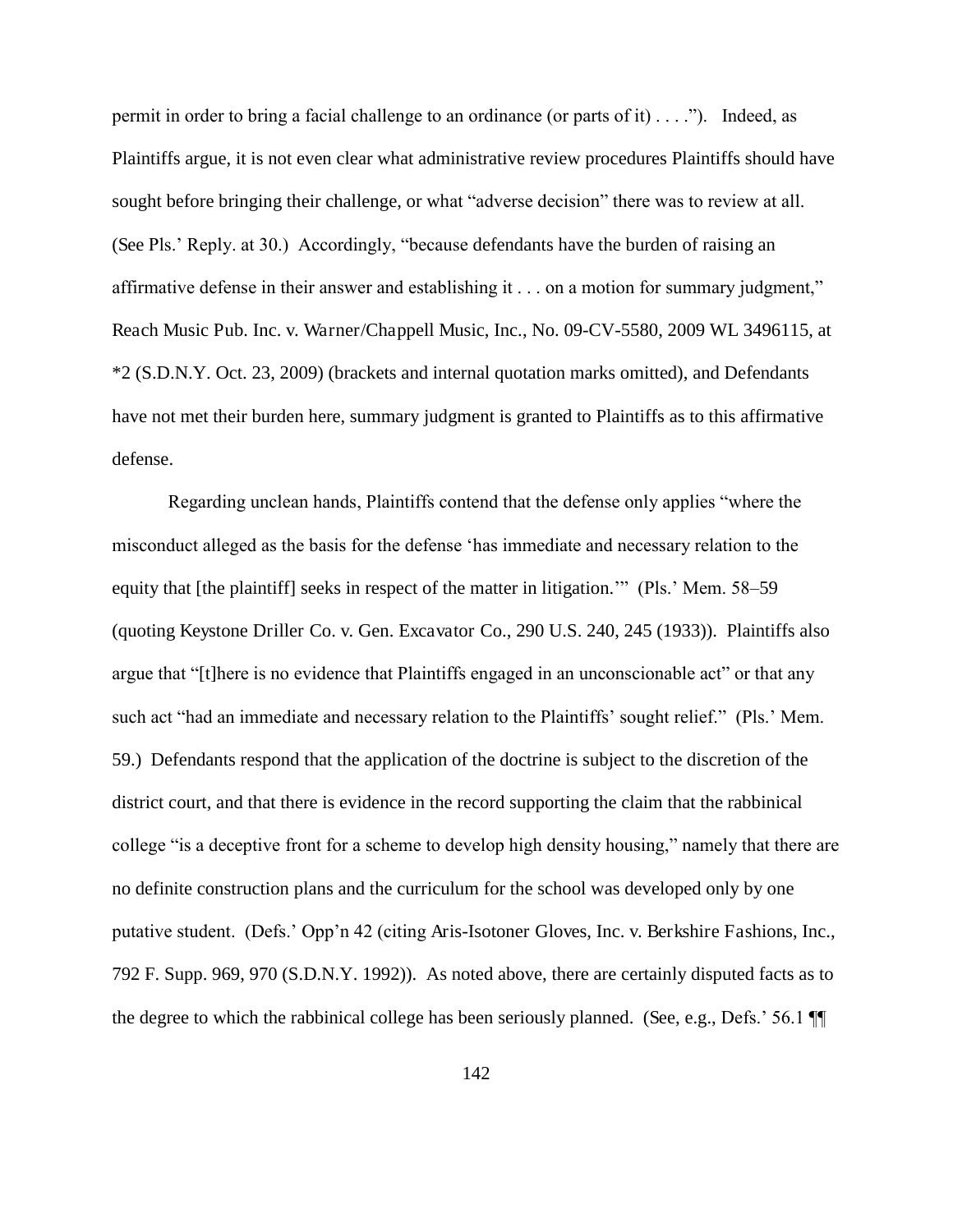permit in order to bring a facial challenge to an ordinance (or parts of it) . . . ."). Indeed, as Plaintiffs argue, it is not even clear what administrative review procedures Plaintiffs should have sought before bringing their challenge, or what "adverse decision" there was to review at all. (See Pls.' Reply. at 30.) Accordingly, "because defendants have the burden of raising an affirmative defense in their answer and establishing it . . . on a motion for summary judgment," Reach Music Pub. Inc. v. Warner/Chappell Music, Inc., No. 09-CV-5580, 2009 WL 3496115, at \*2 (S.D.N.Y. Oct. 23, 2009) (brackets and internal quotation marks omitted), and Defendants have not met their burden here, summary judgment is granted to Plaintiffs as to this affirmative defense.

Regarding unclean hands, Plaintiffs contend that the defense only applies "where the misconduct alleged as the basis for the defense 'has immediate and necessary relation to the equity that [the plaintiff] seeks in respect of the matter in litigation.'" (Pls.' Mem. 58–59 (quoting Keystone Driller Co. v. Gen. Excavator Co., 290 U.S. 240, 245 (1933)). Plaintiffs also argue that "[t]here is no evidence that Plaintiffs engaged in an unconscionable act" or that any such act "had an immediate and necessary relation to the Plaintiffs' sought relief." (Pls.' Mem. 59.) Defendants respond that the application of the doctrine is subject to the discretion of the district court, and that there is evidence in the record supporting the claim that the rabbinical college "is a deceptive front for a scheme to develop high density housing," namely that there are no definite construction plans and the curriculum for the school was developed only by one putative student. (Defs.' Opp'n 42 (citing Aris-Isotoner Gloves, Inc. v. Berkshire Fashions, Inc., 792 F. Supp. 969, 970 (S.D.N.Y. 1992)). As noted above, there are certainly disputed facts as to the degree to which the rabbinical college has been seriously planned. (See, e.g., Defs.' 56.1 ¶¶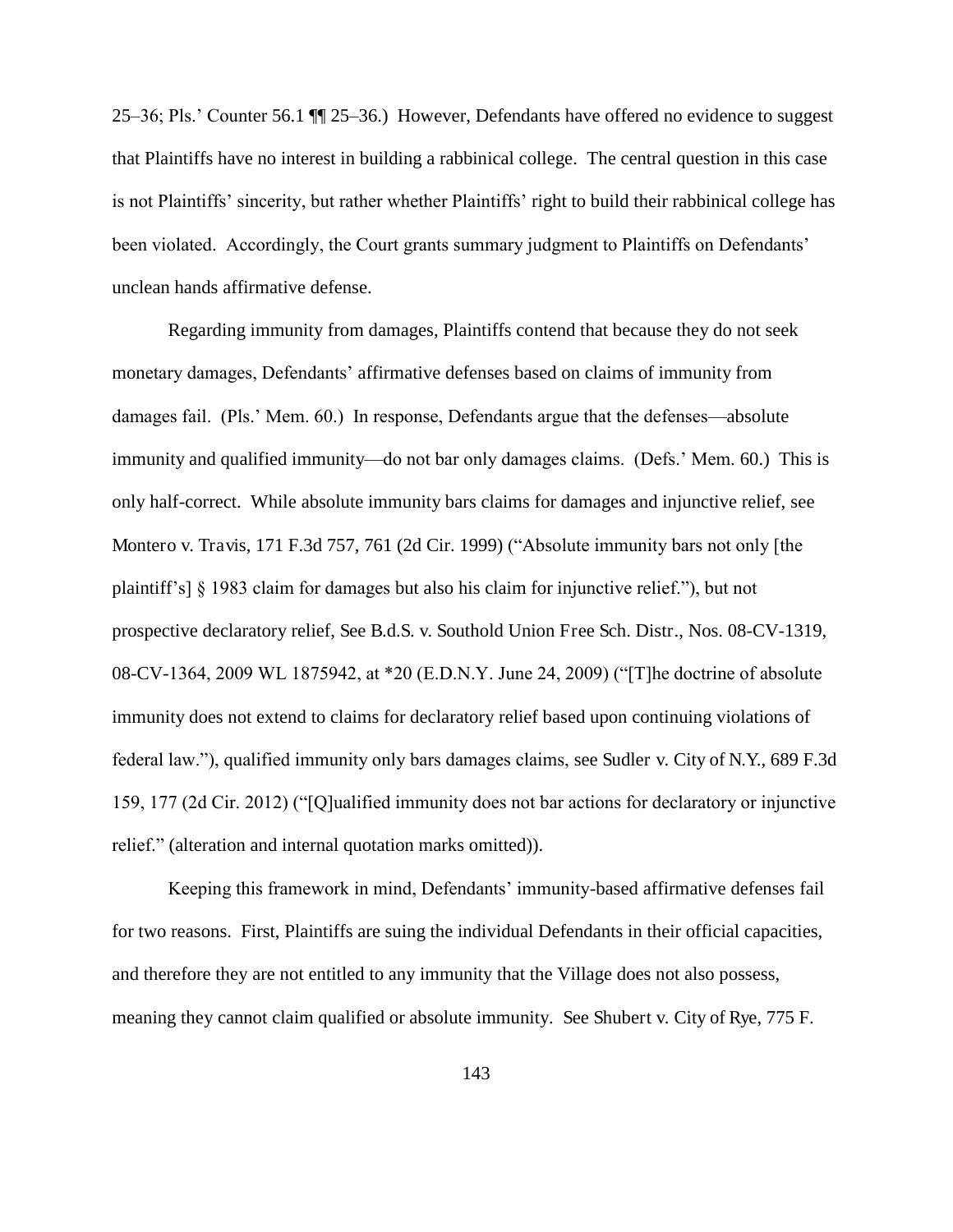25–36; Pls.' Counter 56.1 ¶¶ 25–36.) However, Defendants have offered no evidence to suggest that Plaintiffs have no interest in building a rabbinical college. The central question in this case is not Plaintiffs' sincerity, but rather whether Plaintiffs' right to build their rabbinical college has been violated. Accordingly, the Court grants summary judgment to Plaintiffs on Defendants' unclean hands affirmative defense.

Regarding immunity from damages, Plaintiffs contend that because they do not seek monetary damages, Defendants' affirmative defenses based on claims of immunity from damages fail. (Pls.' Mem. 60.) In response, Defendants argue that the defenses—absolute immunity and qualified immunity—do not bar only damages claims. (Defs.' Mem. 60.) This is only half-correct. While absolute immunity bars claims for damages and injunctive relief, see Montero v. Travis, 171 F.3d 757, 761 (2d Cir. 1999) ("Absolute immunity bars not only [the plaintiff's] § 1983 claim for damages but also his claim for injunctive relief."), but not prospective declaratory relief, See B.d.S. v. Southold Union Free Sch. Distr., Nos. 08-CV-1319, 08-CV-1364, 2009 WL 1875942, at \*20 (E.D.N.Y. June 24, 2009) ("[T]he doctrine of absolute immunity does not extend to claims for declaratory relief based upon continuing violations of federal law."), qualified immunity only bars damages claims, see Sudler v. City of N.Y., 689 F.3d 159, 177 (2d Cir. 2012) ("[Q]ualified immunity does not bar actions for declaratory or injunctive relief." (alteration and internal quotation marks omitted)).

Keeping this framework in mind, Defendants' immunity-based affirmative defenses fail for two reasons. First, Plaintiffs are suing the individual Defendants in their official capacities, and therefore they are not entitled to any immunity that the Village does not also possess, meaning they cannot claim qualified or absolute immunity. See Shubert v. City of Rye, 775 F.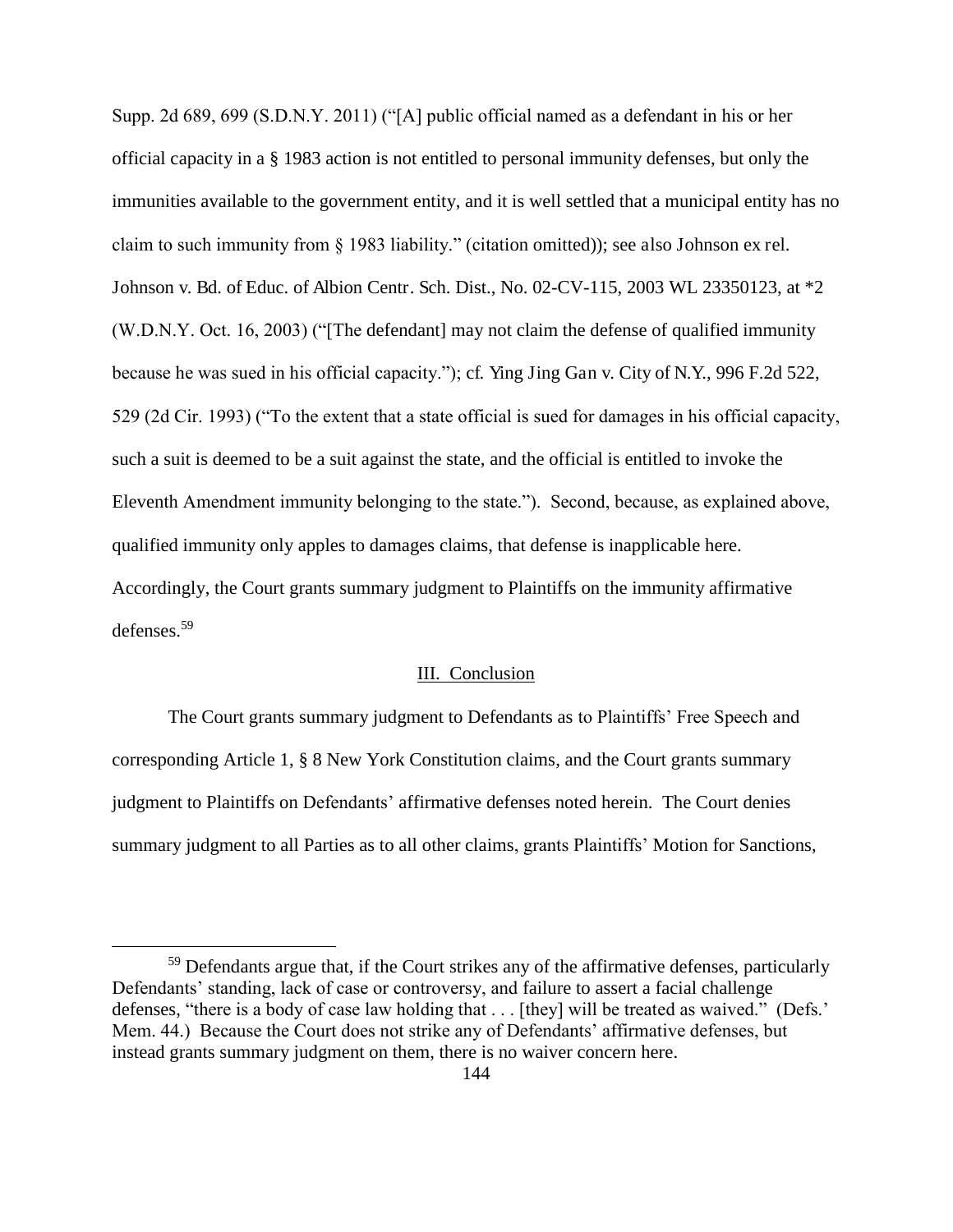Supp. 2d 689, 699 (S.D.N.Y. 2011) ("[A] public official named as a defendant in his or her official capacity in a § 1983 action is not entitled to personal immunity defenses, but only the immunities available to the government entity, and it is well settled that a municipal entity has no claim to such immunity from § 1983 liability." (citation omitted)); see also Johnson ex rel. Johnson v. Bd. of Educ. of Albion Centr. Sch. Dist., No. 02-CV-115, 2003 WL 23350123, at \*2 (W.D.N.Y. Oct. 16, 2003) ("[The defendant] may not claim the defense of qualified immunity because he was sued in his official capacity."); cf. Ying Jing Gan v. City of N.Y., 996 F.2d 522, 529 (2d Cir. 1993) ("To the extent that a state official is sued for damages in his official capacity, such a suit is deemed to be a suit against the state, and the official is entitled to invoke the Eleventh Amendment immunity belonging to the state."). Second, because, as explained above, qualified immunity only apples to damages claims, that defense is inapplicable here. Accordingly, the Court grants summary judgment to Plaintiffs on the immunity affirmative defenses.<sup>59</sup>

# III. Conclusion

 The Court grants summary judgment to Defendants as to Plaintiffs' Free Speech and corresponding Article 1, § 8 New York Constitution claims, and the Court grants summary judgment to Plaintiffs on Defendants' affirmative defenses noted herein. The Court denies summary judgment to all Parties as to all other claims, grants Plaintiffs' Motion for Sanctions,

 $\overline{a}$ 

<sup>&</sup>lt;sup>59</sup> Defendants argue that, if the Court strikes any of the affirmative defenses, particularly Defendants' standing, lack of case or controversy, and failure to assert a facial challenge defenses, "there is a body of case law holding that . . . [they] will be treated as waived." (Defs.' Mem. 44.) Because the Court does not strike any of Defendants' affirmative defenses, but instead grants summary judgment on them, there is no waiver concern here.